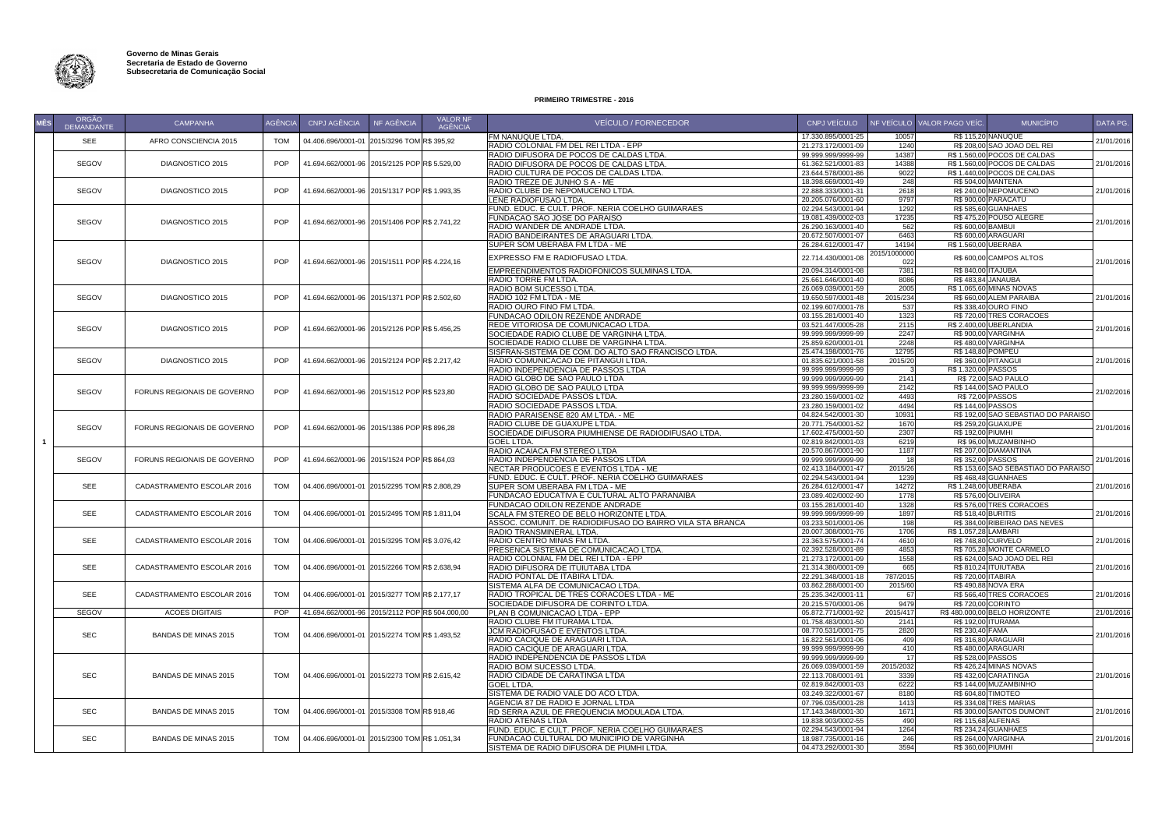

| <b>MÊS</b> | <b>ORGÃO</b><br>DEMANDANTE | <b>CAMPANHA</b>             | <b>AGÊNCIA</b> | CNPJ AGÊNCIA                                   | NF AGÊNCIA | <b>VALOR NF</b><br><b>AGÊNCIA</b> | VEÍCULO / FORNECEDOR                                                 | CNPJ VEÍCULO                             |              | NF VEÍCULO   VALOR PAGO VEÍC. | <b>MUNICÍPIO</b>                                   | DATA PG.   |
|------------|----------------------------|-----------------------------|----------------|------------------------------------------------|------------|-----------------------------------|----------------------------------------------------------------------|------------------------------------------|--------------|-------------------------------|----------------------------------------------------|------------|
|            | SEE                        | AFRO CONSCIENCIA 2015       | <b>TOM</b>     | 04.406.696/0001-01 2015/3296 TOM R\$ 395,92    |            |                                   | <b>FM NANUQUE LTDA.</b>                                              | 17.330.895/0001-25                       | 10057        |                               | <b>R\$ 115,20 NANUQUE</b>                          | 21/01/2016 |
|            |                            |                             |                |                                                |            |                                   | RADIO COLONIAL FM DEL REI LTDA - EPP                                 | 21.273.172/0001-09                       | 1240         |                               | R\$ 208,00 SAO JOAO DEL REI                        |            |
|            |                            |                             |                |                                                |            |                                   | RADIO DIFUSORA DE POCOS DE CALDAS LTDA                               | 99.999.999/9999-99                       | 14387        |                               | R\$ 1.560,00 POCOS DE CALDAS                       |            |
|            | <b>SEGOV</b>               | DIAGNOSTICO 2015            | <b>POP</b>     | 41.694.662/0001-96 2015/2125 POP R\$ 5.529,00  |            |                                   | RADIO DIFUSORA DE POCOS DE CALDAS LTDA                               | 61.362.521/0001-83                       | 14388        |                               | R\$ 1.560,00 POCOS DE CALDAS                       | 21/01/2016 |
|            |                            |                             |                |                                                |            |                                   | RADIO CULTURA DE POCOS DE CALDAS LTDA                                | 23.644.578/0001-86<br>18.398.669/0001-49 | 9022         |                               | R\$ 1.440,00 POCOS DE CALDAS                       |            |
|            | <b>SEGOV</b>               | DIAGNOSTICO 2015            | POP            | 41.694.662/0001-96 2015/1317 POPR\$ 1.993,35   |            |                                   | RADIO TREZE DE JUNHO S A - ME<br>RADIO CLUBE DE NEPOMUCENO LTDA.     |                                          | 248<br>2618  |                               | <b>R\$ 504,00 MANTENA</b><br>R\$ 240,00 NEPOMUCENO | 21/01/2016 |
|            |                            |                             |                |                                                |            |                                   | LENE RADIOFUSAO LTDA.                                                | 22.888.333/0001-31<br>20.205.076/0001-60 | 9797         |                               | R\$900,00 PARACATU                                 |            |
|            |                            |                             |                |                                                |            |                                   | FUND. EDUC. E CULT. PROF. NERIA COELHO GUIMARAES                     | 02.294.543/0001-94                       | 1292         |                               | R\$ 585,60 GUANHAES                                |            |
|            |                            |                             |                |                                                |            |                                   | <b>FUNDACAO SAO JOSE DO PARAISO</b>                                  | 19.081.439/0002-03                       | 17235        |                               | R\$475,20 POUSO ALEGRE                             |            |
|            | <b>SEGOV</b>               | DIAGNOSTICO 2015            | <b>POP</b>     | 41.694.662/0001-96 2015/1406 POP R\$ 2.741,22  |            |                                   | RADIO WANDER DE ANDRADE LTDA.                                        | 26.290.163/0001-40                       | 562          | R\$ 600,00 BAMBUI             |                                                    | 21/01/2016 |
|            |                            |                             |                |                                                |            |                                   | RADIO BANDEIRANTES DE ARAGUARI LTDA.                                 | 20.672.507/0001-07                       | 6463         |                               | R\$ 600,00 ARAGUARI                                |            |
|            |                            |                             |                |                                                |            |                                   | SUPER SOM UBERABA FM LTDA - ME                                       | 26.284.612/0001-47                       | 14194        | R\$ 1.560,00 UBERABA          |                                                    |            |
|            |                            |                             |                |                                                |            |                                   |                                                                      |                                          | 2015/1000000 |                               |                                                    |            |
|            | <b>SEGOV</b>               | DIAGNOSTICO 2015            | <b>POP</b>     | 41.694.662/0001-96 2015/1511 POP R\$ 4.224,16  |            |                                   | EXPRESSO FM E RADIOFUSAO LTDA.                                       | 22.714.430/0001-08                       | 022          |                               | R\$ 600,00 CAMPOS ALTOS                            | 21/01/2016 |
|            |                            |                             |                |                                                |            |                                   | EMPREENDIMENTOS RADIOFONICOS SULMINAS LTDA                           | 20.094.314/0001-08                       | 7381         | <b>R\$ 840,00 ITAJUBA</b>     |                                                    |            |
|            |                            |                             |                |                                                |            |                                   | <b>RADIO TORRE FM LTDA</b>                                           | 25.661.646/0001-40                       | 8086         |                               | R\$483,84 JANAUBA                                  |            |
|            |                            |                             |                |                                                |            |                                   | <b>RADIO BOM SUCESSO LTDA.</b>                                       | 26.069.039/0001-59                       | 2005         |                               | R\$ 1.065,60 MINAS NOVAS                           |            |
|            | <b>SEGOV</b>               | DIAGNOSTICO 2015            | POP            | 41.694.662/0001-96 2015/1371 POP R\$ 2.502,60  |            |                                   | RADIO 102 FM LTDA - ME                                               | 19.650.597/0001-48                       | 2015/234     |                               | R\$ 660,00 ALEM PARAIBA                            | 21/01/2016 |
|            |                            |                             |                |                                                |            |                                   | RADIO OURO FINO FM LTDA.                                             | 02.199.607/0001-78                       | 537          |                               | R\$ 338,40 OURO FINO                               |            |
|            |                            |                             |                |                                                |            |                                   | FUNDACAO ODILON REZENDE ANDRADE                                      | 03.155.281/0001-40                       | 1323         |                               | R\$720,00 TRES CORACOES                            |            |
|            | <b>SEGOV</b>               | DIAGNOSTICO 2015            | <b>POP</b>     | 41.694.662/0001-96 2015/2126 POP R\$ 5.456,25  |            |                                   | REDE VITORIOSA DE COMUNICACAO LTDA.                                  | 03.521.447/0005-28                       | 2115         |                               | R\$ 2.400,00 UBERLANDIA                            | 21/01/2016 |
|            |                            |                             |                |                                                |            |                                   | SOCIEDADE RADIO CLUBE DE VARGINHA LTDA.                              | 99.999.999/9999-99                       | 2247         |                               | R\$ 900,00 VARGINHA                                |            |
|            |                            |                             |                |                                                |            |                                   | SOCIEDADE RADIO CLUBE DE VARGINHA LTDA.                              | 25.859.620/0001-01                       | 2248         |                               | <b>R\$480,00 VARGINHA</b>                          |            |
|            |                            |                             |                |                                                |            |                                   | SISFRAN-SISTEMA DE COM. DO ALTO SAO FRANCISCO LTDA                   | 25.474.198/0001-76                       | 12795        |                               | R\$ 148,80 POMPEU                                  |            |
|            | <b>SEGOV</b>               | DIAGNOSTICO 2015            | <b>POP</b>     | 41.694.662/0001-96 2015/2124 POP R\$ 2.217,42  |            |                                   | RADIO COMUNICACAO DE PITANGUI LTDA.                                  | 01.835.621/0001-58                       | 2015/20      |                               | <b>R\$360,00 PITANGUI</b>                          | 21/01/2016 |
|            |                            |                             |                |                                                |            |                                   | RADIO INDEPENDENCIA DE PASSOS LTDA                                   | 99.999.999/9999-99                       |              | R\$ 1.320,00 PASSOS           |                                                    |            |
|            |                            |                             |                |                                                |            |                                   | RADIO GLOBO DE SAO PAULO LTDA                                        | 99.999.999/9999-99                       | 2141         |                               | <b>R\$ 72,00 SAO PAULO</b>                         |            |
|            | <b>SEGOV</b>               | FORUNS REGIONAIS DE GOVERNO | <b>POP</b>     | 41.694.662/0001-96 2015/1512 POPR\$ 523,80     |            |                                   | RADIO GLOBO DE SAO PAULO LTDA                                        | 99.999.999/9999-99                       | 2142         |                               | R\$ 144,00 SAO PAULO                               | 21/02/2016 |
|            |                            |                             |                |                                                |            |                                   | <b> RADIO SOCIEDADE PASSOS LTDA.</b>                                 | 23.280.159/0001-02                       | 4493         |                               | R\$ 72,00 PASSOS                                   |            |
|            |                            |                             |                |                                                |            |                                   | RADIO SOCIEDADE PASSOS LTDA.                                         | 23.280.159/0001-02                       | 4494         |                               | R\$ 144,00 PASSOS                                  |            |
|            |                            |                             |                |                                                |            |                                   | RADIO PARAISENSE 820 AM LTDA. - ME                                   | 04.824.542/0001-30                       | 10931        |                               | R\$ 192,00 SAO SEBASTIAO DO PARAISO                |            |
|            | <b>SEGOV</b>               | FORUNS REGIONAIS DE GOVERNO | <b>POP</b>     | 41.694.662/0001-96 2015/1386 POP R\$ 896,28    |            |                                   | RADIO CLUBE DE GUAXUPE LTDA.                                         | 20.771.754/0001-52                       | 1670         |                               | <b>R\$ 259,20 GUAXUPE</b>                          | 21/01/2016 |
|            |                            |                             |                |                                                |            |                                   | SOCIEDADE DIFUSORA PIUMHIENSE DE RADIODIFUSAO LTDA                   | 17.602.475/0001-50                       | 2307         | R\$ 192,00 PIUMHI             |                                                    |            |
|            |                            |                             |                |                                                |            |                                   | <b>GOEL LTDA.</b>                                                    | 02.819.842/0001-03                       | 6219         |                               | R\$96,00 MUZAMBINHO                                |            |
|            |                            |                             |                |                                                |            |                                   | RADIO ACAIACA FM STEREO LTDA                                         | 20.570.867/0001-90                       | 1187         |                               | R\$ 207,00 DIAMANTINA                              |            |
|            | <b>SEGOV</b>               | FORUNS REGIONAIS DE GOVERNO | <b>POP</b>     | 41.694.662/0001-96 2015/1524 POP R\$ 864,03    |            |                                   | RADIO INDEPENDENCIA DE PASSOS LTDA                                   | 99.999.999/9999-99                       | 18           | R\$ 352,00 PASSOS             |                                                    | 21/01/2016 |
|            |                            |                             |                |                                                |            |                                   | NECTAR PRODUCOES E EVENTOS LTDA - ME                                 | 02.413.184/0001-47                       | 2015/26      |                               | R\$ 153,60 SAO SEBASTIAO DO PARAISO                |            |
|            |                            |                             |                |                                                |            |                                   | FUND. EDUC. E CULT. PROF. NERIA COELHO GUIMARAES                     | 02.294.543/0001-94                       | 1239         |                               | R\$468,48 GUANHAES                                 |            |
|            | SEE                        | CADASTRAMENTO ESCOLAR 2016  | <b>TOM</b>     | 04.406.696/0001-01 2015/2295 TOM R\$ 2.808,29  |            |                                   | <b>SUPER SOM UBERABA FM LTDA - ME</b>                                | 26.284.612/0001-47                       | 14272        | R\$ 1.248,00 UBERABA          |                                                    | 21/01/2016 |
|            |                            |                             |                |                                                |            |                                   | FUNDACAO EDUCATIVA E CULTURAL ALTO PARANAIBA                         | 23.089.402/0002-90                       | 1778         |                               | <b>R\$ 576,00 OLIVEIRA</b>                         |            |
|            |                            |                             |                |                                                |            |                                   | <b>FUNDACAO ODILON REZENDE ANDRADE</b>                               | 03.155.281/0001-40                       | 1328         |                               | R\$ 576,00 TRES CORACOES                           |            |
|            | <b>SEE</b>                 | CADASTRAMENTO ESCOLAR 2016  | <b>TOM</b>     | 04.406.696/0001-01 2015/2495 TOM R\$ 1.811,04  |            |                                   | SCALA FM STEREO DE BELO HORIZONTE LTDA.                              | 99.999.999/9999-99                       | 1897         | R\$ 518,40 BURITIS            |                                                    | 21/01/2016 |
|            |                            |                             |                |                                                |            |                                   | ASSOC. COMUNIT. DE RADIODIFUSAO DO BAIRRO VILA STA BRANCA            | 03.233.501/0001-06                       | 198          |                               | R\$384,00 RIBEIRAO DAS NEVES                       |            |
|            |                            |                             |                |                                                |            |                                   | IRADIO TRANSMINERAL LTDA.                                            | 20.007.308/0001-76                       | 1706         | R\$ 1.057,28 LAMBARI          |                                                    |            |
|            | <b>SEE</b>                 | CADASTRAMENTO ESCOLAR 2016  | <b>TOM</b>     | 04.406.696/0001-01 2015/3295 TOM R\$ 3.076,42  |            |                                   | RADIO CENTRO MINAS FM LTDA.                                          | 23.363.575/0001-74                       | 4610         |                               | R\$ 748,80 CURVELO                                 | 21/01/2016 |
|            |                            |                             |                |                                                |            |                                   | PRESENCA SISTEMA DE COMUNICACAO LTDA                                 | 02.392.528/0001-89                       | 4853         |                               | R\$705,28 MONTE CARMELO                            |            |
|            |                            |                             |                |                                                |            |                                   | RADIO COLONIAL FM DEL REI LTDA - EPP                                 | 21.273.172/0001-09                       | 1558         |                               | R\$ 624,00 SAO JOAO DEL REI                        |            |
|            | <b>SEE</b>                 | CADASTRAMENTO ESCOLAR 2016  | <b>TOM</b>     | 04.406.696/0001-01 2015/2266 TOM R\$ 2.638,94  |            |                                   | RADIO DIFUSORA DE ITUIUTABA LTDA                                     | 21.314.380/0001-09                       | 665          |                               | R\$ 810,24 ITUIUTABA                               | 21/01/2016 |
|            |                            |                             |                |                                                |            |                                   | RADIO PONTAL DE ITABIRA LTDA.                                        | 22.291.348/0001-18                       | 787/2015     | R\$ 720,00 ITABIRA            |                                                    |            |
|            | <b>SEE</b>                 |                             |                |                                                |            |                                   | ISISTEMA ALFA DE COMUNICACAO LTDA.                                   | 03.862.288/0001-00                       | 2015/60      |                               | R\$490,88 NOVA ERA                                 |            |
|            |                            | CADASTRAMENTO ESCOLAR 2016  | <b>TOM</b>     | 04.406.696/0001-01 2015/3277 TOM R\$ 2.177,17  |            |                                   | RADIO TROPICAL DE TRES CORACOES LTDA - ME                            | 25.235.342/0001-11                       | 67           |                               | R\$ 566,40 TRES CORACOES                           | 21/01/2016 |
|            |                            |                             |                |                                                |            |                                   | SOCIEDADE DIFUSORA DE CORINTO LTDA                                   | 20.215.570/0001-06                       | 9479         |                               | <b>R\$720,00 CORINTO</b>                           |            |
|            | <b>SEGOV</b>               | <b>ACOES DIGITAIS</b>       | POP            | 41.694.662/0001-96 2015/2112 POPR\$ 504.000,00 |            |                                   | <b>PLAN B COMUNICACAO LTDA - EPP</b>                                 | 05.872.771/0001-92                       | 2015/417     |                               | R\$480.000,00 BELO HORIZONTE                       | 21/01/2016 |
|            |                            |                             |                |                                                |            |                                   | RADIO CLUBE FM ITURAMA LTDA.                                         | 01.758.483/0001-50                       | 2141         | R\$ 230,40 FAMA               | R\$ 192,00 ITURAMA                                 |            |
|            | <b>SEC</b>                 | <b>BANDAS DE MINAS 2015</b> | <b>TOM</b>     | 04.406.696/0001-01 2015/2274 TOM R\$ 1.493.52  |            |                                   | <b>JCM RADIOFUSAO E EVENTOS LTDA.</b>                                | 08.770.531/0001-75                       | 2820         |                               |                                                    | 21/01/2016 |
|            |                            |                             |                |                                                |            |                                   | RADIO CACIQUE DE ARAGUARI LTDA.                                      | 16.822.561/0001-06                       | 409<br>410   |                               | <b>R\$ 316,80 ARAGUARI</b>                         |            |
|            |                            |                             |                |                                                |            |                                   | RADIO CACIQUE DE ARAGUARI LTDA.                                      | 99.999.999/9999-99                       | 17           | R\$ 528,00 PASSOS             | R\$480,00 ARAGUARI                                 |            |
|            |                            |                             |                |                                                |            |                                   | RADIO INDEPENDENCIA DE PASSOS LTDA<br><b>RADIO BOM SUCESSO LTDA.</b> | 99.999.999/9999-99<br>26.069.039/0001-59 | 2015/2032    |                               | R\$426,24 MINAS NOVAS                              |            |
|            | <b>SEC</b>                 | <b>BANDAS DE MINAS 2015</b> | <b>TOM</b>     | 04.406.696/0001-01 2015/2273 TOM R\$ 2.615,42  |            |                                   | RADIO CIDADE DE CARATINGA LTDA                                       | 22.113.708/0001-91                       |              |                               | R\$432,00 CARATINGA                                |            |
|            |                            |                             |                |                                                |            |                                   | <b>GOEL LTDA.</b>                                                    | 02.819.842/0001-03                       | 3339<br>6222 |                               | R\$ 144,00 MUZAMBINHO                              | 21/01/2016 |
|            |                            |                             |                |                                                |            |                                   | SISTEMA DE RADIO VALE DO ACO LTDA.                                   | 03.249.322/0001-67                       | 8180         |                               | R\$ 604,80 TIMOTEO                                 |            |
|            |                            |                             |                |                                                |            |                                   | AGENCIA 87 DE RADIO E JORNAL LTDA                                    | 07.796.035/0001-28                       | 1413         |                               | R\$334,08 TRES MARIAS                              |            |
|            | <b>SEC</b>                 | <b>BANDAS DE MINAS 2015</b> | <b>TOM</b>     | 04.406.696/0001-01 2015/3308 TOM R\$ 918,46    |            |                                   | IRD SERRA AZUL DE FREQUENCIA MODULADA LTDA.                          | 17.143.348/0001-30                       | 1671         |                               | R\$ 300,00 SANTOS DUMONT                           | 21/01/2016 |
|            |                            |                             |                |                                                |            |                                   | RADIO ATENAS LTDA                                                    | 19.838.903/0002-55                       | 490          |                               | R\$ 115,68 ALFENAS                                 |            |
|            |                            |                             |                |                                                |            |                                   | FUND. EDUC. E CULT. PROF. NERIA COELHO GUIMARAES                     | 02.294.543/0001-94                       | 1264         |                               | R\$ 234,24 GUANHAES                                |            |
|            | <b>SEC</b>                 | <b>BANDAS DE MINAS 2015</b> | <b>TOM</b>     | 04.406.696/0001-01 2015/2300 TOM R\$ 1.051,34  |            |                                   | FUNDACAO CULTURAL DO MUNICIPIO DE VARGINHA                           | 18.987.735/0001-16                       | 246          |                               | R\$ 264,00 VARGINHA                                | 21/01/2016 |
|            |                            |                             |                |                                                |            |                                   | SISTEMA DE RADIO DIFUSORA DE PIUMHI LTDA.                            | 04.473.292/0001-30                       | 3594         | R\$ 360,00 PIUMHI             |                                                    |            |
|            |                            |                             |                |                                                |            |                                   |                                                                      |                                          |              |                               |                                                    |            |

## **PRIMEIRO TRIMESTRE - 2016**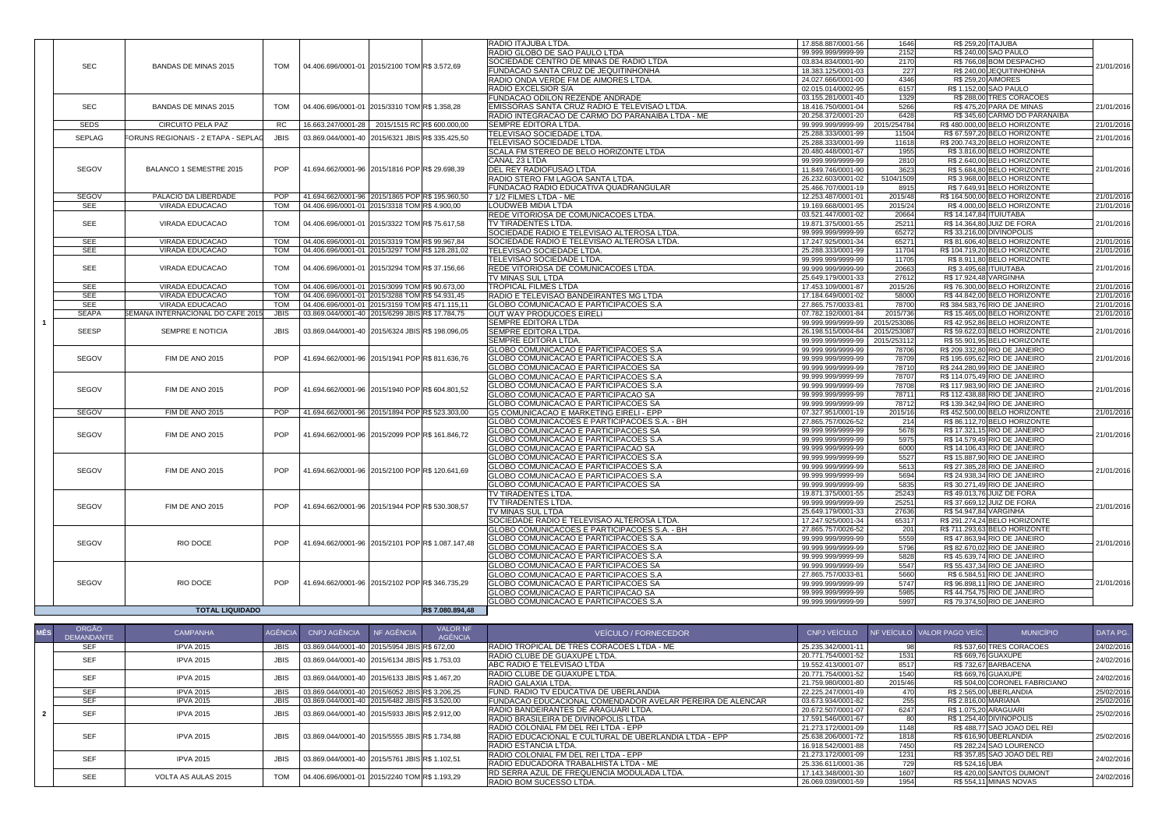|               |                                          |             |                                                    |                  | <b>RADIO ITAJUBA LTDA.</b>                       | 17.858.887/0001-56 | 1646        | R\$ 259,20 ITAJUBA            |                               |            |
|---------------|------------------------------------------|-------------|----------------------------------------------------|------------------|--------------------------------------------------|--------------------|-------------|-------------------------------|-------------------------------|------------|
|               |                                          |             |                                                    |                  | RADIO GLOBO DE SAO PAULO LTDA                    | 99.999.999/9999-99 | 2152        | R\$ 240,00 SAO PAULO          |                               |            |
|               |                                          |             |                                                    |                  | SOCIEDADE CENTRO DE MINAS DE RADIO LTDA          | 03.834.834/0001-90 | 2170        |                               | R\$766,08 BOM DESPACHO        |            |
| <b>SEC</b>    | <b>BANDAS DE MINAS 2015</b>              | <b>TOM</b>  | 04.406.696/0001-01 2015/2100 TOM R\$ 3.572,69      |                  | <b>FUNDACAO SANTA CRUZ DE JEQUITINHONHA</b>      | 18.383.125/0001-03 | 227         |                               | R\$ 240,00 JEQUITINHONHA      | 21/01/2016 |
|               |                                          |             |                                                    |                  | RADIO ONDA VERDE FM DE AIMORES LTDA.             | 24.027.666/0001-00 | 4346        | R\$ 259,20 AIMORES            |                               |            |
|               |                                          |             |                                                    |                  | <b>RADIO EXCELSIOR S/A</b>                       | 02.015.014/0002-95 | 6157        | R\$ 1.152,00 SAO PAULO        |                               |            |
|               |                                          |             |                                                    |                  | <b>FUNDACAO ODILON REZENDE ANDRADE</b>           | 03.155.281/0001-40 | 1329        |                               | R\$ 288,00 TRES CORACOES      |            |
| <b>SEC</b>    | <b>BANDAS DE MINAS 2015</b>              | <b>TOM</b>  | 04.406.696/0001-01 2015/3310 TOM R\$ 1.358,28      |                  | IEMISSORAS SANTA CRUZ RADIO E TELEVISAO LTDA     | 18.416.750/0001-04 | 5266        |                               | R\$475,20 PARA DE MINAS       | 21/01/2016 |
|               |                                          |             |                                                    |                  | RADIO INTEGRACAO DE CARMO DO PARANAIBA LTDA - ME | 20.258.372/0001-20 | 6428        |                               | R\$ 345,60 CARMO DO PARANAIBA |            |
| <b>SEDS</b>   | <b>CIRCUITO PELA PAZ</b>                 | <b>RC</b>   | 16.663.247/0001-28   2015/1515 RC R\$ 600.000,00   |                  | SEMPRE EDITORA LTDA.                             | 99.999.999/9999-99 |             |                               | R\$480.000,00 BELO HORIZONTE  |            |
|               |                                          |             |                                                    |                  |                                                  |                    | 2015/254784 |                               |                               | 21/01/2016 |
| <b>SEPLAG</b> | FORUNS REGIONAIS - 2 ETAPA - SEPLAG      | <b>JBIS</b> | 03.869.044/0001-40   2015/6321 JBIS R\$ 335.425,50 |                  | <b>TELEVISAO SOCIEDADE LTDA.</b>                 | 25.288.333/0001-99 | 11504       |                               | R\$ 67.597,20 BELO HORIZONTE  | 21/01/2016 |
|               |                                          |             |                                                    |                  | <b> TELEVISAO SOCIEDADE LTDA.</b>                | 25.288.333/0001-99 | 11618       |                               | R\$ 200.743,20 BELO HORIZONTE |            |
|               |                                          |             |                                                    |                  | <b>SCALA FM STEREO DE BELO HORIZONTE LTDA</b>    | 20.480.448/0001-67 | 1955        |                               | R\$ 3.816,00 BELO HORIZONTE   |            |
|               |                                          |             |                                                    |                  | CANAL 23 LTDA                                    | 99.999.999/9999-99 | 2810        |                               | R\$ 2.640,00 BELO HORIZONTE   |            |
| <b>SEGOV</b>  | <b>BALANCO 1 SEMESTRE 2015</b>           | POP         | 41.694.662/0001-96 2015/1816 POP R\$ 29.698,39     |                  | <b>DEL REY RADIOFUSAO LTDA</b>                   | 11.849.746/0001-90 | 3623        |                               | R\$ 5.684,80 BELO HORIZONTE   | 21/01/2016 |
|               |                                          |             |                                                    |                  | RADIO STERO FM LAGOA SANTA LTDA.                 | 26.232.603/0001-02 | 5104/1509   |                               | R\$ 3.968,00 BELO HORIZONTE   |            |
|               |                                          |             |                                                    |                  | FUNDACAO RADIO EDUCATIVA QUADRANGULAR            | 25.466.707/0001-19 | 8915        |                               | R\$7.649,91 BELO HORIZONTE    |            |
| <b>SEGOV</b>  | PALACIO DA LIBERDADE                     |             | 41.694.662/0001-96 2015/1865 POP R\$ 195.960,50    |                  | 7 1/2 FILMES LTDA - ME                           | 12.253.487/0001-01 | 2015/48     |                               | R\$ 164.500,00 BELO HORIZONTE | 21/01/2016 |
| <b>SEE</b>    | <b>VIRADA EDUCACAO</b>                   | <b>TOM</b>  | 04.406.696/0001-01 2015/3318 TOM R\$ 4.900,00      |                  | LOUDWEB MIDIA LTDA                               | 19.169.668/0001-95 | 2015/24     |                               | R\$4.000,00 BELO HORIZONTE    | 21/01/2016 |
|               |                                          |             |                                                    |                  | REDE VITORIOSA DE COMUNICACOES LTDA              | 03.521.447/0001-02 | 20664       | R\$ 14.147,84 ITUIUTABA       |                               |            |
| <b>SEE</b>    | <b>VIRADA EDUCACAO</b>                   | <b>TOM</b>  | 04.406.696/0001-01 2015/3322 TOM R\$ 75.617,58     |                  | <b>ITV TIRADENTES LTDA.</b>                      | 19.871.375/0001-55 | 25211       | R\$ 14.364,80 JUIZ DE FORA    |                               | 21/01/2016 |
|               |                                          |             |                                                    |                  | SOCIEDADE RADIO E TELEVISAO ALTEROSA LTDA.       | 99.999.999/9999-99 | 65272       | R\$ 33.216,00 DIVINOPOLIS     |                               |            |
| <b>SEE</b>    | <b>VIRADA EDUCACAO</b>                   | <b>TOM</b>  | 04.406.696/0001-01 2015/3319 TOM R\$ 99.967,84     |                  | SOCIEDADE RADIO E TELEVISAO ALTEROSA LTDA.       | 17.247.925/0001-34 | 65271       |                               | R\$81.606,40 BELO HORIZONTE   | 21/01/2016 |
| <b>SEE</b>    | <b>VIRADA EDUCACAO</b>                   | <b>TOM</b>  | 04.406.696/0001-01 2015/3297 TOM R\$ 128.281,02    |                  | <b>TELEVISAO SOCIEDADE LTDA.</b>                 | 25.288.333/0001-99 | 11704       |                               | R\$ 104.719,20 BELO HORIZONTE | 21/01/2016 |
|               |                                          |             |                                                    |                  | TELEVISAO SOCIEDADE LTDA.                        | 99.999.999/9999-99 | 11705       |                               | R\$ 8.911,80 BELO HORIZONTE   |            |
| <b>SEE</b>    | <b>VIRADA EDUCACAO</b>                   | <b>TOM</b>  | 04.406.696/0001-01 2015/3294 TOM R\$ 37.156,66     |                  | REDE VITORIOSA DE COMUNICACOES LTDA.             | 99.999.999/9999-99 | 20663       | R\$ 3.495,68 ITUIUTABA        |                               | 21/01/2016 |
|               |                                          |             |                                                    |                  | <b>TV MINAS SUL LTDA</b>                         | 25.649.179/0001-33 | 27612       | R\$ 17.924,48 VARGINHA        |                               |            |
| <b>SEE</b>    | <b>VIRADA EDUCACAO</b>                   | <b>TOM</b>  | 04.406.696/0001-01 2015/3099 TOM R\$ 90.673,00     |                  | <b>TROPICAL FILMES LTDA</b>                      | 17.453.109/0001-87 | 2015/26     |                               | R\$76.300,00 BELO HORIZONTE   | 21/01/2016 |
| <b>SEE</b>    | <b>VIRADA EDUCACAO</b>                   | <b>TOM</b>  | 04.406.696/0001-01 2015/3288 TOM R\$ 54.931,45     |                  | RADIO E TELEVISAO BANDEIRANTES MG LTDA           | 17.184.649/0001-02 | 58000       |                               | R\$44.842,00 BELO HORIZONTE   | 21/01/2016 |
| <b>SEE</b>    | <b>VIRADA EDUCACAO</b>                   | <b>TOM</b>  | 04.406.696/0001-01 2015/3159 TOM R\$ 471.115,11    |                  |                                                  | 27.865.757/0033-81 | 78700       | R\$ 384.583,76 RIO DE JANEIRO |                               | 21/01/2016 |
| <b>SEAPA</b>  | <b>SEMANA INTERNACIONAL DO CAFE 2015</b> | <b>JBIS</b> |                                                    |                  | <b>GLOBO COMUNICACAO E PARTICIPACOES S.A</b>     |                    | 2015/736    |                               | R\$ 15.465,00 BELO HORIZONTE  |            |
|               |                                          |             | 03.869.044/0001-40 2015/6299 JBISR\$ 17.784,75     |                  | OUT WAY PRODUCOES EIRELI                         | 07.782.192/0001-84 |             |                               |                               | 21/01/2016 |
|               |                                          |             |                                                    |                  | SEMPRE EDITORA LTDA                              | 99.999.999/9999-99 | 2015/253086 |                               | R\$42.952,86 BELO HORIZONTE   |            |
| <b>SEESP</b>  | <b>SEMPRE E NOTICIA</b>                  |             | 03.869.044/0001-40 2015/6324 JBISR\$ 198.096,05    |                  | SEMPRE EDITORA LTDA.                             | 26.198.515/0004-84 | 2015/253087 |                               | R\$59.622,03 BELO HORIZONTE   | 21/01/2016 |
|               |                                          |             |                                                    |                  | SEMPRE EDITORA LTDA.                             | 99.999.999/9999-99 | 2015/253112 |                               | R\$ 55.901,95 BELO HORIZONTE  |            |
|               |                                          |             |                                                    |                  | <b>GLOBO COMUNICACAO E PARTICIPACOES S.A</b>     | 99.999.999/9999-99 | 78706       | R\$ 209.332,80 RIO DE JANEIRO |                               |            |
| SEGOV         | FIM DE ANO 2015                          | POP         | 41.694.662/0001-96 2015/1941 POP R\$ 811.636,76    |                  | <b>GLOBO COMUNICACAO E PARTICIPACOES S.A</b>     | 99.999.999/9999-99 | 78709       | R\$ 195.695,62 RIO DE JANEIRO |                               | 21/01/2016 |
|               |                                          |             |                                                    |                  | <b>GLOBO COMUNICACAO E PARTICIPACOES SA</b>      | 99.999.999/9999-99 | 78710       | R\$ 244.280,99 RIO DE JANEIRO |                               |            |
|               |                                          |             |                                                    |                  | GLOBO COMUNICACAO E PARTICIPACOES S.A            | 99.999.999/9999-99 | 78707       | R\$ 114.075,49 RIO DE JANEIRO |                               |            |
| SEGOV         | FIM DE ANO 2015                          | <b>POP</b>  | 41.694.662/0001-96 2015/1940 POPR\$ 604.801,52     |                  | GLOBO COMUNICACAO E PARTICIPACOES S.A            | 99.999.999/9999-99 | 78708       | R\$ 117.983,90 RIO DE JANEIRO |                               | 21/01/2016 |
|               |                                          |             |                                                    |                  | GLOBO COMUNICACAO E PARTICIPACAO SA              | 99.999.999/9999-99 | 78711       | R\$ 112.438,88 RIO DE JANEIRO |                               |            |
|               |                                          |             |                                                    |                  | <b>GLOBO COMUNICACAO E PARTICIPACOES SA</b>      | 99.999.999/9999-99 | 78712       | R\$ 139.342,94 RIO DE JANEIRO |                               |            |
| <b>SEGOV</b>  | FIM DE ANO 2015                          | <b>POP</b>  | 41.694.662/0001-96 2015/1894 POP R\$ 523.303,00    |                  | <b>G5 COMUNICACAO E MARKETING EIRELI - EPP</b>   | 07.327.951/0001-19 | 2015/16     |                               | R\$452.500,00 BELO HORIZONTE  | 21/01/2016 |
|               |                                          |             |                                                    |                  | GLOBO COMUNICACOES E PARTICIPACOES S.A. - BH     | 27.865.757/0026-52 | 214         |                               | R\$86.112,70 BELO HORIZONTE   |            |
|               |                                          |             |                                                    |                  | GLOBO COMUNICACAO E PARTICIPACOES SA             | 99.999.999/9999-99 | 5678        |                               | R\$ 17.321,15 RIO DE JANEIRO  |            |
| SEGOV         | <b>FIM DE ANO 2015</b>                   | <b>POP</b>  | 41.694.662/0001-96 2015/2099 POPR\$ 161.846,72     |                  | <b>GLOBO COMUNICACAO E PARTICIPACOES S.A</b>     | 99.999.999/9999-99 | 5975        |                               | R\$ 14.579,49 RIO DE JANEIRO  | 21/01/2016 |
|               |                                          |             |                                                    |                  | GLOBO COMUNICACAO E PARTICIPACAO SA              | 99.999.999/9999-99 | 6000        |                               | R\$ 14.106,43 RIO DE JANEIRO  |            |
|               |                                          |             |                                                    |                  | <b>GLOBO COMUNICACAO E PARTICIPACOES S.A</b>     | 99.999.999/9999-99 | 5527        |                               | R\$ 15.887,90 RIO DE JANEIRO  |            |
|               |                                          |             |                                                    |                  | GLOBO COMUNICACAO E PARTICIPACOES S.A            | 99.999.999/9999-99 | 5613        |                               | R\$ 27.385,28 RIO DE JANEIRO  |            |
| SEGOV         | FIM DE ANO 2015                          | <b>POP</b>  | 41.694.662/0001-96 2015/2100 POPR\$ 120.641,69     |                  | <b>GLOBO COMUNICACAO E PARTICIPACOES S.A</b>     | 99.999.999/9999-99 | 5694        |                               | R\$ 24.938,34 RIO DE JANEIRO  | 21/01/2016 |
|               |                                          |             |                                                    |                  | GLOBO COMUNICACAO E PARTICIPACOES SA             | 99.999.999/9999-99 | 5835        |                               | R\$ 30.271,49 RIO DE JANEIRO  |            |
|               |                                          |             |                                                    |                  | <b>TV TIRADENTES LTDA.</b>                       | 19.871.375/0001-55 | 25243       | R\$ 49.013,76 JUIZ DE FORA    |                               |            |
|               |                                          |             |                                                    |                  |                                                  |                    | 25251       | R\$ 37.669,12 JUIZ DE FORA    |                               |            |
| <b>SEGOV</b>  | FIM DE ANO 2015                          | <b>POP</b>  | 41.694.662/0001-96 2015/1944 POP R\$ 530.308,57    |                  | <b>ITV TIRADENTES LTDA.</b>                      | 99.999.999/9999-99 |             |                               |                               | 21/01/2016 |
|               |                                          |             |                                                    |                  | <b>TV MINAS SUL LTDA</b>                         | 25.649.179/0001-33 | 27636       | R\$ 54.947,84 VARGINHA        |                               |            |
|               |                                          |             |                                                    |                  | SOCIEDADE RADIO E TELEVISAO ALTEROSA LTDA.       | 17.247.925/0001-34 | 65317       |                               | R\$ 291.274,24 BELO HORIZONTE |            |
|               |                                          |             |                                                    |                  | GLOBO COMUNICACOES E PARTICIPACOES S.A. - BH     | 27.865.757/0026-52 | 201         |                               | R\$711.293,63 BELO HORIZONTE  |            |
| <b>SEGOV</b>  | RIO DOCE                                 | <b>POP</b>  | 41.694.662/0001-96 2015/2101 POPR\$ 1.087.147,48   |                  | <b>GLOBO COMUNICACAO E PARTICIPACOES S.A</b>     | 99.999.999/9999-99 | 5559        |                               | R\$ 47.863,94 RIO DE JANEIRO  | 21/01/2016 |
|               |                                          |             |                                                    |                  | <b>GLOBO COMUNICACAO E PARTICIPACOES S.A</b>     | 99.999.999/9999-99 | 5796        |                               | R\$ 82.670,02 RIO DE JANEIRO  |            |
|               |                                          |             |                                                    |                  | <b>GLOBO COMUNICACAO E PARTICIPACOES S.A</b>     | 99.999.999/9999-99 | 5828        |                               | R\$ 45.639,74 RIO DE JANEIRO  |            |
|               |                                          |             |                                                    |                  | <b>GLOBO COMUNICACAO E PARTICIPACOES SA</b>      | 99.999.999/9999-99 | 5547        |                               | R\$ 55.437,34 RIO DE JANEIRO  |            |
|               |                                          |             |                                                    |                  | <b>GLOBO COMUNICACAO E PARTICIPACOES S.A</b>     | 27.865.757/0033-81 | 5660        |                               | R\$ 6.584,51 RIO DE JANEIRO   |            |
| SEGOV         | RIO DOCE                                 | <b>POP</b>  | 41.694.662/0001-96 2015/2102 POP R\$ 346.735,29    |                  | <b>GLOBO COMUNICACAO E PARTICIPACOES SA</b>      | 99.999.999/9999-99 | 5747        |                               | R\$ 96.898,11 RIO DE JANEIRO  | 21/01/2016 |
|               |                                          |             |                                                    |                  | GLOBO COMUNICACAO E PARTICIPACAO SA              | 99.999.999/9999-99 | 5985        |                               | R\$ 44.754,75 RIO DE JANEIRO  |            |
|               |                                          |             |                                                    |                  | <b>GLOBO COMUNICACAO E PARTICIPACOES S.A</b>     | 99.999.999/9999-99 | 5997        |                               | R\$ 79.374,50 RIO DE JANEIRO  |            |
|               | <b>TOTAL LIQUIDADO</b>                   |             |                                                    | R\$ 7.080.894,48 |                                                  |                    |             |                               |                               |            |

| <b>MÊS</b> | <b>ORGÃO</b><br><b>DEMANDANTE</b> | <b>CAMPANHA</b>            | <b>AGÊNCIA</b> | <b>CNPJ AGÊNCIA</b>                           | NF AGÊNCIA | <b>VALOR NF</b><br>AGÊNCIA | <b>VEÍCULO / FORNECEDOR</b>                                      | <b>CNPJ VEÍCULO</b> |         | NF VEÍCULO VALOR PAGO VEÍC. | <b>MUNICÍPIO</b>              | DATA PG.   |
|------------|-----------------------------------|----------------------------|----------------|-----------------------------------------------|------------|----------------------------|------------------------------------------------------------------|---------------------|---------|-----------------------------|-------------------------------|------------|
|            | <b>SEF</b>                        | <b>IPVA 2015</b>           | <b>JBIS</b>    | 03.869.044/0001-40 2015/5954 JBISR\$ 672,00   |            |                            | RADIO TROPICAL DE TRES CORACOES LTDA - ME                        | 25.235.342/0001-11  |         |                             | R\$ 537,60 TRES CORACOES      | 24/02/2016 |
|            | <b>SEF</b>                        | <b>IPVA 2015</b>           | <b>JBIS</b>    | 03.869.044/0001-40 2015/6134 JBISR\$ 1.753,03 |            |                            | <b>RADIO CLUBE DE GUAXUPE LTDA.</b>                              | 20.771.754/0001-52  | 1531    | R\$ 669,76 GUAXUPE          |                               | 24/02/2016 |
|            |                                   |                            |                |                                               |            |                            | ABC RADIO E TELEVISAO LTDA                                       | 19.552.413/0001-07  | 8517    |                             | R\$732,67 BARBACENA           |            |
|            | <b>SEF</b>                        | <b>IPVA 2015</b>           | <b>JBIS</b>    | 03.869.044/0001-40 2015/6133 JBISR\$ 1.467,20 |            |                            | RADIO CLUBE DE GUAXUPE LTDA.                                     | 20.771.754/0001-52  | 1540    | R\$ 669,76 GUAXUPE          |                               | 24/02/2016 |
|            |                                   |                            |                |                                               |            |                            | <b>RADIO GALAXIA LTDA.</b>                                       | 21.759.980/0001-80  | 2015/46 |                             | R\$ 504,00 CORONEL FABRICIANO |            |
|            | <b>SEF</b>                        | <b>IPVA 2015</b>           | <b>JBIS</b>    | 03.869.044/0001-40 2015/6052 JBISR\$ 3.206,25 |            |                            | <b>FUND. RADIO TV EDUCATIVA DE UBERLANDIA</b>                    | 22.225.247/0001-49  |         | R\$ 2.565,00 UBERLANDIA     |                               | 25/02/2016 |
|            | <b>SEF</b>                        | <b>IPVA 2015</b>           | <b>JBIS</b>    | 03.869.044/0001-40 2015/6482 JBISR\$ 3.520,00 |            |                            | <b>FUNDACAO EDUCACIONAL COMENDADOR AVELAR PEREIRA DE ALENCAR</b> | 03.673.934/0001-82  | 255     | R\$ 2.816,00 MARIANA        |                               | 25/02/2016 |
|            | <b>SEF</b>                        | <b>IPVA 2015</b>           | <b>JBIS</b>    | 03.869.044/0001-40 2015/5933 JBISR\$ 2.912,00 |            |                            | <b>RADIO BANDEIRANTES DE ARAGUARI LTDA.</b>                      | 20.672.507/0001-07  | 6247    | R\$ 1.075,20 ARAGUARI       |                               | 25/02/2016 |
|            |                                   |                            |                |                                               |            |                            | RADIO BRASILEIRA DE DIVINOPOLIS LTDA                             | 17.591.546/0001-67  |         | R\$ 1.254,40 DIVINOPOLIS    |                               |            |
|            |                                   |                            |                |                                               |            |                            | RADIO COLONIAL FM DEL REI LTDA - EPP                             | 21.273.172/0001-09  | 1148    |                             | R\$ 488,77 SAO JOAO DEL REI   |            |
|            | <b>SEF</b>                        | <b>IPVA 2015</b>           | <b>JBIS</b>    | 03.869.044/0001-40 2015/5555 JBISR\$ 1.734,88 |            |                            | RADIO EDUCACIONAL E CULTURAL DE UBERLANDIA LTDA - EPP            | 25.638.206/0001-72  | 1818    |                             | R\$ 616,90 UBERLANDIA         | 25/02/2016 |
|            |                                   |                            |                |                                               |            |                            | <b>IRADIO ESTANCIA LTDA.</b>                                     | 16.918.542/0001-88  | 7450    |                             | R\$ 282,24 SAO LOURENCO       |            |
|            | <b>SEF</b>                        | <b>IPVA 2015</b>           | <b>JBIS</b>    | 03.869.044/0001-40 2015/5761 JBISR\$ 1.102,51 |            |                            | <b>RADIO COLONIAL FM DEL REI LTDA - EPP</b>                      | 21.273.172/0001-09  | 1231    |                             | R\$ 357,85 SAO JOAO DEL REI   | 24/02/2016 |
|            |                                   |                            |                |                                               |            |                            | RADIO EDUCADORA TRABALHISTA LTDA - ME                            | 25.336.611/0001-36  | 729     | R\$ 524,16 UBA              |                               |            |
|            | <b>SEE</b>                        | <b>VOLTA AS AULAS 2015</b> | <b>TOM</b>     | 04.406.696/0001-01 2015/2240 TOM R\$ 1.193,29 |            |                            | <b>RD SERRA AZUL DE FREQUENCIA MODULADA LTDA.</b>                | 17.143.348/0001-30  | 1607    |                             | R\$420,00 SANTOS DUMONT       | 24/02/2016 |
|            |                                   |                            |                |                                               |            |                            | <b>RADIO BOM SUCESSO LTDA.</b>                                   | 26.069.039/0001-59  | 1954    |                             | R\$ 554,11 MINAS NOVAS        |            |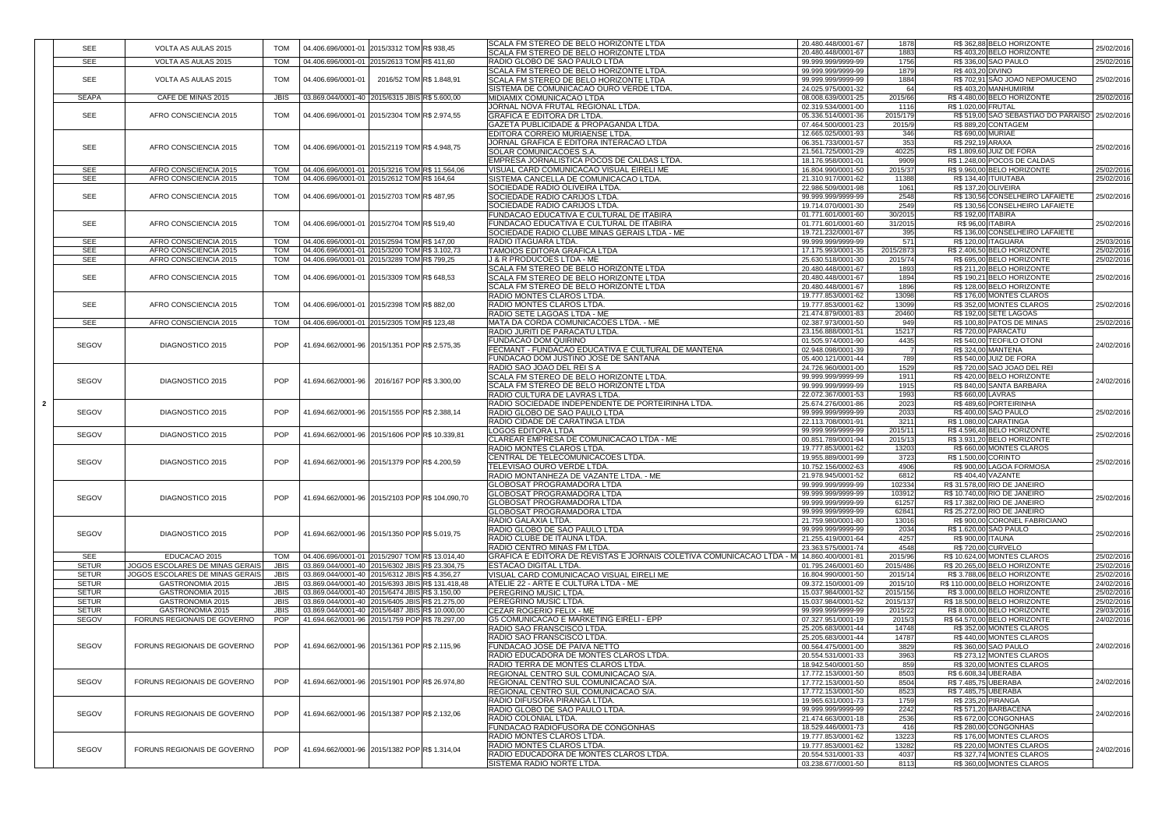| <b>SEE</b>                 | VOLTA AS AULAS 2015                              | <b>TOM</b>                | 04.406.696/0001-01 2015/3312 TOM R\$ 938,45                                                      |                          | <b>SCALA FM STEREO DE BELO HORIZONTE LTDA</b>                                                        | 20.480.448/0001-67                         | 1878                | R\$ 362,88 BELO HORIZONTE                                   | 25/02/2016               |
|----------------------------|--------------------------------------------------|---------------------------|--------------------------------------------------------------------------------------------------|--------------------------|------------------------------------------------------------------------------------------------------|--------------------------------------------|---------------------|-------------------------------------------------------------|--------------------------|
|                            |                                                  |                           |                                                                                                  |                          | SCALA FM STEREO DE BELO HORIZONTE LTDA                                                               | 20.480.448/0001-67                         | 1883                | R\$403,20 BELO HORIZONTE                                    |                          |
| <b>SEE</b>                 | VOLTA AS AULAS 2015                              | <b>TOM</b>                | 04.406.696/0001-01 2015/2613 TOM R\$ 411,60                                                      |                          | RADIO GLOBO DE SAO PAULO LTDA                                                                        | 99.999.999/9999-99                         | 1756                | R\$ 336,00 SAO PAULO                                        | 25/02/2016               |
| <b>SEE</b>                 | <b>VOLTA AS AULAS 2015</b>                       | <b>TOM</b>                | 04.406.696/0001-01                                                                               | 2016/52 TOM R\$ 1.848,91 | SCALA FM STEREO DE BELO HORIZONTE LTDA.                                                              | 99.999.999/9999-99<br>99.999.999/9999-99   | 1879<br>1884        | R\$403,20 DIVINO<br>R\$702,91 SÃO JOAO NEPOMUCENO           | 25/02/2016               |
|                            |                                                  |                           |                                                                                                  |                          | SCALA FM STEREO DE BELO HORIZONTE LTDA<br><b>SISTEMA DE COMUNICACAO OURO VERDE LTDA.</b>             | 24.025.975/0001-32                         |                     | R\$403,20 MANHUMIRIM                                        |                          |
| SEAPA                      | CAFE DE MINAS 2015                               | JBIS                      | 03.869.044/0001-40 2015/6315 JBISR\$ 5.600,00                                                    |                          | <b>MIDIAMIX COMUNICACAO LTDA</b>                                                                     | 08.008.639/0001-25                         | 2015/66             | R\$4.480,00 BELO HORIZONTE                                  | 25/02/2016               |
|                            |                                                  |                           |                                                                                                  |                          | JORNAL NOVA FRUTAL REGIONAL LTDA.                                                                    | 02.319.534/0001-00                         | 1116                | R\$ 1.020,00 FRUTAL                                         |                          |
| <b>SEE</b>                 | AFRO CONSCIENCIA 2015                            | <b>TOM</b>                | 04.406.696/0001-01 2015/2304 TOM R\$ 2.974,55                                                    |                          | GRAFICA E EDITORA DR LTDA.                                                                           | 05.336.514/0001-36                         | 2015/179            | R\$ 519,00 SAO SEBASTIAO DO PARAISO   25/02/2016            |                          |
|                            |                                                  |                           |                                                                                                  |                          | <b>GAZETA PUBLICIDADE &amp; PROPAGANDA LTDA</b>                                                      | 07.464.500/0001-23                         | 2015/9              | R\$ 889,20 CONTAGEM                                         |                          |
|                            |                                                  |                           |                                                                                                  |                          | <b>EDITORA CORREIO MURIAENSE LTDA.</b>                                                               | 12.665.025/0001-93                         | 346                 | R\$ 690,00 MURIAE                                           |                          |
| <b>SEE</b>                 | AFRO CONSCIENCIA 2015                            | <b>TOM</b>                | 04.406.696/0001-01 2015/2119 TOM R\$ 4.948,75                                                    |                          | JORNAL GRAFICA E EDITORA INTERACAO LTDA                                                              | 06.351.733/0001-57                         | 353                 | R\$ 292,19 ARAXA                                            | 25/02/2016               |
|                            |                                                  |                           |                                                                                                  |                          | <b>SOLAR COMUNICACOES S.A.</b>                                                                       | 21.561.725/0001-29                         | 40225               | R\$ 1.809,60 JUIZ DE FORA                                   |                          |
|                            |                                                  |                           |                                                                                                  |                          | EMPRESA JORNALISTICA POCOS DE CALDAS LTDA.                                                           | 18.176.958/0001-01                         | 9909                | R\$ 1.248,00 POCOS DE CALDAS                                |                          |
| <b>SEE</b>                 | AFRO CONSCIENCIA 2015                            |                           | 04.406.696/0001-01 2015/3216 TOM R\$ 11.564,06                                                   |                          | <b>VISUAL CARD COMUNICACAO VISUAL EIRELI ME</b>                                                      | 16.804.990/0001-50                         | 2015/37             | R\$ 9.960,00 BELO HORIZONTE                                 | 25/02/2016               |
| <b>SEE</b>                 | AFRO CONSCIENCIA 2015                            | <b>TOM</b>                | 04.406.696/0001-01 2015/2612 TOM R\$ 164,64                                                      |                          | <b>ISISTEMA CANCELLA DE COMUNICACAO LTDA.</b><br><b>SOCIEDADE RADIO OLIVEIRA LTDA.</b>               | 21.310.917/0001-62<br>22.986.509/0001-98   | 11388               | R\$ 134,40 ITUIUTABA                                        | 25/02/2010               |
| <b>SEE</b>                 | AFRO CONSCIENCIA 2015                            | <b>TOM</b>                | 04.406.696/0001-01 2015/2703 TOM R\$487,95                                                       |                          | <b>SOCIEDADE RADIO CARIJOS LTDA</b>                                                                  | 99.999.999/9999-99                         | 1061<br>2548        | R\$ 137,20 OLIVEIRA<br>R\$ 130,56 CONSELHEIRO LAFAIETE      | 25/02/2016               |
|                            |                                                  |                           |                                                                                                  |                          | <b>SOCIEDADE RADIO CARIJOS LTDA</b>                                                                  | 19.714.070/0001-30                         | 2549                | R\$130,56 CONSELHEIRO LAFAIETE                              |                          |
|                            |                                                  |                           |                                                                                                  |                          | <b>FUNDACAO EDUCATIVA E CULTURAL DE ITABIRA</b>                                                      | 01.771.601/0001-60                         | 30/2015             | <b>R\$ 192,00 ITABIRA</b>                                   |                          |
| <b>SEE</b>                 | AFRO CONSCIENCIA 2015                            | <b>TOM</b>                | 04.406.696/0001-01 2015/2704 TOM R\$ 519,40                                                      |                          | FUNDACAO EDUCATIVA E CULTURAL DE ITABIRA                                                             | 01.771.601/0001-60                         | 31/2015             | R\$ 96,00 ITABIRA                                           | 25/02/2016               |
|                            |                                                  |                           |                                                                                                  |                          | SOCIEDADE RADIO CLUBE MINAS GERAIS LTDA - ME                                                         | 19.721.232/0001-67                         | 395                 | R\$136,00 CONSELHEIRO LAFAIETE                              |                          |
| <b>SEE</b>                 | AFRO CONSCIENCIA 2015                            |                           | 04.406.696/0001-01 2015/2594 TOM R\$ 147,00                                                      |                          | <b>RADIO ITAGUARA LTDA.</b>                                                                          | 99.999.999/9999-99                         | 571                 | R\$ 120,00 ITAGUARA                                         | 25/03/2016               |
| <b>SEE</b>                 | AFRO CONSCIENCIA 2015                            | <b>TOM</b>                | 04.406.696/0001-01 2015/3200 TOM R\$ 3.102,73                                                    |                          | <b>TAMOIOS EDITORA GRAFICA LTDA</b>                                                                  | 17.175.993/0001-35                         | 2015/2873           | R\$ 2.406,50 BELO HORIZONTE                                 | 25/02/2016               |
| <b>SEE</b>                 | AFRO CONSCIENCIA 2015                            | TOM                       | 04.406.696/0001-01 2015/3289 TOM R\$ 799,25                                                      |                          | <b>J &amp; R PRODUCOES LTDA - ME</b>                                                                 | 25.630.518/0001-30                         | 2015/74             | R\$ 695,00 BELO HORIZONTE                                   | 25/02/2010               |
|                            |                                                  |                           |                                                                                                  |                          | SCALA FM STEREO DE BELO HORIZONTE LTDA                                                               | 20.480.448/0001-67                         | 1893                | R\$ 211,20 BELO HORIZONTE                                   |                          |
| <b>SEE</b>                 | AFRO CONSCIENCIA 2015                            | <b>TOM</b>                | 04.406.696/0001-01 2015/3309 TOM R\$ 648,53                                                      |                          | SCALA FM STEREO DE BELO HORIZONTE LTDA                                                               | 20.480.448/0001-67<br>20.480.448/0001-67   | 1894<br>1896        | R\$ 190,21 BELO HORIZONTE<br>R\$128,00 BELO HORIZONTE       | 25/02/2016               |
|                            |                                                  |                           |                                                                                                  |                          | SCALA FM STEREO DE BELO HORIZONTE LTDA<br><b>RADIO MONTES CLAROS LTDA.</b>                           | 19.777.853/0001-62                         | 13098               | R\$176,00 MONTES CLAROS                                     |                          |
| <b>SEE</b>                 | AFRO CONSCIENCIA 2015                            | <b>TOM</b>                | 04.406.696/0001-01 2015/2398 TOM R\$ 882,00                                                      |                          | <b>RADIO MONTES CLAROS LTDA.</b>                                                                     | 19.777.853/0001-62                         | 13099               | R\$ 352,00 MONTES CLAROS                                    | 25/02/2016               |
|                            |                                                  |                           |                                                                                                  |                          | <b>RADIO SETE LAGOAS LTDA - ME</b>                                                                   | 21.474.879/0001-83                         | 20460               | R\$ 192,00 SETE LAGOAS                                      |                          |
| SEE                        | AFRO CONSCIENCIA 2015                            |                           | TOM   04.406.696/0001-01 2015/2305 TOM R\$ 123,48                                                |                          | MATA DA CORDA COMUNICACOES LTDA. - ME                                                                | 02.387.973/0001-50                         | 949                 | R\$ 100,80 PATOS DE MINAS                                   | 25/02/2016               |
|                            |                                                  |                           |                                                                                                  |                          | RADIO JURITI DE PARACATU LTDA.                                                                       | 23.156.888/0001-51                         | 15217               | <b>R\$720,00 PARACATU</b>                                   |                          |
| <b>SEGOV</b>               | DIAGNOSTICO 2015                                 | <b>POP</b>                | 41.694.662/0001-96 2015/1351 POP R\$ 2.575,35                                                    |                          | <b>FUNDACAO DOM QUIRINO</b>                                                                          | 01.505.974/0001-90                         | 4435                | R\$ 540,00 TEOFILO OTONI                                    | 24/02/2016               |
|                            |                                                  |                           |                                                                                                  |                          | FECMANT - FUNDACAO EDUCATIVA E CULTURAL DE MANTENA                                                   | 02.948.098/0001-39                         |                     | R\$ 324,00 MANTENA                                          |                          |
|                            |                                                  |                           |                                                                                                  |                          | FUNDACAO DOM JUSTINO JOSE DE SANTANA                                                                 | 05.400.121/0001-44                         | 789                 | R\$ 540,00 JUIZ DE FORA                                     |                          |
|                            |                                                  |                           |                                                                                                  |                          | RADIO SAO JOAO DEL REI SA                                                                            | 24.726.960/0001-00                         | 1529                | R\$ 720,00 SAO JOAO DEL REI                                 |                          |
| <b>SEGOV</b>               | DIAGNOSTICO 2015                                 | <b>POP</b>                | 41.694.662/0001-96 2016/167 POP R\$ 3.300,00                                                     |                          | ISCALA FM STEREO DE BELO HORIZONTE LTDA.<br>SCALA FM STEREO DE BELO HORIZONTE LTDA                   | 99.999.999/9999-99<br>99.999.999/9999-99   | 1911<br>1915        | R\$420,00 BELO HORIZONTE<br>R\$ 840,00 SANTA BARBARA        | 24/02/2016               |
|                            |                                                  |                           |                                                                                                  |                          | RADIO CULTURA DE LAVRAS LTDA.                                                                        | 22.072.367/0001-53                         | 1993                | R\$ 660,00 LAVRAS                                           |                          |
|                            |                                                  |                           |                                                                                                  |                          | RADIO SOCIEDADE INDEPENDENTE DE PORTEIRINHA LTDA.                                                    | 25.674.276/0001-86                         | 2023                | R\$489,60 PORTEIRINHA                                       |                          |
| <b>SEGOV</b>               | DIAGNOSTICO 2015                                 | <b>POP</b>                | 41.694.662/0001-96 2015/1555 POP R\$ 2.388,14                                                    |                          | RADIO GLOBO DE SAO PAULO LTDA                                                                        | 99.999.999/9999-99                         | 2033                | R\$400,00 SAO PAULO                                         | 25/02/2016               |
|                            |                                                  |                           |                                                                                                  |                          | RADIO CIDADE DE CARATINGA LTDA                                                                       | 22.113.708/0001-91                         | 3211                | R\$ 1.080,00 CARATINGA                                      |                          |
| <b>SEGOV</b>               | DIAGNOSTICO 2015                                 | <b>POP</b>                | 41.694.662/0001-96 2015/1606 POP R\$ 10.339,81                                                   |                          | <b>LOGOS EDITORA LTDA</b>                                                                            | 99.999.999/9999-99                         | 2015/11             | R\$4.596,48 BELO HORIZONTE                                  | 25/02/2016               |
|                            |                                                  |                           |                                                                                                  |                          | CLAREAR EMPRESA DE COMUNICACAO LTDA - ME                                                             | 00.851.789/0001-94                         | 2015/13             | R\$ 3.931,20 BELO HORIZONTE                                 |                          |
|                            |                                                  |                           |                                                                                                  |                          | <b>RADIO MONTES CLAROS LTDA.</b>                                                                     | 19.777.853/0001-62                         | 13203               | R\$ 660,00 MONTES CLAROS                                    |                          |
| <b>SEGOV</b>               | DIAGNOSTICO 2015                                 | <b>POP</b>                | 41.694.662/0001-96 2015/1379 POP R\$ 4.200,59                                                    |                          | CENTRAL DE TELECOMUNICACOES LTDA                                                                     | 19.955.889/0001-99                         | 3723<br>4906        | R\$ 1.500,00 CORINTO                                        | 25/02/2016               |
|                            |                                                  |                           |                                                                                                  |                          | <b>TELEVISAO OURO VERDE LTDA</b><br>RADIO MONTANHEZA DE VAZANTE LTDA. - ME                           | 10.752.156/0002-63<br>21.978.945/0001-52   | 6812                | R\$900,00 LAGOA FORMOSA<br>R\$404,40 VAZANTE                |                          |
|                            |                                                  |                           |                                                                                                  |                          | <b>GLOBOSAT PROGRAMADORA LTDA</b>                                                                    | 99.999.999/9999-99                         | 102334              | R\$ 31.578,00 RIO DE JANEIRO                                |                          |
|                            |                                                  |                           |                                                                                                  |                          | <b>GLOBOSAT PROGRAMADORA LTDA</b>                                                                    | 99.999.999/9999-99                         | 103912              | R\$ 10.740,00 RIO DE JANEIRO                                |                          |
| <b>SEGOV</b>               | DIAGNOSTICO 2015                                 | <b>POP</b>                | 41.694.662/0001-96 2015/2103 POP R\$ 104.090,70                                                  |                          | <b>GLOBOSAT PROGRAMADORA LTDA</b>                                                                    | 99.999.999/9999-99                         | 61257               | R\$ 17.382,00 RIO DE JANEIRO                                | 25/02/2016               |
|                            |                                                  |                           |                                                                                                  |                          | <b>GLOBOSAT PROGRAMADORA LTDA</b>                                                                    | 99.999.999/9999-99                         | 62841               | R\$ 25.272,00 RIO DE JANEIRO                                |                          |
|                            |                                                  |                           |                                                                                                  |                          | RADIO GALAXIA LTDA.                                                                                  | 21.759.980/0001-80                         | 13016               | R\$ 900,00 CORONEL FABRICIANO                               |                          |
| <b>SEGOV</b>               | DIAGNOSTICO 2015                                 | <b>POP</b>                | 41.694.662/0001-96 2015/1350 POP R\$ 5.019,75                                                    |                          | RADIO GLOBO DE SAO PAULO LTDA                                                                        | 99.999.999/9999-99                         | 2034                | R\$ 1.620,00 SAO PAULO                                      | 25/02/2016               |
|                            |                                                  |                           |                                                                                                  |                          | RADIO CLUBE DE ITAUNA LTDA                                                                           | 21.255.419/0001-64                         | 4257                | R\$ 900,00 ITAUNA                                           |                          |
|                            |                                                  |                           |                                                                                                  |                          | RADIO CENTRO MINAS FM LTDA.                                                                          | 23.363.575/0001-74                         | 4548                | <b>R\$720,00 CURVELO</b>                                    |                          |
| <b>SEE</b><br><b>SETUR</b> | EDUCACAO 2015<br>JOGOS ESCOLARES DE MINAS GERAIS | <b>TOM</b><br><b>JBIS</b> | 04.406.696/0001-01 2015/2907 TOM R\$ 13.014,40<br>03.869.044/0001-40 2015/6302 JBISR\$ 23.304,75 |                          | GRAFICA E EDITORA DE REVISTAS E JORNAIS COLETIVA COMUNICACAO LTDA -<br><b> ESTACAO DIGITAL LTDA.</b> | M 14.860.400/0001-81<br>01.795.246/0001-60 | 2015/96<br>2015/486 | R\$ 10.624,00 MONTES CLAROS<br>R\$ 20.265,00 BELO HORIZONTE | 25/02/2016<br>25/02/2010 |
| <b>SETUR</b>               | JOGOS ESCOLARES DE MINAS GERAIS                  | <b>JBIS</b>               | 03.869.044/0001-40 2015/6312 JBISR\$ 4.356,27                                                    |                          | VISUAL CARD COMUNICACAO VISUAL EIRELI ME                                                             | 16.804.990/0001-50                         | 2015/14             | R\$ 3.788,06 BELO HORIZONTE                                 | 25/02/2016               |
| <b>SETUR</b>               | GASTRONOMIA 2015                                 | <b>JBIS</b>               | 03.869.044/0001-40 2015/6393 JBISR\$ 131.418,48                                                  |                          | ATELIE 22 - ARTE E CULTURA LTDA - ME                                                                 | 09.372.150/0001-09                         | 2015/10             | R\$ 110.000,00 BELO HORIZONTE                               | 24/02/2010               |
| <b>SETUR</b>               | <b>GASTRONOMIA 2015</b>                          | <b>JBIS</b>               | 03.869.044/0001-40 2015/6474 JBISR\$ 3.150,00                                                    |                          | <b>PEREGRINO MUSIC LTDA.</b>                                                                         | 15.037.984/0001-52                         | 2015/156            | R\$ 3.000,00 BELO HORIZONTE                                 | 25/02/2010               |
| <b>SETUR</b>               | <b>GASTRONOMIA 2015</b>                          | <b>JBIS</b>               | 03.869.044/0001-40 2015/6405 JBISR\$ 21.275,00                                                   |                          | <b>PEREGRINO MUSIC LTDA.</b>                                                                         | 15.037.984/0001-52                         | 2015/137            | R\$ 18.500,00 BELO HORIZONTE                                | 25/02/2016               |
| <b>SETUR</b>               | GASTRONOMIA 2015                                 |                           | JBIS   03.869.044/0001-40   2015/6487 JBIS R\$ 10.000,00                                         |                          | <b>CEZAR ROGERIO FELIX - ME</b>                                                                      | 99.999.999/9999-99                         | 2015/22             | R\$ 8.000,00 BELO HORIZONTE                                 | 29/03/2016               |
| <b>SEGOV</b>               | FORUNS REGIONAIS DE GOVERNO                      | <b>POP</b>                | 41.694.662/0001-96 2015/1759 POPR\$ 78.297,00                                                    |                          | <b>IG5 COMUNICACAO E MARKETING EIRELI - EPP</b>                                                      | 07.327.951/0001-19                         | 2015/3              | R\$ 64.570,00 BELO HORIZONTE                                | 24/02/2016               |
|                            |                                                  |                           |                                                                                                  |                          | <b>RADIO SAO FRANSCISCO LTDA.</b>                                                                    | 25.205.683/0001-44                         | 14748               | R\$ 352,00 MONTES CLAROS                                    |                          |
| SEGOV                      | FORUNS REGIONAIS DE GOVERNO                      | <b>POP</b>                | 41.694.662/0001-96 2015/1361 POPR\$ 2.115,96                                                     |                          | <b>RADIO SAO FRANSCISCO LTDA.</b><br>FUNDACAO JOSE DE PAIVA NETTO                                    | 25.205.683/0001-44<br>00.564.475/0001-00   | 14787<br>3829       | R\$440,00 MONTES CLAROS<br><b>R\$ 360,00 SAO PAULO</b>      | 24/02/2016               |
|                            |                                                  |                           |                                                                                                  |                          | IRADIO EDUCADORA DE MONTES CLAROS LTDA.                                                              | 20.554.531/0001-33                         | 3963                | R\$ 273,12 MONTES CLAROS                                    |                          |
|                            |                                                  |                           |                                                                                                  |                          | RADIO TERRA DE MONTES CLAROS LTDA.                                                                   | 18.942.540/0001-50                         | 859                 | R\$ 320,00 MONTES CLAROS                                    |                          |
|                            |                                                  |                           |                                                                                                  |                          | <b>REGIONAL CENTRO SUL COMUNICACAO S/A</b>                                                           | 17.772.153/0001-50                         | 8503                | R\$ 6.608,34 UBERABA                                        |                          |
| <b>SEGOV</b>               | FORUNS REGIONAIS DE GOVERNO                      | <b>POP</b>                | 41.694.662/0001-96 2015/1901 POP R\$ 26.974,80                                                   |                          | REGIONAL CENTRO SUL COMUNICACAO S/A.                                                                 | 17.772.153/0001-50                         | 8504                | R\$ 7.485,75 UBERABA                                        | 24/02/2016               |
|                            |                                                  |                           |                                                                                                  |                          | REGIONAL CENTRO SUL COMUNICACAO S/A                                                                  | 17.772.153/0001-50                         | 8523                | R\$ 7.485,75 UBERABA                                        |                          |
|                            |                                                  |                           |                                                                                                  |                          | RADIO DIFUSORA PIRANGA LTDA.                                                                         | 19.965.631/0001-73                         | 1759                | R\$ 235,20 PIRANGA                                          |                          |
| SEGOV                      | FORUNS REGIONAIS DE GOVERNO                      | <b>POP</b>                | 41.694.662/0001-96 2015/1387 POP R\$ 2.132,06                                                    |                          | IRADIO GLOBO DE SAO PAULO LTDA.                                                                      | 99.999.999/9999-99                         | 2242                | R\$ 571,20 BARBACENA                                        | 24/02/2016               |
|                            |                                                  |                           |                                                                                                  |                          | IRADIO COLONIAL LTDA.<br><b>FUNDACAO RADIOFUSORA DE CONGONHAS</b>                                    | 21.474.663/0001-18<br>18.529.446/0001-73   | 2536<br>416         | R\$ 672,00 CONGONHAS<br>R\$ 280,00 CONGONHAS                |                          |
|                            |                                                  |                           |                                                                                                  |                          | <b>RADIO MONTES CLAROS LTDA.</b>                                                                     | 19.777.853/0001-62                         | 13223               | R\$176,00 MONTES CLAROS                                     |                          |
|                            |                                                  |                           |                                                                                                  |                          | <b>RADIO MONTES CLAROS LTDA.</b>                                                                     | 19.777.853/0001-62                         | 13282               | R\$ 220,00 MONTES CLAROS                                    |                          |
| <b>SEGOV</b>               | FORUNS REGIONAIS DE GOVERNO                      | <b>POP</b>                | 41.694.662/0001-96 2015/1382 POP R\$ 1.314,04                                                    |                          | RADIO EDUCADORA DE MONTES CLAROS LTDA.                                                               | 20.554.531/0001-33                         | 4037                | R\$ 327,74 MONTES CLAROS                                    | 24/02/2016               |
|                            |                                                  |                           |                                                                                                  |                          | <b>SISTEMA RADIO NORTE LTDA.</b>                                                                     | 03.238.677/0001-50                         | 8113                | R\$ 360,00 MONTES CLAROS                                    |                          |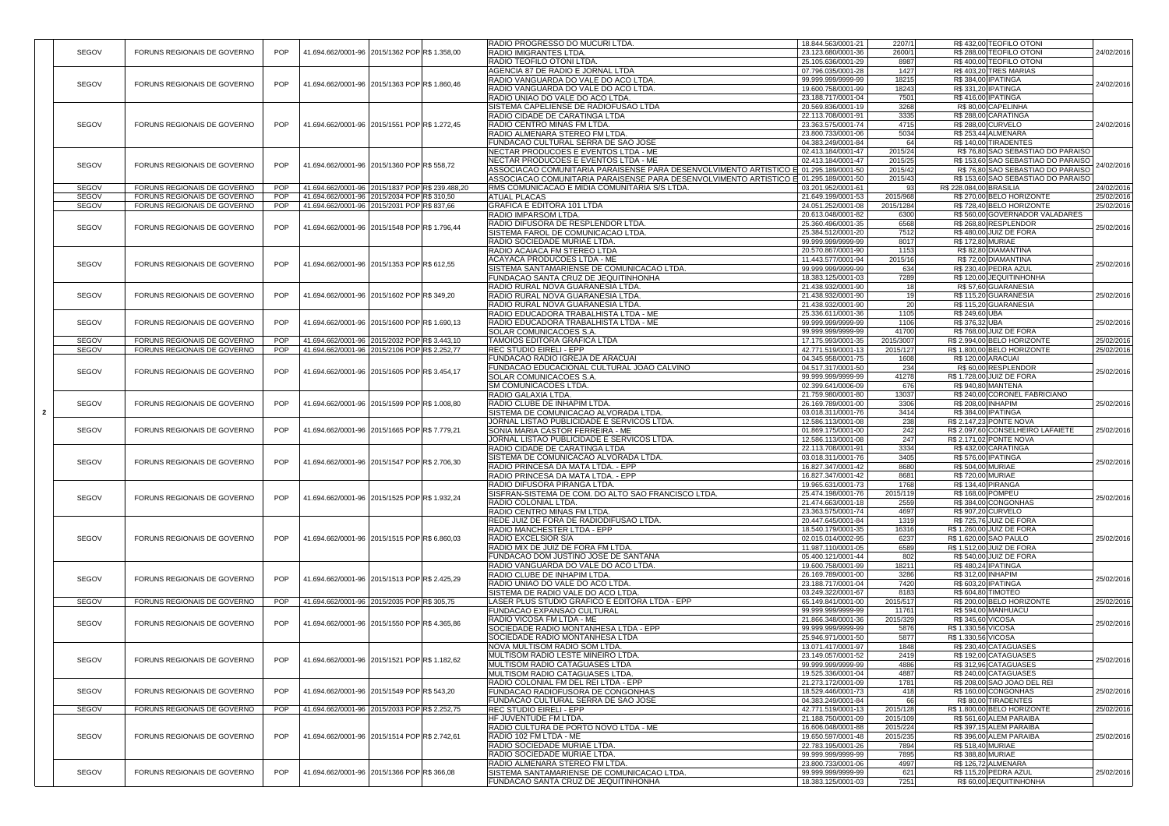|                |              |                             |            |                                                |  | RADIO PROGRESSO DO MUCURI LTDA.                                                                  | 18.844.563/0001-21                       | 2207/1          |                          | R\$432,00 TEOFILO OTONI                          |            |
|----------------|--------------|-----------------------------|------------|------------------------------------------------|--|--------------------------------------------------------------------------------------------------|------------------------------------------|-----------------|--------------------------|--------------------------------------------------|------------|
|                | <b>SEGOV</b> | FORUNS REGIONAIS DE GOVERNO | <b>POP</b> | 41.694.662/0001-96 2015/1362 POP R\$ 1.358,00  |  | <b>RADIO IMIGRANTES LTDA</b>                                                                     | 23.123.680/0001-36                       | 2600/1          |                          | R\$ 288,00 TEOFILO OTONI                         | 24/02/2016 |
|                |              |                             |            |                                                |  | RADIO TEOFILO OTONI LTDA.                                                                        | 25.105.636/0001-29                       | 8987            |                          | R\$400,00 TEOFILO OTONI                          |            |
|                |              |                             |            |                                                |  | AGENCIA 87 DE RADIO E JORNAL LTDA                                                                | 07.796.035/0001-28                       | 1427            |                          | <b>R\$403,20 TRES MARIAS</b>                     |            |
|                |              |                             |            |                                                |  | <b>RADIO VANGUARDA DO VALE DO ACO LTDA</b>                                                       | 99.999.999/9999-99                       | 18215           |                          | R\$ 384,00 IPATINGA                              |            |
|                | SEGOV        | FORUNS REGIONAIS DE GOVERNO | <b>POP</b> | 41.694.662/0001-96 2015/1363 POP R\$ 1.860,46  |  | RADIO VANGUARDA DO VALE DO ACO LTDA                                                              | 19.600.758/0001-99                       | 18243           |                          | R\$ 331,20 IPATINGA                              | 24/02/2016 |
|                |              |                             |            |                                                |  | RADIO UNIAO DO VALE DO ACO LTDA.                                                                 | 23.188.717/0001-04                       | 7501            |                          | R\$416,00 IPATINGA                               |            |
|                |              |                             |            |                                                |  | SISTEMA CAPELIENSE DE RADIOFUSAO LTDA                                                            | 20.569.836/0001-19                       | 3268            |                          | R\$80,00 CAPELINHA                               |            |
|                |              |                             |            |                                                |  | RADIO CIDADE DE CARATINGA LTDA                                                                   | 22.113.708/0001-91                       | 3335            |                          | R\$288,00 CARATINGA                              |            |
|                |              |                             |            |                                                |  |                                                                                                  |                                          |                 |                          |                                                  |            |
|                | SEGOV        | FORUNS REGIONAIS DE GOVERNO | <b>POP</b> | 41.694.662/0001-96 2015/1551 POPR\$ 1.272,45   |  | RADIO CENTRO MINAS FM LTDA.                                                                      | 23.363.575/0001-74                       | 4715            |                          | <b>R\$ 288,00 CURVELO</b>                        | 24/02/2016 |
|                |              |                             |            |                                                |  | <b>RADIO ALMENARA STEREO FM LTDA.</b>                                                            | 23.800.733/0001-06                       | 5034            |                          | R\$ 253,44 ALMENARA                              |            |
|                |              |                             |            |                                                |  | <b>FUNDACAO CULTURAL SERRA DE SAO JOSE</b>                                                       | 04.383.249/0001-84                       | 64              |                          | R\$ 140,00 TIRADENTES                            |            |
|                |              |                             |            |                                                |  | NECTAR PRODUCOES E EVENTOS LTDA - ME                                                             | 02.413.184/0001-47                       | 2015/24         |                          | R\$76,80 SAO SEBASTIAO DO PARAISO                |            |
|                |              |                             |            |                                                |  | NECTAR PRODUCOES E EVENTOS LTDA - ME                                                             | 02.413.184/0001-47                       | 2015/25         |                          | R\$ 153,60 SAO SEBASTIAO DO PARAISO              |            |
|                | SEGOV        | FORUNS REGIONAIS DE GOVERNO | <b>POP</b> | 41.694.662/0001-96 2015/1360 POPR\$ 558,72     |  | ASSOCIACAO COMUNITARIA PARAISENSE PARA DESENVOLVIMENTO ARTISTICO E 01.295.189/0001-50            |                                          | 2015/42         |                          | R\$76,80 SAO SEBASTIAO DO PARAISO                | 24/02/2016 |
|                |              |                             |            |                                                |  | ASSOCIACAO COMUNITARIA PARAISENSE PARA DESENVOLVIMENTO ARTISTICO E 01.295.189/0001-50            |                                          | 2015/43         |                          | R\$ 153,60 SAO SEBASTIAO DO PARAISO              |            |
|                | <b>SEGOV</b> | FORUNS REGIONAIS DE GOVERNO | <b>POP</b> | 41.694.662/0001-96 2015/1837 POPR\$ 239.488,20 |  | RMS COMUNICACAO E MIDIA COMUNITARIA S/S LTDA.                                                    | 03.201.952/0001-61                       | 93              | R\$ 228.084,00 BRASILIA  |                                                  | 24/02/2016 |
|                | <b>SEGOV</b> | FORUNS REGIONAIS DE GOVERNO | <b>POP</b> | 41.694.662/0001-96 2015/2034 POPR\$ 310,50     |  | <b>ATUAL PLACAS</b>                                                                              | 21.649.199/0001-53                       | 2015/968        |                          | R\$ 270,00 BELO HORIZONTE                        | 25/02/2016 |
|                |              |                             |            |                                                |  |                                                                                                  |                                          |                 |                          |                                                  |            |
|                | <b>SEGOV</b> | FORUNS REGIONAIS DE GOVERNO | <b>POP</b> | 41.694.662/0001-96 2015/2031 POP R\$ 837,66    |  | <b>GRAFICA E EDITORA 101 LTDA</b>                                                                | 24.051.252/0001-08                       | 2015/1284       |                          | R\$728,40 BELO HORIZONTE                         | 25/02/2016 |
|                |              |                             |            |                                                |  | RADIO IMPARSOM LTDA.                                                                             | 20.613.048/0001-82                       | 6300            |                          | R\$560,00 GOVERNADOR VALADARES                   |            |
|                | SEGOV        | FORUNS REGIONAIS DE GOVERNO | <b>POP</b> | 41.694.662/0001-96 2015/1548 POPR\$ 1.796,44   |  | RADIO DIFUSORA DE RESPLENDOR LTDA.                                                               | 25.360.496/0001-35                       | 6568            |                          | R\$268,80RESPLENDOR                              | 25/02/2016 |
|                |              |                             |            |                                                |  | ISISTEMA FAROL DE COMUNICACAO LTDA.                                                              | 25.384.512/0001-20                       | 7512            |                          | R\$480,00 JUIZ DE FORA                           |            |
|                |              |                             |            |                                                |  | RADIO SOCIEDADE MURIAE LTDA                                                                      | 99.999.999/9999-99                       | 8017            | R\$ 172,80 MURIAE        |                                                  |            |
|                |              |                             |            |                                                |  | RADIO ACAIACA FM STEREO LTDA                                                                     | 20.570.867/0001-90                       | 1153            |                          | R\$82,80 DIAMANTINA                              |            |
|                |              |                             |            |                                                |  | ACAYACA PRODUCOES LTDA - ME                                                                      | 11.443.577/0001-94                       | 2015/16         |                          | R\$72,00 DIAMANTINA                              |            |
|                | SEGOV        | FORUNS REGIONAIS DE GOVERNO | <b>POP</b> | 41.694.662/0001-96 2015/1353 POP R\$ 612,55    |  | SISTEMA SANTAMARIENSE DE COMUNICACAO LTDA.                                                       | 99.999.999/9999-99                       | 634             |                          | R\$ 230,40 PEDRA AZUL                            | 25/02/2016 |
|                |              |                             |            |                                                |  | <b>FUNDACAO SANTA CRUZ DE JEQUITINHONHA</b>                                                      | 18.383.125/0001-03                       | 7289            |                          |                                                  |            |
|                |              |                             |            |                                                |  |                                                                                                  |                                          |                 |                          | R\$ 120,00 JEQUITINHONHA                         |            |
|                |              |                             |            |                                                |  | RADIO RURAL NOVA GUARANESIA LTDA                                                                 | 21.438.932/0001-90                       |                 |                          | R\$ 57,60 GUARANESIA                             |            |
|                | SEGOV        | FORUNS REGIONAIS DE GOVERNO | <b>POP</b> | 41.694.662/0001-96 2015/1602 POP R\$ 349,20    |  | <b>RADIO RURAL NOVA GUARANESIA LTDA</b>                                                          | 21.438.932/0001-90                       |                 |                          | R\$ 115,20 GUARANESIA                            | 25/02/2016 |
|                |              |                             |            |                                                |  | RADIO RURAL NOVA GUARANESIA LTDA                                                                 | 21.438.932/0001-90                       | 20 <sub>l</sub> |                          | R\$ 115,20 GUARANESIA                            |            |
|                |              |                             |            |                                                |  | RADIO EDUCADORA TRABALHISTA LTDA - ME                                                            | 25.336.611/0001-36                       | 1105            | R\$ 249,60 UBA           |                                                  |            |
|                | SEGOV        | FORUNS REGIONAIS DE GOVERNO | <b>POP</b> | 41.694.662/0001-96 2015/1600 POPR\$ 1.690,13   |  | RADIO EDUCADORA TRABALHISTA LTDA - ME                                                            | 99.999.999/9999-99                       | 1106            | R\$ 376,32 UBA           |                                                  | 25/02/2016 |
|                |              |                             |            |                                                |  | <b>SOLAR COMUNICACOES S.A.</b>                                                                   | 99.999.999/9999-99                       | 41700           |                          | R\$768,00 JUIZ DE FORA                           |            |
|                | <b>SEGOV</b> | FORUNS REGIONAIS DE GOVERNO | <b>POP</b> | 41.694.662/0001-96 2015/2032 POPR\$ 3.443,10   |  | TAMOIOS EDITORA GRAFICA LTDA                                                                     | 17.175.993/0001-35                       | 2015/3007       |                          | R\$ 2.994,00 BELO HORIZONTE                      | 25/02/2016 |
|                | <b>SEGOV</b> | FORUNS REGIONAIS DE GOVERNO | <b>POP</b> | 41.694.662/0001-96 2015/2106 POPR\$ 2.252,77   |  | REC STUDIO EIRELI - EPP                                                                          | 42.771.519/0001-13                       | 2015/127        |                          | R\$ 1.800,00 BELO HORIZONTE                      | 25/02/2016 |
|                |              |                             |            |                                                |  |                                                                                                  |                                          |                 |                          |                                                  |            |
|                |              |                             |            |                                                |  | FUNDACAO RADIO IGREJA DE ARACUAI                                                                 | 04.345.958/0001-75                       | 1608            |                          | R\$ 120,00 ARACUAI                               |            |
|                | SEGOV        | FORUNS REGIONAIS DE GOVERNO | POP        | 41.694.662/0001-96 2015/1605 POPR\$ 3.454,17   |  | FUNDACAO EDUCACIONAL CULTURAL JOAO CALVINO                                                       | 04.517.317/0001-50                       | 234             |                          | R\$ 60,00 RESPLENDOR                             | 25/02/2016 |
|                |              |                             |            |                                                |  | <b>SOLAR COMUNICACOES S.A.</b>                                                                   | 99.999.999/9999-99                       | 41278           |                          | R\$ 1.728,00 JUIZ DE FORA                        |            |
|                |              |                             |            |                                                |  | <b>SM COMUNICACOES LTDA</b>                                                                      | 02.399.641/0006-09                       | 676             |                          | R\$ 940,80 MANTENA                               |            |
|                |              |                             |            |                                                |  | <b>RADIO GALAXIA LTDA.</b>                                                                       | 21.759.980/0001-80                       | 13037           |                          | R\$ 240,00 CORONEL FABRICIANO                    |            |
|                | <b>SEGOV</b> | FORUNS REGIONAIS DE GOVERNO | <b>POP</b> | 41.694.662/0001-96 2015/1599 POP R\$ 1.008,80  |  | IRADIO CLUBE DE INHAPIM LTDA                                                                     | 26.169.789/0001-00                       | 3306            | R\$ 208,00 INHAPIM       |                                                  | 25/02/2016 |
| $\overline{2}$ |              |                             |            |                                                |  | ISISTEMA DE COMUNICACAO ALVORADA LTDA.                                                           | 03.018.311/0001-76                       | 3414            |                          | <b>R\$ 384,00 IPATINGA</b>                       |            |
|                |              |                             |            |                                                |  | JORNAL LISTAO PUBLICIDADE E SERVICOS LTDA.                                                       | 12.586.113/0001-08                       | 238             |                          | R\$ 2.147,23 PONTE NOVA                          |            |
|                | <b>SEGOV</b> | FORUNS REGIONAIS DE GOVERNO | <b>POP</b> | 41.694.662/0001-96 2015/1665 POPR\$ 7.779,21   |  | SONIA MARIA CASTOR FERREIRA - ME                                                                 | 01.869.175/0001-00                       | 242             |                          | R\$ 2.097,60 CONSELHEIRO LAFAIETE                | 25/02/2016 |
|                |              |                             |            |                                                |  |                                                                                                  |                                          | 247             |                          | R\$ 2.171,02 PONTE NOVA                          |            |
|                |              |                             |            |                                                |  | JORNAL LISTAO PUBLICIDADE E SERVICOS LTDA.                                                       | 12.586.113/0001-08                       |                 |                          |                                                  |            |
|                |              |                             |            |                                                |  | RADIO CIDADE DE CARATINGA LTDA                                                                   | 22.113.708/0001-91                       | 3334            |                          | R\$432,00 CARATINGA                              |            |
|                | SEGOV        | FORUNS REGIONAIS DE GOVERNO | <b>POP</b> | 41.694.662/0001-96 2015/1547 POPR\$ 2.706,30   |  | ISISTEMA DE COMUNICACAO ALVORADA LTDA.                                                           | 03.018.311/0001-76                       | 3405            |                          | R\$ 576,00 IPATINGA                              | 25/02/2016 |
|                |              |                             |            |                                                |  | <b>RADIO PRINCESA DA MATA LTDA. - EPP</b>                                                        | 16.827.347/0001-42                       | 8680            | R\$ 504,00 MURIAE        |                                                  |            |
|                |              |                             |            |                                                |  | RADIO PRINCESA DA MATA LTDA. - EPP                                                               | 16.827.347/0001-42                       | 8681            | R\$ 720,00 MURIAE        |                                                  |            |
|                |              |                             |            |                                                |  | RADIO DIFUSORA PIRANGA LTDA.                                                                     | 19.965.631/0001-73                       | 1768            | R\$ 134,40 PIRANGA       |                                                  |            |
|                |              |                             |            |                                                |  | SISFRAN-SISTEMA DE COM. DO ALTO SAO FRANCISCO LTDA.                                              | 25.474.198/0001-76                       | 2015/119        | <b>R\$ 168,00 POMPEU</b> |                                                  |            |
|                | SEGOV        | FORUNS REGIONAIS DE GOVERNO | <b>POP</b> | 41.694.662/0001-96 2015/1525 POP R\$ 1.932,24  |  | RADIO COLONIAL LTDA.                                                                             | 21.474.663/0001-18                       | 2559            |                          | R\$384,00 CONGONHAS                              | 25/02/2016 |
|                |              |                             |            |                                                |  | RADIO CENTRO MINAS FM LTDA.                                                                      | 23.363.575/0001-74                       | 4697            |                          | <b>R\$ 907,20 CURVELO</b>                        |            |
|                |              |                             |            |                                                |  | REDE JUIZ DE FORA DE RADIODIFUSAO LTDA.                                                          | 20.447.645/0001-84                       | 1319            |                          | R\$ 725,76 JUIZ DE FORA                          |            |
|                |              |                             |            |                                                |  | <b>RADIO MANCHESTER LTDA - EPP</b>                                                               | 18.540.179/0001-35                       | 16316           |                          | R\$ 1.260,00 JUIZ DE FORA                        |            |
|                |              |                             |            |                                                |  |                                                                                                  |                                          |                 |                          |                                                  |            |
|                | SEGOV        | FORUNS REGIONAIS DE GOVERNO | <b>POP</b> | 41.694.662/0001-96 2015/1515 POPR\$ 6.860,03   |  | <b>RADIO EXCELSIOR S/A</b>                                                                       | 02.015.014/0002-95                       | 6237            |                          | R\$ 1.620,00 SAO PAULO                           | 25/02/2016 |
|                |              |                             |            |                                                |  | RADIO MIX DE JUIZ DE FORA FM LTDA.                                                               | 11.987.110/0001-05                       | 6589            |                          | R\$ 1.512,00 JUIZ DE FORA                        |            |
|                |              |                             |            |                                                |  | <b>FUNDACAO DOM JUSTINO JOSE DE SANTANA</b>                                                      | 05.400.121/0001-44                       | 802             |                          | R\$ 540,00 JUIZ DE FORA                          |            |
|                |              |                             |            |                                                |  | RADIO VANGUARDA DO VALE DO ACO LTDA                                                              | 19.600.758/0001-99                       | 18211           |                          | R\$480,24 IPATINGA                               |            |
|                | SEGOV        | FORUNS REGIONAIS DE GOVERNO | POP        | 41.694.662/0001-96 2015/1513 POP R\$ 2.425,29  |  | <b>RADIO CLUBE DE INHAPIM LTDA.</b>                                                              | 26.169.789/0001-00                       | 3286            | R\$ 312,00 INHAPIM       |                                                  | 25/02/2016 |
|                |              |                             |            |                                                |  | RADIO UNIAO DO VALE DO ACO LTDA.                                                                 | 23.188.717/0001-04                       | 7420            |                          | R\$ 603,20 IPATINGA                              |            |
|                |              |                             |            |                                                |  | SISTEMA DE RADIO VALE DO ACO LTDA.                                                               | 03.249.322/0001-67                       | 8183            |                          | R\$ 604,80 TIMOTEO                               |            |
|                | <b>SEGOV</b> | FORUNS REGIONAIS DE GOVERNO | POP        | 41.694.662/0001-96 2015/2035 POP R\$ 305,75    |  | LASER PLUS STUDIO GRAFICO E EDITORA LTDA - EPP                                                   | 65.149.841/0001-00                       | 2015/517        |                          | R\$ 200,00 BELO HORIZONTE                        | 25/02/2016 |
|                |              |                             |            |                                                |  | <b>FUNDACAO EXPANSAO CULTURAL</b>                                                                | 99.999.999/9999-99                       | 11761           |                          | R\$ 594,00 MANHUACU                              |            |
|                |              |                             |            |                                                |  | <b>RADIO VICOSA FM LTDA - ME</b>                                                                 | 21.866.348/0001-36                       | 2015/329        | R\$ 345,60 VICOSA        |                                                  |            |
|                | SEGOV        | FORUNS REGIONAIS DE GOVERNO | <b>POP</b> | 41.694.662/0001-96 2015/1550 POP R\$ 4.365,86  |  |                                                                                                  |                                          |                 |                          |                                                  | 25/02/2016 |
|                |              |                             |            |                                                |  | SOCIEDADE RADIO MONTANHESA LTDA - EPP                                                            | 99.999.999/9999-99                       | 5876            | R\$ 1.330,56 VICOSA      |                                                  |            |
|                |              |                             |            |                                                |  | <b>SOCIEDADE RADIO MONTANHESA LTDA</b>                                                           | 25.946.971/0001-50                       | 5877            | R\$ 1.330,56 VICOSA      |                                                  |            |
|                |              |                             |            |                                                |  | <b>INOVA MULTISOM RADIO SOM LTDA.</b>                                                            | 13.071.417/0001-97                       | 1848            |                          | R\$ 230,40 CATAGUASES                            |            |
|                | SEGOV        | FORUNS REGIONAIS DE GOVERNO | <b>POP</b> | 41.694.662/0001-96 2015/1521 POPR\$ 1.182,62   |  | <b>MULTISOM RADIO LESTE MINEIRO LTDA</b>                                                         | 23.149.057/0001-52                       | 2419            |                          | R\$192,00 CATAGUASES                             | 25/02/2016 |
|                |              |                             |            |                                                |  | <b>IMULTISOM RADIO CATAGUASES LTDA</b>                                                           | 99.999.999/9999-99                       | 4886            |                          | R\$ 312,96 CATAGUASES                            |            |
|                |              |                             |            |                                                |  | IMULTISOM RADIO CATAGUASES LTDA                                                                  | 19.525.336/0001-04                       | 4887            |                          | R\$ 240,00 CATAGUASES                            |            |
|                |              |                             |            |                                                |  | RADIO COLONIAL FM DEL REI LTDA - EPP                                                             | 21.273.172/0001-09                       | 1781            |                          | R\$ 208,00 SAO JOAO DEL REI                      |            |
|                | SEGOV        | FORUNS REGIONAIS DE GOVERNO | POP        | 41.694.662/0001-96 2015/1549 POP R\$ 543,20    |  | FUNDACAO RADIOFUSORA DE CONGONHAS                                                                | 18.529.446/0001-73                       | 418             |                          | R\$160,00 CONGONHAS                              | 25/02/2016 |
|                |              |                             |            |                                                |  |                                                                                                  |                                          | 66              |                          |                                                  |            |
|                |              |                             |            |                                                |  | <b>FUNDACAO CULTURAL SERRA DE SAO JOSE</b>                                                       | 04.383.249/0001-84                       |                 |                          | R\$80,00 TIRADENTES                              |            |
|                | <b>SEGOV</b> | FORUNS REGIONAIS DE GOVERNO | POP        | 41.694.662/0001-96 2015/2033 POPR\$ 2.252,75   |  | REC STUDIO EIRELI - EPP                                                                          | 42.771.519/0001-13                       | 2015/128        |                          | R\$ 1.800,00 BELO HORIZONTE                      | 25/02/2016 |
|                |              |                             |            |                                                |  | <b>HF JUVENTUDE FM LTDA.</b>                                                                     | 21.188.750/0001-09                       | 2015/109        |                          | R\$561,60 ALEM PARAIBA                           |            |
|                |              |                             |            |                                                |  | RADIO CULTURA DE PORTO NOVO LTDA - ME                                                            | 16.606.048/0001-88                       | 2015/224        |                          | R\$ 397,15 ALEM PARAIBA                          |            |
|                | SEGOV        | FORUNS REGIONAIS DE GOVERNO | <b>POP</b> | 41.694.662/0001-96 2015/1514 POP R\$ 2.742,61  |  | RADIO 102 FM LTDA - ME                                                                           | 19.650.597/0001-48                       | 2015/235        |                          | R\$396,00 ALEM PARAIBA                           | 25/02/2016 |
|                |              |                             |            |                                                |  | <b>RADIO SOCIEDADE MURIAE LTDA</b>                                                               | 22.783.195/0001-26                       | 7894            | R\$ 518,40 MURIAE        |                                                  |            |
|                |              |                             |            |                                                |  | RADIO SOCIEDADE MURIAE LTDA.                                                                     | 99.999.999/9999-99                       | 7895            |                          |                                                  |            |
|                |              |                             |            |                                                |  |                                                                                                  |                                          |                 |                          | R\$ 388,80 MURIAE                                |            |
|                |              |                             |            |                                                |  |                                                                                                  | 23.800.733/0001-06                       | 4997            |                          | R\$ 126,72 ALMENARA                              |            |
|                |              |                             |            |                                                |  | RADIO ALMENARA STEREO FM LTDA.                                                                   |                                          |                 |                          |                                                  |            |
|                | SEGOV        | FORUNS REGIONAIS DE GOVERNO | <b>POP</b> | 41.694.662/0001-96 2015/1366 POP R\$ 366,08    |  | <b>SISTEMA SANTAMARIENSE DE COMUNICACAO LTDA.</b><br><b>FUNDACAO SANTA CRUZ DE JEQUITINHONHA</b> | 99.999.999/9999-99<br>18.383.125/0001-03 | 621<br>7251     |                          | R\$ 115,20 PEDRA AZUL<br>R\$ 60,00 JEQUITINHONHA | 25/02/2016 |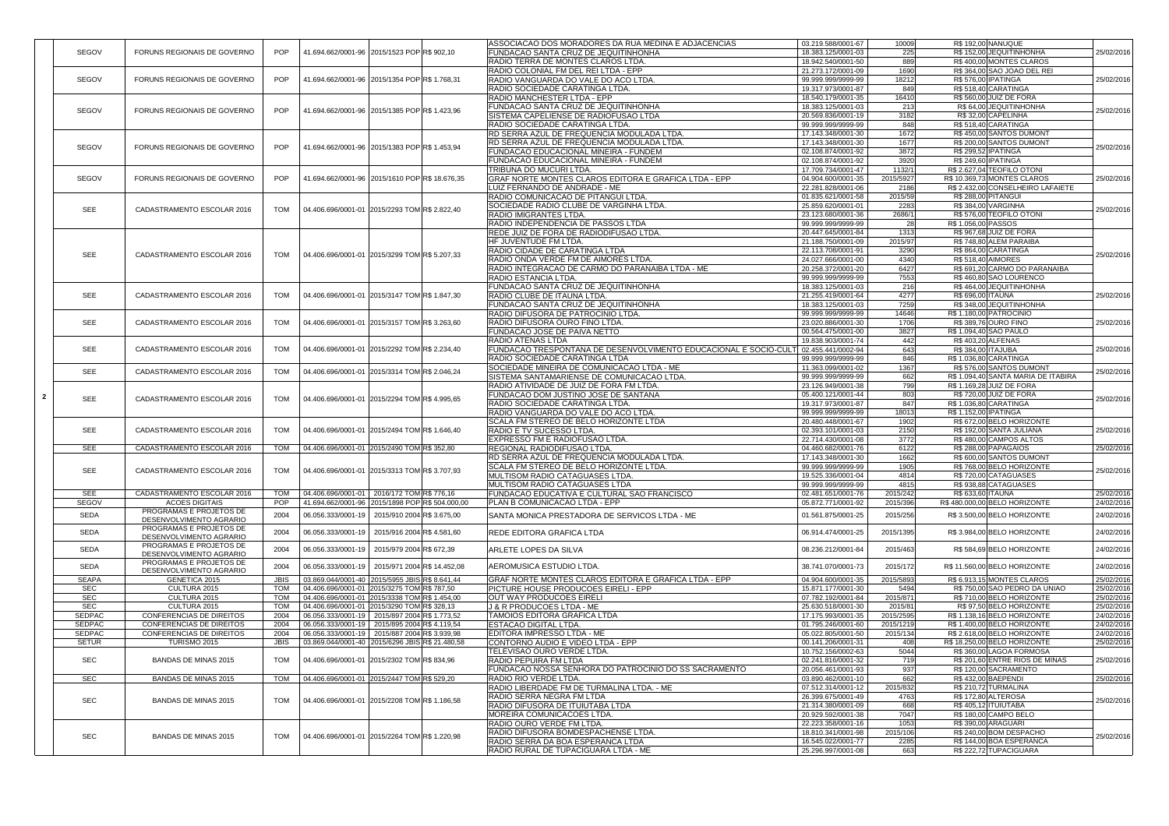|                |               |                                                  |             |                                                     |  | ASSOCIACAO DOS MORADORES DA RUA MEDINA E ADJACENCIAS            | 03.219.588/0001-67 | 10009     | R\$ 192,00 NANUQUE         |                                     |                                                                                                                                                                                                  |
|----------------|---------------|--------------------------------------------------|-------------|-----------------------------------------------------|--|-----------------------------------------------------------------|--------------------|-----------|----------------------------|-------------------------------------|--------------------------------------------------------------------------------------------------------------------------------------------------------------------------------------------------|
|                | SEGOV         | FORUNS REGIONAIS DE GOVERNO                      | POP         | 41.694.662/0001-96 2015/1523 POP R\$ 902,10         |  | <b>FUNDACAO SANTA CRUZ DE JEQUITINHONHA</b>                     | 18.383.125/0001-03 | 225       |                            | R\$ 152,00 JEQUITINHONHA            | 25/02/2016                                                                                                                                                                                       |
|                |               |                                                  |             |                                                     |  | RADIO TERRA DE MONTES CLAROS LTDA                               | 18.942.540/0001-50 | 889       |                            | R\$400,00 MONTES CLAROS             |                                                                                                                                                                                                  |
|                |               |                                                  |             |                                                     |  | RADIO COLONIAL FM DEL REI LTDA - EPP                            | 21.273.172/0001-09 | 1690      |                            | R\$ 364,00 SAO JOAO DEL REI         |                                                                                                                                                                                                  |
|                | SEGOV         | FORUNS REGIONAIS DE GOVERNO                      | <b>POP</b>  | 41.694.662/0001-96 2015/1354 POPR\$ 1.768,31        |  | RADIO VANGUARDA DO VALE DO ACO LTDA                             | 99.999.999/9999-99 | 18212     | <b>R\$ 576,00 IPATINGA</b> |                                     | 25/02/2016                                                                                                                                                                                       |
|                |               |                                                  |             |                                                     |  | RADIO SOCIEDADE CARATINGA LTDA.                                 | 19.317.973/0001-87 | 849       | R\$ 518,40 CARATINGA       |                                     |                                                                                                                                                                                                  |
|                |               |                                                  |             |                                                     |  | RADIO MANCHESTER LTDA - EPP                                     | 18.540.179/0001-35 | 16410     |                            | R\$ 560,00 JUIZ DE FORA             |                                                                                                                                                                                                  |
|                | SEGOV         | FORUNS REGIONAIS DE GOVERNO                      | <b>POP</b>  | 41.694.662/0001-96 2015/1385 POP R\$ 1.423,96       |  | <b>FUNDACAO SANTA CRUZ DE JEQUITINHONHA</b>                     | 18.383.125/0001-03 | 213       |                            | R\$ 64,00 JEQUITINHONHA             | 25/02/2016                                                                                                                                                                                       |
|                |               |                                                  |             |                                                     |  | SISTEMA CAPELIENSE DE RADIOFUSAO LTDA                           | 20.569.836/0001-19 | 3182      |                            | R\$ 32,00 CAPELINHA                 |                                                                                                                                                                                                  |
|                |               |                                                  |             |                                                     |  | RADIO SOCIEDADE CARATINGA LTDA.                                 | 99.999.999/9999-99 | 848       | R\$ 518,40 CARATINGA       |                                     |                                                                                                                                                                                                  |
|                |               |                                                  |             |                                                     |  | RD SERRA AZUL DE FREQUENCIA MODULADA LTDA                       | 17.143.348/0001-30 | 1672      |                            | R\$450,00 SANTOS DUMONT             |                                                                                                                                                                                                  |
|                | <b>SEGOV</b>  | FORUNS REGIONAIS DE GOVERNO                      | <b>POP</b>  | 41.694.662/0001-96 2015/1383 POPR\$ 1.453,94        |  | <b>RD SERRA AZUL DE FREQUENCIA MODULADA LTDA</b>                | 17.143.348/0001-30 | 1677      |                            | R\$ 200,00 SANTOS DUMONT            | 25/02/2016                                                                                                                                                                                       |
|                |               |                                                  |             |                                                     |  | FUNDACAO EDUCACIONAL MINEIRA - FUNDEM                           | 02.108.874/0001-92 | 3872      | R\$ 299,52 IPATINGA        |                                     |                                                                                                                                                                                                  |
|                |               |                                                  |             |                                                     |  | <b>FUNDACAO EDUCACIONAL MINEIRA - FUNDEM</b>                    | 02.108.874/0001-92 | 3920      | R\$ 249,60 IPATINGA        |                                     |                                                                                                                                                                                                  |
|                |               |                                                  |             |                                                     |  | <b>TRIBUNA DO MUCURI LTDA.</b>                                  | 17.709.734/0001-47 | 1132/1    |                            | R\$ 2.627,04 TEOFILO OTONI          |                                                                                                                                                                                                  |
|                | <b>SEGOV</b>  | FORUNS REGIONAIS DE GOVERNO                      | POP         | 41.694.662/0001-96 2015/1610 POPR\$ 18.676,35       |  | GRAF NORTE MONTES CLAROS EDITORA E GRAFICA LTDA - EPP           | 04.904.600/0001-35 | 2015/5927 |                            | R\$ 10.369,73 MONTES CLAROS         | 25/02/2016                                                                                                                                                                                       |
|                |               |                                                  |             |                                                     |  | LUIZ FERNANDO DE ANDRADE - ME                                   | 22.281.828/0001-06 | 2186      |                            | R\$ 2.432,00 CONSELHEIRO LAFAIETE   |                                                                                                                                                                                                  |
|                |               |                                                  |             |                                                     |  | RADIO COMUNICACAO DE PITANGUI LTDA.                             | 01.835.621/0001-58 | 2015/59   | <b>R\$ 288,00 PITANGUI</b> |                                     |                                                                                                                                                                                                  |
|                | <b>SEE</b>    | CADASTRAMENTO ESCOLAR 2016                       | <b>TOM</b>  | 04.406.696/0001-01 2015/2293 TOM R\$ 2.822,40       |  | SOCIEDADE RADIO CLUBE DE VARGINHA LTDA.                         | 25.859.620/0001-01 | 2283      | R\$ 384,00 VARGINHA        |                                     | 25/02/2016                                                                                                                                                                                       |
|                |               |                                                  |             |                                                     |  | <b>RADIO IMIGRANTES LTDA</b>                                    | 23.123.680/0001-36 | 2686/1    |                            | R\$ 576,00 TEOFILO OTONI            |                                                                                                                                                                                                  |
|                |               |                                                  |             |                                                     |  | <b>RADIO INDEPENDENCIA DE PASSOS LTDA</b>                       | 99.999.999/9999-99 | 28        | R\$ 1.056,00 PASSOS        |                                     |                                                                                                                                                                                                  |
|                |               |                                                  |             |                                                     |  | REDE JUIZ DE FORA DE RADIODIFUSAO LTDA.                         | 20.447.645/0001-84 | 1313      |                            | R\$ 967,68 JUIZ DE FORA             |                                                                                                                                                                                                  |
|                |               |                                                  |             |                                                     |  | HF JUVENTUDE FM LTDA.                                           | 21.188.750/0001-09 | 2015/97   |                            | R\$748,80 ALEM PARAIBA              |                                                                                                                                                                                                  |
|                | <b>SEE</b>    | CADASTRAMENTO ESCOLAR 2016                       | <b>TOM</b>  | 04.406.696/0001-01 2015/3299 TOM R\$ 5.207,33       |  | RADIO CIDADE DE CARATINGA LTDA                                  | 22.113.708/0001-91 | 3290      | R\$864,00 CARATINGA        |                                     | 25/02/2016                                                                                                                                                                                       |
|                |               |                                                  |             |                                                     |  | RADIO ONDA VERDE FM DE AIMORES LTDA.                            | 24.027.666/0001-00 | 4340      | <b>R\$ 518,40 AIMORES</b>  |                                     |                                                                                                                                                                                                  |
|                |               |                                                  |             |                                                     |  | RADIO INTEGRACAO DE CARMO DO PARANAIBA LTDA - ME                | 20.258.372/0001-20 | 6427      |                            | R\$ 691,20 CARMO DO PARANAIBA       |                                                                                                                                                                                                  |
|                |               |                                                  |             |                                                     |  | RADIO ESTANCIA LTDA.                                            | 99.999.999/9999-99 | 7553      |                            | R\$460,80 SAO LOURENCO              |                                                                                                                                                                                                  |
|                |               |                                                  |             |                                                     |  | <b>FUNDACAO SANTA CRUZ DE JEQUITINHONHA</b>                     | 18.383.125/0001-03 | 216       |                            | R\$464,00 JEQUITINHONHA             |                                                                                                                                                                                                  |
|                | <b>SEE</b>    | CADASTRAMENTO ESCOLAR 2016                       | <b>TOM</b>  | 04.406.696/0001-01 2015/3147 TOM R\$ 1.847,30       |  | <b>RADIO CLUBE DE ITAUNA LTDA.</b>                              | 21.255.419/0001-64 | 4277      | R\$ 696,00 ITAUNA          |                                     | 25/02/2016                                                                                                                                                                                       |
|                |               |                                                  |             |                                                     |  | FUNDACAO SANTA CRUZ DE JEQUITINHONHA                            | 18.383.125/0001-03 | 7259      |                            | R\$ 348,00 JEQUITINHONHA            |                                                                                                                                                                                                  |
|                |               |                                                  |             |                                                     |  | RADIO DIFUSORA DE PATROCINIO LTDA                               | 99.999.999/9999-99 | 14646     | R\$ 1.180,00 PATROCINIO    |                                     |                                                                                                                                                                                                  |
|                | <b>SEE</b>    | CADASTRAMENTO ESCOLAR 2016                       |             | TOM   04.406.696/0001-01 2015/3157 TOM R\$ 3.263,60 |  | RADIO DIFUSORA OURO FINO LTDA.                                  | 23.020.886/0001-30 | 1706      | R\$ 389,76 OURO FINO       |                                     | 25/02/2016                                                                                                                                                                                       |
|                |               |                                                  |             |                                                     |  | <b>FUNDACAO JOSE DE PAIVA NETTO</b>                             | 00.564.475/0001-00 | 3827      | R\$ 1.094,40 SAO PAULO     |                                     |                                                                                                                                                                                                  |
|                |               |                                                  |             |                                                     |  | RADIO ATENAS LTDA                                               | 19.838.903/0001-74 | 442       | <b>R\$403,20 ALFENAS</b>   |                                     |                                                                                                                                                                                                  |
|                | <b>SEE</b>    | CADASTRAMENTO ESCOLAR 2016                       | <b>TOM</b>  | 04.406.696/0001-01 2015/2292 TOM R\$ 2.234,40       |  | FUNDACAO TRESPONTANA DE DESENVOLVIMENTO EDUCACIONAL E SOCIO-CUI | 02.455.441/0002-94 | 643       | R\$ 384,00 ITAJUBA         |                                     | 25/02/2016                                                                                                                                                                                       |
|                |               |                                                  |             |                                                     |  | IRADIO SOCIEDADE CARATINGA LTDA                                 | 99.999.999/9999-99 | 846       | R\$ 1.036,80 CARATINGA     |                                     |                                                                                                                                                                                                  |
|                |               |                                                  |             |                                                     |  | SOCIEDADE MINEIRA DE COMUNICACAO LTDA - ME                      | 11.363.099/0001-02 | 1367      |                            | R\$ 576,00 SANTOS DUMONT            |                                                                                                                                                                                                  |
|                | <b>SEE</b>    | CADASTRAMENTO ESCOLAR 2016                       | <b>TOM</b>  | 04.406.696/0001-01 2015/3314 TOM R\$ 2.046,24       |  | SISTEMA SANTAMARIENSE DE COMUNICACAO LTDA.                      | 99.999.999/9999-99 | 662       |                            | R\$ 1.094,40 SANTA MARIA DE ITABIRA | 25/02/2016                                                                                                                                                                                       |
|                |               |                                                  |             |                                                     |  |                                                                 |                    |           |                            |                                     |                                                                                                                                                                                                  |
|                |               |                                                  |             |                                                     |  |                                                                 |                    |           |                            |                                     |                                                                                                                                                                                                  |
|                |               |                                                  |             |                                                     |  | RADIO ATIVIDADE DE JUIZ DE FORA FM LTDA                         | 23.126.949/0001-38 | 799       |                            | R\$ 1.169,28 JUIZ DE FORA           |                                                                                                                                                                                                  |
| $\overline{2}$ | <b>SEE</b>    | CADASTRAMENTO ESCOLAR 2016                       | <b>TOM</b>  | 04.406.696/0001-01 2015/2294 TOM R\$ 4.995,65       |  | <b>FUNDACAO DOM JUSTINO JOSE DE SANTANA</b>                     | 05.400.121/0001-44 | 803       |                            | R\$ 720,00 JUIZ DE FORA             |                                                                                                                                                                                                  |
|                |               |                                                  |             |                                                     |  | RADIO SOCIEDADE CARATINGA LTDA.                                 | 19.317.973/0001-87 | 847       | R\$ 1.036,80 CARATINGA     |                                     |                                                                                                                                                                                                  |
|                |               |                                                  |             |                                                     |  | RADIO VANGUARDA DO VALE DO ACO LTDA                             | 99.999.999/9999-99 | 18013     | R\$ 1.152,00 IPATINGA      |                                     |                                                                                                                                                                                                  |
|                |               |                                                  |             |                                                     |  | SCALA FM STEREO DE BELO HORIZONTE LTDA                          | 20.480.448/0001-67 | 1902      |                            | R\$ 672,00 BELO HORIZONTE           |                                                                                                                                                                                                  |
|                | <b>SEE</b>    | CADASTRAMENTO ESCOLAR 2016                       | <b>TOM</b>  | 04.406.696/0001-01 2015/2494 TOM R\$ 1.646,40       |  | RADIO E TV SUCESSO LTDA.                                        | 02.393.101/0001-03 | 2150      |                            | R\$ 192,00 SANTA JULIANA            |                                                                                                                                                                                                  |
|                |               |                                                  |             |                                                     |  | EXPRESSO FM E RADIOFUSAO LTDA.                                  | 22.714.430/0001-08 | 3772      |                            | R\$480,00 CAMPOS ALTOS              |                                                                                                                                                                                                  |
|                | <b>SEE</b>    | CADASTRAMENTO ESCOLAR 2016                       | <b>TOM</b>  | 04.406.696/0001-01 2015/2490 TOM R\$ 352,80         |  | REGIONAL RADIODIFUSAO LTDA                                      | 04.460.682/0001-76 | 6122      | R\$ 288,00 PAPAGAIOS       |                                     | 25/02/2016                                                                                                                                                                                       |
|                |               |                                                  |             |                                                     |  | RD SERRA AZUL DE FREQUENCIA MODULADA LTDA.                      | 17.143.348/0001-30 | 1662      |                            | R\$ 600,00 SANTOS DUMONT            |                                                                                                                                                                                                  |
|                | <b>SEE</b>    | CADASTRAMENTO ESCOLAR 2016                       | <b>TOM</b>  | 04.406.696/0001-01 2015/3313 TOM R\$ 3.707,93       |  | SCALA FM STEREO DE BELO HORIZONTE LTDA.                         | 99.999.999/9999-99 | 1905      |                            | R\$768,00 BELO HORIZONTE            |                                                                                                                                                                                                  |
|                |               |                                                  |             |                                                     |  | <b>MULTISOM RADIO CATAGUASES LTDA</b>                           | 19.525.336/0001-04 | 4814      |                            | R\$720,00 CATAGUASES                |                                                                                                                                                                                                  |
|                |               |                                                  |             |                                                     |  | <b>MULTISOM RADIO CATAGUASES LTDA</b>                           | 99.999.999/9999-99 | 4815      |                            | R\$938,88 CATAGUASES                |                                                                                                                                                                                                  |
|                | <b>SEE</b>    | CADASTRAMENTO ESCOLAR 2016                       | <b>TOM</b>  | 04.406.696/0001-01 2016/172 TOMR\$ 776,16           |  | FUNDACAO EDUCATIVA E CULTURAL SAO FRANCISCO                     | 02.481.651/0001-76 | 2015/242  | R\$ 633,60 ITAUNA          |                                     |                                                                                                                                                                                                  |
|                | <b>SEGOV</b>  | <b>ACOES DIGITAIS</b><br>PROGRAMAS E PROJETOS DE | <b>POP</b>  | 41.694.662/0001-96 2015/1898 POP R\$ 504.000,00     |  | PLAN B COMUNICACAO LTDA - EPP                                   | 05.872.771/0001-92 | 2015/396  |                            | R\$480.000,00 BELO HORIZONTE        | 24/02/2016                                                                                                                                                                                       |
|                | <b>SEDA</b>   | DESENVOLVIMENTO AGRARIO                          | 2004        | 06.056.333/0001-19 2015/910 2004 R\$ 3.675,00       |  | SANTA MONICA PRESTADORA DE SERVICOS LTDA - ME                   | 01.561.875/0001-25 | 2015/256  |                            | R\$ 3.500,00 BELO HORIZONTE         |                                                                                                                                                                                                  |
|                |               | PROGRAMAS E PROJETOS DE                          |             |                                                     |  |                                                                 |                    |           |                            |                                     |                                                                                                                                                                                                  |
|                | <b>SEDA</b>   | DESENVOLVIMENTO AGRARIO                          | 2004        | 06.056.333/0001-19 2015/916 2004 R\$ 4.581,60       |  | <b>REDE EDITORA GRAFICA LTDA</b>                                | 06.914.474/0001-25 | 2015/1395 |                            | R\$ 3.984,00 BELO HORIZONTE         |                                                                                                                                                                                                  |
|                |               | PROGRAMAS E PROJETOS DE                          |             |                                                     |  |                                                                 |                    |           |                            |                                     |                                                                                                                                                                                                  |
|                | SEDA          | DESENVOLVIMENTO AGRARIO                          | 2004        | 06.056.333/0001-19 2015/979 2004 R\$ 672,39         |  | <b>ARLETE LOPES DA SILVA</b>                                    | 08.236.212/0001-84 | 2015/463  |                            | R\$ 584,69 BELO HORIZONTE           |                                                                                                                                                                                                  |
|                |               | PROGRAMAS E PROJETOS DE                          |             |                                                     |  |                                                                 |                    |           |                            |                                     |                                                                                                                                                                                                  |
|                | <b>SEDA</b>   | DESENVOLVIMENTO AGRARIO                          | 2004        | 06.056.333/0001-19 2015/971 2004 R\$ 14.452,08      |  | AEROMUSICA ESTUDIO LTDA.                                        | 38.741.070/0001-73 | 2015/172  |                            | R\$ 11.560,00 BELO HORIZONTE        |                                                                                                                                                                                                  |
|                | <b>SEAPA</b>  | GENETICA 2015                                    | <b>JBIS</b> | 03.869.044/0001-40 2015/5955 JBISR\$ 8.641,44       |  | GRAF NORTE MONTES CLAROS EDITORA E GRAFICA LTDA - EPP           | 04.904.600/0001-35 | 2015/5893 |                            | R\$ 6.913,15 MONTES CLAROS          |                                                                                                                                                                                                  |
|                | <b>SEC</b>    | CULTURA 2015                                     | <b>TOM</b>  | 04.406.696/0001-01 2015/3275 TOM R\$ 787,50         |  | PICTURE HOUSE PRODUCOES EIRELI - EPP                            | 15.871.177/0001-30 | 5494      |                            | R\$ 750,00 SAO PEDRO DA UNIAO       |                                                                                                                                                                                                  |
|                | <b>SEC</b>    | CULTURA 2015                                     |             | 04.406.696/0001-01 2015/3338 TOM R\$ 1.454,00       |  | <b>OUT WAY PRODUCOES EIRELI</b>                                 | 07.782.192/0001-84 | 2015/871  |                            | R\$710,00 BELO HORIZONTE            |                                                                                                                                                                                                  |
|                | <b>SEC</b>    | CULTURA 2015                                     | <b>TOM</b>  | 04.406.696/0001-01 2015/3290 TOM R\$ 328,13         |  | J & R PRODUCOES LTDA - ME                                       | 25.630.518/0001-30 | 2015/81   |                            | R\$ 97,50 BELO HORIZONTE            |                                                                                                                                                                                                  |
|                | <b>SEDPAC</b> | <b>CONFERENCIAS DE DIREITOS</b>                  | 2004        | 06.056.333/0001-19 2015/897 2004 R\$ 1.773,52       |  | <b>TAMOIOS EDITORA GRAFICA LTDA</b>                             | 17.175.993/0001-35 | 2015/2595 |                            | R\$ 1.138,16 BELO HORIZONTE         |                                                                                                                                                                                                  |
|                | <b>SEDPAC</b> | <b>CONFERENCIAS DE DIREITOS</b>                  | 2004        | 06.056.333/0001-19 2015/895 2004 R\$ 4.119,54       |  | <b>ESTACAO DIGITAL LTDA.</b>                                    | 01.795.246/0001-60 | 2015/1219 |                            | R\$ 1.400,00 BELO HORIZONTE         | 25/02/2016<br>25/02/2016<br>25/02/2016<br>25/02/2016<br>24/02/2016<br>24/02/2016<br>24/02/2016<br>24/02/2016<br>25/02/2016<br>25/02/2016<br>25/02/2016<br>25/02/2016<br>24/02/2016<br>24/02/2016 |
|                | <b>SEDPAC</b> | <b>CONFERENCIAS DE DIREITOS</b>                  | 2004        | 06.056.333/0001-19 2015/887 2004 R\$ 3.939,98       |  | EDITORA IMPRESSO LTDA - ME                                      | 05.022.805/0001-50 | 2015/134  |                            | R\$ 2.618,00 BELO HORIZONTE         |                                                                                                                                                                                                  |
|                | <b>SETUR</b>  | TURISMO 2015                                     | <b>JBIS</b> | 03.869.044/0001-40 2015/6296 JBISR\$ 21.480,58      |  | CONTORNO AUDIO E VIDEO LTDA - EPP                               | 00.141.206/0001-31 | 408       |                            | R\$ 18.250,00 BELO HORIZONTE        |                                                                                                                                                                                                  |
|                |               |                                                  |             |                                                     |  | TELEVISAO OURO VERDE LTDA.                                      | 10.752.156/0002-63 | 5044      |                            | R\$360,00 LAGOA FORMOSA             | 24/02/2016<br>25/02/2016                                                                                                                                                                         |
|                | <b>SEC</b>    | <b>BANDAS DE MINAS 2015</b>                      | <b>TOM</b>  | 04.406.696/0001-01 2015/2302 TOM R\$ 834,96         |  | <b>IRADIO PEPUIRA FM LTDA</b>                                   | 02.241.816/0001-32 | 719       |                            | R\$ 201,60 ENTRE RIOS DE MINAS      | 25/02/2016                                                                                                                                                                                       |
|                |               |                                                  |             |                                                     |  | FUNDACAO NOSSA SENHORA DO PATROCINIO DO SS SACRAMENTO           | 20.056.461/0001-93 | 937       |                            | R\$ 120,00 SACRAMENTO               |                                                                                                                                                                                                  |
|                | <b>SEC</b>    | <b>BANDAS DE MINAS 2015</b>                      | <b>TOM</b>  | 04.406.696/0001-01 2015/2447 TOM R\$ 529,20         |  | <b>RADIO RIO VERDE LTDA.</b>                                    | 03.890.462/0001-10 | 662       | R\$432,00 BAEPENDI         |                                     |                                                                                                                                                                                                  |
|                |               |                                                  |             |                                                     |  | RADIO LIBERDADE FM DE TURMALINA LTDA. - ME                      | 07.512.314/0001-12 | 2015/832  | R\$ 210,72 TURMALINA       |                                     | 25/02/2016                                                                                                                                                                                       |
|                |               |                                                  |             |                                                     |  | <b>RADIO SERRA NEGRA FM LTDA</b>                                | 26.399.675/0001-49 | 4763      | R\$ 172,80 ALTEROSA        |                                     |                                                                                                                                                                                                  |
|                | <b>SEC</b>    | <b>BANDAS DE MINAS 2015</b>                      | <b>TOM</b>  | 04.406.696/0001-01 2015/2208 TOM R\$ 1.186,58       |  | RADIO DIFUSORA DE ITUIUTABA LTDA                                | 21.314.380/0001-09 | 668       | R\$405,12 ITUIUTABA        |                                     | 25/02/2016                                                                                                                                                                                       |
|                |               |                                                  |             |                                                     |  | IMOREIRA COMUNICACOES LTDA.                                     | 20.929.592/0001-38 | 7047      |                            | R\$180,00 CAMPO BELO                |                                                                                                                                                                                                  |
|                |               |                                                  |             |                                                     |  | <b>RADIO OURO VERDE FM LTDA.</b>                                | 22.223.358/0001-16 | 1053      | R\$ 390,00 ARAGUARI        |                                     |                                                                                                                                                                                                  |
|                |               |                                                  |             |                                                     |  | RADIO DIFUSORA BOMDESPACHENSE LTDA.                             | 18.810.341/0001-98 | 2015/106  |                            | R\$ 240,00 BOM DESPACHO             |                                                                                                                                                                                                  |
|                | <b>SEC</b>    | <b>BANDAS DE MINAS 2015</b>                      | <b>TOM</b>  | 04.406.696/0001-01 2015/2264 TOM R\$ 1.220,98       |  | RADIO SERRA DA BOA ESPERANCA LTDA                               | 16.545.022/0001-77 | 2285      |                            | R\$144,00 BOA ESPERANCA             | 25/02/2016                                                                                                                                                                                       |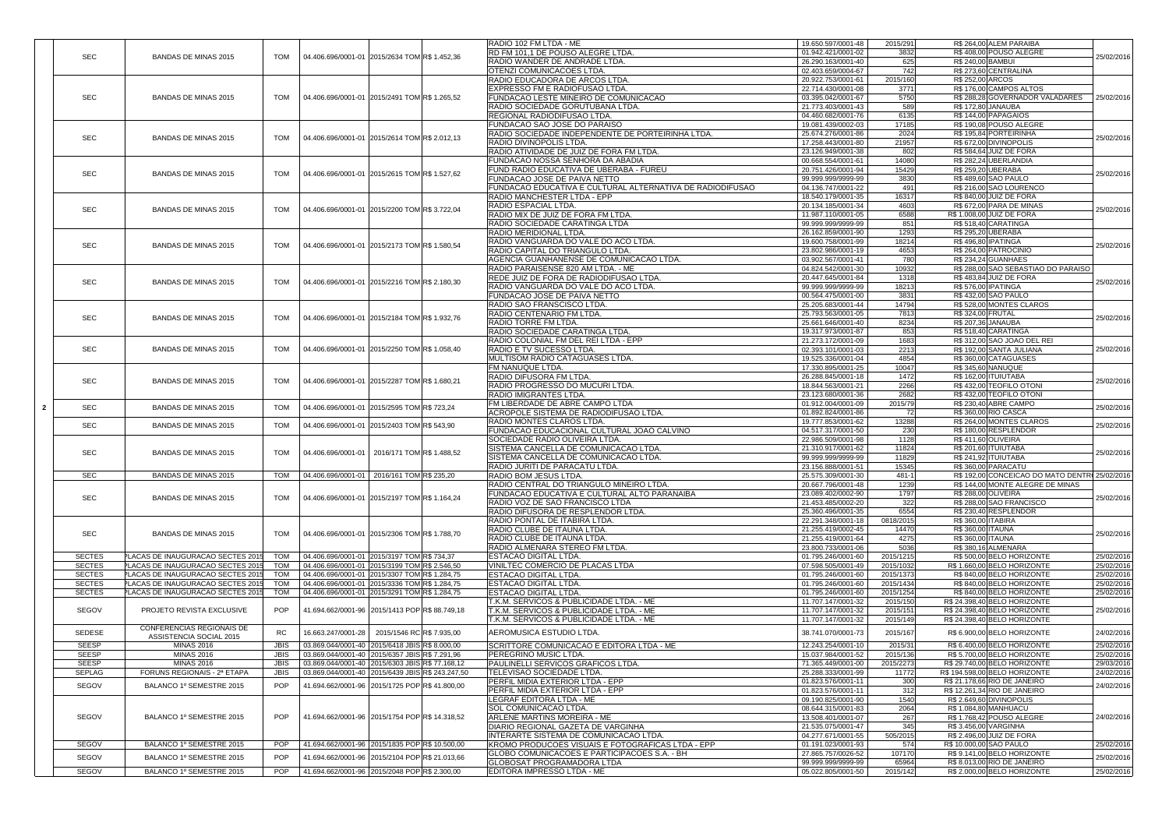|                |               |                                   |             |                                                        | RADIO 102 FM LTDA - ME                                    | 19.650.597/0001-48                       | 2015/291     |                          | R\$ 264,00 ALEM PARAIBA                       |            |
|----------------|---------------|-----------------------------------|-------------|--------------------------------------------------------|-----------------------------------------------------------|------------------------------------------|--------------|--------------------------|-----------------------------------------------|------------|
|                |               |                                   |             |                                                        | RD FM 101,1 DE POUSO ALEGRE LTDA.                         | 01.942.421/0001-02                       | 3832         |                          | R\$408,00 POUSO ALEGRE                        |            |
|                | <b>SEC</b>    | <b>BANDAS DE MINAS 2015</b>       | <b>TOM</b>  | 04.406.696/0001-01 2015/2634 TOM R\$ 1.452,36          | RADIO WANDER DE ANDRADE LTDA.                             | 26.290.163/0001-40                       | 625          |                          | R\$ 240,00 BAMBUI                             | 25/02/2016 |
|                |               |                                   |             |                                                        | IOTENZI COMUNICACOES LTDA.                                | 02.403.659/0004-67                       | 742          |                          | R\$ 273,60 CENTRALINA                         |            |
|                |               |                                   |             |                                                        | RADIO EDUCADORA DE ARCOS LTDA                             | 20.922.753/0001-61                       | 2015/160     | <b>R\$ 252,00 ARCOS</b>  |                                               |            |
|                |               |                                   |             |                                                        | EXPRESSO FM E RADIOFUSAO LTDA.                            | 22.714.430/0001-08                       | 3771         |                          | R\$176,00 CAMPOS ALTOS                        |            |
|                | <b>SEC</b>    | <b>BANDAS DE MINAS 2015</b>       | <b>TOM</b>  | 04.406.696/0001-01 2015/2491 TOM R\$ 1.265,52          | <b>FUNDACAO LESTE MINEIRO DE COMUNICACAO</b>              | 03.395.042/0001-67                       | 5750         |                          | R\$ 288,28 GOVERNADOR VALADARES               | 25/02/2016 |
|                |               |                                   |             |                                                        | RADIO SOCIEDADE GORUTUBANA LTDA.                          | 21.773.403/0001-43                       | 589          |                          | R\$ 172,80 JANAUBA                            |            |
|                |               |                                   |             |                                                        | REGIONAL RADIODIFUSAO LTDA.                               | 04.460.682/0001-76                       | 6135         |                          | <b>R\$ 144,00 PAPAGAIOS</b>                   |            |
|                |               |                                   |             |                                                        | FUNDACAO SAO JOSE DO PARAISO                              | 19.081.439/0002-03                       | 17185        |                          | R\$ 190,08 POUSO ALEGRE                       |            |
|                |               |                                   |             |                                                        |                                                           |                                          |              |                          |                                               |            |
|                | <b>SEC</b>    | <b>BANDAS DE MINAS 2015</b>       | <b>TOM</b>  | 04.406.696/0001-01 2015/2614 TOM R\$ 2.012,13          | RADIO SOCIEDADE INDEPENDENTE DE PORTEIRINHA LTDA.         | 25.674.276/0001-86                       | 2024         |                          | R\$195,84 PORTEIRINHA                         | 25/02/2016 |
|                |               |                                   |             |                                                        | RADIO DIVINOPOLIS LTDA.                                   | 17.258.443/0001-80                       | 21957        |                          | R\$ 672,00 DIVINOPOLIS                        |            |
|                |               |                                   |             |                                                        | RADIO ATIVIDADE DE JUIZ DE FORA FM LTDA                   | 23.126.949/0001-38                       | 802          |                          | R\$ 584,64 JUIZ DE FORA                       |            |
|                |               |                                   |             |                                                        | FUNDACAO NOSSA SENHORA DA ABADIA                          | 00.668.554/0001-61                       | 14080        |                          | R\$ 282,24 UBERLANDIA                         |            |
|                | <b>SEC</b>    | <b>BANDAS DE MINAS 2015</b>       | <b>TOM</b>  | 04.406.696/0001-01 2015/2615 TOM R\$ 1.527,62          | FUND RADIO EDUCATIVA DE UBERABA - FUREU                   | 20.751.426/0001-94                       | 15429        |                          | R\$ 259,20 UBERABA                            | 25/02/2016 |
|                |               |                                   |             |                                                        | <b>FUNDACAO JOSE DE PAIVA NETTO</b>                       | 99.999.999/9999-99                       | 3830         |                          | R\$ 489,60 SAO PAULO                          |            |
|                |               |                                   |             |                                                        | FUNDACAO EDUCATIVA E CULTURAL ALTERNATIVA DE RADIODIFUSAO | 04.136.747/0001-22                       | 491          |                          | R\$ 216,00 SAO LOURENCO                       |            |
|                |               |                                   |             |                                                        | RADIO MANCHESTER LTDA - EPP                               | 18.540.179/0001-35                       | 16317        |                          | R\$ 840,00 JUIZ DE FORA                       |            |
|                |               |                                   |             |                                                        | <b>RADIO ESPACIAL LTDA.</b>                               | 20.134.185/0001-34                       | 4603         |                          | R\$ 672,00 PARA DE MINAS                      |            |
|                | <b>SEC</b>    | <b>BANDAS DE MINAS 2015</b>       | <b>TOM</b>  | 04.406.696/0001-01 2015/2200 TOM R\$ 3.722,04          | RADIO MIX DE JUIZ DE FORA FM LTDA.                        | 11.987.110/0001-05                       | 6588         |                          | R\$ 1.008,00 JUIZ DE FORA                     | 25/02/2016 |
|                |               |                                   |             |                                                        | RADIO SOCIEDADE CARATINGA LTDA                            | 99.999.999/9999-99                       | 851          |                          | R\$ 518,40 CARATINGA                          |            |
|                |               |                                   |             |                                                        | <b>RADIO MERIDIONAL LTDA</b>                              | 26.162.859/0001-90                       | 1293         |                          | <b>R\$ 295,20 UBERABA</b>                     |            |
|                |               |                                   |             |                                                        | RADIO VANGUARDA DO VALE DO ACO LTDA                       | 19.600.758/0001-99                       | 18214        |                          | R\$496,80 IPATINGA                            |            |
|                | <b>SEC</b>    | <b>BANDAS DE MINAS 2015</b>       | <b>TOM</b>  | 04.406.696/0001-01 2015/2173 TOM R\$ 1.580,54          | RADIO CAPITAL DO TRIANGULO LTDA                           | 23.802.986/0001-19                       | 4653         |                          | R\$ 264,00 PATROCINIO                         | 25/02/2016 |
|                |               |                                   |             |                                                        | AGENCIA GUANHANENSE DE COMUNICACAO LTDA                   | 03.902.567/0001-41                       | 780          |                          | R\$ 234,24 GUANHAES                           |            |
|                |               |                                   |             |                                                        | RADIO PARAISENSE 820 AM LTDA. - ME                        | 04.824.542/0001-30                       | 10932        |                          | R\$ 288,00 SAO SEBASTIAO DO PARAISO           |            |
|                |               |                                   |             |                                                        |                                                           |                                          |              |                          |                                               |            |
|                | <b>SEC</b>    | <b>BANDAS DE MINAS 2015</b>       | <b>TOM</b>  | $\vert$ 04.406.696/0001-01 2015/2216 TOM R\$ 2.180,30  | REDE JUIZ DE FORA DE RADIODIFUSAO LTDA.                   | 20.447.645/0001-84                       | 1318         |                          | R\$ 483,84 JUIZ DE FORA                       | 25/02/2016 |
|                |               |                                   |             |                                                        | IRADIO VANGUARDA DO VALE DO ACO LTDA                      | 99.999.999/9999-99                       | 18213        |                          | <b>R\$ 576,00 IPATINGA</b>                    |            |
|                |               |                                   |             |                                                        | FUNDACAO JOSE DE PAIVA NETTO                              | 00.564.475/0001-00                       | 3831         |                          | R\$ 432,00 SAO PAULO                          |            |
|                |               |                                   |             |                                                        | RADIO SAO FRANSCISCO LTDA.                                | 25.205.683/0001-44                       | 14794        |                          | R\$ 528,00 MONTES CLAROS                      |            |
|                | <b>SEC</b>    | <b>BANDAS DE MINAS 2015</b>       | <b>TOM</b>  | 04.406.696/0001-01 2015/2184 TOM R\$ 1.932,76          | RADIO CENTENARIO FM LTDA.                                 | 25.793.563/0001-05                       | 7813         | <b>R\$ 324,00 FRUTAL</b> |                                               | 25/02/2016 |
|                |               |                                   |             |                                                        | RADIO TORRE FM LTDA.                                      | 25.661.646/0001-40                       | 8234         |                          | R\$ 207,36 JANAUBA                            |            |
|                |               |                                   |             |                                                        | RADIO SOCIEDADE CARATINGA LTDA.                           | 19.317.973/0001-87                       | 853          |                          | R\$ 518,40 CARATINGA                          |            |
|                |               |                                   |             |                                                        | RADIO COLONIAL FM DEL REI LTDA - EPP                      | 21.273.172/0001-09                       | 1683         |                          | R\$ 312,00 SAO JOAO DEL REI                   |            |
|                | <b>SEC</b>    | <b>BANDAS DE MINAS 2015</b>       | <b>TOM</b>  | 04.406.696/0001-01 2015/2250 TOM R\$ 1.058,40          | <b>IRADIO E TV SUCESSO LTDA.</b>                          | 02.393.101/0001-03                       | 2213         |                          | R\$ 192,00 SANTA JULIANA                      | 25/02/2016 |
|                |               |                                   |             |                                                        | MULTISOM RADIO CATAGUASES LTDA                            | 19.525.336/0001-04                       | 4854         |                          | R\$360,00 CATAGUASES                          |            |
|                |               |                                   |             |                                                        | FM NANUQUE LTDA.                                          | 17.330.895/0001-25                       | 10047        |                          | <b>R\$ 345,60 NANUQUE</b>                     |            |
|                |               |                                   |             |                                                        | RADIO DIFUSORA FM LTDA.                                   | 26.288.845/0001-18                       | 1472         |                          | R\$ 162,00 ITUIUTABA                          |            |
|                | <b>SEC</b>    | <b>BANDAS DE MINAS 2015</b>       | TOM         | 04.406.696/0001-01 2015/2287 TOM R\$ 1.680,21          | RADIO PROGRESSO DO MUCURI LTDA.                           | 18.844.563/0001-21                       | 2266         |                          | R\$432,00 TEOFILO OTONI                       | 25/02/2016 |
|                |               |                                   |             |                                                        | <b>RADIO IMIGRANTES LTDA</b>                              | 23.123.680/0001-36                       | 2682         |                          | R\$432,00 TEOFILO OTONI                       |            |
|                |               |                                   |             |                                                        | FM LIBERDADE DE ABRE CAMPO LTDA                           | 01.912.004/0001-09                       | 2015/79      |                          | R\$ 230,40 ABRE CAMPO                         |            |
| 2 <sub>2</sub> | <b>SEC</b>    | <b>BANDAS DE MINAS 2015</b>       | <b>TOM</b>  | 04.406.696/0001-01 2015/2595 TOM R\$ 723,24            | ACROPOLE SISTEMA DE RADIODIFUSAO LTDA                     | 01.892.824/0001-86                       |              |                          | R\$ 360,00 RIO CASCA                          | 25/02/2016 |
|                |               |                                   |             |                                                        |                                                           |                                          |              |                          |                                               |            |
|                | <b>SEC</b>    | <b>BANDAS DE MINAS 2015</b>       | <b>TOM</b>  | 04.406.696/0001-01 2015/2403 TOM R\$ 543,90            | <b>RADIO MONTES CLAROS LTDA</b>                           | 19.777.853/0001-62                       | 13288        |                          | R\$ 264,00 MONTES CLAROS                      | 25/02/2016 |
|                |               |                                   |             |                                                        | FUNDACAO EDUCACIONAL CULTURAL JOAO CALVINO                | 04.517.317/0001-50                       | 230          |                          | R\$180,00 RESPLENDOR                          |            |
|                |               |                                   |             |                                                        | SOCIEDADE RADIO OLIVEIRA LTDA.                            | 22.986.509/0001-98                       | 1128         |                          | <b>R\$411,60 OLIVEIRA</b>                     |            |
|                | <b>SEC</b>    | <b>BANDAS DE MINAS 2015</b>       | TOM         | 2016/171 TOM R\$ 1.488,52<br>$\mid$ 04.406.696/0001-01 | SISTEMA CANCELLA DE COMUNICACAO LTDA.                     | 21.310.917/0001-62                       | 11824        |                          | <b>R\$ 201,60 ITUIUTABA</b>                   | 25/02/2016 |
|                |               |                                   |             |                                                        | SISTEMA CANCELLA DE COMUNICACAO LTDA.                     | 99.999.999/9999-99                       | 11829        |                          | R\$ 241,92 ITUIUTABA                          |            |
|                |               |                                   |             |                                                        | <b>RADIO JURITI DE PARACATU LTDA</b>                      | 23.156.888/0001-51                       | 15345        |                          | R\$360,00 PARACATU                            |            |
|                | <b>SEC</b>    |                                   |             |                                                        |                                                           |                                          |              |                          |                                               |            |
|                |               | <b>BANDAS DE MINAS 2015</b>       | <b>TOM</b>  | 2016/161 TOM R\$ 235,20<br>04.406.696/0001-01          | <b>RADIO BOM JESUS LTDA</b>                               | 25.575.309/0001-30                       | $481 - 1$    |                          | R\$ 192,00 CONCEICAO DO MATO DENTR 25/02/2016 |            |
|                |               |                                   |             |                                                        | RADIO CENTRAL DO TRIANGULO MINEIRO LTDA.                  | 20.667.796/0001-48                       | 1239         |                          | R\$ 144,00 MONTE ALEGRE DE MINAS              |            |
|                |               |                                   |             |                                                        | FUNDACAO EDUCATIVA E CULTURAL ALTO PARANAIBA              | 23.089.402/0002-90                       | 1797         |                          | <b>R\$ 288,00 OLIVEIRA</b>                    |            |
|                | <b>SEC</b>    | <b>BANDAS DE MINAS 2015</b>       | TOM         | 04.406.696/0001-01 2015/2197 TOM R\$ 1.164,24          | RADIO VOZ DE SAO FRANCISCO LTDA                           | 21.453.485/0002-20                       | 322          |                          | R\$ 288,00 SAO FRANCISCO                      | 25/02/2016 |
|                |               |                                   |             |                                                        | RADIO DIFUSORA DE RESPLENDOR LTDA.                        | 25.360.496/0001-35                       | 6554         |                          | R\$230,40 RESPLENDOR                          |            |
|                |               |                                   |             |                                                        | RADIO PONTAL DE ITABIRA LTDA.                             | 22.291.348/0001-18                       | 0818/2015    |                          | R\$ 360,00 ITABIRA                            |            |
|                |               |                                   |             |                                                        | RADIO CLUBE DE ITAUNA LTDA.                               | 21.255.419/0002-45                       | 14470        | R\$ 360,00 ITAUNA        |                                               |            |
|                | <b>SEC</b>    | <b>BANDAS DE MINAS 2015</b>       | <b>TOM</b>  | 04.406.696/0001-01 2015/2306 TOM R\$ 1.788,70          |                                                           |                                          |              |                          |                                               | 25/02/2016 |
|                |               |                                   |             |                                                        | RADIO CLUBE DE ITAUNA LTDA.                               | 21.255.419/0001-64<br>23.800.733/0001-06 | 4275<br>5036 | R\$ 360,00 ITAUNA        | R\$ 380,16 ALMENARA                           |            |
|                |               |                                   |             |                                                        | RADIO ALMENARA STEREO FM LTDA.                            |                                          |              |                          |                                               |            |
|                | <b>SECTES</b> | PLACAS DE INAUGURACAO SECTES 2015 | <b>TOM</b>  | 04.406.696/0001-01 2015/3197 TOM R\$ 734,37            | <b>ESTACAO DIGITAL LTDA.</b>                              | 01.795.246/0001-60                       | 2015/1215    |                          | R\$ 500,00 BELO HORIZONTE                     | 25/02/2016 |
|                | <b>SECTES</b> | PLACAS DE INAUGURACAO SECTES 2015 | <b>TOM</b>  | 04.406.696/0001-01 2015/3199 TOM R\$ 2.546,50          | VINILTEC COMERCIO DE PLACAS LTDA                          | 07.598.505/0001-49                       | 2015/1032    |                          | R\$ 1.660,00 BELO HORIZONTE                   | 25/02/2016 |
|                | <b>SECTES</b> | PLACAS DE INAUGURACAO SECTES 2015 | <b>TOM</b>  | 04.406.696/0001-01 2015/3307 TOM R\$ 1.284,75          | ESTACAO DIGITAL LTDA.                                     | 01.795.246/0001-60                       | 2015/1373    |                          | R\$840,00 BELO HORIZONTE                      | 25/02/2016 |
|                | <b>SECTES</b> | PLACAS DE INAUGURACAO SECTES 2015 | <b>TOM</b>  | 04.406.696/0001-01 2015/3336 TOM R\$ 1.284,75          | ESTACAO DIGITAL LTDA.                                     | 01.795.246/0001-60                       | 2015/1434    |                          | R\$840,00 BELO HORIZONTE                      | 25/02/2016 |
|                | <b>SECTES</b> | PLACAS DE INAUGURACAO SECTES 2015 | <b>TOM</b>  | 04.406.696/0001-01 2015/3291 TOM R\$ 1.284,75          | <b>ESTACAO DIGITAL LTDA.</b>                              | 01.795.246/0001-60                       | 2015/1254    |                          | R\$840,00 BELO HORIZONTE                      | 25/02/2016 |
|                |               |                                   |             |                                                        | T.K.M. SERVICOS & PUBLICIDADE LTDA. - ME                  | 11.707.147/0001-32                       | 2015/150     |                          | R\$ 24.398,40 BELO HORIZONTE                  |            |
|                | SEGOV         | PROJETO REVISTA EXCLUSIVE         | <b>POP</b>  | 41.694.662/0001-96 2015/1413 POP R\$ 88.749,18         | T.K.M. SERVICOS & PUBLICIDADE LTDA. - ME                  | 11.707.147/0001-32                       | 2015/151     |                          | R\$ 24.398,40 BELO HORIZONTE                  | 25/02/2016 |
|                |               |                                   |             |                                                        | T.K.M. SERVICOS & PUBLICIDADE LTDA. - ME                  | 11.707.147/0001-32                       | 2015/149     |                          | R\$ 24.398,40 BELO HORIZONTE                  |            |
|                | <b>SEDESE</b> | CONFERENCIAS REGIONAIS DE         | <b>RC</b>   | 16.663.247/0001-28 2015/1546 RCR\$ 7.935,00            | AEROMUSICA ESTUDIO LTDA.                                  | 38.741.070/0001-73                       | 2015/167     |                          | R\$ 6.900,00 BELO HORIZONTE                   | 24/02/2016 |
|                |               | <b>ASSISTENCIA SOCIAL 2015</b>    |             |                                                        |                                                           |                                          |              |                          |                                               |            |
|                | <b>SEESP</b>  | <b>MINAS 2016</b>                 | <b>JBIS</b> | 03.869.044/0001-40 2015/6418 JBISR\$ 8.000,00          | SCRITTORE COMUNICACAO E EDITORA LTDA - ME                 | 12.243.254/0001-10                       | 2015/31      |                          | R\$ 6.400,00 BELO HORIZONTE                   | 25/02/2016 |
|                | <b>SEESP</b>  | <b>MINAS 2016</b>                 | <b>JBIS</b> | 03.869.044/0001-40 2015/6357 JBISR\$ 7.291,96          | IPEREGRINO MUSIC LTDA.                                    | 15.037.984/0001-52                       | 2015/136     |                          | R\$ 5.700,00 BELO HORIZONTE                   | 25/02/2016 |
|                | <b>SEESP</b>  | <b>MINAS 2016</b>                 | <b>JBIS</b> | 03.869.044/0001-40 2015/6303 JBISR\$ 77.168,12         | IPAULINELLI SERVICOS GRAFICOS LTDA.                       | 71.365.449/0001-00                       | 2015/2273    |                          | R\$ 29.740,00 BELO HORIZONTE                  | 29/03/2016 |
|                | <b>SEPLAG</b> | FORUNS REGIONAIS - 2ª ETAPA       | <b>JBIS</b> | 03.869.044/0001-40 2015/6439 JBISR\$ 243.247,50        | TELEVISAO SOCIEDADE LTDA.                                 | 25.288.333/0001-99                       | 11772        |                          | R\$ 194.598,00 BELO HORIZONTE                 | 24/02/2016 |
|                | SEGOV         | BALANCO 1º SEMESTRE 2015          | <b>POP</b>  | 41.694.662/0001-96 2015/1725 POPR\$ 41.800.00          | PERFIL MIDIA EXTERIOR LTDA - EPP                          | 01.823.576/0001-11                       | 300          |                          | R\$ 21.178,66 RIO DE JANEIRO                  | 24/02/2016 |
|                |               |                                   |             |                                                        | PERFIL MIDIA EXTERIOR LTDA - EPP                          | 01.823.576/0001-11                       | 312          |                          | R\$ 12.261,34 RIO DE JANEIRO                  |            |
|                |               |                                   |             |                                                        | <b>LEGRAF EDITORA LTDA - ME</b>                           | 09.190.825/0001-90                       | 1540         |                          | R\$ 2.649,60 DIVINOPOLIS                      |            |
|                |               |                                   |             |                                                        | <b>SOL COMUNICACAO LTDA.</b>                              | 08.644.315/0001-83                       | 2064         |                          | R\$ 1.084,80 MANHUACU                         |            |
|                | SEGOV         | BALANCO 1º SEMESTRE 2015          | <b>POP</b>  | 41.694.662/0001-96 2015/1754 POPR\$ 14.318,52          | <b>ARLENE MARTINS MOREIRA - ME</b>                        | 13.508.401/0001-07                       | 267          |                          | R\$ 1.768,42 POUSO ALEGRE                     | 24/02/2016 |
|                |               |                                   |             |                                                        | IDIARIO REGIONAL GAZETA DE VARGINHA                       | 21.535.075/0001-47                       | 345          |                          | R\$ 3.456,00 VARGINHA                         |            |
|                |               |                                   |             |                                                        | INTERARTE SISTEMA DE COMUNICACAO LTDA.                    | 04.277.671/0001-55                       | 505/2015     |                          | R\$ 2.496,00 JUIZ DE FORA                     |            |
|                | <b>SEGOV</b>  | BALANCO 1º SEMESTRE 2015          | POP         | 41.694.662/0001-96 2015/1835 POP R\$ 10.500,00         | KROMO PRODUCOES VISUAIS E FOTOGRAFICAS LTDA - EPP         | 01.191.023/0001-93                       | 574          |                          | R\$ 10.000,00 SAO PAULO                       | 25/02/2016 |
|                |               |                                   |             |                                                        | GLOBO COMUNICACOES E PARTICIPACOES S.A. - BH              | 27.865.757/0026-52                       | 107170       |                          | R\$ 9.141,00 BELO HORIZONTE                   |            |
|                | SEGOV         | BALANCO 1º SEMESTRE 2015          | POP         | 41.694.662/0001-96   2015/2104 POP R\$ 21.013,66       | GLOBOSAT PROGRAMADORA LTDA                                | 99.999.999/9999-99                       | 65964        |                          | $R$8.013,00$ RIO DE JANEIRO                   | 25/02/2016 |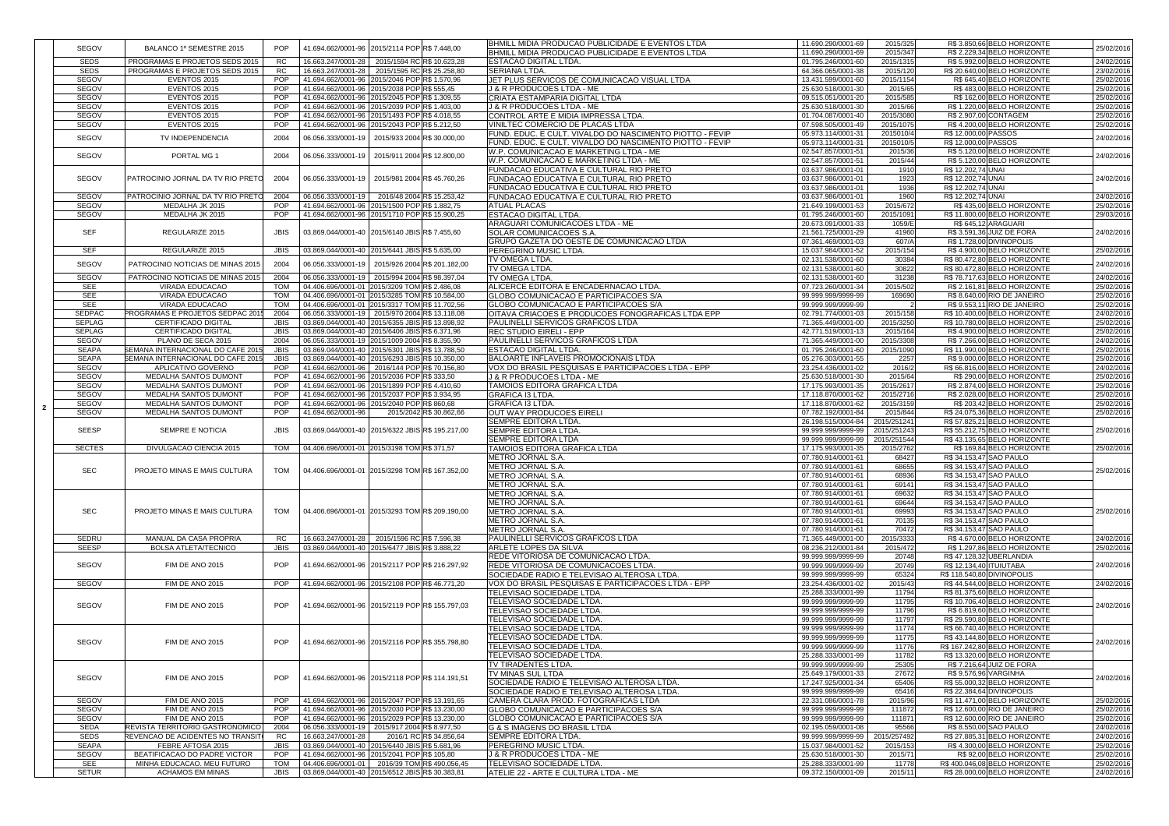|               |                                          |             |                                                          |                             |                            | BHMILL MIDIA PRODUCAO PUBLICIDADE E EVENTOS LTDA              | 11.690.290/0001-69                       | 2015/325           | R\$ 3.850,66 BELO HORIZONTE                                 |            |
|---------------|------------------------------------------|-------------|----------------------------------------------------------|-----------------------------|----------------------------|---------------------------------------------------------------|------------------------------------------|--------------------|-------------------------------------------------------------|------------|
| <b>SEGOV</b>  | BALANCO 1º SEMESTRE 2015                 | <b>POP</b>  | 41.694.662/0001-96 2015/2114 POP R\$ 7.448,00            |                             |                            | BHMILL MIDIA PRODUCAO PUBLICIDADE E EVENTOS LTDA              | 11.690.290/0001-69                       | 2015/347           | R\$ 2.229,34 BELO HORIZONTE                                 | 25/02/2016 |
| <b>SEDS</b>   | PROGRAMAS E PROJETOS SEDS 2015           | <b>RC</b>   | 16.663.247/0001-28                                       | 2015/1594 RCR\$ 10.623,28   |                            | <b>ESTACAO DIGITAL LTDA</b>                                   | 01.795.246/0001-60                       | 2015/1315          | R\$ 5.992,00 BELO HORIZONTE                                 | 24/02/2016 |
| <b>SEDS</b>   |                                          |             |                                                          |                             |                            |                                                               |                                          |                    | R\$ 20.640,00 BELO HORIZONTE                                |            |
|               | PROGRAMAS E PROJETOS SEDS 2015           | <b>RC</b>   | 16.663.247/0001-28                                       | 2015/1595 RCR\$ 25.258,80   |                            | <b>SERIANA LTDA.</b>                                          | 64.366.065/0001-38                       | 2015/120           |                                                             | 23/02/2016 |
| <b>SEGOV</b>  | EVENTOS 2015                             | POP         | 41.694.662/0001-96 2015/2046 POP R\$ 1.570,96            |                             |                            | JET PLUS SERVICOS DE COMUNICACAO VISUAL LTDA                  | 13.431.599/0001-60                       | 2015/1154          | R\$ 645,40 BELO HORIZONTE                                   | 25/02/2016 |
| <b>SEGOV</b>  | EVENTOS 2015                             | <b>POP</b>  | 41.694.662/0001-96 2015/2038 POP R\$ 555,45              |                             |                            | J & R PRODUCOES LTDA - ME                                     | 25.630.518/0001-30                       | 2015/65            | R\$483,00 BELO HORIZONTE                                    | 25/02/2016 |
| <b>SEGOV</b>  | EVENTOS 2015                             | <b>POP</b>  | 41.694.662/0001-96 2015/2045 POP R\$ 1.309,55            |                             |                            | CRIATA ESTAMPARIA DIGITAL LTDA                                | 09.515.051/0001-20                       | 2015/585           | R\$ 162,00 BELO HORIZONTE                                   | 25/02/2016 |
| <b>SEGOV</b>  | EVENTOS 2015                             | <b>POP</b>  | 41.694.662/0001-96 2015/2039 POP R\$ 1.403,00            |                             |                            | <b>J &amp; R PRODUCOES LTDA - ME</b>                          | 25.630.518/0001-30                       | 2015/66            | R\$ 1.220,00 BELO HORIZONTE                                 | 25/02/2016 |
| <b>SEGOV</b>  | EVENTOS 2015                             | <b>POP</b>  | 41.694.662/0001-96 2015/1493 POP R\$ 4.018,55            |                             |                            | ICONTROL ARTE E MIDIA IMPRESSA LTDA.                          | 01.704.087/0001-40                       | 2015/3080          | R\$ 2.907,00 CONTAGEM                                       | 25/02/2016 |
| <b>SEGOV</b>  | EVENTOS 2015                             | <b>POP</b>  | 41.694.662/0001-96 2015/2043 POP R\$ 5.212,50            |                             |                            | <b>VINILTEC COMERCIO DE PLACAS LTDA</b>                       | 07.598.505/0001-49                       | 2015/1075          | R\$4.200,00 BELO HORIZONTE                                  | 25/02/2016 |
| <b>SEGOV</b>  | TV INDEPENDENCIA                         | 2004        | 06.056.333/0001-19 2015/933 2004 R\$ 30.000,00           |                             |                            | FUND. EDUC. E CULT. VIVALDO DO NASCIMENTO PIOTTO - FEVIP      | 05.973.114/0001-3                        | 2015010/4          | R\$ 12.000,00 PASSOS                                        | 24/02/2016 |
|               |                                          |             |                                                          |                             |                            | FUND. EDUC. E CULT. VIVALDO DO NASCIMENTO PIOTTO - FEVIP      | 05.973.114/0001-3                        | 2015010/5          | R\$ 12.000,00 PASSOS                                        |            |
| <b>SEGOV</b>  | PORTAL MG 1                              | 2004        | 06.056.333/0001-19   2015/911 2004 R\$ 12.800,00         |                             |                            | W.P. COMUNICACAO E MARKETING LTDA - ME                        | 02.547.857/0001-51                       | 2015/36            | R\$ 5.120,00 BELO HORIZONTE                                 | 24/02/2016 |
|               |                                          |             |                                                          |                             |                            | W.P. COMUNICACAO E MARKETING LTDA - ME                        | 02.547.857/0001-51                       | 2015/44            | R\$ 5.120,00 BELO HORIZONTE                                 |            |
|               |                                          |             |                                                          |                             |                            | FUNDACAO EDUCATIVA E CULTURAL RIO PRETO                       | 03.637.986/0001-01                       | 1910               | R\$ 12.202,74 UNAI                                          |            |
| <b>SEGOV</b>  | PATROCINIO JORNAL DA TV RIO PRETO        | 2004        | 06.056.333/0001-19 2015/981 2004 R\$45.760,26            |                             |                            | FUNDACAO EDUCATIVA E CULTURAL RIO PRETO                       | 03.637.986/0001-01                       | 1923               | R\$ 12.202,74 UNAI                                          | 24/02/2016 |
|               |                                          |             |                                                          |                             |                            | FUNDACAO EDUCATIVA E CULTURAL RIO PRETO                       | 03.637.986/0001-01                       | 1936               | R\$ 12.202,74 UNAI                                          |            |
| <b>SEGOV</b>  | PATROCINIO JORNAL DA TV RIO PRETO        | 2004        | 06.056.333/0001-19                                       | 2016/48 2004 R\$ 15.253,42  |                            | <b>FUNDACAO EDUCATIVA E CULTURAL RIO PRETO</b>                | 03.637.986/0001-01                       | 1960               | R\$ 12.202,74 UNAI                                          | 24/02/2016 |
| <b>SEGOV</b>  | MEDALHA JK 2015                          | <b>POP</b>  | 41.694.662/0001-96 2015/1500 POP R\$ 1.882,75            |                             |                            | <b>ATUAL PLACAS</b>                                           | 21.649.199/0001-53                       | 2015/672           | R\$435,00 BELO HORIZONTE                                    | 25/02/2016 |
| <b>SEGOV</b>  | MEDALHA JK 2015                          | <b>POP</b>  | 41.694.662/0001-96 2015/1710 POP R\$ 15.900,25           |                             |                            | <b>ESTACAO DIGITAL LTDA</b>                                   | 01.795.246/0001-60                       | 2015/1091          | R\$ 11.800,00 BELO HORIZONTE                                | 29/03/2016 |
|               |                                          |             |                                                          |                             |                            | ARAGUARI COMUNICACOES LTDA - ME                               | 20.673.091/0001-33                       | 1059/E             | R\$ 645,12 ARAGUARI                                         |            |
| <b>SEF</b>    | REGULARIZE 2015                          | <b>JBIS</b> | 03.869.044/0001-40 2015/6140 JBISR\$ 7.455,60            |                             |                            | <b>SOLAR COMUNICACOES S.A.</b>                                | 21.561.725/0001-29                       | 41960              | R\$ 3.591,36 JUIZ DE FORA                                   | 24/02/2016 |
|               |                                          |             |                                                          |                             |                            | <b>GRUPO GAZETA DO OESTE DE COMUNICACAO LTDA</b>              | 07.361.469/0001-03                       | 607/A              | R\$ 1.728,00 DIVINOPOLIS                                    |            |
| <b>SEF</b>    | REGULARIZE 2015                          | <b>JBIS</b> | 03.869.044/0001-40 2015/6441 JBISR\$ 5.635,00            |                             |                            | <b>PEREGRINO MUSIC LTDA</b>                                   | 15.037.984/0001-52                       | 2015/154           | R\$4.900,00 BELO HORIZONTE                                  | 25/02/2016 |
|               |                                          |             |                                                          |                             |                            | TV OMEGA LTDA.                                                | 02.131.538/0001-60                       | 30384              | R\$80.472,80 BELO HORIZONTE                                 |            |
| <b>SEGOV</b>  | <b>PATROCINIO NOTICIAS DE MINAS 2015</b> | 2004        | 06.056.333/0001-19 2015/926 2004 R\$ 201.182,00          |                             |                            | TV OMEGA LTDA.                                                | 02.131.538/0001-60                       | 30822              | R\$80.472,80 BELO HORIZONTE                                 | 24/02/2016 |
| <b>SEGOV</b>  | PATROCINIO NOTICIAS DE MINAS 2015        | 2004        | 06.056.333/0001-19                                       | 2015/994 2004 R\$ 98.397,04 |                            | <b>TV OMEGA LTDA.</b>                                         | 02.131.538/0001-60                       | 31238              | R\$78.717,63 BELO HORIZONTE                                 | 24/02/2016 |
| <b>SEE</b>    | <b>VIRADA EDUCACAO</b>                   | <b>TOM</b>  | 04.406.696/0001-01 2015/3209 TOM R\$ 2.486,08            |                             |                            | ALICERCE EDITORA E ENCADERNACAO LTDA.                         | 07.723.260/0001-34                       | 2015/502           | R\$ 2.161,81 BELO HORIZONTE                                 | 25/02/2016 |
| <b>SEE</b>    | <b>VIRADA EDUCACAO</b>                   | <b>TOM</b>  | 04.406.696/0001-01 2015/3285 TOM R\$ 10.584,00           |                             |                            | <b>GLOBO COMUNICACAO E PARTICIPACOES S/A</b>                  | 99.999.999/9999-99                       | 169690             | R\$ 8.640,00 RIO DE JANEIRO                                 | 25/02/2016 |
| <b>SEE</b>    | <b>VIRADA EDUCACAO</b>                   | <b>TOM</b>  | 04.406.696/0001-01 2015/3317 TOM R\$ 11.702,56           |                             |                            | <b>GLOBO COMUNICACAO E PARTICIPACOES S/A</b>                  | 99.999.999/9999-99                       |                    | R\$ 9.553,11 RIO DE JANEIRO                                 | 25/02/2016 |
| <b>SEDPAC</b> | PROGRAMAS E PROJETOS SEDPAC 2015         | 2004        | 06.056.333/0001-19 2015/970 2004 R\$ 13.118,08           |                             |                            | <b>OITAVA CRIACOES E PRODUCOES FONOGRAFICAS LTDA EPP</b>      | 02.791.774/0001-03                       | 2015/158           | R\$ 10.400,00 BELO HORIZONTE                                | 24/02/2016 |
| <b>SEPLAG</b> | <b>CERTIFICADO DIGITAL</b>               |             | JBIS   03.869.044/0001-40   2015/6355 JBIS R\$ 13.898,92 |                             |                            | <b>PAULINELLI SERVICOS GRAFICOS LTDA</b>                      | 71.365.449/0001-00                       | 2015/3250          | R\$ 10.780,00 BELO HORIZONTE                                | 25/02/2016 |
| <b>SEPLAG</b> | <b>CERTIFICADO DIGITAL</b>               | <b>JBIS</b> | 03.869.044/0001-40 2015/6406 JBISR\$ 6.371,96            |                             |                            | <b>IREC STUDIO EIRELI - EPP</b>                               | 42.771.519/0001-13                       | 2015/164           | R\$4.900,00 BELO HORIZONTE                                  | 25/02/2016 |
| <b>SEGOV</b>  | PLANO DE SECA 2015                       | 2004        | 06.056.333/0001-19 2015/1009 2004 R\$ 8.355,90           |                             |                            | <b>PAULINELLI SERVICOS GRAFICOS LTDA</b>                      | 71.365.449/0001-00                       | 2015/3308          | R\$7.266,00 BELO HORIZONTE                                  | 24/02/2016 |
| <b>SEAPA</b>  | <b>SEMANA INTERNACIONAL DO CAFE 2015</b> | <b>JBIS</b> | 03.869.044/0001-40 2015/6301 JBISR\$ 13.788,50           |                             |                            | <b>ESTACAO DIGITAL LTDA</b>                                   | 01.795.246/0001-60                       | 2015/1090          | R\$ 11.990,00 BELO HORIZONTE                                | 25/02/2016 |
| <b>SEAPA</b>  | SEMANA INTERNACIONAL DO CAFE 2015        | <b>JBIS</b> | 03.869.044/0001-40 2015/6293 JBISR\$ 10.350,00           |                             |                            | <b>BALOARTE INFLAVEIS PROMOCIONAIS LTDA</b>                   | 05.276.303/0001-55                       | 2257               | R\$9.000,00 BELO HORIZONTE                                  | 25/02/2016 |
| <b>SEGOV</b>  | APLICATIVO GOVERNO                       | <b>POP</b>  | 41.694.662/0001-96 2016/144 POPR\$ 70.156,80             |                             |                            | VOX DO BRASIL PESQUISAS E PARTICIPACOES LTDA - EPP            | 23.254.436/0001-02                       | 2016/2             | R\$ 66.816,00 BELO HORIZONTE                                | 24/02/2016 |
| <b>SEGOV</b>  | <b>MEDALHA SANTOS DUMONT</b>             | <b>POP</b>  | 41.694.662/0001-96 2015/2036 POP R\$ 333,50              |                             |                            | J & R PRODUCOES LTDA - ME                                     | 25.630.518/0001-30                       | 2015/64            | R\$ 290,00 BELO HORIZONTE                                   | 25/02/2016 |
| <b>SEGOV</b>  | MEDALHA SANTOS DUMONT                    | <b>POP</b>  | 41.694.662/0001-96 2015/1899 POP R\$ 4.410,60            |                             |                            | TAMOIOS EDITORA GRAFICA LTDA                                  | 17.175.993/0001-35                       | 2015/2617          | R\$ 2.874,00 BELO HORIZONTE                                 | 25/02/2016 |
| <b>SEGOV</b>  | <b>MEDALHA SANTOS DUMONT</b>             | <b>POP</b>  | 41.694.662/0001-96 2015/2037 POP R\$ 3.934,95            |                             |                            | IGRAFICA I3 LTDA                                              | 17.118.870/0001-62                       | 2015/2716          | R\$ 2.028,00 BELO HORIZONTE                                 | 25/02/2016 |
| <b>SEGOV</b>  | <b>MEDALHA SANTOS DUMONT</b>             | <b>POP</b>  | 41.694.662/0001-96 2015/2040 POPR\$ 860,68               |                             |                            | <b>GRAFICA I3 LTDA</b>                                        | 17.118.870/0001-62                       | 2015/3159          | R\$ 203,42 BELO HORIZONTE                                   | 25/02/2016 |
|               |                                          |             |                                                          |                             |                            |                                                               |                                          |                    |                                                             |            |
| <b>SEGOV</b>  | <b>MEDALHA SANTOS DUMONT</b>             | <b>POP</b>  | 41.694.662/0001-96                                       |                             | 2015/2042 R\$ 30.862,66    |                                                               | 07.782.192/0001-84                       | 2015/844           | R\$ 24.075,36 BELO HORIZONTE                                | 25/02/2016 |
|               |                                          |             |                                                          |                             |                            | <b>OUT WAY PRODUCOES EIRELI</b><br><b>SEMPRE EDITORA LTDA</b> | 26.198.515/0004-84                       | 2015/251241        | R\$ 57.825,21 BELO HORIZONTE                                |            |
| <b>SEESP</b>  | <b>SEMPRE E NOTICIA</b>                  | <b>JBIS</b> | 03.869.044/0001-40 2015/6322 JBIS R\$ 195.217,00         |                             |                            | <b>SEMPRE EDITORA LTDA</b>                                    | 99.999.999/9999-99                       | 2015/251243        | R\$ 55.212,75 BELO HORIZONTE                                | 25/02/2016 |
|               |                                          |             |                                                          |                             |                            |                                                               | 99.999.999/9999-99                       | 2015/251544        | R\$43.135,65 BELO HORIZONTE                                 |            |
| <b>SECTES</b> | <b>DIVULGACAO CIENCIA 2015</b>           | <b>TOM</b>  | 04.406.696/0001-01 2015/3198 TOM R\$ 371,57              |                             |                            | SEMPRE EDITORA LTDA<br><b>TAMOIOS EDITORA GRAFICA LTDA</b>    | 17.175.993/0001-35                       |                    | R\$ 169,84 BELO HORIZONTE                                   |            |
|               |                                          |             |                                                          |                             |                            | <b>IMETRO JORNAL S.A.</b>                                     | 07.780.914/0001-61                       | 2015/2762<br>68427 | R\$ 34.153,47 SAO PAULO                                     | 25/02/2016 |
|               |                                          |             |                                                          |                             |                            |                                                               | 07.780.914/0001-61                       | 68655              | R\$ 34.153,47 SAO PAULO                                     |            |
| <b>SEC</b>    | PROJETO MINAS E MAIS CULTURA             | <b>TOM</b>  | 04.406.696/0001-01 2015/3298 TOM R\$ 167.352,00          |                             |                            | <b>METRO JORNAL S.A.</b>                                      | 07.780.914/0001-61                       | 68936              |                                                             | 25/02/2016 |
|               |                                          |             |                                                          |                             |                            | <b>METRO JORNAL S.A.</b>                                      | 07.780.914/0001-61                       | 69141              | R\$ 34.153,47 SAO PAULO<br>R\$ 34.153,47 SAO PAULO          |            |
|               |                                          |             |                                                          |                             |                            | METRO JORNAL S.A.                                             | 07.780.914/0001-61                       | 69632              | R\$ 34.153,47 SAO PAULO                                     |            |
|               |                                          |             |                                                          |                             |                            | METRO JORNAL S.A.<br><b>IMETRO JORNAL S.A.</b>                | 07.780.914/0001-61                       | 69644              | R\$ 34.153,47 SAO PAULO                                     |            |
| <b>SEC</b>    | PROJETO MINAS E MAIS CULTURA             | <b>TOM</b>  | 04.406.696/0001-01 2015/3293 TOM R\$ 209.190,00          |                             |                            | IMETRO JORNAL S.A.                                            | 07.780.914/0001-61                       | 69993              | R\$ 34.153,47 SAO PAULO                                     | 25/02/2016 |
|               |                                          |             |                                                          |                             |                            |                                                               |                                          |                    |                                                             |            |
|               |                                          |             |                                                          |                             |                            | METRO JORNAL S.A.<br>METRO JORNAL S.A.                        | 07.780.914/0001-61<br>07.780.914/0001-61 | 70135<br>70472     | R\$ 34.153,47 SAO PAULO                                     |            |
| <b>SEDRU</b>  | MANUAL DA CASA PROPRIA                   | <b>RC</b>   | 16.663.247/0001-28   2015/1596 RCR\$ 7.596,38            |                             |                            | <b>PAULINELLI SERVICOS GRAFICOS LTDA</b>                      | 71.365.449/0001-00                       | 2015/3333          | R\$ 34.153,47 SAO PAULO<br>R\$4.670,00 BELO HORIZONTE       | 24/02/2016 |
| <b>SEESP</b>  | <b>BOLSA ATLETA/TECNICO</b>              | <b>JBIS</b> | 03.869.044/0001-40 2015/6477 JBISR\$ 3.888,22            |                             |                            | <b>ARLETE LOPES DA SILVA</b>                                  | 08.236.212/0001-84                       | 2015/472           | R\$ 1.297,86 BELO HORIZONTE                                 | 25/02/2016 |
|               |                                          |             |                                                          |                             |                            | <b>REDE VITORIOSA DE COMUNICACAO LTDA</b>                     | 99.999.999/9999-99                       | 20748              | R\$47.128,32 UBERLANDIA                                     |            |
| <b>SEGOV</b>  | <b>FIM DE ANO 2015</b>                   | <b>POP</b>  | 41.694.662/0001-96 2015/2117 POP R\$ 216.297,92          |                             |                            | REDE VITORIOSA DE COMUNICACOES LTDA.                          | 99.999.999/9999-99                       | 20749              | R\$ 12.134,40 ITUIUTABA                                     | 24/02/2016 |
|               |                                          |             |                                                          |                             |                            | SOCIEDADE RADIO E TELEVISAO ALTEROSA LTDA                     | 99.999.999/9999-99                       | 65324              | R\$ 118.540,80 DIVINOPOLIS                                  |            |
| SEGOV         | <b>FIM DE ANO 2015</b>                   | <b>POP</b>  | 41.694.662/0001-96 2015/2108 POPR\$ 46.771,20            |                             |                            | VOX DO BRASIL PESQUISAS E PARTICIPACOES LTDA - EPP            | 23.254.436/0001-02                       | 2015/43            | R\$44.544,00 BELO HORIZONTE                                 | 24/02/2016 |
|               |                                          |             |                                                          |                             |                            | <b>TELEVISAO SOCIEDADE LTDA</b>                               | 25.288.333/0001-99                       | 11794              | R\$81.375,60 BELO HORIZONTE                                 |            |
|               |                                          |             |                                                          |                             |                            | <b>TELEVISAO SOCIEDADE LTDA</b>                               | 99.999.999/9999-99                       | 11795              | R\$ 10.706,40 BELO HORIZONTE                                |            |
| <b>SEGOV</b>  | <b>FIM DE ANO 2015</b>                   | <b>POP</b>  | 41.694.662/0001-96 2015/2119 POP R\$ 155.797,03          |                             |                            |                                                               |                                          | 11796              |                                                             | 24/02/2016 |
|               |                                          |             |                                                          |                             |                            | TELEVISAO SOCIEDADE LTDA.<br><b>TELEVISAO SOCIEDADE LTDA</b>  | 99.999.999/9999-99<br>99.999.999/9999-99 | 11797              | R\$ 6.819,60 BELO HORIZONTE<br>R\$ 29.590,80 BELO HORIZONTE |            |
|               |                                          |             |                                                          |                             |                            | <b>TELEVISAO SOCIEDADE LTDA.</b>                              | 99.999.999/9999-99                       | 11774              | R\$ 66.740,40 BELO HORIZONTE                                |            |
|               |                                          |             |                                                          |                             |                            | <b>TELEVISAO SOCIEDADE LTDA.</b>                              | 99.999.999/9999-99                       | 11775              | R\$43.144,80 BELO HORIZONTE                                 |            |
| <b>SEGOV</b>  | <b>FIM DE ANO 2015</b>                   | <b>POP</b>  | 41.694.662/0001-96 2015/2116 POP R\$ 355.798,80          |                             |                            | <b>ITELEVISAO SOCIEDADE LTDA.</b>                             | 99.999.999/9999-99                       | 11776              | R\$ 167.242,80 BELO HORIZONTE                               | 24/02/2016 |
|               |                                          |             |                                                          |                             |                            | <b>ITELEVISAO SOCIEDADE LTDA.</b>                             | 25.288.333/0001-99                       | 11782              | R\$ 13.320,00 BELO HORIZONTE                                |            |
|               |                                          |             |                                                          |                             |                            | <b>ITV TIRADENTES LTDA</b>                                    | 99.999.999/9999-99                       | 25305              | R\$ 7.216,64 JUIZ DE FORA                                   |            |
|               |                                          |             |                                                          |                             |                            | <b>TV MINAS SUL LTDA</b>                                      | 25.649.179/0001-33                       | 27672              | R\$ 9.576,96 VARGINHA                                       |            |
| SEGOV         | <b>FIM DE ANO 2015</b>                   | <b>POP</b>  | 41.694.662/0001-96 2015/2118 POPR\$ 114.191,51           |                             |                            | SOCIEDADE RADIO E TELEVISAO ALTEROSA LTDA                     | 17.247.925/0001-34                       | 65406              | R\$ 55.000,32 BELO HORIZONTE                                | 24/02/2016 |
|               |                                          |             |                                                          |                             |                            | <b>SOCIEDADE RADIO E TELEVISAO ALTEROSA LTDA</b>              | 99.999.999/9999-99                       | 65416              | R\$ 22.384,64 DIVINOPOLIS                                   |            |
| SEGOV         | FIM DE ANO 2015                          | <b>POP</b>  | 41.694.662/0001-96 2015/2047 POPR\$ 13.191.65            |                             |                            | CAMERA CLARA PROD. FOTOGRAFICAS LTDA                          | 22.331.086/0001-78                       | 2015/96            | R\$11.471,00 BELO HORIZONTE                                 | 25/02/2016 |
| <b>SEGOV</b>  | FIM DE ANO 2015                          | <b>POP</b>  | 41.694.662/0001-96 2015/2030 POPR\$ 13.230,00            |                             |                            | <b>IGLOBO COMUNICACAO E PARTICIPACOES S/A</b>                 | 99.999.999/9999-99                       | 111872             | R\$ 12.600,00 RIO DE JANEIRO                                | 25/02/2016 |
| <b>SEGOV</b>  | <b>FIM DE ANO 2015</b>                   | <b>POP</b>  | 41.694.662/0001-96 2015/2029 POP R\$ 13.230,00           |                             |                            | <b>GLOBO COMUNICACAO E PARTICIPACOES S/A</b>                  | 99.999.999/9999-99                       | 111871             | R\$ 12.600,00 RIO DE JANEIRO                                | 25/02/2016 |
| SEDA          | <b>REVISTA TERRITORIO GASTRONOMICO</b>   | 2004        | 06.056.333/0001-19 2015/917 2004 R\$ 8.977,50            |                             |                            | <b>G &amp; S IMAGENS DO BRASIL LTDA</b>                       | 02.195.059/0001-08                       | 95566              | R\$ 8.550,00 SAO PAULO                                      | 24/02/2016 |
| <b>SEDS</b>   | REVENCAO DE ACIDENTES NO TRANSITO        | RC          | 16.663.247/0001-28                                       |                             | 2016/1 RC R\$ 34.856,64    | <b>SEMPRE EDITORA LTDA.</b>                                   | 99.999.999/9999-99                       | 2015/257492        | R\$ 27.885,31 BELO HORIZONTE                                | 24/02/2016 |
| <b>SEAPA</b>  | FEBRE AFTOSA 2015                        | <b>JBIS</b> | 03.869.044/0001-40 2015/6440 JBISR\$ 5.681,96            |                             |                            | <b>IPEREGRINO MUSIC LTDA</b>                                  | 15.037.984/0001-52                       | 2015/153           | R\$4.300,00 BELO HORIZONTE                                  | 25/02/2016 |
| <b>SEGOV</b>  | BEATIFICACAO DO PADRE VICTOR             | <b>POP</b>  | 41.694.662/0001-96 2015/2041 POPR\$ 105,80               |                             |                            | J & R PRODUCOES LTDA - ME                                     | 25.630.518/0001-30                       | 2015/71            | R\$92,00 BELO HORIZONTE                                     | 25/02/2016 |
| <b>SEE</b>    | MINHA EDUCACAO. MEU FUTURO               | <b>TOM</b>  | $04.406.696/0001-01$                                     |                             | 2016/39 TOM R\$ 490.056,45 | <b>TELEVISAO SOCIEDADE LTDA.</b>                              | 25.288.333/0001-99                       | 11778              | R\$400.046,08 BELO HORIZONTE                                | 25/02/2016 |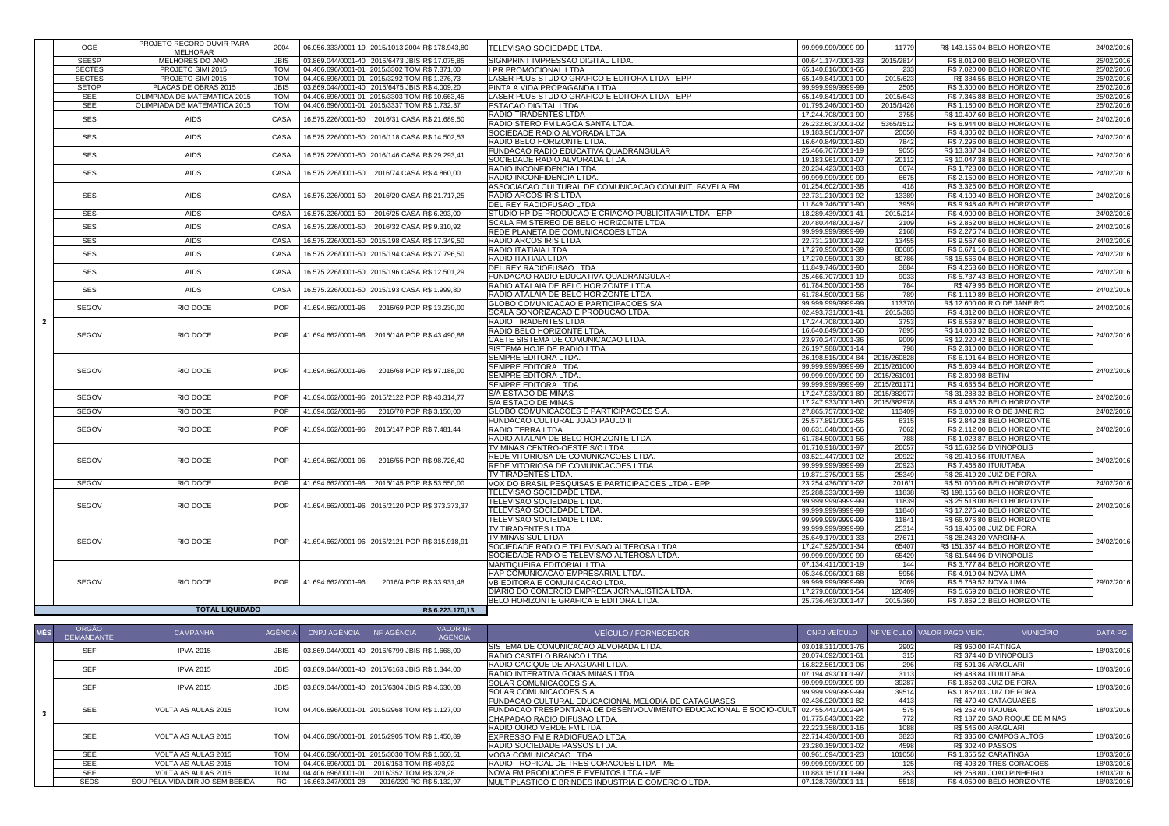|                | OGE           | PROJETO RECORD OUVIR PARA           | 2004        | 06.056.333/0001-19 2015/1013 2004 R\$ 178.943,80 |                            |                          | <b>TELEVISAO SOCIEDADE LTDA.</b>                                                | 99.999.999/9999-99                       | 11779            | R\$ 143.155,04 BELO HORIZONTE                              | 24/02/2016 |
|----------------|---------------|-------------------------------------|-------------|--------------------------------------------------|----------------------------|--------------------------|---------------------------------------------------------------------------------|------------------------------------------|------------------|------------------------------------------------------------|------------|
|                | <b>SEESP</b>  | <b>MELHORAR</b><br>MELHORES DO ANO  | <b>JBIS</b> | 03.869.044/0001-40 2015/6473 JBISR\$ 17.075,85   |                            |                          | <b>SIGNPRINT IMPRESSAO DIGITAL LTDA</b>                                         | 00.641.174/0001-33                       | 2015/2814        | R\$ 8.019,00 BELO HORIZONTE                                | 25/02/2016 |
|                | <b>SECTES</b> | PROJETO SIMI 2015                   | <b>TOM</b>  | 04.406.696/0001-01 2015/3302 TOM R\$ 7.371,00    |                            |                          | LPR PROMOCIONAL LTDA                                                            | 65.140.816/0001-66                       | 233              | R\$7.020,00 BELO HORIZONTE                                 | 25/02/2016 |
|                | <b>SECTES</b> | PROJETO SIMI 2015                   | <b>TOM</b>  | 04.406.696/0001-01 2015/3292 TOM R\$ 1.276,73    |                            |                          | LASER PLUS STUDIO GRAFICO E EDITORA LTDA - EPP                                  | 65.149.841/0001-00                       | 2015/623         | R\$ 384,55 BELO HORIZONTE                                  | 25/02/2016 |
|                | <b>SETOP</b>  | PLACAS DE OBRAS 2015                | <b>JBIS</b> | 03.869.044/0001-40 2015/6475 JBIS R\$ 4.009,20   |                            |                          | PINTA A VIDA PROPAGANDA LTDA.                                                   | 99.999.999/9999-99                       | 2505             | R\$ 3.300,00 BELO HORIZONTE                                | 25/02/2016 |
|                | <b>SEE</b>    | <b>OLIMPIADA DE MATEMATICA 2015</b> | <b>TOM</b>  | 04.406.696/0001-01 2015/3303 TOM R\$ 10.663,45   |                            |                          | LASER PLUS STUDIO GRAFICO E EDITORA LTDA - EPP                                  | 65.149.841/0001-00                       | 2015/643         | R\$7.345,88 BELO HORIZONTE                                 | 25/02/2016 |
|                | <b>SEE</b>    | <b>OLIMPIADA DE MATEMATICA 2015</b> | <b>TOM</b>  | 04.406.696/0001-01 2015/3337 TOM R\$ 1.732,37    |                            |                          | <b>ESTACAO DIGITAL LTDA.</b>                                                    | 01.795.246/0001-60                       | 2015/1426        | R\$ 1.180,00 BELO HORIZONTE                                | 25/02/2016 |
|                |               |                                     |             |                                                  |                            |                          | RADIO TIRADENTES LTDA                                                           | 17.244.708/0001-90                       | 3755             | R\$ 10.407,60 BELO HORIZONTE                               |            |
|                | <b>SES</b>    | <b>AIDS</b>                         | CASA        | 16.575.226/0001-50 2016/31 CASAR\$ 21.689,50     |                            |                          | RADIO STERO FM LAGOA SANTA LTDA.                                                | 26.232.603/0001-02                       | 5365/1512        | R\$ 6.944,00 BELO HORIZONTE                                | 24/02/2016 |
|                |               |                                     |             | 16.575.226/0001-50 2016/118 CASAR\$ 14.502,53    |                            |                          | SOCIEDADE RADIO ALVORADA LTDA.                                                  | 19.183.961/0001-07                       | 20050            | R\$4.306.02 BELO HORIZONTE                                 | 24/02/2016 |
|                | <b>SES</b>    | <b>AIDS</b>                         | <b>CASA</b> |                                                  |                            |                          | RADIO BELO HORIZONTE LTDA.                                                      | 16.640.849/0001-60                       | 7842             | R\$7.296,00 BELO HORIZONTE                                 |            |
|                | <b>SES</b>    | <b>AIDS</b>                         | <b>CASA</b> | 16.575.226/0001-50 2016/146 CASA R\$ 29.293,41   |                            |                          | <b>FUNDACAO RADIO EDUCATIVA QUADRANGULAR</b>                                    | 25.466.707/0001-19                       | 9055             | R\$13.387,34 BELO HORIZONTE                                | 24/02/2016 |
|                |               |                                     |             |                                                  |                            |                          | SOCIEDADE RADIO ALVORADA LTDA.                                                  | 19.183.961/0001-07                       | 20112            | R\$ 10.047,38 BELO HORIZONTE                               |            |
|                | <b>SES</b>    | <b>AIDS</b>                         | <b>CASA</b> | 16.575.226/0001-50 2016/74 CASAR\$ 4.860,00      |                            |                          | <b>RADIO INCONFIDENCIA LTDA</b>                                                 | 20.234.423/0001-83                       | 6674             | R\$ 1.728,00 BELO HORIZONTE                                | 24/02/2016 |
|                |               |                                     |             |                                                  |                            |                          | RADIO INCONFIDENCIA LTDA.                                                       | 99.999.999/9999-99                       | 6675             | R\$ 2.160,00 BELO HORIZONTE                                |            |
|                |               |                                     |             |                                                  |                            |                          | ASSOCIACAO CULTURAL DE COMUNICACAO COMUNIT. FAVELA FM                           | 01.254.602/0001-38                       | 418              | R\$ 3.325,00 BELO HORIZONTE                                |            |
|                | <b>SES</b>    | <b>AIDS</b>                         | <b>CASA</b> | 16.575.226/0001-50                               | 2016/20 CASA R\$ 21.717,25 |                          | RADIO ARCOS IRIS LTDA                                                           | 22.731.210/0001-92                       | 13389            | R\$4.100,40 BELO HORIZONTE                                 | 24/02/2016 |
|                |               |                                     |             |                                                  |                            |                          | <b>DEL REY RADIOFUSAO LTDA</b>                                                  | 11.849.746/0001-90                       | 3959             | R\$ 9.948,40 BELO HORIZONTE                                |            |
|                | <b>SES</b>    | <b>AIDS</b>                         | <b>CASA</b> | 16.575.226/0001-50                               | 2016/25 CASA R\$ 6.293,00  |                          | STUDIO HP DE PRODUCAO E CRIACAO PUBLICITARIA LTDA - EPP                         | 18.289.439/0001-41                       | 2015/214         | R\$4.900,00 BELO HORIZONTE                                 | 24/02/2016 |
|                | <b>SES</b>    | <b>AIDS</b>                         | CASA        | 16.575.226/0001-50 2016/32 CASAR\$ 9.310,92      |                            |                          | <b>SCALA FM STEREO DE BELO HORIZONTE LTDA</b>                                   | 20.480.448/0001-67                       | 2109             | R\$ 2.862,00 BELO HORIZONTE                                | 24/02/2016 |
|                |               |                                     |             |                                                  |                            |                          | REDE PLANETA DE COMUNICACOES LTDA                                               | 99.999.999/9999-99                       | 2168             | R\$ 2.276,74 BELO HORIZONTE                                |            |
|                | <b>SES</b>    | <b>AIDS</b>                         | <b>CASA</b> | 16.575.226/0001-50 2015/198 CASA R\$ 17.349,50   |                            |                          | <b>RADIO ARCOS IRIS LTDA</b>                                                    | 22.731.210/0001-92                       | 13455            | R\$ 9.567,60 BELO HORIZONTE                                | 24/02/2016 |
|                | <b>SES</b>    | <b>AIDS</b>                         | <b>CASA</b> | 16.575.226/0001-50 2015/194 CASA R\$ 27.796,50   |                            |                          | <b>RADIO ITATIAIA LTDA</b>                                                      | 17.270.950/0001-39                       | 80685            | R\$ 6.671,16 BELO HORIZONTE                                | 24/02/2016 |
|                |               |                                     |             |                                                  |                            |                          | <b>RADIO ITATIAIA LTDA</b>                                                      | 17.270.950/0001-39                       | 80786            | R\$ 15.566,04 BELO HORIZONTE                               |            |
|                | <b>SES</b>    | <b>AIDS</b>                         | <b>CASA</b> | 16.575.226/0001-50 2015/196 CASA R\$ 12.501,29   |                            |                          | <b>DEL REY RADIOFUSAO LTDA</b>                                                  | 11.849.746/0001-90                       | 3884             | R\$4.263,60 BELO HORIZONTE                                 | 24/02/2016 |
|                |               |                                     |             |                                                  |                            |                          | <b>FUNDACAO RADIO EDUCATIVA QUADRANGULAR</b>                                    | 25.466.707/0001-19                       | 9033             | R\$ 5.737,43 BELO HORIZONTE                                |            |
|                | <b>SES</b>    | <b>AIDS</b>                         | <b>CASA</b> | 16.575.226/0001-50 2015/193 CASA R\$ 1.999,80    |                            |                          | RADIO ATALAIA DE BELO HORIZONTE LTDA.                                           | 61.784.500/0001-56                       | 784              | R\$479,95 BELO HORIZONTE                                   | 24/02/2016 |
|                |               |                                     |             |                                                  |                            |                          | RADIO ATALAIA DE BELO HORIZONTE LTDA.                                           | 61.784.500/0001-56                       | 789              | R\$ 1.119,89 BELO HORIZONTE                                |            |
|                | SEGOV         | RIO DOCE                            | <b>POP</b>  | 41.694.662/0001-96                               | 2016/69 POP R\$ 13.230,00  |                          | <b>GLOBO COMUNICACAO E PARTICIPACOES S/A</b>                                    | 99.999.999/9999-99                       | 113370           | R\$ 12.600,00 RIO DE JANEIRO                               | 24/02/2016 |
|                |               |                                     |             |                                                  |                            |                          | SCALA SONORIZACAO E PRODUCAO LTDA.<br><b>RADIO TIRADENTES LTDA</b>              | 02.493.731/0001-41<br>17.244.708/0001-90 | 2015/383<br>3753 | R\$4.312,00 BELO HORIZONTE<br>R\$ 8.563,97 BELO HORIZONTE  |            |
| 2 <sub>1</sub> |               |                                     |             |                                                  |                            |                          | <b>RADIO BELO HORIZONTE LTDA.</b>                                               | 16.640.849/0001-60                       | 7895             | R\$ 14.008,32 BELO HORIZONTE                               |            |
|                | SEGOV         | RIO DOCE                            | <b>POP</b>  | 41.694.662/0001-96 2016/146 POPR\$ 43.490,88     |                            |                          | CAETE SISTEMA DE COMUNICACAO LTDA.                                              | 23.970.247/0001-36                       | 9009             | R\$ 12.220,42 BELO HORIZONTE                               | 24/02/2016 |
|                |               |                                     |             |                                                  |                            |                          | <b>SISTEMA HOJE DE RADIO LTDA.</b>                                              | 26.197.988/0001-14                       | 798              | R\$ 2.310,00 BELO HORIZONTE                                |            |
|                |               |                                     |             |                                                  |                            |                          | SEMPRE EDITORA LTDA.                                                            | 26.198.515/0004-84                       | 2015/260828      | R\$ 6.191,64 BELO HORIZONTE                                |            |
|                |               |                                     |             |                                                  |                            |                          | <b>SEMPRE EDITORA LTDA.</b>                                                     | 99.999.999/9999-99                       | 2015/261000      | R\$ 5.809,44 BELO HORIZONTE                                |            |
|                | SEGOV         | RIO DOCE                            | <b>POP</b>  | 41.694.662/0001-96                               | 2016/68 POP R\$ 97.188,00  |                          | <b>SEMPRE EDITORA LTDA.</b>                                                     | 99.999.999/9999-99                       | 2015/261001      | R\$ 2.800,98 BETIM                                         | 24/02/2016 |
|                |               |                                     |             |                                                  |                            |                          | <b>SEMPRE EDITORA LTDA</b>                                                      | 99.999.999/9999-99                       | 2015/261171      | R\$4.635,54 BELO HORIZONTE                                 |            |
|                |               |                                     |             |                                                  |                            |                          | <b>S/A ESTADO DE MINAS</b>                                                      | 17.247.933/0001-80                       | 2015/382977      | R\$ 31.288,32 BELO HORIZONTE                               |            |
|                | SEGOV         | RIO DOCE                            | <b>POP</b>  | 41.694.662/0001-96 2015/2122 POP R\$43.314,77    |                            |                          | S/A ESTADO DE MINAS                                                             | 17.247.933/0001-80                       | 2015/382978      | R\$4.435,20 BELO HORIZONTE                                 | 24/02/2016 |
|                | SEGOV         | RIO DOCE                            | <b>POP</b>  | 41.694.662/0001-96                               | 2016/70 POP R\$ 3.150,00   |                          | <b>GLOBO COMUNICACOES E PARTICIPACOES S.A</b>                                   | 27.865.757/0001-02                       | 113409           | R\$ 3.000,00 RIO DE JANEIRO                                | 24/02/2016 |
|                |               |                                     |             |                                                  |                            |                          | <b>FUNDACAO CULTURAL JOAO PAULO II</b>                                          | 25.577.891/0002-55                       | 6315             | R\$ 2.849,28 BELO HORIZONTE                                |            |
|                | SEGOV         | RIO DOCE                            | <b>POP</b>  | 41.694.662/0001-96                               | 2016/147 POP R\$ 7.481,44  |                          | <b>RADIO TERRA LTDA</b>                                                         | 00.631.648/0001-66                       | 7662             | R\$ 2.112,00 BELO HORIZONTE                                | 24/02/2016 |
|                |               |                                     |             |                                                  |                            |                          | RADIO ATALAIA DE BELO HORIZONTE LTDA.                                           | 61.784.500/0001-56                       | 788              | R\$ 1.023,87 BELO HORIZONTE                                |            |
|                |               |                                     |             |                                                  |                            |                          | TV MINAS CENTRO-OESTE S/C LTDA                                                  | 01.710.918/0001-97                       | 20057            | R\$ 15.682,56 DIVINOPOLIS                                  |            |
|                | SEGOV         | RIO DOCE                            | <b>POP</b>  | 41.694.662/0001-96                               | 2016/55 POP R\$ 98.726,40  |                          | <b>REDE VITORIOSA DE COMUNICACOES LTDA</b>                                      | 03.521.447/0001-02                       | 20922            | R\$ 29.410,56 ITUIUTABA                                    | 24/02/2016 |
|                |               |                                     |             |                                                  |                            |                          | <b>REDE VITORIOSA DE COMUNICACOES LTDA</b>                                      | 99.999.999/9999-99                       | 20923            | R\$ 7.468,80 ITUIUTABA                                     |            |
|                |               |                                     |             |                                                  |                            |                          | <b>TV TIRADENTES LTDA.</b>                                                      | 19.871.375/0001-55                       | 25349            | R\$ 26.419,20 JUIZ DE FORA                                 |            |
|                | SEGOV         | RIO DOCE                            | <b>POP</b>  | 41.694.662/0001-96 2016/145 POPR\$ 53.550,00     |                            |                          | VOX DO BRASIL PESQUISAS E PARTICIPACOES LTDA - EPP                              | 23.254.436/0001-02                       | 2016/1           | R\$ 51.000,00 BELO HORIZONTE                               | 24/02/2016 |
|                |               |                                     |             |                                                  |                            |                          | <b>TELEVISAO SOCIEDADE LTDA.</b>                                                | 25.288.333/0001-99                       | 11838            | R\$ 198.165,60 BELO HORIZONTE                              |            |
|                | SEGOV         | RIO DOCE                            | <b>POP</b>  | 41.694.662/0001-96 2015/2120 POP R\$ 373.373,37  |                            |                          | <b>TELEVISAO SOCIEDADE LTDA.</b>                                                | 99.999.999/9999-99                       | 11839            | R\$ 25.518,00 BELO HORIZONTE                               | 24/02/2016 |
|                |               |                                     |             |                                                  |                            |                          | <b>TELEVISAO SOCIEDADE LTDA</b>                                                 | 99.999.999/9999-99                       | 11840            | R\$17.276,40 BELO HORIZONTE                                |            |
|                |               |                                     |             |                                                  |                            |                          | <b>TELEVISAO SOCIEDADE LTDA.</b>                                                | 99.999.999/9999-99                       | 11841            | R\$ 66.976,80 BELO HORIZONTE                               |            |
|                |               |                                     |             |                                                  |                            |                          | <b>TV TIRADENTES LTDA.</b>                                                      | 99.999.999/9999-99                       | 25314            | R\$ 19.406,08 JUIZ DE FORA                                 |            |
|                | SEGOV         | RIO DOCE                            | <b>POP</b>  | 41.694.662/0001-96 2015/2121 POPR\$ 315.918.91   |                            |                          | TV MINAS SUL LTDA                                                               | 25.649.179/0001-33                       | 27671            | R\$ 28.243,20 VARGINHA                                     | 24/02/2016 |
|                |               |                                     |             |                                                  |                            |                          | SOCIEDADE RADIO E TELEVISAO ALTEROSA LTDA.                                      | 17.247.925/0001-34<br>99.999.999/9999-99 | 65407<br>65429   | R\$ 151.357,44 BELO HORIZONTE<br>R\$ 61.544,96 DIVINOPOLIS |            |
|                |               |                                     |             |                                                  |                            |                          | SOCIEDADE RADIO E TELEVISAO ALTEROSA LTDA.<br><b>MANTIQUEIRA EDITORIAL LTDA</b> | 07.134.411/0001-19                       | 144              | R\$ 3.777,84 BELO HORIZONTE                                |            |
|                |               |                                     |             |                                                  |                            |                          | HAP COMUNICACAO EMPRESARIAL LTDA.                                               | 05.346.096/0001-68                       | 5956             | R\$ 4.919,04 NOVA LIMA                                     |            |
|                | SEGOV         | RIO DOCE                            | <b>POP</b>  | 41.694.662/0001-96                               |                            | 2016/4 POP R\$ 33.931,48 | <b>VB EDITORA E COMUNICACAO LTDA</b>                                            | 99.999.999/9999-99                       | 7069             | R\$ 5.759,52 NOVA LIMA                                     | 29/02/2016 |
|                |               |                                     |             |                                                  |                            |                          | DIARIO DO COMERCIO EMPRESA JORNALISTICA LTDA.                                   | 17.279.068/0001-54                       | 126409           | R\$ 5.659,20 BELO HORIZONTE                                |            |
|                |               |                                     |             |                                                  |                            |                          | BELO HORIZONTE GRAFICA E EDITORA LTDA.                                          | 25.736.463/0001-47                       | 2015/360         | R\$7.869,12 BELO HORIZONTE                                 |            |
|                |               | <b>TOTAL LIQUIDADO</b>              |             |                                                  |                            | R\$ 6.223.170,13         |                                                                                 |                                          |                  |                                                            |            |
|                |               |                                     |             |                                                  |                            |                          |                                                                                 |                                          |                  |                                                            |            |

| <b>MÊS</b> | ORGÃO<br><b>DEMANDANTE</b> | <b>CAMPANHA</b>                 |             | AGÊNCIA CNPJAGÊNCIA                                        | NF AGÊNCIA               | <b>VALOR NF</b><br><b>AGÊNCIA</b> | VEÍCULO / FORNECEDOR                                            | CNPJ VEÍCULO         |        | NF VEÍCULO VALOR PAGO VEÍC. | <b>MUNICÍPIO</b>              | DATA PG.   |
|------------|----------------------------|---------------------------------|-------------|------------------------------------------------------------|--------------------------|-----------------------------------|-----------------------------------------------------------------|----------------------|--------|-----------------------------|-------------------------------|------------|
|            | <b>SEF</b>                 | <b>IPVA 2015</b>                | <b>JBIS</b> | 03.869.044/0001-40 2016/6799 JBISR\$ 1.668,00              |                          |                                   | SISTEMA DE COMUNICACAO ALVORADA LTDA.                           | 03.018.311/0001-76   | 2902   |                             | <b>R\$ 960,00 IPATINGA</b>    | 18/03/2016 |
|            |                            |                                 |             |                                                            |                          |                                   | RADIO CASTELO BRANCO LTDA.                                      | 20.074.092/0001-61   | 315    |                             | R\$ 374,40 DIVINOPOLIS        |            |
|            | <b>SEF</b>                 | <b>IPVA 2015</b>                | <b>JBIS</b> | 03.869.044/0001-40 2015/6163 JBISR\$ 1.344,00              |                          |                                   | RADIO CACIQUE DE ARAGUARI LTDA.                                 | 16.822.561/0001-06   | 296    |                             | R\$ 591,36 ARAGUARI           | 18/03/2016 |
|            |                            |                                 |             |                                                            |                          |                                   | <b>IRADIO INTERATIVA GOIAS MINAS LTDA.</b>                      | 07.194.493/0001-97   | 3113   |                             | R\$ 483,84 ITUIUTABA          |            |
|            | <b>SEF</b>                 | <b>IPVA 2015</b>                | <b>JBIS</b> | 03.869.044/0001-40 2015/6304 JBISR\$ 4.630,08              |                          |                                   | <b>SOLAR COMUNICACOES S.A.</b>                                  | 99.999.999/9999-99   | 39287  |                             | R\$ 1.852,03 JUIZ DE FORA     | 18/03/2016 |
|            |                            |                                 |             |                                                            |                          |                                   | <b>SOLAR COMUNICACOES S.A.</b>                                  | 99.999.999/9999-99   | 39514  |                             | R\$ 1.852,03 JUIZ DE FORA     |            |
|            |                            |                                 |             |                                                            |                          |                                   | <b>FUNDACAO CULTURAL EDUCACIONAL MELODIA DE CATAGUASES</b>      | 02.436.920/0001-82   | 4413   |                             | R\$470,40 CATAGUASES          |            |
|            | <b>SEE</b>                 | <b>VOLTA AS AULAS 2015</b>      |             | 04.406.696/0001-01 2015/2968 TOM R\$ 1.127,00              |                          |                                   | FUNDACAO TRESPONTANA DE DESENVOLVIMENTO EDUCACIONAL E SOCIO-CUL | T 02.455.441/0002-94 |        | R\$ 262,40 ITAJUBA          |                               | 18/03/2016 |
|            |                            |                                 |             |                                                            |                          |                                   | ICHAPADAO RADIO DIFUSAO LTDA.                                   | 01.775.843/0001-22   | 772    |                             | R\$ 187,20 SAO ROQUE DE MINAS |            |
|            |                            |                                 |             |                                                            |                          |                                   | <b>RADIO OURO VERDE FM LTDA.</b>                                | 22.223.358/0001-16   | 1088   |                             | R\$ 546,00 ARAGUARI           |            |
|            | <b>SEE</b>                 | <b>VOLTA AS AULAS 2015</b>      |             | 04.406.696/0001-01 2015/2905 TOM R\$ 1.450,89              |                          |                                   | EXPRESSO FM E RADIOFUSAO LTDA.                                  | 22.714.430/0001-08   | 3823   |                             | R\$ 336,00 CAMPOS ALTOS       | 18/03/2016 |
|            |                            |                                 |             |                                                            |                          |                                   | <b>RADIO SOCIEDADE PASSOS LTDA.</b>                             | 23.280.159/0001-02   | 4598   | R\$ 302,40 PASSOS           |                               |            |
|            | SEE                        | <b>VOLTA AS AULAS 2015</b>      | <b>TOM</b>  | 04.406.696/0001-01 2015/3030 TOM R\$ 1.660,51              |                          |                                   | <b>VOGA COMUNICACAO LTDA.</b>                                   | 00.961.694/0001-23   | 101058 |                             | R\$ 1.355,52 CARATINGA        | 18/03/2016 |
|            | <b>SEE</b>                 | VOLTA AS AULAS 2015             | <b>TOM</b>  | $\vert$ 04.406.696/0001-01 $\vert$ 2016/153 TOM R\$ 493,92 |                          |                                   | RADIO TROPICAL DE TRES CORACOES LTDA - ME                       | 99.999.999/9999-99   |        |                             | R\$403,20 TRES CORACOES       | 18/03/2016 |
|            | SEE                        | VOLTA AS AULAS 2015             | <b>TOM</b>  | $\vert$ 04.406.696/0001-01   2016/352 TOM R\$ 329,28       |                          |                                   | <b>NOVA FM PRODUCOES E EVENTOS LTDA - ME</b>                    | 10.883.151/0001-99   | 253    |                             | R\$ 268,80 JOAO PINHEIRO      | 18/03/2016 |
|            | <b>SEDS</b>                | SOU PELA VIDA.DIRIJO SEM BEBIDA | <b>RC</b>   | 16.663.247/0001-28                                         | 2016/220 RC R\$ 5.132,97 |                                   | MULTIPLASTICO E BRINDES INDUSTRIA E COMERCIO LTDA.              | 07.128.730/0001-11   | 5518   |                             | R\$4.050,00 BELO HORIZONTE    | 18/03/2016 |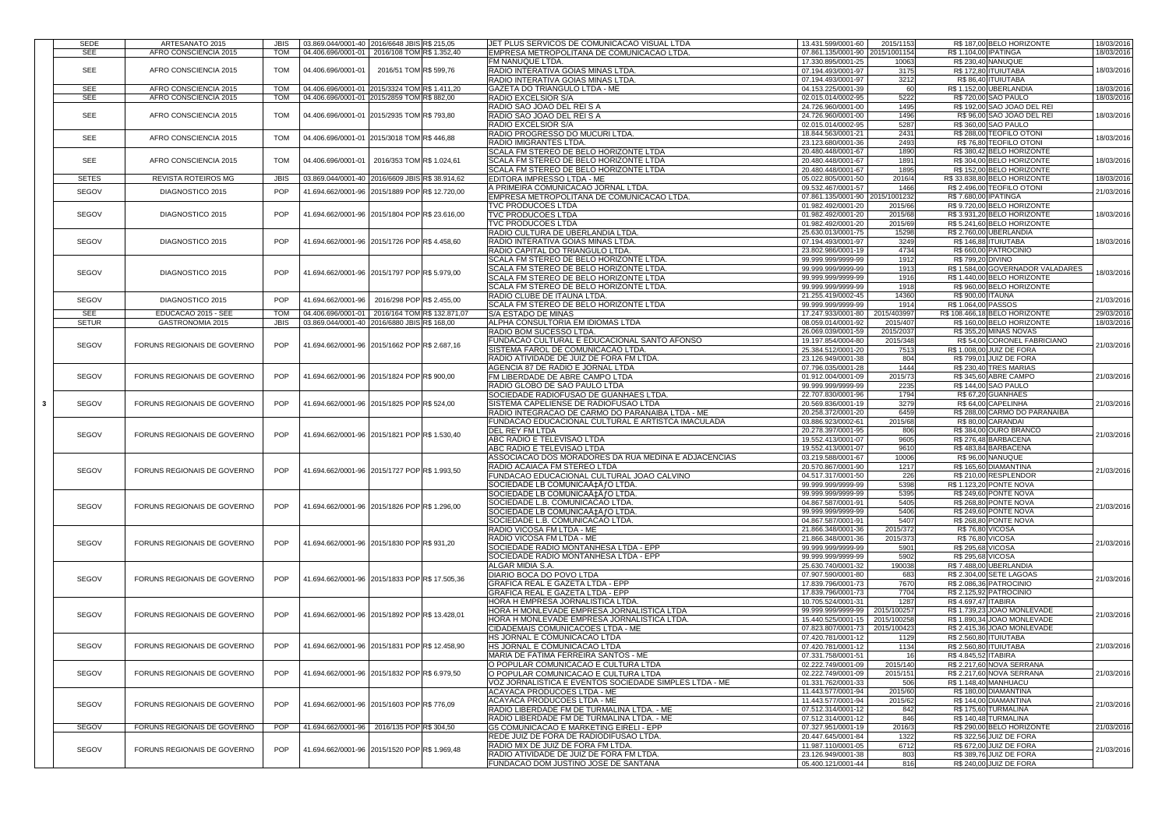| <b>SEDE</b>  | ARTESANATO 2015             | <b>JBIS</b> | 03.869.044/0001-40 2016/6648 JBISR\$ 215,05       | JET PLUS SERVICOS DE COMUNICACAO VISUAL LTDA                                            | 13.431.599/0001-60                       | 2015/1153   |                             | R\$187,00 BELO HORIZONTE                           |                          |
|--------------|-----------------------------|-------------|---------------------------------------------------|-----------------------------------------------------------------------------------------|------------------------------------------|-------------|-----------------------------|----------------------------------------------------|--------------------------|
|              |                             |             |                                                   |                                                                                         |                                          |             |                             |                                                    | 18/03/2016               |
| <b>SEE</b>   | AFRO CONSCIENCIA 2015       | <b>TOM</b>  | 04.406.696/0001-01   2016/108 TOM R\$ 1.352,40    | EMPRESA METROPOLITANA DE COMUNICACAO LTDA.                                              | 07.861.135/0001-90 2015/1001154          |             | R\$ 1.104,00 IPATINGA       |                                                    | 18/03/2016               |
|              |                             |             |                                                   | FM NANUQUE LTDA.                                                                        | 17.330.895/0001-25                       | 10063       | <b>R\$ 230,40 NANUQUE</b>   |                                                    |                          |
| <b>SEE</b>   | AFRO CONSCIENCIA 2015       | <b>TOM</b>  | 2016/51 TOM R\$ 599,76<br>04.406.696/0001-0       | RADIO INTERATIVA GOIAS MINAS LTDA.                                                      | 07.194.493/0001-97                       | 3175        | <b>R\$ 172,80 ITUIUTABA</b> |                                                    | 18/03/2016               |
|              |                             |             |                                                   |                                                                                         |                                          |             |                             |                                                    |                          |
|              |                             |             |                                                   | RADIO INTERATIVA GOIAS MINAS LTDA.                                                      | 07.194.493/0001-97                       | 3212        |                             | R\$86,40 ITUIUTABA                                 |                          |
| <b>SEE</b>   | AFRO CONSCIENCIA 2015       |             | 04.406.696/0001-01 2015/3324 TOM R\$ 1.411,20     | <b>GAZETA DO TRIANGULO LTDA - ME</b>                                                    | 04.153.225/0001-39                       | 60          |                             | R\$ 1.152,00 UBERLANDIA                            | 18/03/2016               |
| <b>SEE</b>   | AFRO CONSCIENCIA 2015       | <b>TOM</b>  | 04.406.696/0001-01 2015/2859 TOM R\$ 882,00       | <b>RADIO EXCELSIOR S/A</b>                                                              | 02.015.014/0002-95                       | 5222        |                             | <b>R\$720,00 SAO PAULO</b>                         | 18/03/2016               |
|              |                             |             |                                                   |                                                                                         |                                          |             |                             |                                                    |                          |
|              |                             |             |                                                   | RADIO SAO JOAO DEL REI S A                                                              | 24.726.960/0001-00                       | 1495        |                             | R\$ 192,00 SAO JOAO DEL REI                        |                          |
| <b>SEE</b>   | AFRO CONSCIENCIA 2015       | <b>TOM</b>  | 04.406.696/0001-01 2015/2935 TOM R\$ 793,80       | RADIO SAO JOAO DEL REI S A                                                              | 24.726.960/0001-00                       | 1496        |                             | R\$ 96,00 SAO JOAO DEL REI                         | 18/03/2016               |
|              |                             |             |                                                   | RADIO EXCELSIOR S/A                                                                     | 02.015.014/0002-95                       | 5287        |                             | <b>R\$ 360,00 SAO PAULO</b>                        |                          |
|              |                             |             |                                                   | RADIO PROGRESSO DO MUCURI LTDA                                                          | 18.844.563/0001-21                       | 2431        |                             | R\$ 288,00 TEOFILO OTONI                           |                          |
| <b>SEE</b>   | AFRO CONSCIENCIA 2015       | <b>TOM</b>  | 04.406.696/0001-01 2015/3018 TOM R\$446,88        |                                                                                         |                                          |             |                             |                                                    | 18/03/2016               |
|              |                             |             |                                                   | RADIO IMIGRANTES LTDA.                                                                  | 23.123.680/0001-36                       | 2493        |                             | R\$ 76,80 TEOFILO OTONI                            |                          |
|              |                             |             |                                                   | <b>SCALA FM STEREO DE BELO HORIZONTE LTDA</b>                                           | 20.480.448/0001-67                       | 1890        |                             | R\$ 380,42 BELO HORIZONTE                          |                          |
| <b>SEE</b>   | AFRO CONSCIENCIA 2015       | <b>TOM</b>  | 04.406.696/0001-01 2016/353 TOM R\$ 1.024,61      | <b>SCALA FM STEREO DE BELO HORIZONTE LTDA</b>                                           | 20.480.448/0001-67                       | 1891        |                             | R\$ 304,00 BELO HORIZONTE                          | 18/03/2016               |
|              |                             |             |                                                   | ISCALA FM STEREO DE BELO HORIZONTE LTDA                                                 |                                          |             |                             |                                                    |                          |
|              |                             |             |                                                   |                                                                                         | 20.480.448/0001-67                       | 1895        |                             | R\$ 152,00 BELO HORIZONTE                          |                          |
| <b>SETES</b> | <b>REVISTA ROTEIROS MG</b>  | <b>JBIS</b> | 03.869.044/0001-40 2016/6609 JBISR\$ 38.914,62    | EDITORA IMPRESSO LTDA - ME                                                              | 05.022.805/0001-50                       | 2016/4      |                             | R\$ 33.838,80 BELO HORIZONTE                       | 18/03/2016               |
|              |                             |             |                                                   | A PRIMEIRA COMUNICACAO JORNAL LTDA                                                      | 09.532.467/0001-57                       | 1466        |                             | R\$ 2.496,00 TEOFILO OTONI                         |                          |
| <b>SEGOV</b> | DIAGNOSTICO 2015            | <b>POP</b>  | 41.694.662/0001-96 2015/1889 POPR\$ 12.720.00     | EMPRESA METROPOLITANA DE COMUNICACAO LTDA.                                              | 07.861.135/0001-90 2015/1001232          |             | R\$ 7.680,00 IPATINGA       |                                                    | 21/03/2016               |
|              |                             |             |                                                   |                                                                                         |                                          |             |                             | R\$ 9.720,00 BELO HORIZONTE                        |                          |
|              |                             |             |                                                   | <b>TVC PRODUCOES LTDA</b>                                                               | 01.982.492/0001-20                       | 2015/66     |                             |                                                    |                          |
| SEGOV        | DIAGNOSTICO 2015            | <b>POP</b>  | 41.694.662/0001-96 2015/1804 POP R\$ 23.616,00    | <b>TVC PRODUCOES LTDA</b>                                                               | 01.982.492/0001-20                       | 2015/68     |                             | R\$ 3.931,20 BELO HORIZONTE                        | 18/03/2016               |
|              |                             |             |                                                   | <b>TVC PRODUCOES LTDA</b>                                                               | 01.982.492/0001-20                       | 2015/69     |                             | R\$ 5.241,60 BELO HORIZONTE                        |                          |
|              |                             |             |                                                   | RADIO CULTURA DE UBERLANDIA LTDA.                                                       | 25.630.013/0001-75                       | 15298       |                             | R\$ 2.760,00 UBERLANDIA                            |                          |
|              |                             |             |                                                   |                                                                                         |                                          |             |                             |                                                    |                          |
| <b>SEGOV</b> | DIAGNOSTICO 2015            | <b>POP</b>  | 41.694.662/0001-96 2015/1726 POP R\$ 4.458,60     | RADIO INTERATIVA GOIAS MINAS LTDA.                                                      | 07.194.493/0001-97                       | 3249        |                             | R\$ 146,88 ITUIUTABA                               | 18/03/2016               |
|              |                             |             |                                                   | RADIO CAPITAL DO TRIANGULO LTDA.                                                        | 23.802.986/0001-19                       | 4734        |                             | R\$ 660,00 PATROCINIO                              |                          |
|              |                             |             |                                                   | <b>SCALA FM STEREO DE BELO HORIZONTE LTDA</b>                                           | 99.999.999/9999-99                       | 1912        | R\$ 799,20 DIVINO           |                                                    |                          |
|              |                             |             |                                                   | SCALA FM STEREO DE BELO HORIZONTE LTDA                                                  | 99.999.999/9999-99                       | 1913        |                             | R\$ 1.584,00 GOVERNADOR VALADARES                  |                          |
| <b>SEGOV</b> | DIAGNOSTICO 2015            | <b>POP</b>  | 41.694.662/0001-96 2015/1797 POP R\$ 5.979,00     |                                                                                         |                                          |             |                             |                                                    | 18/03/2016               |
|              |                             |             |                                                   | SCALA FM STEREO DE BELO HORIZONTE LTDA                                                  | 99.999.999/9999-99                       | 1916        |                             | R\$ 1.440,00 BELO HORIZONTE                        |                          |
|              |                             |             |                                                   | ISCALA FM STEREO DE BELO HORIZONTE LTDA.                                                | 99.999.999/9999-99                       | 1918        |                             | R\$960,00 BELO HORIZONTE                           |                          |
|              |                             |             |                                                   | RADIO CLUBE DE ITAUNA LTDA.                                                             | 21.255.419/0002-45                       | 14360       | R\$ 900,00 ITAUNA           |                                                    |                          |
| <b>SEGOV</b> | DIAGNOSTICO 2015            | <b>POP</b>  | 2016/298 POP R\$ 2.455,00<br>41.694.662/0001-96   |                                                                                         | 99.999.999/9999-99                       | 1914        | R\$ 1.064,00 PASSOS         |                                                    | 21/03/2016               |
|              |                             |             |                                                   | SCALA FM STEREO DE BELO HORIZONTE LTDA                                                  |                                          |             |                             |                                                    |                          |
| <b>SEE</b>   | EDUCACAO 2015 - SEE         | <b>TOM</b>  | 2016/164 TOM R\$ 132.871,07<br>04.406.696/0001-01 | <b>S/A ESTADO DE MINAS</b>                                                              | 17.247.933/0001-80                       | 2015/403997 |                             | R\$ 108.466,18 BELO HORIZONTE                      | 29/03/2016               |
| <b>SETUR</b> | GASTRONOMIA 2015            | <b>JBIS</b> | 03.869.044/0001-40 2016/6880 JBISR\$ 168,00       | ALPHA CONSULTORIA EM IDIOMAS LTDA                                                       | 08.059.014/0001-92                       | 2015/407    |                             | R\$ 160,00 BELO HORIZONTE                          | 18/03/2016               |
|              |                             |             |                                                   | RADIO BOM SUCESSO LTDA.                                                                 | 26.069.039/0001-59                       | 2015/2037   |                             | <b>R\$ 355,20 MINAS NOVAS</b>                      |                          |
|              |                             |             |                                                   |                                                                                         |                                          |             |                             |                                                    |                          |
| SEGOV        | FORUNS REGIONAIS DE GOVERNO | POP         | 41.694.662/0001-96 2015/1662 POPR\$ 2.687,16      | FUNDACAO CULTURAL E EDUCACIONAL SANTO AFONSO                                            | 19.197.854/0004-80                       | 2015/348    |                             | R\$ 54,00 CORONEL FABRICIANO                       | 21/03/2016               |
|              |                             |             |                                                   | SISTEMA FAROL DE COMUNICACAO LTDA.                                                      | 25.384.512/0001-20                       | 7513        |                             | R\$ 1.008,00 JUIZ DE FORA                          |                          |
|              |                             |             |                                                   | IRADIO ATIVIDADE DE JUIZ DE FORA FM LTDA.                                               | 23.126.949/0001-38                       | 804         |                             | R\$ 799,01 JUIZ DE FORA                            |                          |
|              |                             |             |                                                   | AGENCIA 87 DE RADIO E JORNAL LTDA                                                       | 07.796.035/0001-28                       | 1444        |                             | R\$ 230,40 TRES MARIAS                             |                          |
| <b>SEGOV</b> | FORUNS REGIONAIS DE GOVERNO | <b>POP</b>  | 41.694.662/0001-96 2015/1824 POP R\$ 900,00       | FM LIBERDADE DE ABRE CAMPO LTDA                                                         | 01.912.004/0001-09                       | 2015/73     |                             | R\$345,60 ABRE CAMPO                               | 21/03/2016               |
|              |                             |             |                                                   |                                                                                         |                                          |             |                             |                                                    |                          |
|              |                             |             |                                                   | RADIO GLOBO DE SAO PAULO LTDA                                                           | 99.999.999/9999-99                       | 2235        |                             | R\$ 144,00 SAO PAULO                               |                          |
|              |                             |             |                                                   | SOCIEDADE RADIOFUSAO DE GUANHAES LTDA.                                                  | 22.707.830/0001-96                       | 1794        |                             | R\$ 67,20 GUANHAES                                 |                          |
| <b>SEGOV</b> | FORUNS REGIONAIS DE GOVERNO | <b>POP</b>  | 41.694.662/0001-96 2015/1825 POP R\$ 524,00       | SISTEMA CAPELIENSE DE RADIOFUSAO LTDA                                                   | 20.569.836/0001-19                       | 3279        |                             | R\$ 64,00 CAPELINHA                                | 21/03/2016               |
|              |                             |             |                                                   | RADIO INTEGRACAO DE CARMO DO PARANAIBA LTDA - ME                                        | 20.258.372/0001-20                       | 6459        |                             | R\$ 288,00 CARMO DO PARANAIBA                      |                          |
|              |                             |             |                                                   | FUNDACAO EDUCACIONAL CULTURAL E ARTISTCA IMACULADA                                      | 03.886.923/0002-61                       | 2015/68     |                             | R\$80,00 CARANDAI                                  |                          |
|              |                             |             |                                                   |                                                                                         |                                          |             |                             |                                                    |                          |
| <b>SEGOV</b> | FORUNS REGIONAIS DE GOVERNO | POP         | 41.694.662/0001-96 2015/1821 POPR\$ 1.530,40      | DEL REY FM LTDA                                                                         | 20.278.397/0001-95                       | 806         |                             | R\$ 384,00 OURO BRANCO                             | 21/03/2016               |
|              |                             |             |                                                   | <b>ABC RADIO E TELEVISAO LTDA</b>                                                       | 19.552.413/0001-07                       | 9605        |                             | R\$276,48 BARBACENA                                |                          |
|              |                             |             |                                                   | <b>ABC RADIO E TELEVISAO LTDA</b>                                                       | 19.552.413/0001-07                       | 9610        |                             | R\$483,84 BARBACENA                                |                          |
|              |                             |             |                                                   | ASSOCIACAO DOS MORADORES DA RUA MEDINA E ADJACENCIAS                                    | 03.219.588/0001-67                       | 10006       |                             | <b>R\$ 96,00 NANUQUE</b>                           |                          |
|              |                             |             |                                                   |                                                                                         |                                          |             |                             | R\$ 165,60 DIAMANTINA                              |                          |
|              |                             |             |                                                   | RADIO ACAIACA FM STEREO LTDA                                                            |                                          | 1217        |                             |                                                    |                          |
|              |                             |             |                                                   |                                                                                         | 20.570.867/0001-90                       |             |                             |                                                    |                          |
| SEGOV        | FORUNS REGIONAIS DE GOVERNO | POP         | 41.694.662/0001-96 2015/1727 POP R\$ 1.993,50     | FUNDACAO EDUCACIONAL CULTURAL JOAO CALVINO                                              | 04.517.317/0001-50                       | 226         |                             | R\$ 210,00 RESPLENDOR                              |                          |
|              |                             |             |                                                   |                                                                                         |                                          |             |                             |                                                    |                          |
|              |                             |             |                                                   | SOCIEDADE LB COMUNICAÇà fO LTDA.                                                        | 99.999.999/9999-99                       | 5398        |                             | R\$ 1.123,20 PONTE NOVA                            |                          |
|              |                             |             |                                                   | SOCIEDADE LB COMUNICAÇÃ <i>ƒ</i> O LTDA.                                                | 99.999.999/9999-99                       | 5395        |                             | <b>R\$ 249,60 PONTE NOVA</b>                       |                          |
| SEGOV        | FORUNS REGIONAIS DE GOVERNO | <b>POP</b>  | 41.694.662/0001-96 2015/1826 POPR\$ 1.296,00      | SOCIEDADE L.B. COMUNICACAO LTDA                                                         | 04.867.587/0001-91                       | 5405        |                             | <b>R\$ 268,80 PONTE NOVA</b>                       |                          |
|              |                             |             |                                                   | SOCIEDADE LB COMUNICAÇà fO LTDA.                                                        | 99.999.999/9999-99                       | 5406        |                             | <b>R\$ 249,60 PONTE NOVA</b>                       |                          |
|              |                             |             |                                                   | SOCIEDADE L.B. COMUNICACAO LTDA                                                         | 04.867.587/0001-91                       | 5407        |                             | <b>R\$ 268,80 PONTE NOVA</b>                       |                          |
|              |                             |             |                                                   |                                                                                         |                                          |             |                             |                                                    |                          |
|              |                             |             |                                                   | RADIO VICOSA FM LTDA - ME                                                               | 21.866.348/0001-36                       | 2015/372    | R\$ 76,80 VICOSA            |                                                    | 21/03/2016<br>21/03/2016 |
| <b>SEGOV</b> | FORUNS REGIONAIS DE GOVERNO | POP         | 41.694.662/0001-96 2015/1830 POP R\$ 931,20       | RADIO VICOSA FM LTDA - ME                                                               | 21.866.348/0001-36                       | 2015/373    | R\$ 76,80 VICOSA            |                                                    | 21/03/2016               |
|              |                             |             |                                                   | SOCIEDADE RADIO MONTANHESA LTDA - EPP                                                   | 99.999.999/9999-99                       | 5901        | R\$ 295,68 VICOSA           |                                                    |                          |
|              |                             |             |                                                   | SOCIEDADE RADIO MONTANHESA LTDA - EPP                                                   | 99.999.999/9999-99                       | 5902        | R\$ 295,68 VICOSA           |                                                    |                          |
|              |                             |             |                                                   | ALGAR MIDIA S.A.                                                                        |                                          | 190038      |                             |                                                    |                          |
|              |                             |             |                                                   |                                                                                         | 25.630.740/0001-32                       |             |                             | R\$ 7.488,00 UBERLANDIA                            |                          |
| SEGOV        | FORUNS REGIONAIS DE GOVERNO | <b>POP</b>  | 41.694.662/0001-96 2015/1833 POPR\$ 17.505,36     | <b>DIARIO BOCA DO POVO LTDA</b>                                                         | 07.907.590/0001-80                       | 683         |                             | R\$ 2.304,00 SETE LAGOAS                           |                          |
|              |                             |             |                                                   | <b>GRAFICA REAL E GAZETA LTDA - EPP</b>                                                 | 17.839.796/0001-73                       | 7670        |                             | R\$ 2.086,36 PATROCINIO                            |                          |
|              |                             |             |                                                   | <b>GRAFICA REAL E GAZETA LTDA - EPP</b>                                                 | 17.839.796/0001-73                       | 7704        |                             | R\$ 2.125,92 PATROCINIO                            |                          |
|              |                             |             |                                                   | HORA H EMPRESA JORNALISTICA LTDA.                                                       | 10.705.524/0001-31                       | 1287        | R\$ 4.697,47 ITABIRA        |                                                    | 21/03/2016               |
|              |                             |             |                                                   |                                                                                         |                                          |             |                             |                                                    |                          |
| <b>SEGOV</b> | FORUNS REGIONAIS DE GOVERNO | POP         | 41.694.662/0001-96 2015/1892 POP R\$ 13.428,01    | HORA H MONLEVADE EMPRESA JORNALISTICA LTDA                                              | 99.999.999/9999-99   2015/100257         |             |                             | R\$ 1.739,23 JOAO MONLEVADE                        |                          |
|              |                             |             |                                                   | HORA H MONLEVADE EMPRESA JORNALISTICA LTDA.                                             | 15.440.525/0001-15   2015/100258         |             |                             | R\$ 1.890,34 JOAO MONLEVADE                        | 21/03/2016               |
|              |                             |             |                                                   | <b>CIDADEMAIS COMUNICACOES LTDA - ME</b>                                                | 07.823.807/0001-73 2015/100423           |             |                             | R\$ 2.415,36 JOAO MONLEVADE                        |                          |
|              |                             |             |                                                   | IHS JORNAL E COMUNICACAO LTDA                                                           | 07.420.781/0001-12                       | 1129        | R\$ 2.560,80 ITUIUTABA      |                                                    |                          |
|              |                             |             |                                                   |                                                                                         |                                          |             |                             |                                                    |                          |
| SEGOV        | FORUNS REGIONAIS DE GOVERNO | <b>POP</b>  | 41.694.662/0001-96 2015/1831 POPR\$ 12.458,90     | HS JORNAL E COMUNICACAO LTDA                                                            | 07.420.781/0001-12                       | 1134        | R\$ 2.560,80 ITUIUTABA      |                                                    |                          |
|              |                             |             |                                                   | MARIA DE FATIMA FERREIRA SANTOS - ME                                                    | 07.331.758/0001-51                       | 16          | R\$4.845,52 ITABIRA         |                                                    |                          |
|              |                             |             |                                                   | O POPULAR COMUNICACAO E CULTURA LTDA                                                    | 02.222.749/0001-09                       | 2015/140    |                             | R\$ 2.217,60 NOVA SERRANA                          | 21/03/2016               |
| SEGOV        | FORUNS REGIONAIS DE GOVERNO | POP         | 41.694.662/0001-96 2015/1832 POPR\$ 6.979,50      | O POPULAR COMUNICACAO E CULTURA LTDA                                                    | 02.222.749/0001-09                       | 2015/151    |                             | R\$ 2.217,60 NOVA SERRANA                          |                          |
|              |                             |             |                                                   | VOZ JORNALISTICA E EVENTOS SOCIEDADE SIMPLES LTDA - ME                                  | 01.331.762/0001-33                       | 506         | R\$ 1.148,40 MANHUACU       |                                                    |                          |
|              |                             |             |                                                   |                                                                                         |                                          |             |                             |                                                    |                          |
|              |                             |             |                                                   | ACAYACA PRODUCOES LTDA - ME                                                             | 11.443.577/0001-94                       | 2015/60     |                             | R\$180,00 DIAMANTINA                               |                          |
| SEGOV        | FORUNS REGIONAIS DE GOVERNO | POP         | 41.694.662/0001-96 2015/1603 POP R\$ 776,09       | ACAYACA PRODUCOES LTDA - ME                                                             | 11.443.577/0001-94                       | 2015/62     |                             | R\$ 144,00 DIAMANTINA                              |                          |
|              |                             |             |                                                   | RADIO LIBERDADE FM DE TURMALINA LTDA. - ME                                              | 07.512.314/0001-12                       | 842         |                             | R\$ 175,60 TURMALINA                               |                          |
|              |                             |             |                                                   | RADIO LIBERDADE FM DE TURMALINA LTDA. - ME                                              | 07.512.314/0001-12                       | 846         |                             | R\$ 140,48 TURMALINA                               | 21/03/2016<br>21/03/2016 |
|              |                             |             |                                                   |                                                                                         |                                          |             |                             |                                                    |                          |
| <b>SEGOV</b> | FORUNS REGIONAIS DE GOVERNO | <b>POP</b>  | 41.694.662/0001-96 2016/135 POPR\$ 304.50         | G5 COMUNICACAO E MARKETING EIRELI - EPP                                                 | 07.327.951/0001-19                       | 2016/3      |                             | R\$ 290,00 BELO HORIZONTE                          | 21/03/2016               |
|              |                             |             |                                                   | REDE JUIZ DE FORA DE RADIODIFUSAO LTDA.                                                 | 20.447.645/0001-84                       | 1322        |                             | R\$ 322,56 JUIZ DE FORA                            |                          |
|              |                             | <b>POP</b>  |                                                   | RADIO MIX DE JUIZ DE FORA FM LTDA.                                                      | 11.987.110/0001-05                       | 6712        |                             | R\$ 672,00 JUIZ DE FORA                            |                          |
| SEGOV        | FORUNS REGIONAIS DE GOVERNO |             | 41.694.662/0001-96 2015/1520 POPR\$ 1.969,48      | RADIO ATIVIDADE DE JUIZ DE FORA FM LTDA.<br><b>FUNDACAO DOM JUSTINO JOSE DE SANTANA</b> | 23.126.949/0001-38<br>05.400.121/0001-44 | 803<br>816  |                             | R\$ 389,76 JUIZ DE FORA<br>R\$ 240,00 JUIZ DE FORA | 21/03/2016               |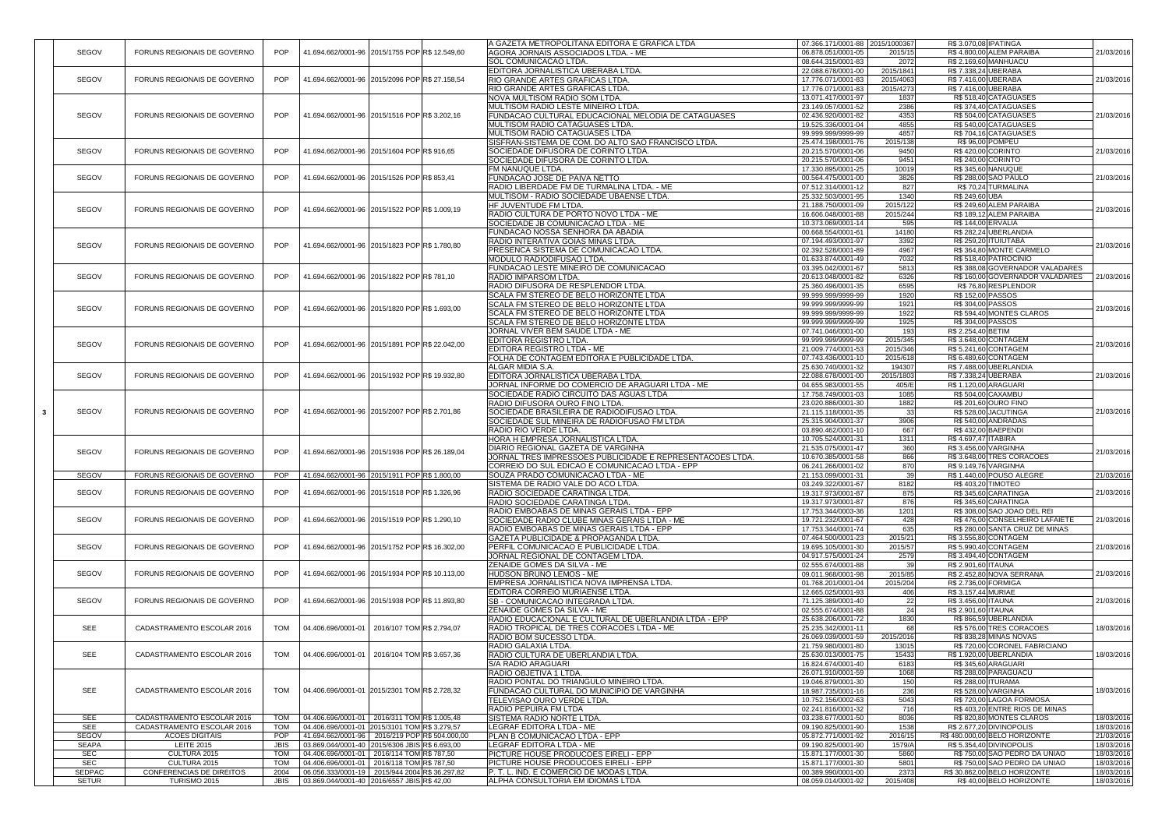|               |                                 |             |                                                | A GAZETA METROPOLITANA EDITORA E GRAFICA LTDA                                          | 07.366.171/0001-88 2015/1000367          |                        | R\$ 3.070,08 IPATINGA                                   |            |
|---------------|---------------------------------|-------------|------------------------------------------------|----------------------------------------------------------------------------------------|------------------------------------------|------------------------|---------------------------------------------------------|------------|
| SEGOV         | FORUNS REGIONAIS DE GOVERNO     | <b>POP</b>  | 41.694.662/0001-96 2015/1755 POP R\$ 12.549,60 | AGORA JORNAIS ASSOCIADOS LTDA. - ME                                                    | 06.878.051/0001-05                       | 2015/15                | R\$4.800,00 ALEM PARAIBA                                | 21/03/2016 |
|               |                                 |             |                                                | <b>SOL COMUNICACAO LTDA.</b>                                                           | 08.644.315/0001-83                       | 2072                   | R\$ 2.169,60 MANHUACU                                   |            |
| SEGOV         | FORUNS REGIONAIS DE GOVERNO     | <b>POP</b>  | 41.694.662/0001-96 2015/2096 POP R\$ 27.158,54 | EDITORA JORNALISTICA UBERABA LTDA.<br>RIO GRANDE ARTES GRAFICAS LTDA                   | 22.088.678/0001-00                       | 2015/1841<br>2015/4063 | R\$ 7.338,24 UBERABA<br>R\$ 7.416,00 UBERABA            | 21/03/2016 |
|               |                                 |             |                                                | RIO GRANDE ARTES GRAFICAS LTDA                                                         | 17.776.071/0001-83<br>17.776.071/0001-83 | 2015/4273              | R\$ 7.416,00 UBERABA                                    |            |
|               |                                 |             |                                                | <b>NOVA MULTISOM RADIO SOM LTDA</b>                                                    | 13.071.417/0001-97                       | 1837                   | R\$ 518,40 CATAGUASES                                   |            |
|               |                                 |             |                                                | MULTISOM RADIO LESTE MINEIRO LTDA.                                                     | 23.149.057/0001-52                       | 2386                   | R\$ 374,40 CATAGUASES                                   |            |
| SEGOV         | FORUNS REGIONAIS DE GOVERNO     | <b>POP</b>  | 41.694.662/0001-96 2015/1516 POP R\$ 3.202,16  | FUNDACAO CULTURAL EDUCACIONAL MELODIA DE CATAGUASES                                    | 02.436.920/0001-82                       | 4353                   | R\$504,00 CATAGUASES                                    | 21/03/2016 |
|               |                                 |             |                                                | MULTISOM RADIO CATAGUASES LTDA                                                         | 19.525.336/0001-04                       | 4855                   | R\$ 540,00 CATAGUASES                                   |            |
|               |                                 |             |                                                | MULTISOM RADIO CATAGUASES LTDA                                                         | 99.999.999/9999-99                       | 4857                   | R\$704,16 CATAGUASES                                    |            |
|               |                                 |             |                                                | SISFRAN-SISTEMA DE COM. DO ALTO SAO FRANCISCO LTDA                                     | 25.474.198/0001-76                       | 2015/138               | R\$ 96,00 POMPEU                                        |            |
| <b>SEGOV</b>  | FORUNS REGIONAIS DE GOVERNO     | <b>POP</b>  | 41.694.662/0001-96 2015/1604 POPR\$ 916,65     | SOCIEDADE DIFUSORA DE CORINTO LTDA.                                                    | 20.215.570/0001-06                       | 9450                   | R\$420,00 CORINTO                                       | 21/03/2016 |
|               |                                 |             |                                                | SOCIEDADE DIFUSORA DE CORINTO LTDA.                                                    | 20.215.570/0001-06                       | 9451                   | R\$ 240,00 CORINTO                                      |            |
|               |                                 |             |                                                | FM NANUQUE LTDA.                                                                       | 17.330.895/0001-25                       | 10019                  | R\$ 345,60 NANUQUE                                      |            |
| <b>SEGOV</b>  | FORUNS REGIONAIS DE GOVERNO     | <b>POP</b>  | 41.694.662/0001-96 2015/1526 POP R\$ 853,41    | FUNDACAO JOSE DE PAIVA NETTO                                                           | 00.564.475/0001-00                       | 3826                   | R\$ 288,00 SAO PAULO                                    | 21/03/2016 |
|               |                                 |             |                                                | RADIO LIBERDADE FM DE TURMALINA LTDA. - ME                                             | 07.512.314/0001-12                       | 827                    | R\$70,24 TURMALINA                                      |            |
|               |                                 |             |                                                | MULTISOM - RADIO SOCIEDADE UBAENSE LTDA                                                | 25.332.503/0001-95                       | 1340                   | R\$ 249,60 UBA                                          |            |
| SEGOV         | FORUNS REGIONAIS DE GOVERNO     | <b>POP</b>  | 41.694.662/0001-96 2015/1522 POPR\$ 1.009.19   | HF JUVENTUDE FM LTDA.                                                                  | 21.188.750/0001-09                       | 2015/122               | R\$ 249,60 ALEM PARAIBA                                 | 21/03/2016 |
|               |                                 |             |                                                | RADIO CULTURA DE PORTO NOVO LTDA - ME                                                  | 16.606.048/0001-88                       | 2015/244               | R\$189,12 ALEM PARAIBA                                  |            |
|               |                                 |             |                                                | SOCIEDADE JB COMUNICACAO LTDA - ME                                                     | 10.373.069/0001-14                       | 595                    | <b>R\$ 144,00 ERVALIA</b>                               |            |
|               |                                 |             |                                                | FUNDACAO NOSSA SENHORA DA ABADIA                                                       | 00.668.554/0001-61                       | 14180                  | R\$ 282,24 UBERLANDIA                                   |            |
| <b>SEGOV</b>  | FORUNS REGIONAIS DE GOVERNO     | <b>POP</b>  | 41.694.662/0001-96 2015/1823 POPR\$ 1.780,80   | RADIO INTERATIVA GOIAS MINAS LTDA.                                                     | 07.194.493/0001-97                       | 3392                   | R\$ 259,20 ITUIUTABA                                    | 21/03/2016 |
|               |                                 |             |                                                | PRESENCA SISTEMA DE COMUNICACAO LTDA.                                                  | 02.392.528/0001-89                       | 4967                   | R\$ 364,80 MONTE CARMELO                                |            |
|               |                                 |             |                                                | MODULO RADIODIFUSAO LTDA.                                                              | 01.633.874/0001-49                       | 7032                   | R\$ 518,40 PATROCINIO                                   |            |
|               |                                 |             |                                                | FUNDACAO LESTE MINEIRO DE COMUNICACAO                                                  | 03.395.042/0001-67                       | 5813                   | R\$388,08 GOVERNADOR VALADARES                          |            |
| SEGOV         | FORUNS REGIONAIS DE GOVERNO     | <b>POP</b>  | 41.694.662/0001-96 2015/1822 POP R\$ 781,10    | RADIO IMPARSOM LTDA.                                                                   | 20.613.048/0001-82                       | 6326                   | R\$160,00 GOVERNADOR VALADARES                          | 21/03/2016 |
|               |                                 |             |                                                | RADIO DIFUSORA DE RESPLENDOR LTDA.                                                     | 25.360.496/0001-35                       | 6595                   | R\$76,80 RESPLENDOR                                     |            |
|               |                                 |             |                                                | SCALA FM STEREO DE BELO HORIZONTE LTDA                                                 | 99.999.999/9999-99                       | 1920                   | R\$ 152,00 PASSOS                                       |            |
| SEGOV         | FORUNS REGIONAIS DE GOVERNO     | <b>POP</b>  | 41.694.662/0001-96 2015/1820 POPR\$ 1.693,00   | SCALA FM STEREO DE BELO HORIZONTE LTDA                                                 | 99.999.999/9999-99                       | 1921                   | R\$ 304,00 PASSOS                                       | 21/03/2016 |
|               |                                 |             |                                                | SCALA FM STEREO DE BELO HORIZONTE LTDA                                                 | 99.999.999/9999-99                       | 1922                   | R\$ 594,40 MONTES CLAROS                                |            |
|               |                                 |             |                                                | SCALA FM STEREO DE BELO HORIZONTE LTDA                                                 | 99.999.999/9999-99                       | 1925<br>∪ ∟ט           | R\$ 304,00 PASSOS                                       |            |
|               |                                 |             |                                                | JORNAL VIVER BEM SAUDE LTDA - ME                                                       | 07.741.046/0001-00                       | 193                    | R\$ 2.254,40 BETIM                                      |            |
| SEGOV         | FORUNS REGIONAIS DE GOVERNO     | <b>POP</b>  | 41.694.662/0001-96 2015/1891 POPR\$ 22.042.00  | <b>IEDITORA REGISTRO LTDA.</b>                                                         | 99.999.999/9999-99                       | 2015/345               | R\$ 3.648,00 CONTAGEM                                   | 21/03/2016 |
|               |                                 |             |                                                | EDITORA REGISTRO LTDA - ME                                                             | 21.009.774/0001-53                       | 2015/346               | R\$ 5.241,60 CONTAGEM                                   |            |
|               |                                 |             |                                                | FOLHA DE CONTAGEM EDITORA E PUBLICIDADE LTDA.                                          | 07.743.436/0001-10                       | 2015/618               | R\$ 6.489,60 CONTAGEM                                   |            |
|               |                                 | <b>POP</b>  | 41.694.662/0001-96 2015/1932 POPR\$ 19.932.80  | <b>ALGAR MIDIA S.A.</b>                                                                | 25.630.740/0001-32                       | 194307                 | R\$ 7.488,00 UBERLANDIA                                 |            |
| SEGOV         | FORUNS REGIONAIS DE GOVERNO     |             |                                                | EDITORA JORNALISTICA UBERABA LTDA.<br>JORNAL INFORME DO COMERCIO DE ARAGUARI LTDA - ME | 22.088.678/0001-00                       | 2015/1803              | R\$ 7.338,24 UBERABA                                    | 21/03/2016 |
|               |                                 |             |                                                | SOCIEDADE RADIO CIRCUITO DAS AGUAS LTDA                                                | 04.655.983/0001-55<br>17.758.749/0001-03 | 405/E<br>1085          | R\$ 1.120,00 ARAGUARI<br><b>R\$ 504,00 CAXAMBU</b>      |            |
|               |                                 |             |                                                | RADIO DIFUSORA OURO FINO LTDA.                                                         | 23.020.886/0001-30                       | 1882                   | R\$ 201,60 OURO FINO                                    |            |
| SEGOV         | FORUNS REGIONAIS DE GOVERNO     | <b>POP</b>  | 41.694.662/0001-96 2015/2007 POP R\$ 2.701,86  | SOCIEDADE BRASILEIRA DE RADIODIFUSAO LTDA                                              | 21.115.118/0001-35                       | 33                     | R\$ 528,00 JACUTINGA                                    | 21/03/2016 |
|               |                                 |             |                                                | ISOCIEDADE SUL MINEIRA DE RADIOFUSAO FM LTDA                                           | 25.315.904/0001-37                       | 3906                   | <b>R\$ 540,00 ANDRADAS</b>                              |            |
|               |                                 |             |                                                | RADIO RIO VERDE LTDA.                                                                  | 03.890.462/0001-10                       | 667                    | R\$432,00 BAEPENDI                                      |            |
|               |                                 |             |                                                | HORA H EMPRESA JORNALISTICA LTDA.                                                      | 10.705.524/0001-31                       | 1311                   | R\$4.697,47 ITABIRA                                     |            |
|               |                                 |             |                                                | <b>DIARIO REGIONAL GAZETA DE VARGINHA</b>                                              | 21.535.075/0001-47                       | 360                    | R\$ 3.456,00 VARGINHA                                   |            |
| SEGOV         | FORUNS REGIONAIS DE GOVERNO     | <b>POP</b>  | 41.694.662/0001-96 2015/1936 POPR\$ 26.189,04  | JORNAL TRES IMPRESSOES PUBLICIDADE E REPRESENTACOES LTDA.                              | 10.670.385/0001-58                       | 866                    | R\$ 3.648,00 TRES CORACOES                              | 21/03/2016 |
|               |                                 |             |                                                | CORREIO DO SUL EDICAO E COMUNICACAO LTDA - EPP                                         | 06.241.266/0001-02                       | 870                    | R\$ 9.149,76 VARGINHA                                   |            |
| <b>SEGOV</b>  | FORUNS REGIONAIS DE GOVERNO     | <b>POP</b>  | 41.694.662/0001-96 2015/1911 POPR\$ 1.800,00   | <b>SOUZA PRADO COMUNICACAO LTDA - ME</b>                                               | 21.153.099/0001-31                       | 39                     | R\$ 1.440,00 POUSO ALEGRE                               | 21/03/2016 |
|               |                                 |             |                                                | SISTEMA DE RADIO VALE DO ACO LTDA.                                                     | 03.249.322/0001-67                       | 8182                   | R\$403,20 TIMOTEO                                       |            |
| SEGOV         | FORUNS REGIONAIS DE GOVERNO     | POP         | 41.694.662/0001-96 2015/1518 POPR\$ 1.326,96   | RADIO SOCIEDADE CARATINGA LTDA                                                         | 19.317.973/0001-87                       | 875                    | R\$ 345,60 CARATINGA                                    | 21/03/2016 |
|               |                                 |             |                                                | RADIO SOCIEDADE CARATINGA LTDA                                                         | 19.317.973/0001-87                       | 876                    | R\$ 345,60 CARATINGA                                    |            |
|               |                                 |             |                                                | RADIO EMBOABAS DE MINAS GERAIS LTDA - EPP                                              | 17.753.344/0003-36                       | 1201                   | R\$ 308,00 SAO JOAO DEL REI                             |            |
| SEGOV         | FORUNS REGIONAIS DE GOVERNO     | <b>POP</b>  | 41.694.662/0001-96 2015/1519 POPR\$ 1.290,10   | SOCIEDADE RADIO CLUBE MINAS GERAIS LTDA - ME                                           | 19.721.232/0001-67                       | 428                    | R\$476,00 CONSELHEIRO LAFAIETE                          | 21/03/2016 |
|               |                                 |             |                                                | RADIO EMBOABAS DE MINAS GERAIS LTDA - EPP                                              | 17.753.344/0001-74                       | 635                    | R\$ 280,00 SANTA CRUZ DE MINAS                          |            |
|               |                                 |             |                                                | GAZETA PUBLICIDADE & PROPAGANDA LTDA.                                                  | 07.464.500/0001-23                       | 2015/21                | R\$ 3.556,80 CONTAGEM                                   |            |
| SEGOV         | FORUNS REGIONAIS DE GOVERNO     | <b>POP</b>  | 41.694.662/0001-96 2015/1752 POP R\$ 16.302,00 | PERFIL COMUNICACAO E PUBLICIDADE LTDA                                                  | 19.695.105/0001-30                       | 2015/57                | R\$ 5.990,40 CONTAGEM                                   | 21/03/2016 |
|               |                                 |             |                                                | JORNAL REGIONAL DE CONTAGEM LTDA.                                                      | 04.917.575/0001-24                       | 2579                   | R\$ 3.494,40 CONTAGEM                                   |            |
|               |                                 |             |                                                | <b>ZENAIDE GOMES DA SILVA - ME</b>                                                     | 02.555.674/0001-88                       |                        | R\$ 2.901,60 ITAUNA                                     |            |
| SEGOV         | FORUNS REGIONAIS DE GOVERNO     | <b>POP</b>  | 41.694.662/0001-96 2015/1934 POP R\$ 10.113,00 | <b>HUDSON BRUNO LEMOS - ME</b>                                                         | 09.011.968/0001-98                       | 2015/85                | R\$ 2.452,80 NOVA SERRANA                               | 21/03/2016 |
|               |                                 |             |                                                | EMPRESA JORNALISTICA NOVA IMPRENSA LTDA.                                               | 01.768.201/0001-04                       | 2015/204               | R\$ 2.736,00 FORMIGA                                    |            |
|               |                                 |             |                                                | EDITORA CORREIO MURIAENSE LTDA.                                                        | 12.665.025/0001-93                       | 406                    | R\$ 3.157,44 MURIAE                                     |            |
| <b>SEGOV</b>  | FORUNS REGIONAIS DE GOVERNO     | <b>POP</b>  | 41.694.662/0001-96 2015/1938 POP R\$ 11.893,80 | <b>SB - COMUNICACAO INTEGRADA LTDA.</b>                                                | 71.125.389/0001-40                       | 22<br>21               | R\$ 3.456,00 ITAUNA                                     | 21/03/2016 |
|               |                                 |             |                                                | <b>ZENAIDE GOMES DA SILVA - ME</b>                                                     | 02.555.674/0001-88                       |                        | R\$ 2.901,60 ITAUNA                                     |            |
|               |                                 |             |                                                | RADIO EDUCACIONAL E CULTURAL DE UBERLANDIA LTDA - EPP                                  | 25.638.206/0001-72                       | 1830                   | R\$866,59UBERLANDIA                                     |            |
| <b>SEE</b>    | CADASTRAMENTO ESCOLAR 2016      | <b>TOM</b>  | 04.406.696/0001-01 2016/107 TOM R\$ 2.794,07   | RADIO TROPICAL DE TRES CORACOES LTDA - ME                                              | 25.235.342/0001-11                       | 68                     | R\$ 576,00 TRES CORACOES<br>R\$ 838,28 MINAS NOVAS      | 18/03/2016 |
|               |                                 |             |                                                | RADIO BOM SUCESSO LTDA.<br>RADIO GALAXIA LTDA.                                         | 26.069.039/0001-59                       | 2015/2016              |                                                         |            |
| <b>SEE</b>    | CADASTRAMENTO ESCOLAR 2016      | <b>TOM</b>  | 04.406.696/0001-01 2016/104 TOM R\$ 3.657,36   | RADIO CULTURA DE UBERLANDIA LTDA.                                                      | 21.759.980/0001-80<br>25.630.013/0001-75 | 13015<br>15433         | R\$720,00 CORONEL FABRICIANO<br>R\$ 1.920,00 UBERLANDIA | 18/03/2016 |
|               |                                 |             |                                                |                                                                                        |                                          |                        |                                                         |            |
|               |                                 |             |                                                | <b>S/A RADIO ARAGUARI</b><br>RADIO OBJETIVA 1 LTDA.                                    | 16.824.674/0001-40<br>26.071.910/0001-59 | 6183<br>1068           | R\$ 345,60 ARAGUARI<br>R\$288,00 PARAGUACU              |            |
|               |                                 |             |                                                | RADIO PONTAL DO TRIANGULO MINEIRO LTDA.                                                | 19.046.879/0001-30                       | 150                    | R\$ 288,00 ITURAMA                                      |            |
| <b>SEE</b>    | CADASTRAMENTO ESCOLAR 2016      | <b>TOM</b>  | 04.406.696/0001-01 2015/2301 TOM R\$ 2.728,32  | FUNDACAO CULTURAL DO MUNICIPIO DE VARGINHA                                             | 18.987.735/0001-16                       | 236                    | R\$ 528,00 VARGINHA                                     | 18/03/2016 |
|               |                                 |             |                                                | TELEVISAO OURO VERDE LTDA.                                                             | 10.752.156/0002-63                       | 5043                   | R\$720,00 LAGOA FORMOSA                                 |            |
|               |                                 |             |                                                | <b>RADIO PEPUIRA FM LTDA</b>                                                           | 02.241.816/0001-32                       | 716                    | R\$403,20 ENTRE RIOS DE MINAS                           |            |
| <b>SEE</b>    | CADASTRAMENTO ESCOLAR 2016      | <b>TOM</b>  | 04.406.696/0001-01 2016/311 TOM R\$ 1.005,48   | SISTEMA RADIO NORTE LTDA                                                               | 03.238.677/0001-50                       | 8036                   | R\$820,80 MONTES CLAROS                                 | 18/03/2016 |
| <b>SEE</b>    | CADASTRAMENTO ESCOLAR 2016      | <b>TOM</b>  | 04.406.696/0001-01 2015/3101 TOM R\$ 3.279,57  | <b>LEGRAF EDITORA LTDA - ME</b>                                                        | 09.190.825/0001-90                       | 1538                   | R\$ 2.677,20 DIVINOPOLIS                                | 18/03/2016 |
| <b>SEGOV</b>  | <b>ACOES DIGITAIS</b>           | <b>POP</b>  | 41.694.662/0001-96 2016/219 POP R\$ 504.000,00 | <b>PLAN B COMUNICACAO LTDA - EPP</b>                                                   | 05.872.771/0001-92                       | 2016/15                | R\$480.000,00 BELO HORIZONTE                            | 21/03/2016 |
| <b>SEAPA</b>  | <b>LEITE 2015</b>               | <b>JBIS</b> | 03.869.044/0001-40 2015/6306 JBIS R\$ 6.693,00 | LEGRAF EDITORA LTDA - ME                                                               | 09.190.825/0001-90                       | 1579/A                 | R\$ 5.354,40 DIVINOPOLIS                                | 18/03/2016 |
| <b>SEC</b>    | CULTURA 2015                    | <b>TOM</b>  | 04.406.696/0001-01 2016/114 TOM R\$ 787,50     | PICTURE HOUSE PRODUCOES EIRELI - EPP                                                   | 15.871.177/0001-30                       | 5860                   | R\$750,00 SAO PEDRO DA UNIAO                            | 18/03/2016 |
| <b>SEC</b>    | CULTURA 2015                    | <b>TOM</b>  | 04.406.696/0001-01 2016/118 TOM R\$ 787,50     | PICTURE HOUSE PRODUCOES EIRELI - EPP                                                   | 15.871.177/0001-30                       | 5801                   | R\$750,00 SAO PEDRO DA UNIAO                            | 18/03/2016 |
| <b>SEDPAC</b> | <b>CONFERENCIAS DE DIREITOS</b> | 2004        | 06.056.333/0001-19 2015/944 2004 R\$ 36.297,82 | P. T. L. IND. E COMERCIO DE MODAS LTDA.                                                | 00.389.990/0001-00                       | 2373                   | R\$ 30.862,00 BELO HORIZONTE                            | 18/03/2016 |
| <b>SETUR</b>  | TURISMO 2015                    | <b>JBIS</b> | 03.869.044/0001-40 2016/6557 JBISR\$ 42,00     | ALPHA CONSULTORIA EM IDIOMAS LTDA                                                      | 08.059.014/0001-92                       | 2015/408               | R\$40,00 BELO HORIZONTE                                 | 18/03/2016 |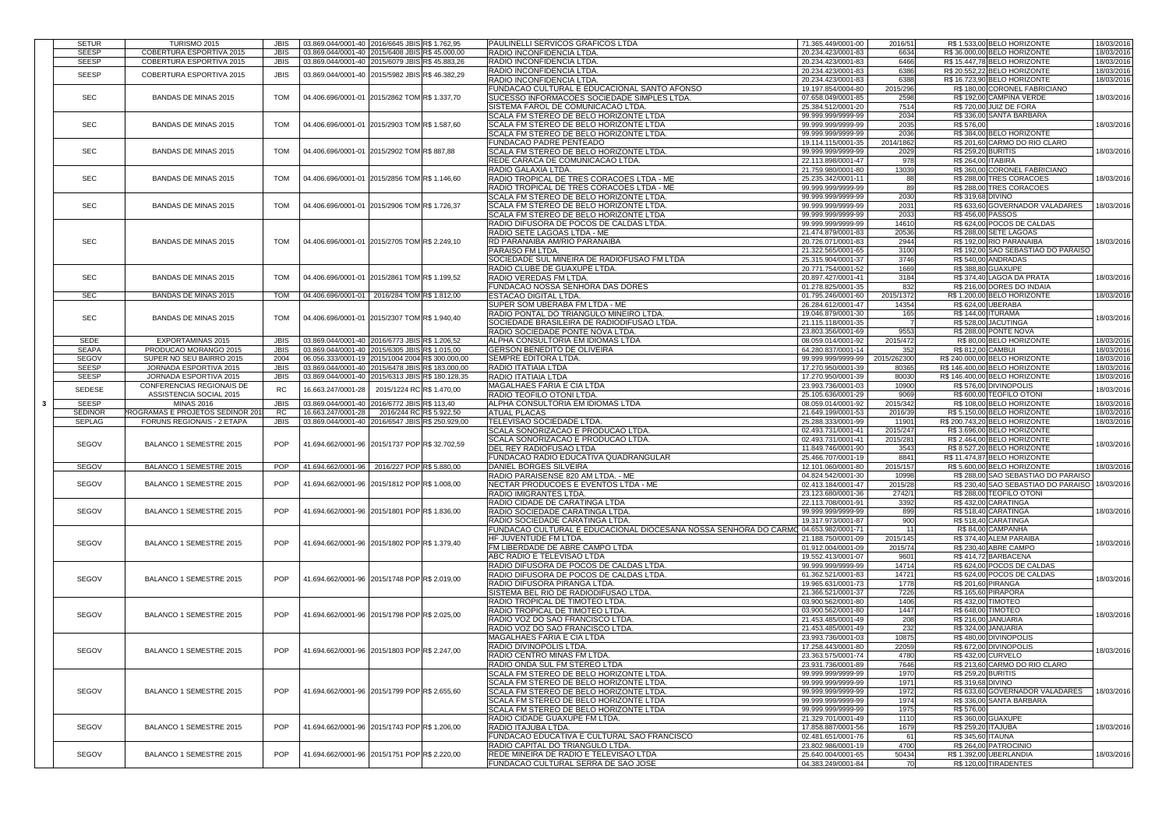|                                | <b>TURISMO 2015</b>                     |             |                    | 03.869.044/0001-40 2016/6645 JBISR\$ 1.762,95    | <b>PAULINELLI SERVICOS GRAFICOS LTDA</b>                                             | 71.365.449/0001-00                            | 2016/51            | R\$ 1.533,00 BELO HORIZONTE                      | 18/03/2016                                                                                                                                                           |            |
|--------------------------------|-----------------------------------------|-------------|--------------------|--------------------------------------------------|--------------------------------------------------------------------------------------|-----------------------------------------------|--------------------|--------------------------------------------------|----------------------------------------------------------------------------------------------------------------------------------------------------------------------|------------|
| <b>SETUR</b><br><b>SEESP</b>   | <b>COBERTURA ESPORTIVA 2015</b>         | <b>JBIS</b> |                    | 03.869.044/0001-40 2015/6408 JBISR\$ 45.000,00   | <b>RADIO INCONFIDENCIA LTDA</b>                                                      | 20.234.423/0001-83                            | 6634               | R\$ 36.000,00 BELO HORIZONTE                     | 18/03/2016                                                                                                                                                           |            |
| <b>SEESP</b>                   |                                         |             |                    | 03.869.044/0001-40 2015/6079 JBISR\$ 45.883,26   | <b>RADIO INCONFIDENCIA LTDA</b>                                                      | 20.234.423/0001-83                            | 6466               | R\$15.447,78 BELO HORIZONTE                      |                                                                                                                                                                      |            |
|                                | <b>COBERTURA ESPORTIVA 2015</b>         | <b>JBIS</b> |                    |                                                  |                                                                                      |                                               |                    |                                                  | 18/03/2016                                                                                                                                                           |            |
| <b>SEESP</b>                   | <b>COBERTURA ESPORTIVA 2015</b>         | <b>JBIS</b> |                    | 03.869.044/0001-40 2015/5982 JBISR\$ 46.382,29   | RADIO INCONFIDENCIA LTDA.                                                            | 20.234.423/0001-83                            | 6386               | R\$ 20.552,22 BELO HORIZONTE                     | 18/03/2016                                                                                                                                                           |            |
|                                |                                         |             |                    |                                                  | RADIO INCONFIDENCIA LTDA                                                             | 20.234.423/0001-83                            | 6388               | R\$ 16.723,90 BELO HORIZONTE                     | 18/03/2016                                                                                                                                                           |            |
|                                |                                         |             |                    |                                                  | FUNDACAO CULTURAL E EDUCACIONAL SANTO AFONSO                                         | 19.197.854/0004-80                            | 2015/296           | R\$180,00 CORONEL FABRICIANO                     |                                                                                                                                                                      |            |
| <b>SEC</b>                     | <b>BANDAS DE MINAS 2015</b>             | <b>TOM</b>  |                    | 04.406.696/0001-01 2015/2862 TOM R\$ 1.337,70    | SUCESSO INFORMACOES SOCIEDADE SIMPLES LTDA.                                          | 07.658.049/0001-85                            | 2598               | R\$ 192,00 CAMPINA VERDE                         | 18/03/2016                                                                                                                                                           |            |
|                                |                                         |             |                    |                                                  | SISTEMA FAROL DE COMUNICACAO LTDA                                                    | 25.384.512/0001-20                            | 7514               | R\$ 720,00 JUIZ DE FORA                          |                                                                                                                                                                      |            |
|                                |                                         |             |                    |                                                  | <b>SCALA FM STEREO DE BELO HORIZONTE LTDA</b>                                        | 99.999.999/9999-99                            | 2034               | R\$ 336,00 SANTA BARBARA                         |                                                                                                                                                                      |            |
| <b>SEC</b>                     | <b>BANDAS DE MINAS 2015</b>             |             | <b>TOM</b>         |                                                  | 04.406.696/0001-01 2015/2903 TOM R\$ 1.587,60                                        | <b>SCALA FM STEREO DE BELO HORIZONTE LTDA</b> | 99.999.999/9999-99 | 2035                                             | R\$ 576,00                                                                                                                                                           | 18/03/2016 |
|                                |                                         |             |                    |                                                  | <b>SCALA FM STEREO DE BELO HORIZONTE LTDA</b>                                        | 99.999.999/9999-99                            | 2036               | R\$ 384,00 BELO HORIZONTE                        |                                                                                                                                                                      |            |
|                                |                                         |             |                    |                                                  | <b>FUNDACAO PADRE PENTEADO</b>                                                       | 19.114.115/0001-35                            | 2014/1862          | R\$ 201,60 CARMO DO RIO CLARO                    |                                                                                                                                                                      |            |
| <b>SEC</b>                     | <b>BANDAS DE MINAS 2015</b>             | <b>TOM</b>  |                    | 04.406.696/0001-01 2015/2902 TOM R\$ 887,88      | <b>SCALA FM STEREO DE BELO HORIZONTE LTDA.</b>                                       | 99.999.999/9999-99                            | 2029               | R\$ 259,20 BURITIS                               | 18/03/2016                                                                                                                                                           |            |
|                                |                                         |             |                    |                                                  | <b>REDE CARACA DE COMUNICACAO LTDA</b>                                               | 22.113.898/0001-47                            | 978                | R\$ 264,00 ITABIRA                               |                                                                                                                                                                      |            |
|                                |                                         |             |                    |                                                  | RADIO GALAXIA LTDA.                                                                  | 21.759.980/0001-80                            | 13039              | R\$ 360,00 CORONEL FABRICIANO                    |                                                                                                                                                                      |            |
| <b>SEC</b>                     |                                         | <b>TOM</b>  |                    |                                                  |                                                                                      |                                               |                    |                                                  |                                                                                                                                                                      |            |
|                                | <b>BANDAS DE MINAS 2015</b>             |             |                    | 04.406.696/0001-01 2015/2856 TOM R\$ 1.146,60    | RADIO TROPICAL DE TRES CORACOES LTDA - ME                                            | 25.235.342/0001-11                            |                    | R\$ 288,00 TRES CORACOES                         | 18/03/2016                                                                                                                                                           |            |
|                                |                                         |             |                    |                                                  | RADIO TROPICAL DE TRES CORACOES LTDA - ME                                            | 99.999.999/9999-99                            | 89                 | R\$ 288,00 TRES CORACOES                         |                                                                                                                                                                      |            |
|                                |                                         |             |                    |                                                  | <b>SCALA FM STEREO DE BELO HORIZONTE LTDA</b>                                        | 99.999.999/9999-99                            | 2030               | R\$ 319,68 DIVINO                                |                                                                                                                                                                      |            |
| <b>SEC</b>                     | <b>BANDAS DE MINAS 2015</b>             | <b>TOM</b>  |                    | 04.406.696/0001-01 2015/2906 TOM R\$ 1.726,37    | SCALA FM STEREO DE BELO HORIZONTE LTDA                                               | 99.999.999/9999-99                            | 2031               | R\$ 633,60 GOVERNADOR VALADARES                  | 18/03/2016                                                                                                                                                           |            |
|                                |                                         |             |                    |                                                  | <b>SCALA FM STEREO DE BELO HORIZONTE LTDA</b>                                        | 99.999.999/9999-99                            | 2033               | <b>R\$456,00 PASSOS</b>                          |                                                                                                                                                                      |            |
|                                |                                         |             |                    |                                                  | RADIO DIFUSORA DE POCOS DE CALDAS LTDA                                               | 99.999.999/9999-99                            | 14610              | R\$ 624,00 POCOS DE CALDAS                       |                                                                                                                                                                      |            |
|                                |                                         |             |                    |                                                  | RADIO SETE LAGOAS LTDA - ME                                                          | 21.474.879/0001-83                            | 20536              | <b>R\$ 288,00 SETE LAGOAS</b>                    |                                                                                                                                                                      |            |
| <b>SEC</b>                     | <b>BANDAS DE MINAS 2015</b>             | <b>TOM</b>  |                    | 04.406.696/0001-01 2015/2705 TOM R\$ 2.249,10    | <b>RD PARANAIBA AM/RIO PARANAIBA</b>                                                 | 20.726.071/0001-83                            | 2944               | R\$ 192,00 RIO PARANAIBA                         | 18/03/2016                                                                                                                                                           |            |
|                                |                                         |             |                    |                                                  | <b>PARAISO FM LTDA.</b>                                                              | 21.322.565/0001-65                            | 3100               | R\$192,00 SAO SEBASTIAO DO PARAISO               |                                                                                                                                                                      |            |
|                                |                                         |             |                    |                                                  | SOCIEDADE SUL MINEIRA DE RADIOFUSAO FM LTDA                                          | 25.315.904/0001-37                            | 3746               | <b>R\$ 540,00 ANDRADAS</b>                       |                                                                                                                                                                      |            |
|                                |                                         |             |                    |                                                  | RADIO CLUBE DE GUAXUPE LTDA.                                                         | 20.771.754/0001-52                            | 1669               | R\$ 388,80 GUAXUPE                               |                                                                                                                                                                      |            |
| <b>SEC</b>                     | <b>BANDAS DE MINAS 2015</b>             | <b>TOM</b>  |                    | 04.406.696/0001-01 2015/2861 TOM R\$ 1.199,52    | <b>RADIO VEREDAS FM LTDA.</b>                                                        | 20.897.427/0001-41                            | 3184               | R\$ 374,40 LAGOA DA PRATA                        | 18/03/2016                                                                                                                                                           |            |
|                                |                                         |             |                    |                                                  | <b>FUNDACAO NOSSA SENHORA DAS DORES</b>                                              | 01.278.825/0001-35                            | 832                | R\$ 216,00 DORES DO INDAIA                       |                                                                                                                                                                      |            |
| <b>SEC</b>                     | <b>BANDAS DE MINAS 2015</b>             |             |                    | 04.406.696/0001-01 2016/284 TOM R\$ 1.812,00     |                                                                                      | 01.795.246/0001-60                            |                    |                                                  |                                                                                                                                                                      |            |
|                                |                                         | <b>TOM</b>  |                    |                                                  | <b>ESTACAO DIGITAL LTDA.</b>                                                         |                                               | 2015/1372          | R\$ 1.200,00 BELO HORIZONTE                      | 18/03/2016                                                                                                                                                           |            |
|                                |                                         |             |                    |                                                  | <b>SUPER SOM UBERABA FM LTDA - ME</b>                                                | 26.284.612/0001-47                            | 14354              | R\$ 624,00 UBERABA                               |                                                                                                                                                                      |            |
| <b>SEC</b>                     | <b>BANDAS DE MINAS 2015</b>             | <b>TOM</b>  |                    | 04.406.696/0001-01 2015/2307 TOM R\$ 1.940,40    | RADIO PONTAL DO TRIANGULO MINEIRO LTDA.                                              | 19.046.879/0001-30                            | 165                | R\$ 144,00 ITURAMA                               | 18/03/2016                                                                                                                                                           |            |
|                                |                                         |             |                    |                                                  | SOCIEDADE BRASILEIRA DE RADIODIFUSAO LTDA.                                           | 21.115.118/0001-35                            |                    | R\$ 528,00 JACUTINGA                             |                                                                                                                                                                      |            |
|                                |                                         |             |                    |                                                  | RADIO SOCIEDADE PONTE NOVA LTDA.                                                     | 23.803.356/0001-69                            | 9553               | <b>R\$ 288,00 PONTE NOVA</b>                     |                                                                                                                                                                      |            |
| <b>SEDE</b>                    | <b>EXPORTAMINAS 2015</b>                |             |                    | 03.869.044/0001-40 2016/6773 JBISR\$ 1.206,52    | ALPHA CONSULTORIA EM IDIOMAS LTDA                                                    | 08.059.014/0001-92                            | 2015/472           | R\$80,00 BELO HORIZONTE                          | 18/03/2016                                                                                                                                                           |            |
| <b>SEAPA</b>                   | PRODUCAO MORANGO 2015                   | <b>JBIS</b> |                    | 03.869.044/0001-40 2015/6305 JBISR\$ 1.015,00    | <b>GERSON BENEDITO DE OLIVEIRA</b>                                                   | 64.280.837/0001-14                            | 352                | R\$ 812,00 CAMBUI                                | 18/03/2016                                                                                                                                                           |            |
| <b>SEGOV</b>                   | SUPER NO SEU BAIRRO 2015                | 2004        |                    | 06.056.333/0001-19 2015/1004 2004 R\$ 300.000,00 | <b>SEMPRE EDITORA LTDA.</b>                                                          | 99.999.999/9999-99                            | 2015/262300        | R\$ 240.000,00 BELO HORIZONTE                    | 18/03/2016                                                                                                                                                           |            |
| <b>SEESP</b>                   | <b>JORNADA ESPORTIVA 2015</b>           | <b>JBIS</b> |                    | 03.869.044/0001-40 2015/6478 JBISR\$ 183.000,00  | <b>RADIO ITATIAIA LTDA</b>                                                           | 17.270.950/0001-39                            | 80365              | R\$ 146.400,00 BELO HORIZONTE                    | 18/03/2016                                                                                                                                                           |            |
| <b>SEESP</b>                   | JORNADA ESPORTIVA 2015                  | <b>JBIS</b> |                    | 03.869.044/0001-40 2015/6313 JBISR\$ 180.128,35  | <b>RADIO ITATIAIA LTDA</b>                                                           | 17.270.950/0001-39                            | 80030              | R\$ 146.400,00 BELO HORIZONTE                    | 18/03/2016                                                                                                                                                           |            |
|                                | <b>CONFERENCIAS REGIONAIS DE</b>        |             |                    |                                                  | <b>MAGALHAES FARIA E CIA LTDA</b>                                                    | 23.993.736/0001-03                            | 10900              | R\$576,00 DIVINOPOLIS                            |                                                                                                                                                                      |            |
| <b>SEDESE</b>                  | ASSISTENCIA SOCIAL 2015                 | <b>RC</b>   |                    | 16.663.247/0001-28   2015/1224 RC R\$ 1.470,00   | <b>RADIO TEOFILO OTONI LTDA</b>                                                      | 25.105.636/0001-29                            | 9069               | R\$ 600,00 TEOFILO OTONI                         | 18/03/2016                                                                                                                                                           |            |
|                                |                                         |             |                    |                                                  |                                                                                      |                                               |                    |                                                  |                                                                                                                                                                      |            |
|                                |                                         |             |                    |                                                  |                                                                                      |                                               |                    |                                                  |                                                                                                                                                                      |            |
| <b>SEESP</b><br>3 <sup>1</sup> | <b>MINAS 2016</b>                       | <b>JBIS</b> |                    | 03.869.044/0001-40 2016/6772 JBISR\$ 113,40      | ALPHA CONSULTORIA EM IDIOMAS LTDA                                                    | 08.059.014/0001-92                            | 2015/342           | R\$ 108,00 BELO HORIZONTE                        |                                                                                                                                                                      |            |
| <b>SEDINOR</b>                 | <b>PROGRAMAS E PROJETOS SEDINOR 201</b> | <b>RC</b>   | 16.663.247/0001-28 | 2016/244 RC R\$ 5.922,50                         | <b>ATUAL PLACAS</b>                                                                  | 21.649.199/0001-53                            | 2016/39            | R\$ 5.150,00 BELO HORIZONTE                      |                                                                                                                                                                      |            |
| <b>SEPLAG</b>                  | <b>FORUNS REGIONAIS - 2 ETAPA</b>       | <b>JBIS</b> |                    | 03.869.044/0001-40 2016/6547 JBISR\$ 250.929,00  | <b>TELEVISAO SOCIEDADE LTDA.</b>                                                     | 25.288.333/0001-99                            | 11901              | R\$ 200.743,20 BELO HORIZONTE                    |                                                                                                                                                                      |            |
|                                |                                         |             |                    |                                                  | SCALA SONORIZACAO E PRODUCAO LTDA.                                                   | 02.493.731/0001-41                            | 2015/247           | R\$ 3.696,00 BELO HORIZONTE                      |                                                                                                                                                                      |            |
|                                |                                         | <b>POP</b>  |                    |                                                  | SCALA SONORIZACAO E PRODUCAO LTDA.                                                   | 02.493.731/0001-41                            | 2015/281           | R\$ 2.464,00 BELO HORIZONTE                      |                                                                                                                                                                      |            |
| <b>SEGOV</b>                   | <b>BALANCO 1 SEMESTRE 2015</b>          |             |                    | 41.694.662/0001-96 2015/1737 POP R\$ 32.702,59   | <b>DEL REY RADIOFUSAO LTDA</b>                                                       | 11.849.746/0001-90                            | 3543               | R\$ 8.527,20 BELO HORIZONTE                      |                                                                                                                                                                      |            |
|                                |                                         |             |                    |                                                  | <b>FUNDACAO RADIO EDUCATIVA QUADRANGULAR</b>                                         | 25.466.707/0001-19                            | 8841               | R\$ 11.474,87 BELO HORIZONTE                     |                                                                                                                                                                      |            |
| <b>SEGOV</b>                   | <b>BALANCO 1 SEMESTRE 2015</b>          | <b>POP</b>  |                    | 41.694.662/0001-96   2016/227 POP R\$ 5.880,00   | <b>DANIEL BORGES SILVEIRA</b>                                                        | 12.101.060/0001-80                            | 2015/157           | R\$ 5.600,00 BELO HORIZONTE                      |                                                                                                                                                                      |            |
|                                |                                         |             |                    |                                                  | RADIO PARAISENSE 820 AM LTDA. - ME                                                   | 04.824.542/0001-30                            | 10998              | R\$ 288,00 SAO SEBASTIAO DO PARAISO              |                                                                                                                                                                      |            |
| SEGOV                          | <b>BALANCO 1 SEMESTRE 2015</b>          | <b>POP</b>  |                    | 41.694.662/0001-96 2015/1812 POPR\$ 1.008,00     | NECTAR PRODUCOES E EVENTOS LTDA - ME                                                 | 02.413.184/0001-47                            | 2015/28            | R\$ 230,40 SAO SEBASTIAO DO PARAISO   18/03/2016 |                                                                                                                                                                      |            |
|                                |                                         |             |                    |                                                  | <b>RADIO IMIGRANTES LTDA</b>                                                         | 23.123.680/0001-36                            | 2742/1             | R\$ 288,00 TEOFILO OTONI                         |                                                                                                                                                                      |            |
|                                |                                         |             |                    |                                                  | RADIO CIDADE DE CARATINGA LTDA                                                       | 22.113.708/0001-91                            | 3392               | R\$432,00 CARATINGA                              |                                                                                                                                                                      |            |
| <b>SEGOV</b>                   | <b>BALANCO 1 SEMESTRE 2015</b>          | <b>POP</b>  |                    | 41.694.662/0001-96 2015/1801 POPR\$ 1.836,00     | RADIO SOCIEDADE CARATINGA LTDA                                                       | 99.999.999/9999-99                            | 899                | R\$ 518,40 CARATINGA                             |                                                                                                                                                                      |            |
|                                |                                         |             |                    |                                                  | RADIO SOCIEDADE CARATINGA LTDA                                                       | 19.317.973/0001-87                            | 900                | R\$ 518,40 CARATINGA                             |                                                                                                                                                                      |            |
|                                |                                         |             |                    |                                                  | FUNDACAO CULTURAL E EDUCACIONAL DIOCESANA NOSSA SENHORA DO CARM                      | IQ 04.653.982/0001-71                         |                    | R\$84,00 CAMPANHA                                |                                                                                                                                                                      |            |
|                                |                                         |             |                    |                                                  |                                                                                      |                                               |                    |                                                  |                                                                                                                                                                      |            |
| <b>SEGOV</b>                   | <b>BALANCO 1 SEMESTRE 2015</b>          | <b>POP</b>  |                    | 41.694.662/0001-96 2015/1802 POPR\$ 1.379.40     | HF JUVENTUDE FM LTDA.                                                                | 21.188.750/0001-09                            | 2015/145           | R\$ 374,40 ALEM PARAIBA                          |                                                                                                                                                                      |            |
|                                |                                         |             |                    |                                                  | FM LIBERDADE DE ABRE CAMPO LTDA                                                      | 01.912.004/0001-09                            | 2015/74            | <b>R\$ 230,40 ABRE CAMPO</b>                     |                                                                                                                                                                      |            |
|                                |                                         |             |                    |                                                  | <b>ABC RADIO E TELEVISAO LTDA</b>                                                    | 19.552.413/0001-07                            | 9601               | R\$414,72 BARBACENA                              |                                                                                                                                                                      |            |
|                                |                                         |             |                    |                                                  | RADIO DIFUSORA DE POCOS DE CALDAS LTDA.                                              | 99.999.999/9999-99                            | 14714              | R\$ 624,00 POCOS DE CALDAS                       |                                                                                                                                                                      |            |
| <b>SEGOV</b>                   | <b>BALANCO 1 SEMESTRE 2015</b>          | <b>POP</b>  |                    | 41.694.662/0001-96 2015/1748 POP R\$ 2.019,00    | RADIO DIFUSORA DE POCOS DE CALDAS LTDA                                               | 61.362.521/0001-83                            | 14721              | R\$ 624,00 POCOS DE CALDAS                       |                                                                                                                                                                      |            |
|                                |                                         |             |                    |                                                  | RADIO DIFUSORA PIRANGA LTDA.                                                         | 19.965.631/0001-73                            | 1778               | R\$ 201,60 PIRANGA                               |                                                                                                                                                                      |            |
|                                |                                         |             |                    |                                                  | SISTEMA BEL RIO DE RADIODIFUSAO LTDA.                                                | 21.366.521/0001-37                            | 7226               | R\$ 165,60 PIRAPORA                              |                                                                                                                                                                      |            |
|                                |                                         |             |                    |                                                  | RADIO TROPICAL DE TIMOTEO LTDA                                                       | 03.900.562/0001-80                            | 1406               | R\$432,00 TIMOTEO                                |                                                                                                                                                                      |            |
| <b>SEGOV</b>                   | <b>BALANCO 1 SEMESTRE 2015</b>          | <b>POP</b>  |                    | 41.694.662/0001-96 2015/1798 POPR\$ 2.025,00     | RADIO TROPICAL DE TIMOTEO LTDA.                                                      | 03.900.562/0001-80                            | 1447               | R\$ 648,00 TIMOTEO                               |                                                                                                                                                                      |            |
|                                |                                         |             |                    |                                                  | RADIO VOZ DO SAO FRANCISCO LTDA                                                      | 21.453.485/0001-49                            | 208                | R\$ 216,00 JANUARIA                              |                                                                                                                                                                      |            |
|                                |                                         |             |                    |                                                  | RADIO VOZ DO SAO FRANCISCO LTDA.                                                     | 21.453.485/0001-49                            | 232                | R\$ 324,00 JANUARIA                              |                                                                                                                                                                      |            |
|                                |                                         |             |                    |                                                  | IMAGALHAES FARIA E CIA LTDA                                                          | 23.993.736/0001-03                            | 10875              | R\$480,00 DIVINOPOLIS                            |                                                                                                                                                                      |            |
|                                |                                         |             |                    |                                                  | <b>RADIO DIVINOPOLIS LTDA.</b>                                                       | 17.258.443/0001-80                            | 22059              | R\$ 672,00 DIVINOPOLIS                           |                                                                                                                                                                      |            |
| <b>SEGOV</b>                   | <b>BALANCO 1 SEMESTRE 2015</b>          | <b>POP</b>  |                    | 41.694.662/0001-96 2015/1803 POP R\$ 2.247,00    | <b>RADIO CENTRO MINAS FM LTDA.</b>                                                   | 23.363.575/0001-74                            | 4780               | R\$432,00 CURVELO                                |                                                                                                                                                                      |            |
|                                |                                         |             |                    |                                                  | RADIO ONDA SUL FM STEREO LTDA                                                        | 23.931.736/0001-89                            | 7646               | R\$ 213,60 CARMO DO RIO CLARO                    |                                                                                                                                                                      |            |
|                                |                                         |             |                    |                                                  | SCALA FM STEREO DE BELO HORIZONTE LTDA                                               | 99.999.999/9999-99                            | 1970               | <b>R\$ 259,20 BURITIS</b>                        |                                                                                                                                                                      |            |
|                                |                                         |             |                    |                                                  | SCALA FM STEREO DE BELO HORIZONTE LTDA.                                              | 99.999.999/9999-99                            | 1971               | R\$ 319,68 DIVINO                                |                                                                                                                                                                      |            |
| <b>SEGOV</b>                   | <b>BALANCO 1 SEMESTRE 2015</b>          | <b>POP</b>  |                    | 41.694.662/0001-96 2015/1799 POPR\$ 2.655.60     |                                                                                      | 99.999.999/9999-99                            | 1972               | R\$ 633,60 GOVERNADOR VALADARES                  |                                                                                                                                                                      |            |
|                                |                                         |             |                    |                                                  | SCALA FM STEREO DE BELO HORIZONTE LTDA.                                              | 99.999.999/9999-99                            |                    | R\$336,00 SANTA BARBARA                          |                                                                                                                                                                      |            |
|                                |                                         |             |                    |                                                  | SCALA FM STEREO DE BELO HORIZONTE LTDA                                               |                                               | 1974               |                                                  |                                                                                                                                                                      |            |
|                                |                                         |             |                    |                                                  | <b>SCALA FM STEREO DE BELO HORIZONTE LTDA</b>                                        | 99.999.999/9999-99                            | 1975               | R\$ 576,00                                       |                                                                                                                                                                      |            |
|                                |                                         |             |                    |                                                  | RADIO CIDADE GUAXUPE FM LTDA.                                                        | 21.329.701/0001-49                            | 1110               | R\$ 360,00 GUAXUPE                               |                                                                                                                                                                      |            |
| <b>SEGOV</b>                   | <b>BALANCO 1 SEMESTRE 2015</b>          | <b>POP</b>  |                    | 41.694.662/0001-96 2015/1743 POPR\$ 1.206,00     | RADIO ITAJUBA LTDA.                                                                  | 17.858.887/0001-56                            | 1679               | R\$ 259,20 ITAJUBA                               | 18/03/2016<br>18/03/2016<br>18/03/2016<br>18/03/2016<br>18/03/2016<br>18/03/2016<br>18/03/2016<br>18/03/2016<br>18/03/2016<br>18/03/2016<br>18/03/2016<br>18/03/2016 |            |
|                                |                                         |             |                    |                                                  | <b>FUNDACAO EDUCATIVA E CULTURAL SAO FRANCISCO</b>                                   | 02.481.651/0001-76                            | 61                 | R\$ 345,60 ITAUNA                                |                                                                                                                                                                      |            |
|                                |                                         |             |                    |                                                  | RADIO CAPITAL DO TRIANGULO LTDA.                                                     | 23.802.986/0001-19                            | 4700               | R\$ 264,00 PATROCINIO                            |                                                                                                                                                                      |            |
| <b>SEGOV</b>                   | <b>BALANCO 1 SEMESTRE 2015</b>          | <b>POP</b>  |                    | 41.694.662/0001-96 2015/1751 POPR\$ 2.220,00     | <b>REDE MINEIRA DE RADIO E TELEVISAO LTDA</b><br>FUNDACAO CULTURAL SERRA DE SAO JOSE | 25.640.004/0001-65<br>04.383.249/0001-84      | 50434<br>70        | R\$ 1.392,00 UBERLANDIA<br>R\$120,00 TIRADENTES  | 18/03/2016                                                                                                                                                           |            |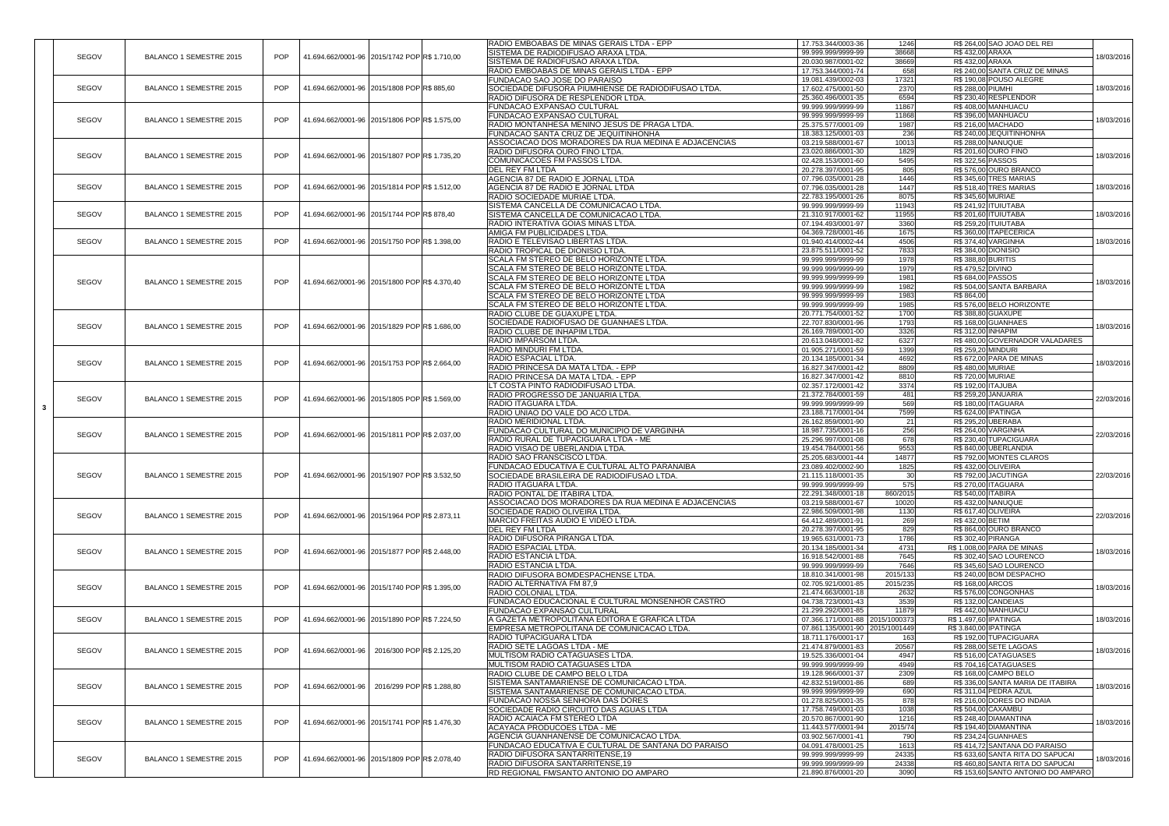|              |                                |                                                             |                                               | RADIO EMBOABAS DE MINAS GERAIS LTDA - EPP                                         | 17.753.344/0003-36                       | 1246          | R\$ 264,00 SAO JOAO DEL REI                                           |            |                             |                                                     |                    |                            |                              |  |
|--------------|--------------------------------|-------------------------------------------------------------|-----------------------------------------------|-----------------------------------------------------------------------------------|------------------------------------------|---------------|-----------------------------------------------------------------------|------------|-----------------------------|-----------------------------------------------------|--------------------|----------------------------|------------------------------|--|
| SEGOV        | <b>BALANCO 1 SEMESTRE 2015</b> | POP<br>41.694.662/0001-96 2015/1742 POP R\$ 1.710,00        |                                               | SISTEMA DE RADIODIFUSAO ARAXA LTDA                                                | 99.999.999/9999-99                       | 38668         | R\$432,00 ARAXA                                                       | 18/03/2016 |                             |                                                     |                    |                            |                              |  |
|              |                                |                                                             |                                               | SISTEMA DE RADIOFUSAO ARAXA LTDA.                                                 | 20.030.987/0001-02                       | 38669         | R\$432,00 ARAXA                                                       |            |                             |                                                     |                    |                            |                              |  |
|              |                                |                                                             |                                               | RADIO EMBOABAS DE MINAS GERAIS LTDA - EPP                                         | 17.753.344/0001-74                       | 658           | R\$ 240,00 SANTA CRUZ DE MINAS                                        |            |                             |                                                     |                    |                            |                              |  |
|              |                                |                                                             |                                               | <b>FUNDACAO SAO JOSE DO PARAISO</b>                                               | 19.081.439/0002-03                       | 17321         | R\$ 190,08 POUSO ALEGRE                                               |            |                             |                                                     |                    |                            |                              |  |
| SEGOV        | <b>BALANCO 1 SEMESTRE 2015</b> | <b>POP</b><br>41.694.662/0001-96 2015/1808 POP R\$885,60    |                                               | SOCIEDADE DIFUSORA PIUMHIENSE DE RADIODIFUSAO LTDA                                | 17.602.475/0001-50                       | 2370          | R\$ 288,00 PIUMHI                                                     | 18/03/2016 |                             |                                                     |                    |                            |                              |  |
|              |                                |                                                             |                                               | RADIO DIFUSORA DE RESPLENDOR LTDA.                                                | 25.360.496/0001-35                       | 6594          | R\$230,40RESPLENDOR                                                   |            |                             |                                                     |                    |                            |                              |  |
|              |                                |                                                             |                                               | <b>FUNDACAO EXPANSAO CULTURAL</b>                                                 | 99.999.999/9999-99                       | 11867         | R\$408,00 MANHUACU                                                    |            |                             |                                                     |                    |                            |                              |  |
| <b>SEGOV</b> | <b>BALANCO 1 SEMESTRE 2015</b> | POP<br>41.694.662/0001-96 2015/1806 POPR\$ 1.575,00         |                                               | <b>FUNDACAO EXPANSAO CULTURAL</b>                                                 | 99.999.999/9999-99                       | 11868         | R\$396,00 MANHUACU                                                    | 18/03/2016 |                             |                                                     |                    |                            |                              |  |
|              |                                |                                                             |                                               | RADIO MONTANHESA MENINO JESUS DE PRAGA LTDA.                                      | 25.375.577/0001-09                       | 1987          | R\$ 216,00 MACHADO                                                    |            |                             |                                                     |                    |                            |                              |  |
|              |                                |                                                             |                                               | FUNDACAO SANTA CRUZ DE JEQUITINHONHA                                              | 18.383.125/0001-03                       | 236           | R\$ 240,00 JEQUITINHONHA                                              |            |                             |                                                     |                    |                            |                              |  |
|              |                                |                                                             |                                               | ASSOCIACAO DOS MORADORES DA RUA MEDINA E ADJACENCIAS                              | 03.219.588/0001-67                       | 10013         | <b>R\$ 288,00 NANUQUE</b>                                             |            |                             |                                                     |                    |                            |                              |  |
|              |                                |                                                             |                                               | RADIO DIFUSORA OURO FINO LTDA.                                                    | 23.020.886/0001-30                       | 1829          | R\$ 201,60 OURO FINO                                                  | 18/03/2016 |                             |                                                     |                    |                            |                              |  |
| SEGOV        | <b>BALANCO 1 SEMESTRE 2015</b> | <b>POP</b>                                                  | 41.694.662/0001-96 2015/1807 POP R\$ 1.735,20 | COMUNICACOES FM PASSOS LTDA.                                                      | 02.428.153/0001-60                       | 5495          | <b>R\$ 322,56 PASSOS</b>                                              |            |                             |                                                     |                    |                            |                              |  |
|              |                                |                                                             |                                               | <b>IDEL REY FM LTDA</b>                                                           | 20.278.397/0001-95                       | 805           | R\$576,00 OURO BRANCO                                                 |            |                             |                                                     |                    |                            |                              |  |
|              |                                |                                                             |                                               | AGENCIA 87 DE RADIO E JORNAL LTDA                                                 | 07.796.035/0001-28                       | 1446          | R\$ 345,60 TRES MARIAS                                                |            |                             |                                                     |                    |                            |                              |  |
| <b>SEGOV</b> | <b>BALANCO 1 SEMESTRE 2015</b> | POP<br>41.694.662/0001-96 2015/1814 POPR\$ 1.512.00         |                                               | AGENCIA 87 DE RADIO E JORNAL LTDA                                                 | 07.796.035/0001-28                       | 1447          | R\$ 518,40 TRES MARIAS                                                | 18/03/2016 |                             |                                                     |                    |                            |                              |  |
|              |                                |                                                             |                                               | RADIO SOCIEDADE MURIAE LTDA                                                       | 22.783.195/0001-26                       | 8075          | R\$ 345,60 MURIAE                                                     |            |                             |                                                     |                    |                            |                              |  |
|              |                                |                                                             |                                               | SISTEMA CANCELLA DE COMUNICACAO LTDA.                                             | 99.999.999/9999-99                       | 11943         | R\$ 241,92 ITUIUTABA                                                  |            |                             |                                                     |                    |                            |                              |  |
| SEGOV        | <b>BALANCO 1 SEMESTRE 2015</b> | POP<br>41.694.662/0001-96 2015/1744 POP R\$ 878,40          |                                               | <b>ISISTEMA CANCELLA DE COMUNICACAO LTDA.</b>                                     | 21.310.917/0001-62                       | 11955         | <b>R\$ 201,60 ITUIUTABA</b>                                           | 18/03/2016 |                             |                                                     |                    |                            |                              |  |
|              |                                |                                                             |                                               | <b>RADIO INTERATIVA GOIAS MINAS LTDA</b>                                          | 07.194.493/0001-97                       | 3360          | R\$ 259,20 ITUIUTABA                                                  |            |                             |                                                     |                    |                            |                              |  |
|              |                                |                                                             |                                               | AMIGA FM PUBLICIDADES LTDA                                                        | 04.369.728/0001-46                       | 1675          | R\$ 360,00 ITAPECERICA                                                |            |                             |                                                     |                    |                            |                              |  |
| <b>SEGOV</b> | <b>BALANCO 1 SEMESTRE 2015</b> | POP<br>41.694.662/0001-96 2015/1750 POPR\$ 1.398,00         |                                               | RADIO E TELEVISAO LIBERTAS LTDA.                                                  | $\boxed{01.940.414/0002}$ -44            | 4506          | R\$ 374,40 VARGINHA                                                   | 18/03/2016 |                             |                                                     |                    |                            |                              |  |
|              |                                |                                                             |                                               | RADIO TROPICAL DE DIONISIO LTDA.                                                  | 23.875.511/0001-52                       | 7833          | R\$ 384,00 DIONISIO                                                   |            |                             |                                                     |                    |                            |                              |  |
|              |                                |                                                             |                                               | SCALA FM STEREO DE BELO HORIZONTE LTDA.                                           | 99.999.999/9999-99                       | 1978          | R\$ 388,80 BURITIS                                                    |            |                             |                                                     |                    |                            |                              |  |
|              |                                |                                                             |                                               | SCALA FM STEREO DE BELO HORIZONTE LTDA.                                           | 99.999.999/9999-99                       | 1979          | R\$ 479,52 DIVINO                                                     |            |                             |                                                     |                    |                            |                              |  |
|              |                                |                                                             |                                               | <b>SCALA FM STEREO DE BELO HORIZONTE LTDA</b>                                     | 99.999.999/9999-99                       | 1981          | R\$ 684,00 PASSOS                                                     |            |                             |                                                     |                    |                            |                              |  |
| SEGOV        | <b>BALANCO 1 SEMESTRE 2015</b> | <b>POP</b><br>41.694.662/0001-96 2015/1800 POP R\$ 4.370,40 |                                               | <b>SCALA FM STEREO DE BELO HORIZONTE LTDA</b>                                     | 99.999.999/9999-99                       | 1982          | R\$ 504,00 SANTA BARBARA                                              | 18/03/2016 |                             |                                                     |                    |                            |                              |  |
|              |                                |                                                             |                                               | SCALA FM STEREO DE BELO HORIZONTE LTDA                                            | 99.999.999/9999-99                       | 1983          | R\$ 864,00                                                            |            |                             |                                                     |                    |                            |                              |  |
|              |                                |                                                             |                                               | SCALA FM STEREO DE BELO HORIZONTE LTDA.                                           | 99.999.999/9999-99                       | 1985          | R\$ 576,00 BELO HORIZONTE                                             |            |                             |                                                     |                    |                            |                              |  |
|              |                                |                                                             |                                               |                                                                                   |                                          | 1700          | <b>R\$388,80 GUAXUPE</b>                                              |            |                             |                                                     |                    |                            |                              |  |
|              |                                |                                                             |                                               | <b>RADIO CLUBE DE GUAXUPE LTDA.</b>                                               | 20.771.754/0001-52                       |               |                                                                       |            |                             |                                                     |                    |                            |                              |  |
| <b>SEGOV</b> | <b>BALANCO 1 SEMESTRE 2015</b> | 41.694.662/0001-96 2015/1829 POPR\$ 1.686,00<br><b>POP</b>  |                                               | SOCIEDADE RADIOFUSAO DE GUANHAES LTDA.                                            | 22.707.830/0001-96                       | 1793          | R\$ 168,00 GUANHAES                                                   | 18/03/2016 |                             |                                                     |                    |                            |                              |  |
|              |                                |                                                             |                                               | <b>RADIO CLUBE DE INHAPIM LTDA</b>                                                | 26.169.789/0001-00                       | 3326          | R\$ 312,00 INHAPIM                                                    |            |                             |                                                     |                    |                            |                              |  |
|              |                                |                                                             |                                               | <b>RADIO IMPARSOM LTDA.</b>                                                       | 20.613.048/0001-82                       | 6327          | R\$480,00 GOVERNADOR VALADARES                                        |            |                             |                                                     |                    |                            |                              |  |
|              |                                |                                                             |                                               | <b>RADIO MINDURI FM LTDA.</b>                                                     | 01.905.271/0001-59                       | 1399          | <b>R\$ 259,20 MINDURI</b>                                             |            |                             |                                                     |                    |                            |                              |  |
| SEGOV        | <b>BALANCO 1 SEMESTRE 2015</b> | 41.694.662/0001-96 2015/1753 POP R\$ 2.664,00<br><b>POP</b> |                                               | RADIO ESPACIAL LTDA.                                                              | 20.134.185/0001-34                       | 4692          | R\$ 672,00 PARA DE MINAS                                              | 18/03/2016 |                             |                                                     |                    |                            |                              |  |
|              |                                |                                                             |                                               | RADIO PRINCESA DA MATA LTDA. - EPP                                                | 16.827.347/0001-42                       | 8809          | R\$480,00 MURIAE                                                      |            |                             |                                                     |                    |                            |                              |  |
|              |                                |                                                             |                                               | RADIO PRINCESA DA MATA LTDA. - EPP                                                | 16.827.347/0001-42                       | 8810          | R\$ 720,00 MURIAE                                                     |            |                             |                                                     |                    |                            |                              |  |
|              |                                |                                                             |                                               | LT COSTA PINTO RADIODIFUSAO LTDA.                                                 | 02.357.172/0001-42                       | 3374          | R\$ 192,00 ITAJUBA                                                    |            |                             |                                                     |                    |                            |                              |  |
| SEGOV        | <b>BALANCO 1 SEMESTRE 2015</b> | POP<br>41.694.662/0001-96 2015/1805 POPR\$ 1.569,00         |                                               | RADIO PROGRESSO DE JANUARIA LTDA                                                  | 21.372.784/0001-59                       | 481           | R\$ 259,20 JANUARIA                                                   | 22/03/2016 |                             |                                                     |                    |                            |                              |  |
|              |                                |                                                             |                                               | <b>RADIO ITAGUARA LTDA.</b>                                                       | 99.999.999/9999-99                       | 569           | <b>R\$ 180,00 ITAGUARA</b>                                            |            |                             |                                                     |                    |                            |                              |  |
|              |                                |                                                             |                                               | RADIO UNIAO DO VALE DO ACO LTDA.                                                  | 23.188.717/0001-04                       | 7599          | R\$ 624,00 IPATINGA                                                   |            |                             |                                                     |                    |                            |                              |  |
|              |                                |                                                             |                                               | <b>RADIO MERIDIONAL LTDA.</b>                                                     | 26.162.859/0001-90                       | 21            | R\$ 295,20 UBERABA                                                    |            |                             |                                                     |                    |                            |                              |  |
| SEGOV        | <b>BALANCO 1 SEMESTRE 2015</b> | <b>POP</b><br>41.694.662/0001-96 2015/1811 POP R\$ 2.037,00 |                                               | <b>FUNDACAO CULTURAL DO MUNICIPIO DE VARGINHA</b>                                 | 18.987.735/0001-16                       | 256           | R\$ 264,00 VARGINHA                                                   | 22/03/2016 |                             |                                                     |                    |                            |                              |  |
|              |                                |                                                             |                                               | RADIO RURAL DE TUPACIGUARA LTDA - ME                                              | 25.296.997/0001-08                       | 678           | R\$230,40 TUPACIGUARA                                                 |            |                             |                                                     |                    |                            |                              |  |
|              |                                |                                                             |                                               | RADIO VISAO DE UBERLANDIA LTDA.                                                   | 19.454.784/0001-56                       | 9553          | R\$840,00 UBERLANDIA                                                  |            |                             |                                                     |                    |                            |                              |  |
|              |                                |                                                             |                                               | RADIO SAO FRANSCISCO LTDA.                                                        | 25.205.683/0001-44                       | 14877         | R\$792,00 MONTES CLAROS                                               |            |                             |                                                     |                    |                            |                              |  |
|              |                                |                                                             |                                               | FUNDACAO EDUCATIVA E CULTURAL ALTO PARANAIBA                                      | 23.089.402/0002-90                       | 1825          | <b>R\$432,00 OLIVEIRA</b>                                             |            |                             |                                                     |                    |                            |                              |  |
| SEGOV        | <b>BALANCO 1 SEMESTRE 2015</b> | <b>POP</b><br>41.694.662/0001-96 2015/1907 POP R\$ 3.532,50 |                                               | SOCIEDADE BRASILEIRA DE RADIODIFUSAO LTDA                                         | 21.115.118/0001-35                       | 30            | R\$ 792,00 JACUTINGA                                                  | 22/03/2016 |                             |                                                     |                    |                            |                              |  |
|              |                                |                                                             |                                               | RADIO ITAGUARA LTDA.                                                              | 99.999.999/9999-99                       | 575           | R\$ 270,00 ITAGUARA                                                   |            |                             |                                                     |                    |                            |                              |  |
|              |                                |                                                             |                                               | RADIO PONTAL DE ITABIRA LTDA.                                                     | 22.291.348/0001-18                       | 860/2015      | R\$ 540,00   ITABIRA                                                  |            |                             |                                                     |                    |                            |                              |  |
|              |                                |                                                             |                                               | ASSOCIACAO DOS MORADORES DA RUA MEDINA E ADJACENCIAS                              | 03.219.588/0001-67                       | 10020         | <b>R\$432,00 NANUQUE</b>                                              |            |                             |                                                     |                    |                            |                              |  |
| SEGOV        | <b>BALANCO 1 SEMESTRE 2015</b> | <b>POP</b><br>41.694.662/0001-96 2015/1964 POPR\$ 2.873,11  |                                               | SOCIEDADE RADIO OLIVEIRA LTDA.                                                    | 22.986.509/0001-98                       | 1130          | R\$ 617,40 OLIVEIRA                                                   | 22/03/2016 |                             |                                                     |                    |                            |                              |  |
|              |                                |                                                             |                                               | <b>MARCIO FREITAS AUDIO E VIDEO LTDA</b>                                          | 64.412.489/0001-91                       | 269           | R\$432,00 BETIM                                                       |            |                             |                                                     |                    |                            |                              |  |
|              |                                |                                                             |                                               | <b>DEL REY FM LTDA</b>                                                            | 20.278.397/0001-95                       | 829           | R\$864,00 OURO BRANCO                                                 |            |                             |                                                     |                    |                            |                              |  |
|              |                                |                                                             |                                               | <b>RADIO DIFUSORA PIRANGA LTDA</b>                                                | 19.965.631/0001-73                       | 1786          | R\$ 302,40 PIRANGA                                                    |            |                             |                                                     |                    |                            |                              |  |
|              |                                |                                                             |                                               |                                                                                   |                                          |               |                                                                       |            | <b>RADIO ESPACIAL LTDA.</b> | 20.134.185/0001-34                                  | 4731               | R\$ 1.008,00 PARA DE MINAS |                              |  |
| SEGOV        | <b>BALANCO 1 SEMESTRE 2015</b> | <b>POP</b><br>41.694.662/0001-96 2015/1877 POPR\$ 2.448,00  |                                               | RADIO ESTANCIA LTDA.                                                              | 16.918.542/0001-88                       | 7645          | R\$302,40 SAO LOURENCO                                                | 18/03/2016 |                             |                                                     |                    |                            |                              |  |
|              |                                |                                                             |                                               | RADIO ESTANCIA LTDA.                                                              | 99.999.999/9999-99                       | 7646          | R\$ 345,60 SAO LOURENCO                                               |            |                             |                                                     |                    |                            |                              |  |
|              |                                |                                                             |                                               | RADIO DIFUSORA BOMDESPACHENSE LTDA                                                | 18.810.341/0001-98                       | 2015/133      | R\$ 240,00 BOM DESPACHO                                               |            |                             |                                                     |                    |                            |                              |  |
|              |                                |                                                             |                                               | RADIO ALTERNATIVA FM 87,9                                                         | 02.705.921/0001-85                       | 2015/235      | R\$ 168,00 ARCOS                                                      |            |                             |                                                     |                    |                            |                              |  |
| <b>SEGOV</b> | <b>BALANCO 1 SEMESTRE 2015</b> | <b>POP</b><br>41.694.662/0001-96 2015/1740 POPR\$ 1.395.00  |                                               | RADIO COLONIAL LTDA.                                                              | 21.474.663/0001-18                       | 2632          | R\$576,00 CONGONHAS                                                   | 18/03/2016 |                             |                                                     |                    |                            |                              |  |
|              |                                |                                                             |                                               | <b>FUNDACAO EDUCACIONAL E CULTURAL MONSENHOR CASTRO</b>                           | 04.738.723/0001-43                       | 3539          | R\$ 132,00 CANDEIAS                                                   |            |                             |                                                     |                    |                            |                              |  |
|              |                                |                                                             |                                               | <b>FUNDACAO EXPANSAO CULTURAL</b>                                                 | 21.299.292/0001-85                       | 11879         | R\$442,00 MANHUACU                                                    |            |                             |                                                     |                    |                            |                              |  |
| <b>SEGOV</b> | <b>BALANCO 1 SEMESTRE 2015</b> | <b>POP</b><br>41.694.662/0001-96 2015/1890 POP R\$ 7.224,50 |                                               | A GAZETA METROPOLITANA EDITORA E GRAFICA LTDA                                     | 07.366.171/0001-88 2015/1000373          |               | R\$ 1.497,60 IPATINGA                                                 | 18/03/2016 |                             |                                                     |                    |                            |                              |  |
|              |                                |                                                             |                                               | EMPRESA METROPOLITANA DE COMUNICACAO LTDA.                                        | 07.861.135/0001-90 2015/1001449          |               | R\$ 3.840,00 IPATINGA                                                 |            |                             |                                                     |                    |                            |                              |  |
|              |                                |                                                             |                                               | RADIO TUPACIGUARA LTDA                                                            | 18.711.176/0001-17                       | 163           | R\$ 192,00 TUPACIGUARA                                                |            |                             |                                                     |                    |                            |                              |  |
|              |                                |                                                             |                                               | <b>RADIO SETE LAGOAS LTDA - ME</b>                                                | 21.474.879/0001-83                       | 20567         | R\$ 288,00 SETE LAGOAS                                                |            |                             |                                                     |                    |                            |                              |  |
| SEGOV        | <b>BALANCO 1 SEMESTRE 2015</b> | <b>POP</b><br>41.694.662/0001-96 2016/300 POPR\$ 2.125,20   |                                               | <b>IMULTISOM RADIO CATAGUASES LTDA.</b>                                           | 19.525.336/0001-04                       | 4947          | R\$ 516,00 CATAGUASES                                                 | 18/03/2016 |                             |                                                     |                    |                            |                              |  |
|              |                                |                                                             |                                               | <b>IMULTISOM RADIO CATAGUASES LTDA</b>                                            | 99.999.999/9999-99                       | 4949          | R\$704,16 CATAGUASES                                                  |            |                             |                                                     |                    |                            |                              |  |
|              |                                |                                                             |                                               |                                                                                   |                                          | 2309          | R\$ 168,00 CAMPO BELO                                                 |            |                             |                                                     |                    |                            |                              |  |
|              |                                |                                                             |                                               | RADIO CLUBE DE CAMPO BELO LTDA                                                    | 19.128.966/0001-37                       |               |                                                                       |            |                             |                                                     |                    |                            |                              |  |
| SEGOV        | <b>BALANCO 1 SEMESTRE 2015</b> | <b>POP</b><br>41.694.662/0001-96 2016/299 POPR\$ 1.288,80   |                                               | <b>ISISTEMA SANTAMARIENSE DE COMUNICACAO LTDA.</b>                                | 42.832.519/0001-86<br>99.999.999/9999-99 | 689           | R\$ 336,00 SANTA MARIA DE ITABIRA                                     | 18/03/2016 |                             |                                                     |                    |                            |                              |  |
|              |                                |                                                             |                                               | <b>ISISTEMA SANTAMARIENSE DE COMUNICACAO LTDA.</b>                                |                                          | 690           | R\$ 311,04 PEDRA AZUL                                                 |            |                             |                                                     |                    |                            |                              |  |
|              |                                |                                                             |                                               | FUNDACAO NOSSA SENHORA DAS DORES                                                  | 01.278.825/0001-35                       | 878           | R\$ 216,00 DORES DO INDAIA                                            |            |                             |                                                     |                    |                            |                              |  |
|              |                                |                                                             |                                               | SOCIEDADE RADIO CIRCUITO DAS AGUAS LTDA                                           | 17.758.749/0001-03                       | 1038          | R\$ 504,00 CAXAMBU                                                    |            |                             |                                                     |                    |                            |                              |  |
| <b>SEGOV</b> | <b>BALANCO 1 SEMESTRE 2015</b> | <b>POP</b><br>41.694.662/0001-96 2015/1741 POP R\$ 1.476,30 |                                               | RADIO ACAIACA FM STEREO LTDA                                                      | 20.570.867/0001-90                       | 1216          | R\$ 248,40 DIAMANTINA                                                 | 18/03/2016 |                             |                                                     |                    |                            |                              |  |
|              |                                |                                                             |                                               | <b>ACAYACA PRODUCOES LTDA - ME</b>                                                | 11.443.577/0001-94                       | 2015/74       | R\$ 194,40 DIAMANTINA                                                 |            |                             |                                                     |                    |                            |                              |  |
|              |                                |                                                             |                                               | AGENCIA GUANHANENSE DE COMUNICACAO LTDA                                           | 03.902.567/0001-41                       | 790           | <b>R\$ 234,24 GUANHAES</b>                                            |            |                             |                                                     |                    |                            |                              |  |
|              |                                |                                                             |                                               |                                                                                   |                                          |               |                                                                       |            |                             | FUNDACAO EDUCATIVA E CULTURAL DE SANTANA DO PARAISO | 04.091.478/0001-25 | 1613                       | R\$414,72 SANTANA DO PARAISO |  |
|              |                                |                                                             |                                               |                                                                                   |                                          |               |                                                                       |            |                             |                                                     |                    |                            |                              |  |
|              |                                |                                                             |                                               | RADIO DIFUSORA SANTARRITENSE, 19                                                  | 99.999.999/9999-99                       | 24335         | R\$ 633,60 SANTA RITA DO SAPUCAI                                      |            |                             |                                                     |                    |                            |                              |  |
| SEGOV        | <b>BALANCO 1 SEMESTRE 2015</b> | <b>POP</b><br>41.694.662/0001-96 2015/1809 POP R\$ 2.078,40 |                                               | RADIO DIFUSORA SANTARRITENSE, 19<br><b>RD REGIONAL FM/SANTO ANTONIO DO AMPARO</b> | 99.999.999/9999-99<br>21.890.876/0001-20 | 24338<br>3090 | R\$460,80 SANTA RITA DO SAPUCAL<br>R\$ 153,60 SANTO ANTONIO DO AMPARO | 18/03/2016 |                             |                                                     |                    |                            |                              |  |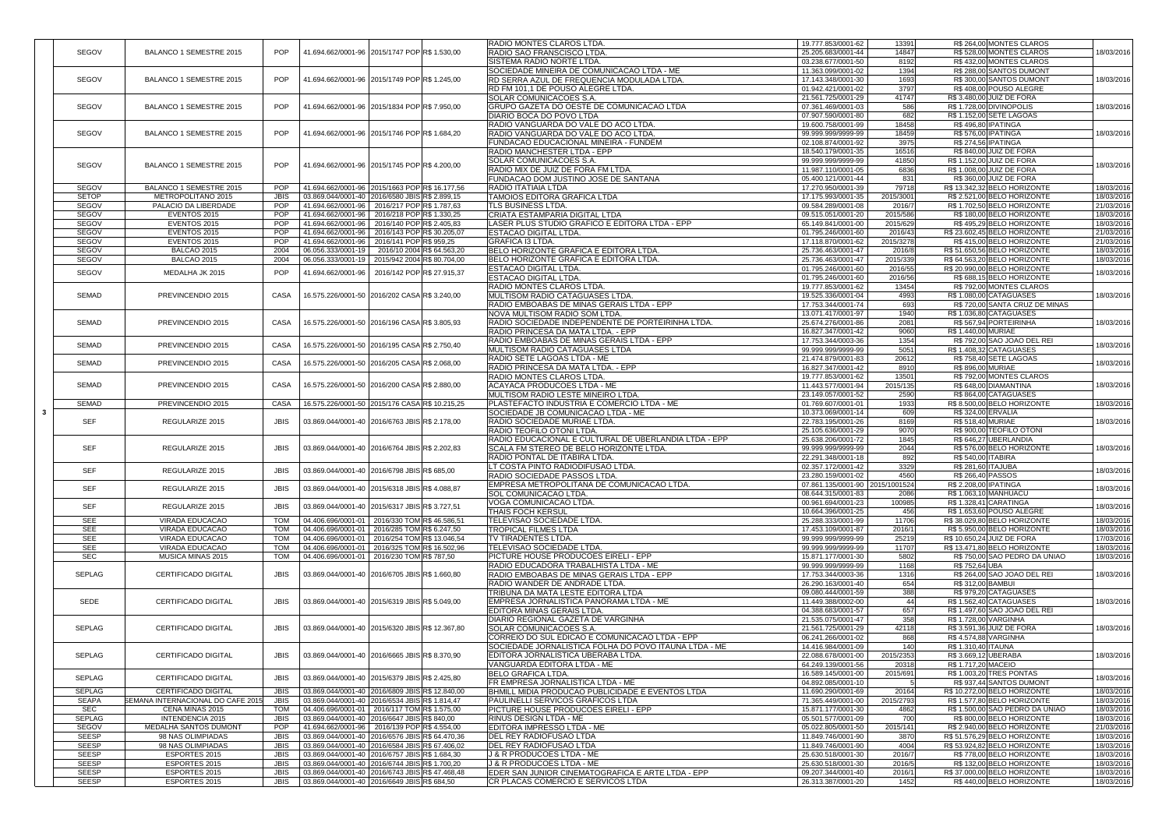|               |                                          |             |                                                  |                             | <b>RADIO MONTES CLAROS LTDA</b>                       | 19.777.853/0001-62              | 13391     | R\$ 264,00 MONTES CLAROS        |            |
|---------------|------------------------------------------|-------------|--------------------------------------------------|-----------------------------|-------------------------------------------------------|---------------------------------|-----------|---------------------------------|------------|
| <b>SEGOV</b>  | <b>BALANCO 1 SEMESTRE 2015</b>           | <b>POP</b>  | 41.694.662/0001-96 2015/1747 POP R\$ 1.530,00    |                             | <b>RADIO SAO FRANSCISCO LTDA.</b>                     | 25.205.683/0001-44              | 14847     | R\$ 528,00 MONTES CLAROS        | 18/03/2016 |
|               |                                          |             |                                                  |                             | <b>ISISTEMA RADIO NORTE LTDA</b>                      | 03.238.677/0001-50              | 8192      | R\$432,00 MONTES CLAROS         |            |
|               |                                          |             |                                                  |                             |                                                       |                                 |           |                                 |            |
|               |                                          |             |                                                  |                             | SOCIEDADE MINEIRA DE COMUNICACAO LTDA - ME            | 11.363.099/0001-02              | 1394      | R\$ 288,00 SANTOS DUMONT        |            |
| <b>SEGOV</b>  | <b>BALANCO 1 SEMESTRE 2015</b>           | <b>POP</b>  | 41.694.662/0001-96   2015/1749 POP R\$ 1.245,00  |                             | <b>RD SERRA AZUL DE FREQUENCIA MODULADA LTDA.</b>     | 17.143.348/0001-30              | 1693      | R\$ 300,00 SANTOS DUMONT        | 18/03/2016 |
|               |                                          |             |                                                  |                             | <b>IRD FM 101.1 DE POUSO ALEGRE LTDA.</b>             | 01.942.421/0001-02              | 3797      | R\$408,00 POUSO ALEGRE          |            |
|               |                                          |             |                                                  |                             | <b>SOLAR COMUNICACOES S.A.</b>                        | 21.561.725/0001-29              | 41747     | R\$ 3.480,00 JUIZ DE FORA       |            |
| <b>SEGOV</b>  | <b>BALANCO 1 SEMESTRE 2015</b>           | <b>POP</b>  | 41.694.662/0001-96 2015/1834 POP R\$ 7.950,00    |                             | GRUPO GAZETA DO OESTE DE COMUNICACAO LTDA             | 07.361.469/0001-03              | 586       | R\$ 1.728,00 DIVINOPOLIS        | 18/03/2016 |
|               |                                          |             |                                                  |                             |                                                       |                                 |           |                                 |            |
|               |                                          |             |                                                  |                             | <b>DIARIO BOCA DO POVO LTDA</b>                       | 07.907.590/0001-80              | 682       | R\$ 1.152,00 SETE LAGOAS        |            |
|               |                                          |             |                                                  |                             | RADIO VANGUARDA DO VALE DO ACO LTDA.                  | 19.600.758/0001-99              | 18458     | R\$496,80 IPATINGA              |            |
| <b>SEGOV</b>  | <b>BALANCO 1 SEMESTRE 2015</b>           | <b>POP</b>  | 41.694.662/0001-96 2015/1746 POP R\$ 1.684,20    |                             | RADIO VANGUARDA DO VALE DO ACO LTDA.                  | 99.999.999/9999-99              | 18459     | <b>R\$ 576,00 IPATINGA</b>      | 18/03/2016 |
|               |                                          |             |                                                  |                             | <b>FUNDACAO EDUCACIONAL MINEIRA - FUNDEM</b>          | 02.108.874/0001-92              | 3975      | <b>R\$ 274,56 IPATINGA</b>      |            |
|               |                                          |             |                                                  |                             |                                                       |                                 |           |                                 |            |
|               |                                          |             |                                                  |                             | RADIO MANCHESTER LTDA - EPP_                          | 18.540.179/0001-35              | 16516     | <b>R\$ 840,00 JUIZ DE FORA</b>  |            |
| <b>SEGOV</b>  | <b>BALANCO 1 SEMESTRE 2015</b>           | <b>POP</b>  | 41.694.662/0001-96 2015/1745 POP R\$4.200,00     |                             | <b>SOLAR COMUNICACOES S.A.</b>                        | 99.999.999/9999-99              | 41850     | R\$ 1.152,00 JUIZ DE FORA       | 18/03/2016 |
|               |                                          |             |                                                  |                             | RADIO MIX DE JUIZ DE FORA FM LTDA.                    | 11.987.110/0001-05              | 6836      | R\$ 1.008,00 JUIZ DE FORA       |            |
|               |                                          |             |                                                  |                             | <b>FUNDACAO DOM JUSTINO JOSE DE SANTANA</b>           | 05.400.121/0001-44              | 831       | R\$ 360,00 JUIZ DE FORA         |            |
|               |                                          |             |                                                  |                             |                                                       |                                 |           |                                 |            |
| <b>SEGOV</b>  | <b>BALANCO 1 SEMESTRE 2015</b>           | POP         | 41.694.662/0001-96 2015/1663 POP R\$ 16.177,56   |                             | <b>RADIO ITATIAIA LTDA</b>                            | 17.270.950/0001-39              | 79718     | R\$ 13.342,32 BELO HORIZONTE    | 18/03/2016 |
| <b>SETOP</b>  | METROPOLITANO 2015                       | <b>JBIS</b> | 03.869.044/0001-40 2016/6580 JBISR\$ 2.899,15    |                             | <b>TAMOIOS EDITORA GRAFICA LTDA</b>                   | 17.175.993/0001-35              | 2015/3001 | R\$ 2.521,00 BELO HORIZONTE     | 18/03/2010 |
| <b>SEGOV</b>  | PALACIO DA LIBERDADE                     | <b>POP</b>  | 41.694.662/0001-96 2016/217 POP R\$ 1.787,63     |                             | <b>TLS BUSINESS LTDA.</b>                             | 09.584.289/0001-08              | 2016/7    | R\$ 1.702,50 BELO HORIZONTE     | 21/03/2016 |
| <b>SEGOV</b>  | EVENTOS 2015                             | <b>POP</b>  | 41.694.662/0001-96 2016/218 POP R\$ 1.330,25     |                             | <b>CRIATA ESTAMPARIA DIGITAL LTDA</b>                 | 09.515.051/0001-20              | 2015/586  | R\$180,00 BELO HORIZONTE        | 18/03/2010 |
|               |                                          |             |                                                  |                             |                                                       |                                 |           |                                 |            |
| <b>SEGOV</b>  | EVENTOS 2015                             | <b>POP</b>  | 41.694.662/0001-96   2016/140 POP R\$ 2.405,83   |                             | LASER PLUS STUDIO GRAFICO E EDITORA LTDA - EPP        | 65.149.841/0001-00              | 2015/629  | R\$495,29 BELO HORIZONTE        | 18/03/201  |
| <b>SEGOV</b>  | EVENTOS 2015                             | <b>POP</b>  | 41.694.662/0001-96                               | 2016/143 POP R\$ 30.205,07  | <b>ESTACAO DIGITAL LTDA.</b>                          | 01.795.246/0001-60              | 2016/43   | R\$ 23.602,45 BELO HORIZONTE    | 21/03/201  |
| <b>SEGOV</b>  | EVENTOS 2015                             | <b>POP</b>  | 41.694.662/0001-96                               | 2016/141 POP R\$ 959,25     | <b>GRAFICA I3 LTDA.</b>                               | 17.118.870/0001-62              | 2015/3278 | R\$415,00 BELO HORIZONTE        | 21/03/2016 |
| <b>SEGOV</b>  | <b>BALCAO 2015</b>                       | 2004        | 06.056.333/0001-19                               | 2016/10 2004 R\$ 64.563,20  | BELO HORIZONTE GRAFICA E EDITORA LTDA                 | 25.736.463/0001-47              | 2016/8    | R\$ 51.650,56 BELO HORIZONTE    | 18/03/201  |
| <b>SEGOV</b>  | <b>BALCAO 2015</b>                       |             | 06.056.333/0001-19                               |                             | BELO HORIZONTE GRAFICA E EDITORA LTDA                 |                                 | 2015/339  | R\$ 64.563,20 BELO HORIZONTE    |            |
|               |                                          | 2004        |                                                  | 2015/942 2004 R\$ 80.704,00 |                                                       | 25.736.463/0001-47              |           |                                 | 18/03/201  |
| <b>SEGOV</b>  | MEDALHA JK 2015                          | <b>POP</b>  | 41.694.662/0001-96   2016/142 POP R\$ 27.915,37  |                             | <b>ESTACAO DIGITAL LTDA.</b>                          | 01.795.246/0001-60              | 2016/55   | R\$ 20.990,00 BELO HORIZONTE    | 18/03/201  |
|               |                                          |             |                                                  |                             | <b>ESTACAO DIGITAL LTDA.</b>                          | 01.795.246/0001-60              | 2016/56   | R\$ 688,15 BELO HORIZONTE       |            |
|               |                                          |             |                                                  |                             | <b>RADIO MONTES CLAROS LTDA.</b>                      | 19.777.853/0001-62              | 13454     | R\$792,00 MONTES CLAROS         |            |
| SEMAD         | PREVINCENDIO 2015                        | <b>CASA</b> | 16.575.226/0001-50 2016/202 CASA R\$ 3.240,00    |                             | <b>MULTISOM RADIO CATAGUASES LTDA.</b>                | 19.525.336/0001-04              | 4993      | R\$ 1.080,00 CATAGUASES         | 18/03/2016 |
|               |                                          |             |                                                  |                             |                                                       |                                 |           |                                 |            |
|               |                                          |             |                                                  |                             | <b>RADIO EMBOABAS DE MINAS GERAIS LTDA - EPP</b>      | 17.753.344/0001-74              | 693       | R\$720,00 SANTA CRUZ DE MINAS   |            |
|               |                                          |             |                                                  |                             | NOVA MULTISOM RADIO SOM LTDA.                         | 13.071.417/0001-97              | 1940      | R\$ 1.036,80 CATAGUASES         |            |
| SEMAD         | PREVINCENDIO 2015                        | CASA        | 16.575.226/0001-50 2016/196 CASA R\$ 3.805,93    |                             | RADIO SOCIEDADE INDEPENDENTE DE PORTEIRINHA LTDA.     | 25.674.276/0001-86              | 2081      | R\$ 567,94 PORTEIRINHA          | 18/03/2016 |
|               |                                          |             |                                                  |                             | RADIO PRINCESA DA MATA LTDA. - EPP                    | 16.827.347/0001-42              | 9060      | R\$ 1.440,00 MURIAE             |            |
|               |                                          |             |                                                  |                             |                                                       |                                 |           |                                 |            |
| SEMAD         | PREVINCENDIO 2015                        | <b>CASA</b> | 16.575.226/0001-50 2016/195 CASA R\$ 2.750,40    |                             | <b>RADIO EMBOABAS DE MINAS GERAIS LTDA - EPP</b>      | 17.753.344/0003-36              | 1354      | R\$ 792,00 SAO JOAO DEL REI     | 18/03/2016 |
|               |                                          |             |                                                  |                             | <b>MULTISOM RADIO CATAGUASES LTDA</b>                 | 99.999.999/9999-99              | 5051      | R\$ 1.408,32 CATAGUASES         |            |
|               |                                          |             |                                                  |                             | <b>RADIO SETE LAGOAS LTDA - ME</b>                    | 21.474.879/0001-83              | 20612     | R\$ 758,40 SETE LAGOAS          |            |
| SEMAD         | PREVINCENDIO 2015                        | <b>CASA</b> | 16.575.226/0001-50 2016/205 CASA R\$ 2.068,00    |                             | RADIO PRINCESA DA MATA LTDA. - EPP                    | 16.827.347/0001-42              | 8910      | <b>R\$ 896,00 MURIAE</b>        | 18/03/201  |
|               |                                          |             |                                                  |                             |                                                       |                                 |           |                                 |            |
|               |                                          |             |                                                  |                             | <b>RADIO MONTES CLAROS LTDA</b>                       | 19.777.853/0001-62              | 13501     | R\$792,00 MONTES CLAROS         |            |
| SEMAD         | PREVINCENDIO 2015                        | <b>CASA</b> | 16.575.226/0001-50 2016/200 CASA R\$ 2.880,00    |                             | <b>ACAYACA PRODUCOES LTDA - ME</b>                    | 11.443.577/0001-94              | 2015/135  | R\$ 648,00 DIAMANTINA           | 18/03/2016 |
|               |                                          |             |                                                  |                             | <b>MULTISOM RADIO LESTE MINEIRO LTDA.</b>             | 23.149.057/0001-52              | 2590      | R\$864,00 CATAGUASES            |            |
| <b>SEMAD</b>  | PREVINCENDIO 2015                        | CASA        | 16.575.226/0001-50 2015/176 CASA R\$ 10.215,25   |                             | <b>PLASTEFACTO INDUSTRIA E COMERCIO LTDA - ME</b>     | 01.769.607/0001-01              | 1933      | R\$ 8.500,00 BELO HORIZONTE     | 18/03/2016 |
|               |                                          |             |                                                  |                             | SOCIEDADE JB COMUNICACAO LTDA - ME                    | 10.373.069/0001-14              | 609       | R\$ 324,00 ERVALIA              |            |
|               |                                          |             |                                                  |                             |                                                       |                                 |           |                                 |            |
| <b>SEF</b>    | REGULARIZE 2015                          | <b>JBIS</b> | 03.869.044/0001-40   2016/6763 JBIS R\$ 2.178,00 |                             | <b>RADIO SOCIEDADE MURIAE LTDA.</b>                   | 22.783.195/0001-26              | 8169      | R\$ 518,40 MURIAE               | 18/03/2016 |
|               |                                          |             |                                                  |                             | RADIO TEOFILO OTONI LTDA.                             | 25.105.636/0001-29              | 9070      | R\$900,00 TEOFILO OTONI         |            |
|               |                                          |             |                                                  |                             | RADIO EDUCACIONAL E CULTURAL DE UBERLANDIA LTDA - EPP | 25.638.206/0001-72              | 1845      | R\$ 646,27 UBERLANDIA           |            |
| <b>SEF</b>    | REGULARIZE 2015                          | <b>JBIS</b> | 03.869.044/0001-40 2016/6764 JBISR\$ 2.202,83    |                             | SCALA FM STEREO DE BELO HORIZONTE LTDA.               | 99.999.999/9999-99              | 2044      | R\$ 576,00 BELO HORIZONTE       | 18/03/2016 |
|               |                                          |             |                                                  |                             | <b>RADIO PONTAL DE ITABIRA LTDA.</b>                  | 22.291.348/0001-18              | 892       | R\$ 540,00 ITABIRA              |            |
|               |                                          |             |                                                  |                             |                                                       | 02.357.172/0001-42              | 3329      | R\$ 281,60 ITAJUBA              |            |
| <b>SEF</b>    | REGULARIZE 2015                          | <b>JBIS</b> | 03.869.044/0001-40 2016/6798 JBISR\$ 685,00      |                             | LT COSTA PINTO RADIODIFUSAO LTDA.                     |                                 |           |                                 | 18/03/2016 |
|               |                                          |             |                                                  |                             | <b>RADIO SOCIEDADE PASSOS LTDA.</b>                   | 23.280.159/0001-02              | 4560      | R\$ 266,40 PASSOS               |            |
|               |                                          |             |                                                  |                             | EMPRESA METROPOLITANA DE COMUNICACAO LTDA.            |                                 |           | R\$ 2.208,00 IPATINGA           |            |
|               |                                          |             |                                                  |                             |                                                       | 07.861.135/0001-90 2015/1001524 |           |                                 |            |
| <b>SEF</b>    | REGULARIZE 2015                          | <b>JBIS</b> | 03.869.044/0001-40 2015/6318 JBIS R\$ 4.088,87   |                             | <b>SOL COMUNICACAO LTDA.</b>                          | 08.644.315/0001-83              | 2086      | R\$ 1.063,10 MANHUACU           | 18/03/2016 |
|               |                                          |             |                                                  |                             |                                                       |                                 |           |                                 |            |
| <b>SEF</b>    | REGULARIZE 2015                          | <b>JBIS</b> | 03.869.044/0001-40 2015/6317 JBISR\$ 3.727,51    |                             | <b>VOGA COMUNICACAO LTDA</b>                          | 00.961.694/0001-23              | 100985    | R\$ 1.328,41 CARATINGA          | 18/03/2016 |
|               |                                          |             |                                                  |                             | <b>THAIS FOCH KERSUL</b>                              | 10.664.396/0001-25              | 456       | R\$ 1.653,60 POUSO ALEGRE       |            |
| <b>SEE</b>    | <b>VIRADA EDUCACAO</b>                   | <b>TOM</b>  | 04.406.696/0001-01 2016/330 TOM R\$46.586,51     |                             | <b>TELEVISAO SOCIEDADE LTDA.</b>                      | 25.288.333/0001-99              | 11706     | R\$ 38.029,80 BELO HORIZONTE    | 18/03/2016 |
| <b>SEE</b>    | <b>VIRADA EDUCACAO</b>                   | <b>TOM</b>  | 04.406.696/0001-01 2016/285 TOM R\$ 6.247,50     |                             | <b>TROPICAL FILMES LTDA</b>                           | 17.453.109/0001-87              | 2016/1    | R\$ 5.950,00 BELO HORIZONTE     | 18/03/2016 |
|               |                                          |             |                                                  |                             |                                                       |                                 |           |                                 |            |
| <b>SEE</b>    | <b>VIRADA EDUCACAO</b>                   | <b>TOM</b>  | 04.406.696/0001-01 2016/254 TOM R\$ 13.046,54    |                             | <b>ITV TIRADENTES LTDA.</b>                           | 99.999.999/9999-99              | 25219     | R\$ 10.650,24 JUIZ DE FORA      | 17/03/2016 |
| <b>SEE</b>    | <b>VIRADA EDUCACAO</b>                   | <b>TOM</b>  | 04.406.696/0001-01 2016/325 TOM R\$ 16.502,96    |                             | <b>TELEVISAO SOCIEDADE LTDA.</b>                      | 99.999.999/9999-99              | 11707     | R\$ 13.471,80 BELO HORIZONTE    | 18/03/2016 |
| <b>SEC</b>    | MUSICA MINAS 2015                        | <b>TOM</b>  | 04.406.696/0001-01 2016/230 TOM R\$ 787,50       |                             | <b>PICTURE HOUSE PRODUCOES EIRELI - EPP</b>           | 15.871.177/0001-30              | 5802      | R\$750,00 SAO PEDRO DA UNIAO    | 18/03/2010 |
|               |                                          |             |                                                  |                             | RADIO EDUCADORA TRABALHISTA LTDA - ME                 | 99.999.999/9999-99              | 1168      | R\$ 752,64 UBA                  |            |
| SEPLAG        | <b>CERTIFICADO DIGITAL</b>               | <b>JBIS</b> | 03.869.044/0001-40 2016/6705 JBISR\$ 1.660,80    |                             | RADIO EMBOABAS DE MINAS GERAIS LTDA - EPP             | 17.753.344/0003-36              | 1316      | R\$ 264,00 SAO JOAO DEL REI     | 18/03/2016 |
|               |                                          |             |                                                  |                             |                                                       |                                 |           |                                 |            |
|               |                                          |             |                                                  |                             | RADIO WANDER DE ANDRADE LTDA.                         | 26.290.163/0001-40              | 654       | R\$ 312,00 BAMBUI               |            |
|               |                                          |             |                                                  |                             | <b>TRIBUNA DA MATA LESTE EDITORA LTDA</b>             | 09.080.444/0001-59              | 388       | R\$979,20 CATAGUASES            |            |
| <b>SEDE</b>   | <b>CERTIFICADO DIGITAL</b>               | <b>JBIS</b> | 03.869.044/0001-40 2015/6319 JBISR\$ 5.049,00    |                             | EMPRESA JORNALISTICA PANORAMA LTDA - ME               | 11.449.388/0002-00              | 44        | R\$ 1.562,40 CATAGUASES         | 18/03/2016 |
|               |                                          |             |                                                  |                             | EDITORA MINAS GERAIS LTDA.                            | 04.388.683/0001-57              | 657       | R\$ 1.497,60 SAO JOAO DEL REI   |            |
|               |                                          |             |                                                  |                             | <b>DIARIO REGIONAL GAZETA DE VARGINHA</b>             | 21.535.075/0001-47              |           |                                 |            |
|               |                                          |             |                                                  |                             |                                                       |                                 | 358       | R\$ 1.728,00 VARGINHA           |            |
| SEPLAG        | <b>CERTIFICADO DIGITAL</b>               | <b>JBIS</b> | 03.869.044/0001-40 2015/6320 JBISR\$ 12.367,80   |                             | <b>SOLAR COMUNICACOES S.A.</b>                        | 21.561.725/0001-29              | 42118     | R\$ 3.591,36 JUIZ DE FORA       | 18/03/2016 |
|               |                                          |             |                                                  |                             | CORREIO DO SUL EDICAO E COMUNICACAO LTDA - EPP        | 06.241.266/0001-02              | 868       | R\$ 4.574,88 VARGINHA           |            |
|               |                                          |             |                                                  |                             | SOCIEDADE JORNALISTICA FOLHA DO POVO ITAUNA LTDA - ME | 14.416.984/0001-09              | 140       | R\$ 1.310,40 ITAUNA             |            |
| SEPLAG        | <b>CERTIFICADO DIGITAL</b>               | <b>JBIS</b> | 03.869.044/0001-40 2016/6665 JBISR\$ 8.370,90    |                             | EDITORA JORNALISTICA UBERABA LTDA                     | 22.088.678/0001-00              | 2015/2353 | R\$ 3.669,12 UBERABA            | 18/03/2016 |
|               |                                          |             |                                                  |                             |                                                       |                                 |           |                                 |            |
|               |                                          |             |                                                  |                             | VANGUARDA EDITORA LTDA - ME                           | 64.249.139/0001-56              | 20318     | R\$ 1.717,20 MACEIO             |            |
| SEPLAG        | <b>CERTIFICADO DIGITAL</b>               | <b>JBIS</b> |                                                  |                             | <b>BELO GRAFICA LTDA.</b>                             | 16.589.145/0001-00              | 2015/691  | R\$ 1.003,20 TRES PONTAS        |            |
|               |                                          |             | 03.869.044/0001-40   2015/6379 JBIS R\$ 2.425.80 |                             | <b>FR EMPRESA JORNALISTICA LTDA - ME</b>              | 04.892.085/0001-10              |           | R\$937,44 SANTOS DUMONT         | 18/03/2016 |
| <b>SEPLAG</b> | <b>CERTIFICADO DIGITAL</b>               | <b>JBIS</b> | 03.869.044/0001-40 2016/6809 JBISR\$ 12.840,00   |                             | BHMILL MIDIA PRODUCAO PUBLICIDADE E EVENTOS LTDA      | 11.690.290/0001-69              | 20164     | R\$ 10.272,00 BELO HORIZONTE    | 18/03/2016 |
|               |                                          |             |                                                  |                             |                                                       |                                 |           |                                 |            |
| <b>SEAPA</b>  | <b>SEMANA INTERNACIONAL DO CAFE 2015</b> | <b>JBIS</b> | 03.869.044/0001-40 2016/6534 JBISR\$ 1.814,47    |                             | <b>PAULINELLI SERVICOS GRAFICOS LTDA</b>              | 71.365.449/0001-00              | 2015/2793 | R\$ 1.577,80 BELO HORIZONTE     | 18/03/2016 |
| <b>SEC</b>    | CENA MINAS 2015                          | <b>TOM</b>  | 04.406.696/0001-01 2016/117 TOM R\$ 1.575,00     |                             | <b>PICTURE HOUSE PRODUCOES EIRELI - EPP</b>           | 15.871.177/0001-30              | 4862      | R\$ 1.500,00 SAO PEDRO DA UNIAO | 18/03/2016 |
| <b>SEPLAG</b> | <b>INTENDENCIA 2015</b>                  | <b>JBIS</b> | 03.869.044/0001-40 2016/6647 JBISR\$ 840,00      |                             | <b>RINUS DESIGN LTDA - ME</b>                         | 05.501.577/0001-09              | 700       | R\$800,00 BELO HORIZONTE        | 18/03/2016 |
| <b>SEGOV</b>  | <b>MEDALHA SANTOS DUMONT</b>             | <b>POP</b>  | 41.694.662/0001-96   2016/139 POP R\$ 4.554,00   |                             | EDITORA IMPRESSO LTDA - ME                            | 05.022.805/0001-50              | 2015/141  | R\$ 2.940,00 BELO HORIZONTE     | 21/03/2016 |
|               | 98 NAS OLIMPIADAS                        |             |                                                  |                             |                                                       |                                 |           |                                 |            |
| <b>SEESP</b>  |                                          | <b>JBIS</b> | 03.869.044/0001-40 2016/6576 JBISR\$ 64.470,36   |                             | <b>DEL REY RADIOFUSAO LTDA</b>                        | 11.849.746/0001-90              | 3870      | R\$ 51.576,29 BELO HORIZONTE    | 18/03/2016 |
| <b>SEESP</b>  | 98 NAS OLIMPIADAS                        | <b>JBIS</b> | 03.869.044/0001-40 2016/6584 JBISR\$ 67.406,02   |                             | <b>IDEL REY RADIOFUSAO LTDA</b>                       | 11.849.746/0001-90              | 4004      | R\$ 53.924,82 BELO HORIZONTE    | 18/03/2016 |
| <b>SEESP</b>  | ESPORTES 2015                            | <b>JBIS</b> | 03.869.044/0001-40 2016/6757 JBISR\$ 1.684,30    |                             | J & R PRODUCOES LTDA - ME                             | 25.630.518/0001-30              | 2016/7    | R\$778,00 BELO HORIZONTE        | 18/03/2016 |
| <b>SEESP</b>  | ESPORTES 2015                            | <b>JBIS</b> | 03.869.044/0001-40 2016/6744 JBISR\$ 1.700,20    |                             | J & R PRODUCOES LTDA - ME                             | 25.630.518/0001-30              | 2016/5    | R\$ 132,00 BELO HORIZONTE       | 18/03/2016 |
| <b>SEESP</b>  | ESPORTES 2015                            | <b>JBIS</b> | 03.869.044/0001-40 2016/6743 JBISR\$ 47.468,48   |                             | EDER SAN JUNIOR CINEMATOGRAFICA E ARTE LTDA - EPP     | 09.207.344/0001-40              | 2016/1    | R\$37.000,00 BELO HORIZONTE     | 18/03/2016 |
| <b>SEESP</b>  | ESPORTES 2015                            | <b>JBIS</b> | 03.869.044/0001-40 2016/6649 JBISR\$ 684,50      |                             | <b>CR PLACAS COMERCIO E SERVICOS LTDA</b>             | 26.313.387/0001-20              | 1452      | R\$440,00 BELO HORIZONTE        | 18/03/2016 |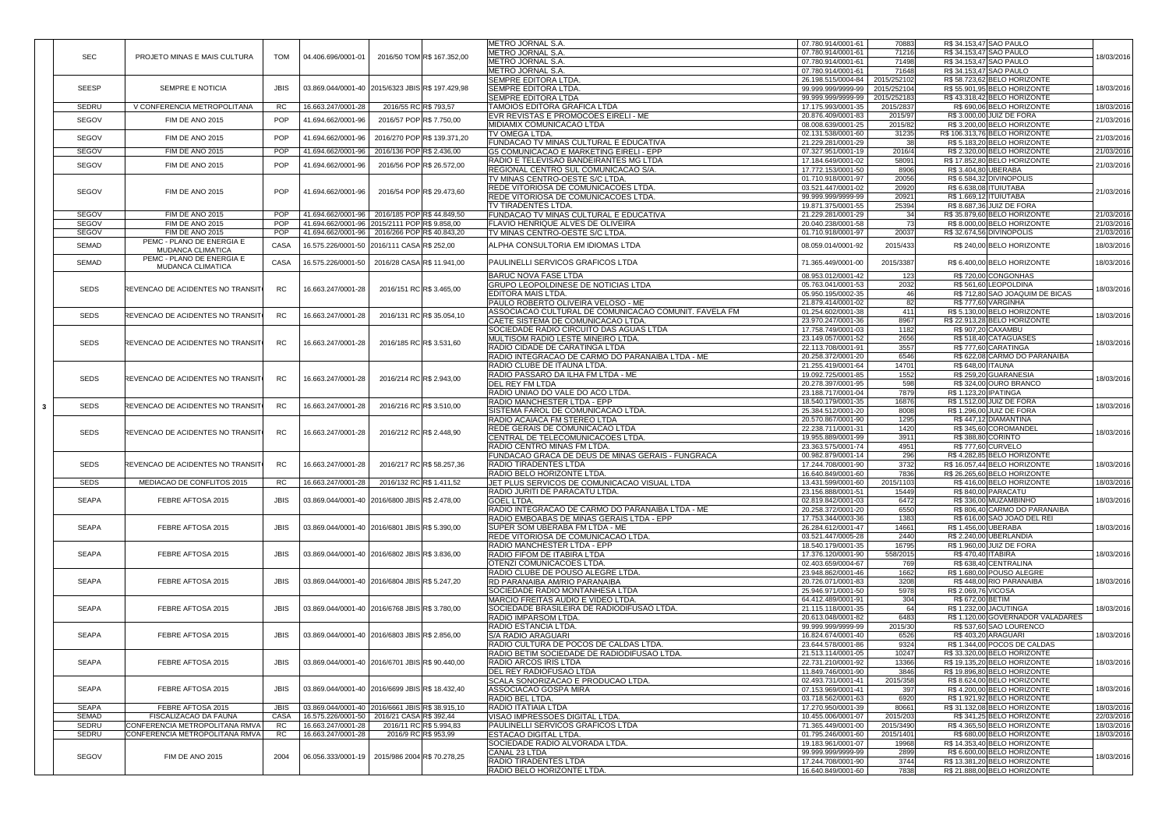|              |                                   |             |                                                  |                           |                             | <b>METRO JORNAL S.A.</b>                              | 07.780.914/0001-61 | 70883       |                       | R\$ 34.153,47 SAO PAULO           |            |
|--------------|-----------------------------------|-------------|--------------------------------------------------|---------------------------|-----------------------------|-------------------------------------------------------|--------------------|-------------|-----------------------|-----------------------------------|------------|
|              |                                   |             |                                                  |                           |                             | <b>METRO JORNAL S.A</b>                               | 07.780.914/0001-61 | 71216       |                       | R\$ 34.153,47 SAO PAULO           |            |
| <b>SEC</b>   | PROJETO MINAS E MAIS CULTURA      | <b>TOM</b>  | 04.406.696/0001-01                               |                           | 2016/50 TOM R\$ 167.352,00  |                                                       |                    |             |                       |                                   | 18/03/2016 |
|              |                                   |             |                                                  |                           |                             | <b>METRO JORNAL S.A</b>                               | 07.780.914/0001-61 | 71498       |                       | R\$ 34.153,47 SAO PAULO           |            |
|              |                                   |             |                                                  |                           |                             | <b>METRO JORNAL S.A.</b>                              | 07.780.914/0001-61 | 71648       |                       | R\$ 34.153,47 SAO PAULO           |            |
|              |                                   |             |                                                  |                           |                             | <b>SEMPRE EDITORA LTDA.</b>                           | 26.198.515/0004-84 | 2015/252102 |                       | R\$ 58.723,62 BELO HORIZONTE      |            |
| <b>SEESP</b> | <b>SEMPRE E NOTICIA</b>           | <b>JBIS</b> | 03.869.044/0001-40 2015/6323 JBISR\$ 197.429,98  |                           |                             | <b>SEMPRE EDITORA LTDA.</b>                           | 99.999.999/9999-99 | 2015/252104 |                       | R\$ 55.901,95 BELO HORIZONTE      | 18/03/2016 |
|              |                                   |             |                                                  |                           |                             | <b>SEMPRE EDITORA LTDA</b>                            | 99.999.999/9999-99 | 2015/252183 |                       | R\$43.318,42 BELO HORIZONTE       |            |
| <b>SEDRU</b> | V CONFERENCIA METROPOLITANA       | RC.         | 16.663.247/0001-28                               | 2016/55 RC R\$ 793,57     |                             | <b>TAMOIOS EDITORA GRAFICA LTDA</b>                   | 17.175.993/0001-35 | 2015/2837   |                       | R\$ 690,06 BELO HORIZONTE         | 18/03/2016 |
|              |                                   |             |                                                  |                           |                             | EVR REVISTAS E PROMOCOES EIRELI - ME                  | 20.876.409/0001-83 | 2015/97     |                       | R\$ 3.000,00 JUIZ DE FORA         |            |
| <b>SEGOV</b> | FIM DE ANO 2015                   | <b>POP</b>  | 41.694.662/0001-96                               | 2016/57 POP R\$ 7.750,00  |                             |                                                       |                    |             |                       |                                   | 21/03/2016 |
|              |                                   |             |                                                  |                           |                             | <b>MIDIAMIX COMUNICACAO LTDA</b>                      | 08.008.639/0001-25 | 2015/82     |                       | R\$ 3.200,00 BELO HORIZONTE       |            |
| <b>SEGOV</b> | FIM DE ANO 2015                   | <b>POP</b>  | 41.694.662/0001-96                               |                           | 2016/270 POP R\$ 139.371,20 | <b>TV OMEGA LTDA.</b>                                 | 02.131.538/0001-60 | 31235       |                       | R\$ 106.313,76 BELO HORIZONTE     | 21/03/2016 |
|              |                                   |             |                                                  |                           |                             | <b>FUNDACAO TV MINAS CULTURAL E EDUCATIVA</b>         | 21.229.281/0001-29 | 38          |                       | R\$ 5.183,20 BELO HORIZONTE       |            |
| <b>SEGOV</b> | FIM DE ANO 2015                   | <b>POP</b>  | 41.694.662/0001-96                               | 2016/136 POP R\$ 2.436,00 |                             | <b>G5 COMUNICACAO E MARKETING EIRELI - EPP</b>        | 07.327.951/0001-19 | 2016/4      |                       | R\$ 2.320,00 BELO HORIZONTE       | 21/03/2016 |
|              |                                   |             |                                                  |                           |                             | RADIO E TELEVISAO BANDEIRANTES MG LTDA                | 17.184.649/0001-02 | 58091       |                       | R\$ 17.852,80 BELO HORIZONTE      |            |
| <b>SEGOV</b> | FIM DE ANO 2015                   | <b>POP</b>  | 41.694.662/0001-96                               |                           | 2016/56 POP R\$ 26.572,00   |                                                       |                    |             |                       |                                   | 21/03/2016 |
|              |                                   |             |                                                  |                           |                             | <b>REGIONAL CENTRO SUL COMUNICACAO S/A.</b>           | 17.772.153/0001-50 | 8906        | R\$ 3.404,80 UBERABA  |                                   |            |
|              |                                   |             |                                                  |                           |                             | TV MINAS CENTRO-OESTE S/C LTDA                        | 01.710.918/0001-97 | 20056       |                       | R\$ 6.584,32 DIVINOPOLIS          |            |
| SEGOV        |                                   | <b>POP</b>  |                                                  |                           | 2016/54 POP R\$ 29.473,60   | <b>REDE VITORIOSA DE COMUNICACOES LTDA</b>            | 03.521.447/0001-02 | 20920       |                       | R\$ 6.638,08 ITUIUTABA            |            |
|              | FIM DE ANO 2015                   |             | 41.694.662/0001-96                               |                           |                             | <b>REDE VITORIOSA DE COMUNICACOES LTDA</b>            | 99.999.999/9999-99 | 20921       |                       | R\$ 1.669,12 ITUIUTABA            | 21/03/2016 |
|              |                                   |             |                                                  |                           |                             | <b>TV TIRADENTES LTDA.</b>                            | 19.871.375/0001-55 | 25394       |                       | R\$ 8.687,36 JUIZ DE FORA         |            |
| <b>SEGOV</b> | FIM DE ANO 2015                   |             | 41.694.662/0001-96   2016/185 POP R\$44.849,50   |                           |                             | <b>FUNDACAO TV MINAS CULTURAL E EDUCATIVA</b>         | 21.229.281/0001-29 | 34          |                       | R\$ 35.879,60 BELO HORIZONTE      | 21/03/2016 |
|              |                                   |             |                                                  |                           |                             |                                                       |                    |             |                       |                                   |            |
| <b>SEGOV</b> | FIM DE ANO 2015                   | <b>POP</b>  | 41.694.662/0001-96 2015/2111 POPR\$ 9.858,00     |                           |                             | <b>FLAVIO HENRIQUE ALVES DE OLIVEIRA</b>              | 20.040.238/0001-58 | 73          |                       | R\$ 8.000,00 BELO HORIZONTE       | 21/03/2016 |
| <b>SEGOV</b> | FIM DE ANO 2015                   | <b>POP</b>  | 41.694.662/0001-96 2016/266 POP R\$40.843,20     |                           |                             | <b>TV MINAS CENTRO-OESTE S/C LTDA</b>                 | 01.710.918/0001-97 | 20037       |                       | R\$ 32.674,56 DIVINOPOLIS         | 21/03/2016 |
| SEMAD        | PEMC - PLANO DE ENERGIA E         | <b>CASA</b> | 16.575.226/0001-50 2016/111 CASA R\$ 252,00      |                           |                             | <b>ALPHA CONSULTORIA EM IDIOMAS LTDA</b>              | 08.059.014/0001-92 | 2015/433    |                       | R\$ 240,00 BELO HORIZONTE         | 18/03/2016 |
|              | <b>MUDANCA CLIMATICA</b>          |             |                                                  |                           |                             |                                                       |                    |             |                       |                                   |            |
|              | PEMC - PLANO DE ENERGIA E         |             |                                                  |                           |                             |                                                       |                    |             |                       |                                   |            |
| SEMAD        | <b>MUDANCA CLIMATICA</b>          | <b>CASA</b> | 16.575.226/0001-50 2016/28 CASAR\$ 11.941,00     |                           |                             | <b>PAULINELLI SERVICOS GRAFICOS LTDA</b>              | 71.365.449/0001-00 | 2015/3387   |                       | R\$ 6.400,00 BELO HORIZONTE       | 18/03/2016 |
|              |                                   |             |                                                  |                           |                             | <b>BARUC NOVA FASE LTDA</b>                           | 08.953.012/0001-42 | 123         |                       | R\$720,00 CONGONHAS               |            |
|              |                                   |             |                                                  |                           |                             | <b>GRUPO LEOPOLDINESE DE NOTICIAS LTDA</b>            |                    |             |                       | R\$561,60 LEOPOLDINA              |            |
| <b>SEDS</b>  | REVENCAO DE ACIDENTES NO TRANSITO | <b>RC</b>   | 16.663.247/0001-28                               | 2016/151 RC R\$ 3.465,00  |                             |                                                       | 05.763.041/0001-53 | 2032        |                       |                                   | 18/03/2016 |
|              |                                   |             |                                                  |                           |                             | <b>EDITORA MAIS LTDA.</b>                             | 05.950.195/0002-35 | 46          |                       | R\$ 712,80 SAO JOAQUIM DE BICAS   |            |
|              |                                   |             |                                                  |                           |                             | <b>PAULO ROBERTO OLIVEIRA VELOSO - ME</b>             | 21.879.414/0001-02 | 82          |                       | R\$777,60 VARGINHA                |            |
|              |                                   |             |                                                  |                           |                             | ASSOCIACAO CULTURAL DE COMUNICACAO COMUNIT. FAVELA FM | 01.254.602/0001-38 | 411         |                       | R\$ 5.130,00 BELO HORIZONTE       |            |
| <b>SEDS</b>  | REVENCAO DE ACIDENTES NO TRANSITO | <b>RC</b>   | 16.663.247/0001-28                               |                           | 2016/131 RC R\$ 35.054,10   | CAETE SISTEMA DE COMUNICACAO LTDA.                    | 23.970.247/0001-36 | 8967        |                       | R\$ 22.913,28 BELO HORIZONTE      | 18/03/2016 |
|              |                                   |             |                                                  |                           |                             | SOCIEDADE RADIO CIRCUITO DAS AGUAS LTDA               | 17.758.749/0001-03 | 1182        |                       | R\$ 907,20 CAXAMBU                |            |
|              |                                   |             |                                                  |                           |                             |                                                       |                    |             |                       |                                   |            |
| <b>SEDS</b>  | REVENCAO DE ACIDENTES NO TRANSITO | RC.         | 16.663.247/0001-28                               | 2016/185 RC R\$ 3.531,60  |                             | <b>MULTISOM RADIO LESTE MINEIRO LTDA.</b>             | 23.149.057/0001-52 | 2656        |                       | R\$518,40 CATAGUASES              | 18/03/2016 |
|              |                                   |             |                                                  |                           |                             | RADIO CIDADE DE CARATINGA LTDA                        | 22.113.708/0001-91 | 3557        |                       | R\$777,60 CARATINGA               |            |
|              |                                   |             |                                                  |                           |                             | RADIO INTEGRACAO DE CARMO DO PARANAIBA LTDA - ME      | 20.258.372/0001-20 | 6546        |                       | R\$ 622,08 CARMO DO PARANAIBA     |            |
|              |                                   |             |                                                  |                           |                             | RADIO CLUBE DE ITAUNA LTDA.                           | 21.255.419/0001-64 | 14701       | R\$ 648,00 ITAUNA     |                                   |            |
|              |                                   |             |                                                  |                           |                             | RADIO PASSARO DA ILHA FM LTDA - ME                    | 19.092.725/0001-85 | 1552        |                       | R\$ 259,20 GUARANESIA             |            |
| <b>SEDS</b>  | REVENCAO DE ACIDENTES NO TRANSITO | RC.         | 16.663.247/0001-28                               | 2016/214 RC R\$ 2.943,00  |                             |                                                       |                    |             |                       |                                   | 18/03/2016 |
|              |                                   |             |                                                  |                           |                             | <b>DEL REY FM LTDA</b>                                | 20.278.397/0001-95 | 598         |                       | R\$ 324,00 OURO BRANCO            |            |
|              |                                   |             |                                                  |                           |                             | RADIO UNIAO DO VALE DO ACO LTDA.                      | 23.188.717/0001-04 | 7879        | R\$ 1.123,20 IPATINGA |                                   |            |
| <b>SEDS</b>  | REVENCAO DE ACIDENTES NO TRANSIT  | RC.         | 16.663.247/0001-28                               | 2016/216 RC R\$ 3.510,00  |                             | <b>RADIO MANCHESTER LTDA - EPP</b>                    | 18.540.179/0001-35 | 16876       |                       | R\$ 1.512,00 JUIZ DE FORA         | 18/03/2016 |
|              |                                   |             |                                                  |                           |                             | <b>SISTEMA FAROL DE COMUNICACAO LTDA.</b>             | 25.384.512/0001-20 | 8008        |                       | R\$ 1.296,00 JUIZ DE FORA         |            |
|              |                                   |             |                                                  |                           |                             | <b>RADIO ACAIACA FM STEREO LTDA</b>                   | 20.570.867/0001-90 | 1295        |                       | R\$447,12 DIAMANTINA              |            |
|              |                                   |             |                                                  |                           |                             | <b>REDE GERAIS DE COMUNICACAO LTDA</b>                | 22.238.711/0001-31 | 1420        |                       | R\$ 345,60 COROMANDEL             |            |
| <b>SEDS</b>  | REVENCAO DE ACIDENTES NO TRANSIT  | <b>RC</b>   | 16.663.247/0001-28                               | 2016/212 RC R\$ 2.448,90  |                             |                                                       |                    |             |                       |                                   | 18/03/2016 |
|              |                                   |             |                                                  |                           |                             | <b>CENTRAL DE TELECOMUNICACOES LTDA</b>               | 19.955.889/0001-99 | 3911        |                       | R\$ 388,80 CORINTO                |            |
|              |                                   |             |                                                  |                           |                             | RADIO CENTRO MINAS FM LTDA.                           | 23.363.575/0001-74 | 4951        |                       | <b>R\$777,60 CURVELO</b>          |            |
|              |                                   |             |                                                  |                           |                             | FUNDACAO GRACA DE DEUS DE MINAS GERAIS - FUNGRACA     | 00.982.879/0001-14 | 296         |                       | R\$4.282,85 BELO HORIZONTE        |            |
| <b>SEDS</b>  | REVENCAO DE ACIDENTES NO TRANSIT  | RC.         | 16.663.247/0001-28                               |                           | 2016/217 RC R\$ 58.257,36   | <b>RADIO TIRADENTES LTDA</b>                          | 17.244.708/0001-90 | 3732        |                       | R\$16.057,44 BELO HORIZONTE       | 18/03/2016 |
|              |                                   |             |                                                  |                           |                             | RADIO BELO HORIZONTE LTDA.                            | 16.640.849/0001-60 | 7836        |                       | R\$ 26.265,60 BELO HORIZONTE      |            |
| <b>SEDS</b>  | MEDIACAO DE CONFLITOS 2015        | <b>RC</b>   | 16.663.247/0001-28                               | 2016/132 RC R\$ 1.411,52  |                             | JET PLUS SERVICOS DE COMUNICACAO VISUAL LTDA          | 13.431.599/0001-60 | 2015/1103   |                       | R\$416,00 BELO HORIZONTE          | 18/03/2016 |
|              |                                   |             |                                                  |                           |                             |                                                       | 23.156.888/0001-51 | 15449       |                       | R\$ 840,00 PARACATU               |            |
|              |                                   |             |                                                  |                           |                             | RADIO JURITI DE PARACATU LTDA.                        |                    |             |                       |                                   |            |
| SEAPA        | FEBRE AFTOSA 2015                 | <b>JBIS</b> | 03.869.044/0001-40 2016/6800 JBISR\$ 2.478,00    |                           |                             | <b>GOEL LTDA.</b>                                     | 02.819.842/0001-03 | 6472        |                       | R\$336,00 MUZAMBINHO              | 18/03/2016 |
|              |                                   |             |                                                  |                           |                             | RADIO INTEGRACAO DE CARMO DO PARANAIBA LTDA - ME      | 20.258.372/0001-20 | 6550        |                       | R\$806,40 CARMO DO PARANAIBA      |            |
|              |                                   |             |                                                  |                           |                             | RADIO EMBOABAS DE MINAS GERAIS LTDA - EPP             | 17.753.344/0003-36 | 1383        |                       | R\$ 616,00 SAO JOAO DEL REI       |            |
| SEAPA        | FEBRE AFTOSA 2015                 | <b>JBIS</b> | 03.869.044/0001-40 2016/6801 JBISR\$ 5.390,00    |                           |                             | SUPER SOM UBERABA FM LTDA - ME                        | 26.284.612/0001-47 | 14661       | R\$ 1.456,00 UBERABA  |                                   | 18/03/2016 |
|              |                                   |             |                                                  |                           |                             | REDE VITORIOSA DE COMUNICACAO LTDA.                   | 03.521.447/0005-28 | 2440        |                       | R\$ 2.240,00 UBERLANDIA           |            |
|              |                                   |             |                                                  |                           |                             | <b>RADIO MANCHESTER LTDA - EPP</b>                    | 18.540.179/0001-35 | 16795       |                       | R\$ 1.960,00 JUIZ DE FORA         |            |
|              |                                   |             |                                                  |                           |                             |                                                       |                    |             |                       |                                   |            |
| SEAPA        | FEBRE AFTOSA 2015                 | <b>JBIS</b> | 03.869.044/0001-40 2016/6802 JBISR\$ 3.836,00    |                           |                             | <b>RADIO FIFOM DE ITABIRA LTDA</b>                    | 17.376.120/0001-90 | 558/2015    | R\$470,40 ITABIRA     |                                   | 18/03/2016 |
|              |                                   |             |                                                  |                           |                             | <b>OTENZI COMUNICACOES LTDA</b>                       | 02.403.659/0004-67 | 769         |                       | R\$ 638,40 CENTRALINA             |            |
|              |                                   |             |                                                  |                           |                             | RADIO CLUBE DE POUSO ALEGRE LTDA.                     | 23.948.862/0001-46 | 1662        |                       | R\$ 1.680,00 POUSO ALEGRE         |            |
| SEAPA        | FEBRE AFTOSA 2015                 | <b>JBIS</b> | 03.869.044/0001-40 2016/6804 JBISR\$ 5.247,20    |                           |                             | <b>RD PARANAIBA AM/RIO PARANAIBA</b>                  | 20.726.071/0001-83 | 3208        |                       | R\$448,00 RIO PARANAIBA           | 18/03/2016 |
|              |                                   |             |                                                  |                           |                             | SOCIEDADE RADIO MONTANHESA LTDA                       | 25.946.971/0001-50 | 5978        | R\$ 2.069,76 VICOSA   |                                   |            |
|              |                                   |             |                                                  |                           |                             | <b>MARCIO FREITAS AUDIO E VIDEO LTDA.</b>             | 64.412.489/0001-91 | 304         | R\$ 672,00 BETIM      |                                   |            |
|              |                                   |             |                                                  |                           |                             |                                                       |                    |             |                       |                                   |            |
| <b>SEAPA</b> | FEBRE AFTOSA 2015                 | JBIS        | 03.869.044/0001-40 2016/6768 JBISR\$ 3.780,00    |                           |                             | SOCIEDADE BRASILEIRA DE RADIODIFUSAO LTDA             | 21.115.118/0001-35 | 64          |                       | R\$ 1.232,00 JACUTINGA            | 18/03/2016 |
|              |                                   |             |                                                  |                           |                             | <b>RADIO IMPARSOM LTDA</b>                            | 20.613.048/0001-82 | 6483        |                       | R\$ 1.120,00 GOVERNADOR VALADARES |            |
|              |                                   |             |                                                  |                           |                             | <b>RADIO ESTANCIA LTDA.</b>                           | 99.999.999/9999-99 | 2015/30     |                       | R\$ 537,60 SAO LOURENCO           |            |
| SEAPA        | FEBRE AFTOSA 2015                 | <b>JBIS</b> | 03.869.044/0001-40   2016/6803 JBIS R\$ 2.856,00 |                           |                             | <b>S/A RADIO ARAGUARI</b>                             | 16.824.674/0001-40 | 6526        |                       | R\$ 403,20 ARAGUARI               | 18/03/2016 |
|              |                                   |             |                                                  |                           |                             | RADIO CULTURA DE POCOS DE CALDAS LTDA.                | 23.644.578/0001-86 | 9324        |                       | R\$ 1.344,00 POCOS DE CALDAS      |            |
|              |                                   |             |                                                  |                           |                             | RADIO BETIM SOCIEDADE DE RADIODIFUSAO LTDA.           | 21.513.114/0001-05 | 10247       |                       | R\$ 33.320,00 BELO HORIZONTE      |            |
| SEAPA        | FEBRE AFTOSA 2015                 | <b>JBIS</b> | 03.869.044/0001-40 2016/6701 JBISR\$ 90.440,00   |                           |                             | <b>RADIO ARCOS IRIS LTDA</b>                          | 22.731.210/0001-92 | 13366       |                       | R\$ 19.135,20 BELO HORIZONTE      | 18/03/2016 |
|              |                                   |             |                                                  |                           |                             |                                                       |                    |             |                       |                                   |            |
|              |                                   |             |                                                  |                           |                             | <b>DEL REY RADIOFUSAO LTDA</b>                        | 11.849.746/0001-90 | 3846        |                       | R\$ 19.896,80 BELO HORIZONTE      |            |
|              |                                   |             |                                                  |                           |                             | <b>SCALA SONORIZACAO E PRODUCAO LTDA.</b>             | 02.493.731/0001-41 | 2015/358    |                       | R\$ 8.624,00 BELO HORIZONTE       |            |
| SEAPA        | FEBRE AFTOSA 2015                 | <b>JBIS</b> | 03.869.044/0001-40 2016/6699 JBISR\$ 18.432,40   |                           |                             | ASSOCIACAO GOSPA MIRA                                 | 07.153.969/0001-41 | 397         |                       | R\$4.200,00 BELO HORIZONTE        | 18/03/2016 |
|              |                                   |             |                                                  |                           |                             | <b>RADIO BEL LTDA.</b>                                | 03.718.562/0001-63 | 6920        |                       | R\$ 1.921,92 BELO HORIZONTE       |            |
| <b>SEAPA</b> | FEBRE AFTOSA 2015                 | <b>JBIS</b> | 03.869.044/0001-40 2016/6661 JBIS R\$ 38.915,10  |                           |                             | <b>RADIO ITATIAIA LTDA</b>                            | 17.270.950/0001-39 | 80661       |                       | R\$ 31.132,08 BELO HORIZONTE      | 18/03/2016 |
|              |                                   |             |                                                  |                           |                             |                                                       |                    |             |                       |                                   |            |
| SEMAD        | FISCALIZACAO DA FAUNA             | <b>CASA</b> | 16.575.226/0001-50 2016/21 CASAR\$ 392,44        |                           |                             | <b>VISAO IMPRESSOES DIGITAL LTDA.</b>                 | 10.455.006/0001-07 | 2015/203    |                       | R\$ 341,25 BELO HORIZONTE         | 22/03/2016 |
| <b>SEDRU</b> | CONFERENCIA METROPOLITANA RMVA    | <b>RC</b>   | 16.663.247/0001-28                               |                           | 2016/11 RC R\$ 5.994,83     | <b>PAULINELLI SERVICOS GRAFICOS LTDA</b>              | 71.365.449/0001-00 | 2015/3490   |                       | R\$4.365,50 BELO HORIZONTE        | 18/03/2016 |
| <b>SEDRU</b> | CONFERENCIA METROPOLITANA RMVA    | RC.         | 16.663.247/0001-28                               |                           | 2016/9 RC R\$ 953,99        | <b>IESTACAO DIGITAL LTDA.</b>                         | 01.795.246/0001-60 | 2015/1401   |                       | R\$ 680,00 BELO HORIZONTE         | 18/03/2016 |
|              |                                   |             |                                                  |                           |                             | <b>SOCIEDADE RADIO ALVORADA LTDA.</b>                 | 19.183.961/0001-07 | 19968       |                       | R\$ 14.353,40 BELO HORIZONTE      |            |
|              |                                   |             |                                                  |                           |                             | CANAL 23 LTDA                                         | 99.999.999/9999-99 | 2899        |                       | R\$ 6.600,00 BELO HORIZONTE       |            |
| SEGOV        | FIM DE ANO 2015                   | 2004        | 06.056.333/0001-19   2015/986 2004 R\$ 70.278,25 |                           |                             | <b>RADIO TIRADENTES LTDA</b>                          | 17.244.708/0001-90 | 3744        |                       | R\$ 13.381,20 BELO HORIZONTE      | 18/03/2016 |
|              |                                   |             |                                                  |                           |                             |                                                       |                    |             |                       |                                   |            |
|              |                                   |             |                                                  |                           |                             | RADIO BELO HORIZONTE LTDA.                            | 16.640.849/0001-60 | 7838        |                       | R\$ 21.888,00 BELO HORIZONTE      |            |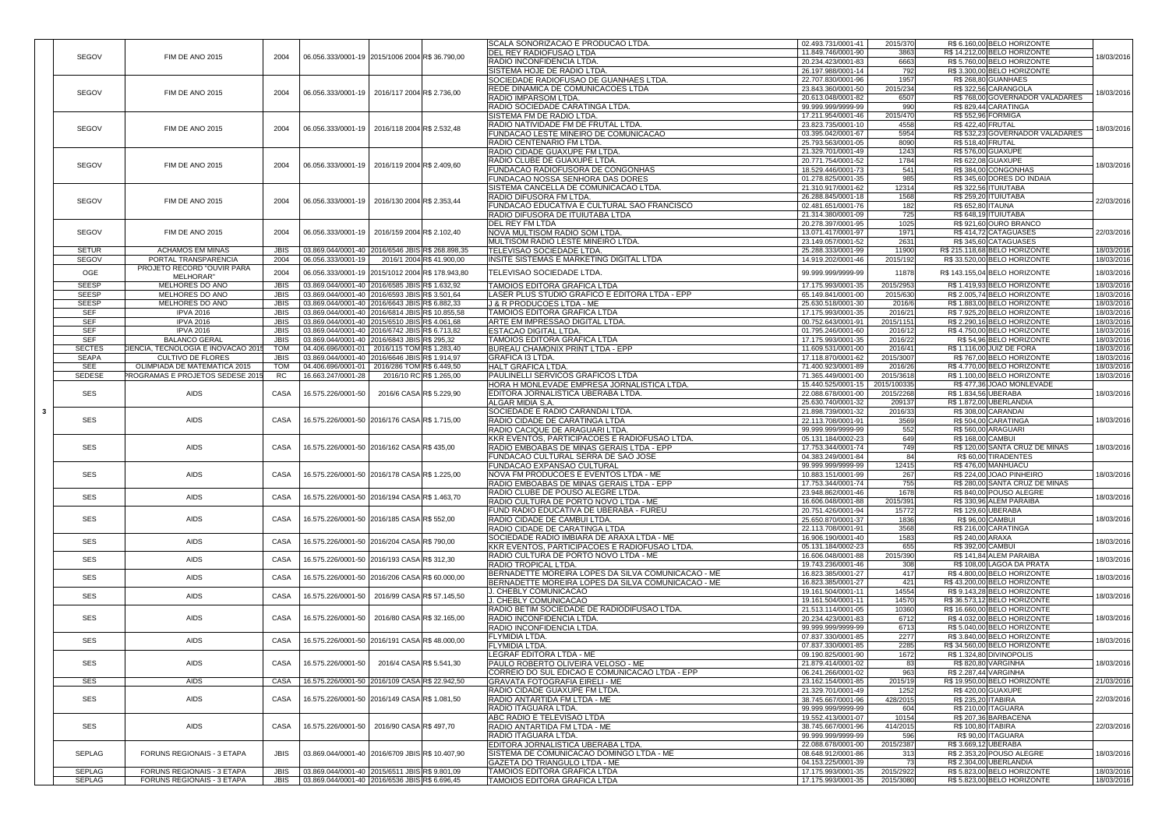|                         |                                                                        |                            |                                                                                                |                          |                           | SCALA SONORIZACAO E PRODUCAO LTDA.                                         | 02.493.731/0001-41                       | 2015/370               |                          | R\$ 6.160,00 BELO HORIZONTE                                |                          |
|-------------------------|------------------------------------------------------------------------|----------------------------|------------------------------------------------------------------------------------------------|--------------------------|---------------------------|----------------------------------------------------------------------------|------------------------------------------|------------------------|--------------------------|------------------------------------------------------------|--------------------------|
| <b>SEGOV</b>            | FIM DE ANO 2015                                                        | 2004                       | 06.056.333/0001-19 2015/1006 2004 R\$ 36.790,00                                                |                          |                           | <b>DEL REY RADIOFUSAO LTDA</b>                                             | 11.849.746/0001-90                       | 3863                   |                          | R\$ 14.212,00 BELO HORIZONTE                               | 18/03/2016               |
|                         |                                                                        |                            |                                                                                                |                          |                           | <b>RADIO INCONFIDENCIA LTDA</b>                                            | 20.234.423/0001-83                       | 6663                   |                          | R\$ 5.760,00 BELO HORIZONTE                                |                          |
|                         |                                                                        |                            |                                                                                                |                          |                           | <b>SISTEMA HOJE DE RADIO LTDA.</b>                                         | 26.197.988/0001-14                       | 792                    |                          | R\$ 3.300,00 BELO HORIZONTE                                |                          |
|                         |                                                                        |                            |                                                                                                |                          |                           | SOCIEDADE RADIOFUSAO DE GUANHAES LTDA.                                     | 22.707.830/0001-96                       | 1957                   |                          | R\$ 268,80 GUANHAES                                        |                          |
|                         |                                                                        |                            |                                                                                                |                          |                           | <b>REDE DINAMICA DE COMUNICACOES LTDA</b>                                  | 23.843.360/0001-50                       | 2015/234               |                          | R\$ 322,56 CARANGOLA                                       |                          |
| <b>SEGOV</b>            | FIM DE ANO 2015                                                        | 2004                       | 06.056.333/0001-19 2016/117 2004 R\$ 2.736,00                                                  |                          |                           | <b>RADIO IMPARSOM LTDA.</b>                                                | 20.613.048/0001-82                       | 6507                   |                          | R\$768,00 GOVERNADOR VALADARES                             | 18/03/2016               |
|                         |                                                                        |                            |                                                                                                |                          |                           |                                                                            |                                          |                        |                          |                                                            |                          |
|                         |                                                                        |                            |                                                                                                |                          |                           | RADIO SOCIEDADE CARATINGA LTDA.                                            | 99.999.999/9999-99                       | 990                    |                          | R\$829,44 CARATINGA                                        |                          |
|                         |                                                                        |                            |                                                                                                |                          |                           | ISISTEMA FM DE RADIO LTDA                                                  | 17.211.954/0001-46                       | 2015/470               |                          | R\$ 552,96 FORMIGA                                         |                          |
| <b>SEGOV</b>            | FIM DE ANO 2015                                                        | 2004                       | 06.056.333/0001-19   2016/118 2004 R\$ 2.532,48                                                |                          |                           | <b>RADIO NATIVIDADE FM DE FRUTAL LTDA</b>                                  | 23.823.735/0001-10                       | 4558                   | <b>R\$422,40 FRUTAL</b>  |                                                            | 18/03/2016               |
|                         |                                                                        |                            |                                                                                                |                          |                           | <b>FUNDACAO LESTE MINEIRO DE COMUNICACAO</b>                               | 03.395.042/0001-67                       | 5954                   |                          | R\$ 532,23 GOVERNADOR VALADARES                            |                          |
|                         |                                                                        |                            |                                                                                                |                          |                           | <b>RADIO CENTENARIO FM LTDA.</b>                                           | 25.793.563/0001-05                       | 8090                   | <b>R\$ 518,40 FRUTAL</b> |                                                            |                          |
|                         |                                                                        |                            |                                                                                                |                          |                           | RADIO CIDADE GUAXUPE FM LTDA.                                              | 21.329.701/0001-49                       | 1243                   |                          | <b>R\$ 576,00 GUAXUPE</b>                                  |                          |
|                         |                                                                        |                            |                                                                                                |                          |                           | <b>RADIO CLUBE DE GUAXUPE LTDA</b>                                         | 20.771.754/0001-52                       | 1784                   |                          | R\$ 622,08 GUAXUPE                                         |                          |
| <b>SEGOV</b>            | FIM DE ANO 2015                                                        | 2004                       | 06.056.333/0001-19   2016/119 2004 R\$ 2.409,60                                                |                          |                           |                                                                            |                                          |                        |                          |                                                            | 18/03/2016               |
|                         |                                                                        |                            |                                                                                                |                          |                           | <b>FUNDACAO RADIOFUSORA DE CONGONHAS</b>                                   | 18.529.446/0001-73                       | 541                    |                          | R\$384,00 CONGONHAS                                        |                          |
|                         |                                                                        |                            |                                                                                                |                          |                           | <b>FUNDACAO NOSSA SENHORA DAS DORES</b>                                    | 01.278.825/0001-35                       | 985                    |                          | R\$ 345,60 DORES DO INDAIA                                 |                          |
|                         |                                                                        |                            |                                                                                                |                          |                           | SISTEMA CANCELLA DE COMUNICACAO LTDA                                       | 21.310.917/0001-62                       | 12314                  |                          | R\$ 322,56 ITUIUTABA                                       |                          |
| <b>SEGOV</b>            |                                                                        |                            | 06.056.333/0001-19 2016/130 2004 R\$ 2.353,44                                                  |                          |                           | <b>RADIO DIFUSORA FM LTDA</b>                                              | 26.288.845/0001-18                       | 1568                   |                          | <b>R\$ 259,20 ITUIUTABA</b>                                |                          |
|                         | FIM DE ANO 2015                                                        | 2004                       |                                                                                                |                          |                           | <b>FUNDACAO EDUCATIVA E CULTURAL SAO FRANCISCO</b>                         | 02.481.651/0001-76                       | 182                    | R\$ 652,80 ITAUNA        |                                                            | 22/03/2016               |
|                         |                                                                        |                            |                                                                                                |                          |                           | <b>RADIO DIFUSORA DE ITUIUTABA LTDA</b>                                    | 21.314.380/0001-09                       | 725                    |                          | R\$ 648,19 ITUIUTABA                                       |                          |
|                         |                                                                        |                            |                                                                                                |                          |                           | <b>IDEL REY FM LTDA</b>                                                    | 20.278.397/0001-95                       | 1025                   |                          | R\$921,60 OURO BRANCO                                      |                          |
| <b>SEGOV</b>            | FIM DE ANO 2015                                                        | 2004                       | 06.056.333/0001-19   2016/159 2004 R\$ 2.102,40                                                |                          |                           | NOVA MULTISOM RADIO SOM LTDA.                                              | 13.071.417/0001-97                       | 1971                   |                          | R\$414,72 CATAGUASES                                       | 22/03/2016               |
|                         |                                                                        |                            |                                                                                                |                          |                           |                                                                            |                                          |                        |                          |                                                            |                          |
|                         |                                                                        |                            |                                                                                                |                          |                           | MULTISOM RADIO LESTE MINEIRO LTDA.                                         | 23.149.057/0001-52                       | 2631                   |                          | R\$ 345,60 CATAGUASES                                      |                          |
| <b>SETUR</b>            | <b>ACHAMOS EM MINAS</b>                                                | <b>JBIS</b>                | 03.869.044/0001-40 2016/6546 JBISR\$ 268.898,35                                                |                          |                           | <b>TELEVISAO SOCIEDADE LTDA.</b>                                           | 25.288.333/0001-99                       | 11900                  |                          | R\$ 215.118,68 BELO HORIZONTE                              | 18/03/2016               |
| <b>SEGOV</b>            | PORTAL TRANSPARENCIA                                                   | 2004                       | 06.056.333/0001-19                                                                             |                          | 2016/1 2004 R\$ 41.900,00 | <b>INSITE SISTEMAS E MARKETING DIGITAL LTDA</b>                            | 14.919.202/0001-46                       | 2015/192               |                          | R\$ 33.520,00 BELO HORIZONTE                               | 18/03/2016               |
|                         | PROJETO RECORD "OUVIR PARA                                             |                            |                                                                                                |                          |                           |                                                                            |                                          |                        |                          |                                                            |                          |
| OGE                     | <b>MELHORAR"</b>                                                       | 2004                       | 06.056.333/0001-19 2015/1012 2004 R\$ 178.943,80                                               |                          |                           | <b>TELEVISAO SOCIEDADE LTDA.</b>                                           | 99.999.999/9999-99                       | 11878                  |                          | R\$ 143.155,04 BELO HORIZONTE                              | 18/03/2016               |
| <b>SEESP</b>            | MELHORES DO ANO                                                        | <b>JBIS</b>                | 03.869.044/0001-40 2016/6585 JBISR\$ 1.632,92                                                  |                          |                           | <b>TAMOIOS EDITORA GRAFICA LTDA</b>                                        | 17.175.993/0001-35                       | 2015/2953              |                          | R\$ 1.419,93 BELO HORIZONTE                                | 18/03/2016               |
| <b>SEESP</b>            | MELHORES DO ANO                                                        | <b>JBIS</b>                | 03.869.044/0001-40 2016/6593 JBISR\$ 3.501,64                                                  |                          |                           | LASER PLUS STUDIO GRAFICO E EDITORA LTDA - EPP                             | 65.149.841/0001-00                       | 2015/630               |                          | R\$ 2.005,74 BELO HORIZONTE                                | 18/03/2016               |
| <b>SEESP</b>            | MELHORES DO ANO                                                        | JBIS                       | 03.869.044/0001-40 2016/6643 JBISR\$ 6.882,33                                                  |                          |                           | J & R PRODUCOES LTDA - ME                                                  | 25.630.518/0001-30                       | 2016/6                 |                          | R\$ 1.883,00 BELO HORIZONTE                                | 18/03/2016               |
|                         |                                                                        |                            |                                                                                                |                          |                           |                                                                            |                                          |                        |                          |                                                            |                          |
| <b>SEF</b>              | <b>IPVA 2016</b>                                                       | <b>JBIS</b>                | 03.869.044/0001-40 2016/6814 JBISR\$ 10.855,58                                                 |                          |                           | <b>TAMOIOS EDITORA GRAFICA LTDA</b>                                        | 17.175.993/0001-35                       | 2016/21                |                          | R\$ 7.925,20 BELO HORIZONTE                                | 18/03/2016               |
| <b>SEF</b>              | <b>IPVA 2016</b>                                                       |                            | JBIS   03.869.044/0001-40   2015/6510 JBIS R\$ 4.061,68                                        |                          |                           | ARTE EM IMPRESSAO DIGITAL LTDA.                                            | 00.752.643/0001-91                       | 2015/1151              |                          | R\$ 2.290,16 BELO HORIZONTE                                | 18/03/2016               |
| <b>SEF</b>              | <b>IPVA 2016</b>                                                       | <b>JBIS</b>                | 03.869.044/0001-40 2016/6742 JBISR\$ 6.713,82                                                  |                          |                           | <b>ESTACAO DIGITAL LTDA.</b>                                               | 01.795.246/0001-60                       | 2016/12                |                          | R\$ 4.750,00 BELO HORIZONTE                                | 18/03/2016               |
| <b>SEF</b>              | <b>BALANCO GERAL</b>                                                   | JBIS                       | 03.869.044/0001-40 2016/6843 JBISR\$ 295,32                                                    |                          |                           | <b>TAMOIOS EDITORA GRAFICA LTDA</b>                                        | 17.175.993/0001-35                       | 2016/22                |                          | R\$ 54,96 BELO HORIZONTE                                   | 18/03/2016               |
| <b>SECTES</b>           | CIENCIA, TECNOLOGIA E INOVACAO 2015                                    | <b>TOM</b>                 | 04.406.696/0001-01 2016/115 TOM R\$ 1.283,40                                                   |                          |                           | BUREAU CHAMONIX PRINT LTDA - EPP                                           | 11.609.531/0001-00                       | 2016/41                |                          | R\$ 1.116,00 JUIZ DE FORA                                  | 18/03/2016               |
| <b>SEAPA</b>            | <b>CULTIVO DE FLORES</b>                                               | <b>JBIS</b>                | 03.869.044/0001-40 2016/6646 JBISR\$ 1.914,97                                                  |                          |                           | <b>GRAFICA I3 LTDA</b>                                                     | 17.118.870/0001-62                       | 2015/3007              |                          | R\$767,00 BELO HORIZONTE                                   | 18/03/2016               |
| SEE                     | OLIMPIADA DE MATEMATICA 2015                                           | <b>TOM</b>                 | 04.406.696/0001-01 2016/286 TOM R\$ 6.449,50                                                   |                          |                           | <b>HALT GRAFICA LTDA.</b>                                                  | 71.400.923/0001-89                       | 2016/26                |                          | R\$4.770,00 BELO HORIZONTE                                 | 18/03/2016               |
| <b>SEDESE</b>           | PROGRAMAS E PROJETOS SEDESE 2015                                       | <b>RC</b>                  | 16.663.247/0001-28                                                                             | 2016/10 RC R\$ 1.265,00  |                           | <b>PAULINELLI SERVICOS GRAFICOS LTDA</b>                                   | 71.365.449/0001-00                       | 2015/3618              |                          | R\$ 1.100,00 BELO HORIZONTE                                | 18/03/2016               |
|                         |                                                                        |                            |                                                                                                |                          |                           | <b>HORA H MONLEVADE EMPRESA JORNALISTICA LTDA</b>                          | 15.440.525/0001-15                       | 2015/100335            |                          | R\$477,36 JOAO MONLEVADE                                   |                          |
| <b>SES</b>              | <b>AIDS</b>                                                            |                            |                                                                                                |                          |                           |                                                                            |                                          |                        |                          |                                                            |                          |
|                         |                                                                        | <b>CASA</b>                | 16.575.226/0001-50                                                                             | 2016/6 CASA R\$ 5.229,90 |                           | EDITORA JORNALISTICA UBERABA LTDA                                          | 22.088.678/0001-00                       | 2015/2268              | R\$ 1.834,56 UBERABA     |                                                            | 18/03/2016               |
|                         |                                                                        |                            |                                                                                                |                          |                           | ALGAR MIDIA S.A.                                                           | 25.630.740/0001-32                       | 209137                 |                          | R\$ 1.872,00 UBERLANDIA                                    |                          |
|                         |                                                                        |                            |                                                                                                |                          |                           | SOCIEDADE E RADIO CARANDAI LTDA.                                           | 21.898.739/0001-32                       | 2016/33                |                          | R\$ 308,00 CARANDAI                                        |                          |
| <b>SES</b>              | <b>AIDS</b>                                                            | <b>CASA</b>                | 16.575.226/0001-50 2016/176 CASA R\$ 1.715,00                                                  |                          |                           | RADIO CIDADE DE CARATINGA LTDA                                             | 22.113.708/0001-91                       | 3569                   |                          | R\$504,00 CARATINGA                                        | 18/03/2016               |
|                         |                                                                        |                            |                                                                                                |                          |                           | <b>RADIO CACIQUE DE ARAGUARI LTDA.</b>                                     | 99.999.999/9999-99                       | 552                    |                          | R\$ 560,00 ARAGUARI                                        |                          |
|                         |                                                                        |                            |                                                                                                |                          |                           | KKR EVENTOS, PARTICIPACOES E RADIOFUSAO LTDA.                              | 05.131.184/0002-23                       | 649                    | <b>R\$ 168,00 CAMBUI</b> |                                                            |                          |
| <b>SES</b>              | <b>AIDS</b>                                                            | <b>CASA</b>                | 16.575.226/0001-50 2016/162 CASA R\$ 435,00                                                    |                          |                           | <b>RADIO EMBOABAS DE MINAS GERAIS LTDA - EPP</b>                           | 17.753.344/0001-74                       | 749                    |                          | R\$ 120,00 SANTA CRUZ DE MINAS                             | 18/03/2016               |
|                         |                                                                        |                            |                                                                                                |                          |                           | <b>FUNDACAO CULTURAL SERRA DE SAO JOSE</b>                                 | 04.383.249/0001-84                       | 84                     |                          | R\$ 60,00 TIRADENTES                                       |                          |
|                         |                                                                        |                            |                                                                                                |                          |                           | <b>FUNDACAO EXPANSAO CULTURAL</b>                                          | 99.999.999/9999-99                       | 12415                  |                          | R\$476,00 MANHUACU                                         |                          |
|                         |                                                                        |                            |                                                                                                |                          |                           |                                                                            |                                          |                        |                          |                                                            |                          |
|                         |                                                                        |                            |                                                                                                |                          |                           |                                                                            |                                          |                        |                          |                                                            |                          |
| <b>SES</b>              | <b>AIDS</b>                                                            | <b>CASA</b>                | 16.575.226/0001-50 2016/178 CASA R\$ 1.225,00                                                  |                          |                           | NOVA FM PRODUCOES E EVENTOS LTDA - ME                                      | 10.883.151/0001-99                       | 267                    |                          | R\$ 224,00 JOAO PINHEIRO                                   | 18/03/2016               |
|                         |                                                                        |                            |                                                                                                |                          |                           | <b>RADIO EMBOABAS DE MINAS GERAIS LTDA - EPP</b>                           | 17.753.344/0001-74                       | 755                    |                          | R\$ 280,00 SANTA CRUZ DE MINAS                             |                          |
| <b>SES</b>              |                                                                        | <b>CASA</b>                | 16.575.226/0001-50 2016/194 CASA R\$ 1.463,70                                                  |                          |                           | RADIO CLUBE DE POUSO ALEGRE LTDA.                                          | 23.948.862/0001-46                       | 1678                   |                          | R\$840,00 POUSO ALEGRE                                     |                          |
|                         | AIDS                                                                   |                            |                                                                                                |                          |                           | RADIO CULTURA DE PORTO NOVO LTDA - ME                                      | 16.606.048/0001-88                       | 2015/391               |                          | R\$ 330,96 ALEM PARAIBA                                    | 18/03/2016               |
|                         |                                                                        |                            |                                                                                                |                          |                           | <b>FUND RADIO EDUCATIVA DE UBERABA - FUREU</b>                             | 20.751.426/0001-94                       | 15772                  |                          | R\$ 129,60 UBERABA                                         |                          |
| <b>SES</b>              | <b>AIDS</b>                                                            | <b>CASA</b>                | 16.575.226/0001-50 2016/185 CASA R\$ 552,00                                                    |                          |                           | <b>RADIO CIDADE DE CAMBUI LTDA.</b>                                        | 25.650.870/0001-37                       | 1836                   |                          | R\$ 96,00 CAMBUI                                           | 18/03/2016               |
|                         |                                                                        |                            |                                                                                                |                          |                           | RADIO CIDADE DE CARATINGA LTDA                                             | 22.113.708/0001-91                       | 3568                   |                          | R\$ 216,00 CARATINGA                                       |                          |
|                         |                                                                        |                            |                                                                                                |                          |                           | SOCIEDADE RADIO IMBIARA DE ARAXA LTDA - ME                                 | 16.906.190/0001-40                       | 1583                   | R\$ 240,00 ARAXA         |                                                            |                          |
| <b>SES</b>              | <b>AIDS</b>                                                            | <b>CASA</b>                | 16.575.226/0001-50 2016/204 CASA R\$ 790,00                                                    |                          |                           |                                                                            |                                          |                        | <b>R\$ 392,00 CAMBUI</b> |                                                            | 18/03/2016               |
|                         |                                                                        |                            |                                                                                                |                          |                           | KKR EVENTOS, PARTICIPACOES E RADIOFUSAO LTDA                               | 05.131.184/0002-23                       | 655                    |                          |                                                            |                          |
| <b>SES</b>              | AIDS                                                                   | <b>CASA</b>                | 16.575.226/0001-50 2016/193 CASAR\$ 312,30                                                     |                          |                           | RADIO CULTURA DE PORTO NOVO LTDA - ME                                      | 16.606.048/0001-88                       | 2015/390               |                          | R\$ 141,84 ALEM PARAIBA                                    | 18/03/2016               |
|                         |                                                                        |                            |                                                                                                |                          |                           | <b>RADIO TROPICAL LTDA.</b>                                                | 19.743.236/0001-46                       | 308                    |                          | R\$ 108,00 LAGOA DA PRATA                                  |                          |
| SES                     | <b>AIDS</b>                                                            | <b>CASA</b>                | 16.575.226/0001-50 2016/206 CASA R\$ 60.000,00                                                 |                          |                           | BERNADETTE MOREIRA LOPES DA SILVA COMUNICACAO - ME                         | 16.823.385/0001-27                       | 417                    |                          | R\$4.800,00 BELO HORIZONTE                                 |                          |
|                         |                                                                        |                            |                                                                                                |                          |                           | BERNADETTE MOREIRA LOPES DA SILVA COMUNICACAO - ME                         | 16.823.385/0001-27                       | 421                    |                          | R\$43.200,00 BELO HORIZONTE                                | 18/03/2016               |
|                         |                                                                        |                            |                                                                                                |                          |                           | J. CHEBLY COMUNICACAO                                                      | 19.161.504/0001-11                       | 14554                  |                          | R\$ 9.143,28 BELO HORIZONTE                                |                          |
| <b>SES</b>              | AIDS                                                                   | <b>CASA</b>                | 16.575.226/0001-50   2016/99 CASA R\$ 57.145,50                                                |                          |                           | <b>J. CHEBLY COMUNICACAO</b>                                               | 19.161.504/0001-11                       | 14570                  |                          | R\$ 36.573,12 BELO HORIZONTE                               | 18/03/2016               |
|                         |                                                                        |                            |                                                                                                |                          |                           |                                                                            |                                          | 10360                  |                          | R\$ 16.660,00 BELO HORIZONTE                               |                          |
| <b>SES</b>              | <b>AIDS</b>                                                            | <b>CASA</b>                |                                                                                                |                          |                           | RADIO BETIM SOCIEDADE DE RADIODIFUSAO LTDA.                                | 21.513.114/0001-05                       |                        |                          |                                                            |                          |
|                         |                                                                        |                            | 16.575.226/0001-50   2016/80 CASA R\$ 32.165,00                                                |                          |                           | <b>RADIO INCONFIDENCIA LTDA</b>                                            | 20.234.423/0001-83                       | 6712                   |                          | R\$4.032,00 BELO HORIZONTE                                 | 18/03/2016               |
|                         |                                                                        |                            |                                                                                                |                          |                           | <b>RADIO INCONFIDENCIA LTDA</b>                                            | 99.999.999/9999-99                       | 6713                   |                          | R\$ 5.040,00 BELO HORIZONTE                                |                          |
| <b>SES</b>              | <b>AIDS</b>                                                            | <b>CASA</b>                | 16.575.226/0001-50 2016/191 CASA R\$ 48.000,00                                                 |                          |                           | <b>FLYMIDIA LTDA.</b>                                                      | 07.837.330/0001-85                       | 2277                   |                          | R\$ 3.840,00 BELO HORIZONTE                                | 18/03/2016               |
|                         |                                                                        |                            |                                                                                                |                          |                           | <b>FLYMIDIA LTDA.</b>                                                      | 07.837.330/0001-85                       | 2285                   |                          | R\$ 34.560,00 BELO HORIZONTE                               |                          |
|                         |                                                                        |                            |                                                                                                |                          |                           | LEGRAF EDITORA LTDA - ME                                                   | 09.190.825/0001-90                       | 1672                   |                          | R\$ 1.324,80 DIVINOPOLIS                                   |                          |
| <b>SES</b>              | <b>AIDS</b>                                                            | CASA                       | 16.575.226/0001-50                                                                             | 2016/4 CASA R\$ 5.541,30 |                           | <b>PAULO ROBERTO OLIVEIRA VELOSO - ME</b>                                  | 21.879.414/0001-02                       | 83                     |                          | R\$ 820,80 VARGINHA                                        |                          |
|                         |                                                                        |                            |                                                                                                |                          |                           | CORREIO DO SUL EDICAO E COMUNICACAO LTDA - EPP                             | 06.241.266/0001-02                       | 963                    |                          | R\$ 2.287,44 VARGINHA                                      | 18/03/2016               |
| SES                     | <b>AIDS</b>                                                            | CASA                       | 16.575.226/0001-50 2016/109 CASAR\$ 22.942,50                                                  |                          |                           | <b>GRAVATA FOTOGRAFIA EIRELI - ME</b>                                      | 23.162.154/0001-85                       | 2015/19                |                          | R\$ 19.950,00 BELO HORIZONTE                               | 21/03/2016               |
|                         |                                                                        |                            |                                                                                                |                          |                           | <b>RADIO CIDADE GUAXUPE FM LTDA.</b>                                       | 21.329.701/0001-49                       | 1252                   |                          | R\$420,00 GUAXUPE                                          |                          |
| <b>SES</b>              | <b>AIDS</b>                                                            | CASA                       | 16.575.226/0001-50 2016/149 CASA R\$ 1.081,50                                                  |                          |                           | <b>RADIO ANTARTIDA FM LTDA - ME</b>                                        | 38.745.667/0001-96                       | 428/2015               | R\$ 235,20 ITABIRA       |                                                            |                          |
|                         |                                                                        |                            |                                                                                                |                          |                           | <b>RADIO ITAGUARA LTDA.</b>                                                | 99.999.999/9999-99                       | 604                    |                          | <b>R\$ 210,00 ITAGUARA</b>                                 | 22/03/2016               |
|                         |                                                                        |                            |                                                                                                |                          |                           | ABC RADIO E TELEVISAO LTDA                                                 | 19.552.413/0001-07                       | 10154                  |                          | R\$ 207,36 BARBACENA                                       |                          |
|                         |                                                                        |                            | 16.575.226/0001-50   2016/90 CASA R\$ 497,70                                                   |                          |                           |                                                                            |                                          |                        |                          |                                                            |                          |
| <b>SES</b>              | <b>AIDS</b>                                                            | CASA                       |                                                                                                |                          |                           | <b>IRADIO ANTARTIDA FM LTDA - ME</b>                                       | 38.745.667/0001-96                       | 414/2015               | R\$ 100,80 ITABIRA       |                                                            | 22/03/2016               |
|                         |                                                                        |                            |                                                                                                |                          |                           | RADIO ITAGUARA LTDA.                                                       | 99.999.999/9999-99                       | 596                    |                          | R\$90,00 ITAGUARA                                          |                          |
|                         |                                                                        |                            |                                                                                                |                          |                           | EDITORA JORNALISTICA UBERABA LTDA.                                         | 22.088.678/0001-00                       | 2015/2387              | R\$ 3.669,12 UBERABA     |                                                            |                          |
| SEPLAG                  | <b>FORUNS REGIONAIS - 3 ETAPA</b>                                      | JBIS                       | 03.869.044/0001-40 2016/6709 JBISR\$ 10.407,90                                                 |                          |                           | SISTEMA DE COMUNICACAO DOMINGO LTDA - ME                                   | 08.648.912/0001-86                       | 313                    |                          | R\$ 2.353,20 POUSO ALEGRE                                  | 18/03/2016               |
|                         |                                                                        |                            |                                                                                                |                          |                           | GAZETA DO TRIANGULO LTDA - ME                                              | 04.153.225/0001-39                       | 73                     |                          | R\$ 2.304,00 UBERLANDIA                                    |                          |
| SEPLAG<br><b>SEPLAG</b> | <b>FORUNS REGIONAIS - 3 ETAPA</b><br><b>FORUNS REGIONAIS - 3 ETAPA</b> | <b>JBIS</b><br><b>JBIS</b> | 03.869.044/0001-40 2015/6511 JBISR\$ 9.801,09<br>03.869.044/0001-40 2016/6536 JBISR\$ 6.696,45 |                          |                           | <b>TAMOIOS EDITORA GRAFICA LTDA</b><br><b>TAMOIOS EDITORA GRAFICA LTDA</b> | 17.175.993/0001-35<br>17.175.993/0001-35 | 2015/2922<br>2015/3080 |                          | R\$ 5.823,00 BELO HORIZONTE<br>R\$ 5.823,00 BELO HORIZONTE | 18/03/2016<br>18/03/2016 |